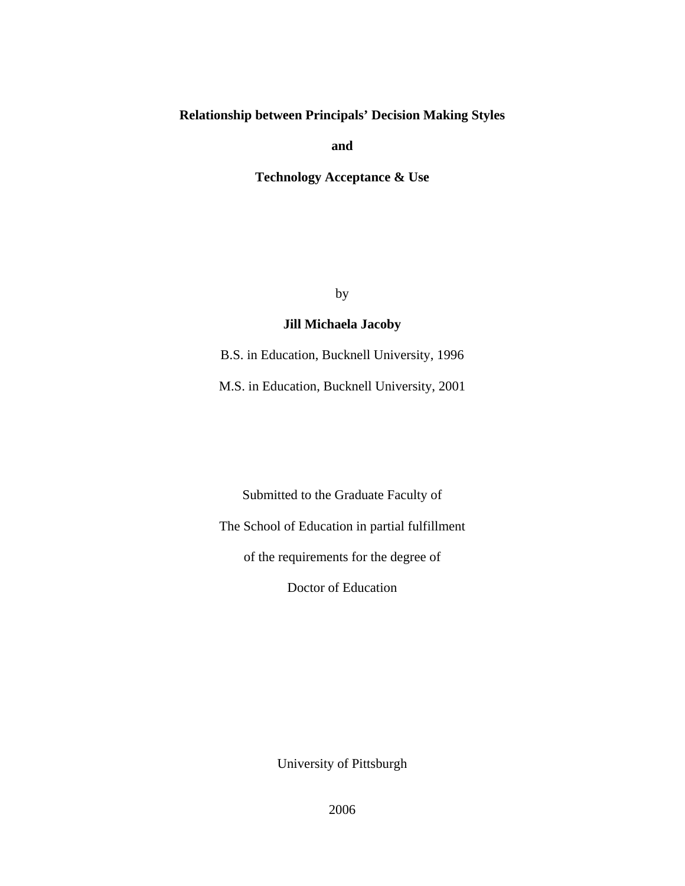# **Relationship between Principals' Decision Making Styles**

**and** 

**Technology Acceptance & Use** 

by

## **Jill Michaela Jacoby**

B.S. in Education, Bucknell University, 1996

M.S. in Education, Bucknell University, 2001

Submitted to the Graduate Faculty of The School of Education in partial fulfillment of the requirements for the degree of Doctor of Education

University of Pittsburgh

2006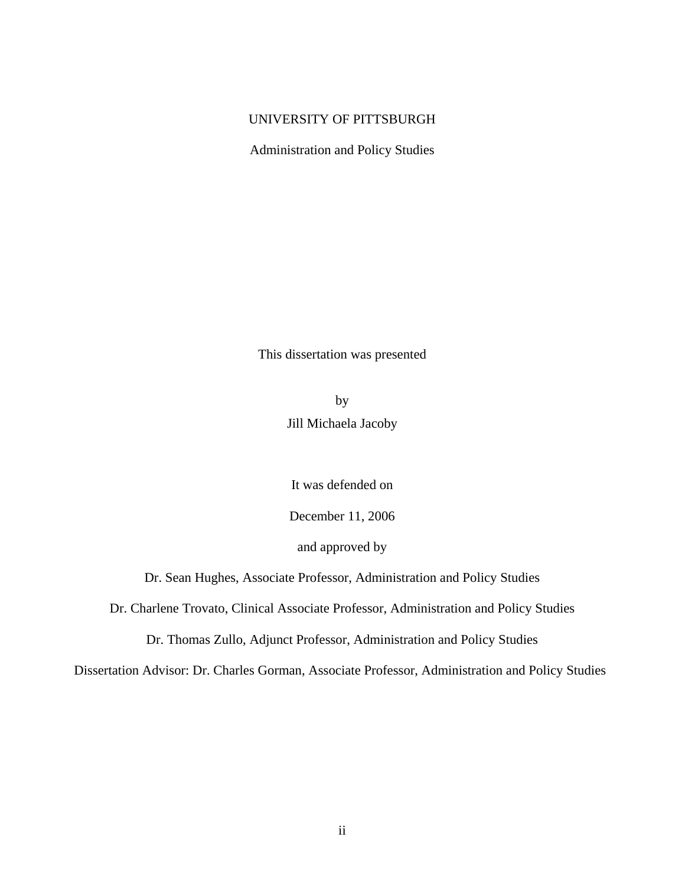## UNIVERSITY OF PITTSBURGH

Administration and Policy Studies

This dissertation was presented

by Jill Michaela Jacoby

It was defended on

December 11, 2006

and approved by

Dr. Sean Hughes, Associate Professor, Administration and Policy Studies

Dr. Charlene Trovato, Clinical Associate Professor, Administration and Policy Studies

Dr. Thomas Zullo, Adjunct Professor, Administration and Policy Studies

Dissertation Advisor: Dr. Charles Gorman, Associate Professor, Administration and Policy Studies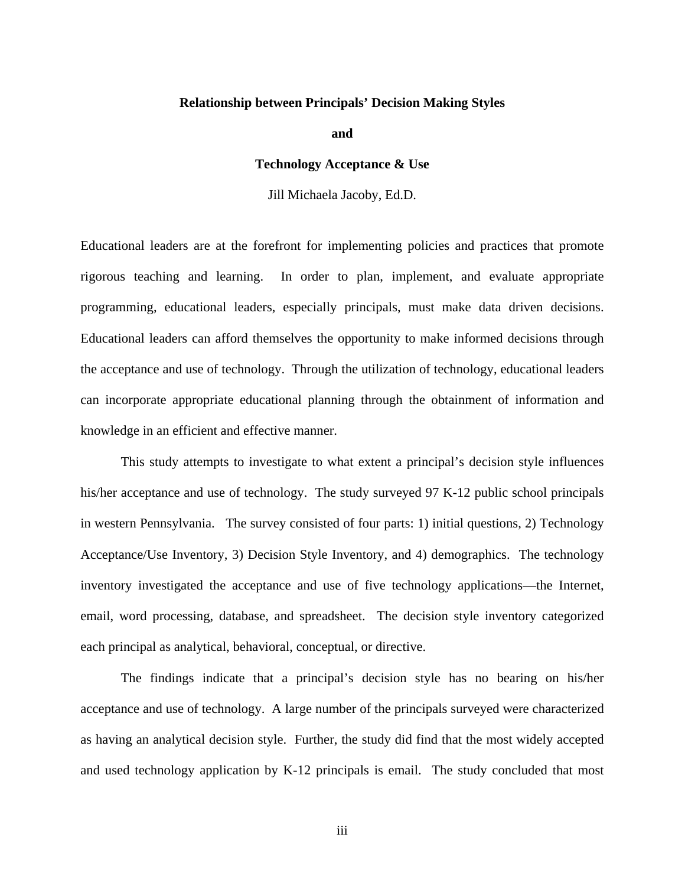#### **Relationship between Principals' Decision Making Styles**

**and** 

#### **Technology Acceptance & Use**

Jill Michaela Jacoby, Ed.D.

Educational leaders are at the forefront for implementing policies and practices that promote rigorous teaching and learning. In order to plan, implement, and evaluate appropriate programming, educational leaders, especially principals, must make data driven decisions. Educational leaders can afford themselves the opportunity to make informed decisions through the acceptance and use of technology. Through the utilization of technology, educational leaders can incorporate appropriate educational planning through the obtainment of information and knowledge in an efficient and effective manner.

 This study attempts to investigate to what extent a principal's decision style influences his/her acceptance and use of technology. The study surveyed 97 K-12 public school principals in western Pennsylvania. The survey consisted of four parts: 1) initial questions, 2) Technology Acceptance/Use Inventory, 3) Decision Style Inventory, and 4) demographics. The technology inventory investigated the acceptance and use of five technology applications—the Internet, email, word processing, database, and spreadsheet. The decision style inventory categorized each principal as analytical, behavioral, conceptual, or directive.

 The findings indicate that a principal's decision style has no bearing on his/her acceptance and use of technology. A large number of the principals surveyed were characterized as having an analytical decision style. Further, the study did find that the most widely accepted and used technology application by K-12 principals is email. The study concluded that most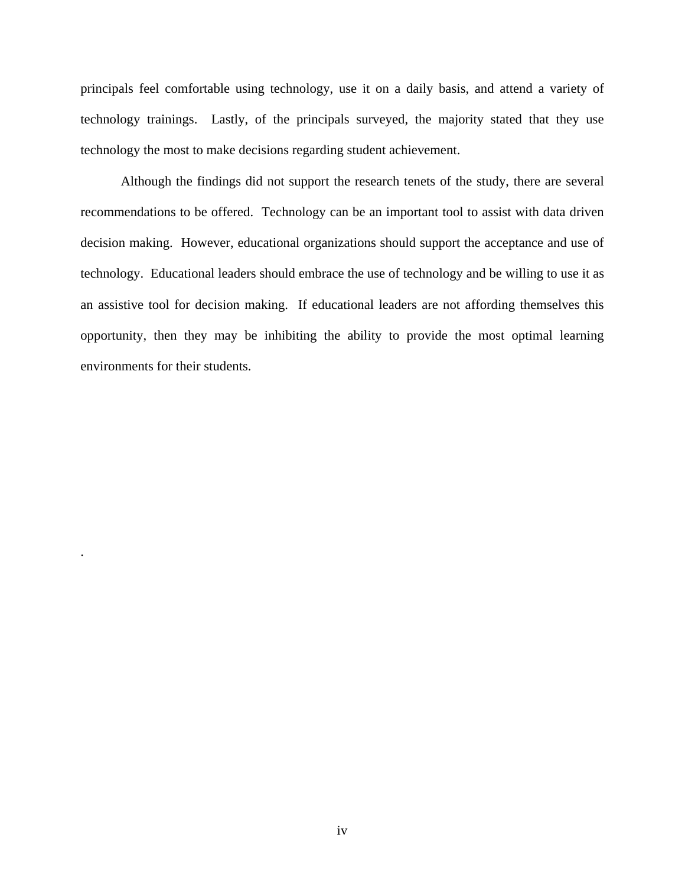principals feel comfortable using technology, use it on a daily basis, and attend a variety of technology trainings. Lastly, of the principals surveyed, the majority stated that they use technology the most to make decisions regarding student achievement.

 Although the findings did not support the research tenets of the study, there are several recommendations to be offered. Technology can be an important tool to assist with data driven decision making. However, educational organizations should support the acceptance and use of technology. Educational leaders should embrace the use of technology and be willing to use it as an assistive tool for decision making. If educational leaders are not affording themselves this opportunity, then they may be inhibiting the ability to provide the most optimal learning environments for their students.

.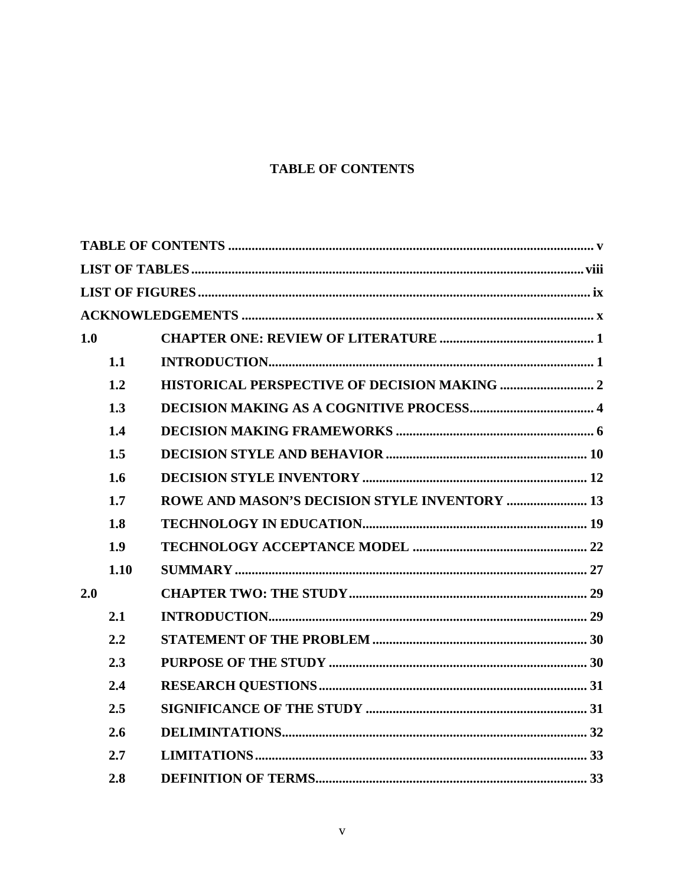# **TABLE OF CONTENTS**

<span id="page-4-0"></span>

| 1.0 |      |                                                      |  |
|-----|------|------------------------------------------------------|--|
|     | 1.1  |                                                      |  |
|     | 1.2  |                                                      |  |
|     | 1.3  |                                                      |  |
|     | 1.4  |                                                      |  |
|     | 1.5  |                                                      |  |
|     | 1.6  |                                                      |  |
|     | 1.7  | <b>ROWE AND MASON'S DECISION STYLE INVENTORY  13</b> |  |
|     | 1.8  |                                                      |  |
|     | 1.9  |                                                      |  |
|     | 1.10 |                                                      |  |
| 2.0 |      |                                                      |  |
|     | 2.1  |                                                      |  |
|     | 2.2  |                                                      |  |
|     | 2.3  |                                                      |  |
|     | 2.4  |                                                      |  |
|     | 2.5  |                                                      |  |
|     | 2.6  |                                                      |  |
|     | 2.7  |                                                      |  |
|     | 2.8  |                                                      |  |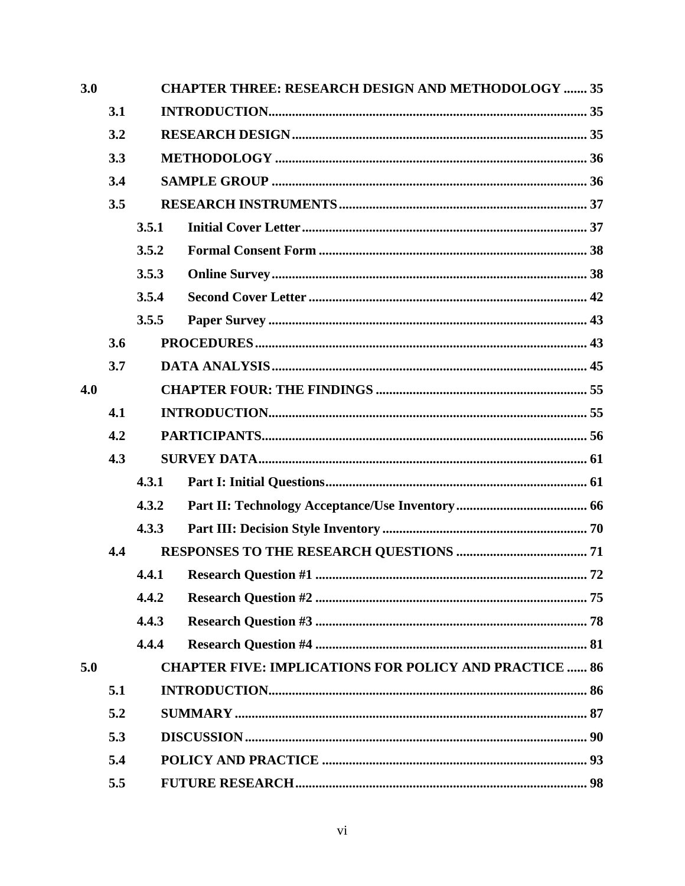| 3.0 |     | <b>CHAPTER THREE: RESEARCH DESIGN AND METHODOLOGY  35</b> |                                                               |  |
|-----|-----|-----------------------------------------------------------|---------------------------------------------------------------|--|
|     | 3.1 |                                                           |                                                               |  |
|     | 3.2 |                                                           |                                                               |  |
|     | 3.3 |                                                           |                                                               |  |
|     | 3.4 |                                                           |                                                               |  |
|     | 3.5 |                                                           |                                                               |  |
|     |     | 3.5.1                                                     |                                                               |  |
|     |     | 3.5.2                                                     |                                                               |  |
|     |     | 3.5.3                                                     |                                                               |  |
|     |     | 3.5.4                                                     |                                                               |  |
|     |     | 3.5.5                                                     |                                                               |  |
|     | 3.6 |                                                           |                                                               |  |
|     | 3.7 |                                                           |                                                               |  |
| 4.0 |     |                                                           |                                                               |  |
|     | 4.1 |                                                           |                                                               |  |
|     | 4.2 |                                                           |                                                               |  |
|     | 4.3 |                                                           |                                                               |  |
|     |     | 4.3.1                                                     |                                                               |  |
|     |     | 4.3.2                                                     |                                                               |  |
|     |     | 4.3.3                                                     |                                                               |  |
|     | 4.4 |                                                           |                                                               |  |
|     |     | 4.4.1                                                     |                                                               |  |
|     |     | 4.4.2                                                     |                                                               |  |
|     |     | 4.4.3                                                     |                                                               |  |
|     |     | 4.4.4                                                     |                                                               |  |
| 5.0 |     |                                                           | <b>CHAPTER FIVE: IMPLICATIONS FOR POLICY AND PRACTICE  86</b> |  |
|     | 5.1 |                                                           |                                                               |  |
|     | 5.2 |                                                           |                                                               |  |
|     | 5.3 |                                                           |                                                               |  |
|     | 5.4 |                                                           |                                                               |  |
|     | 5.5 |                                                           |                                                               |  |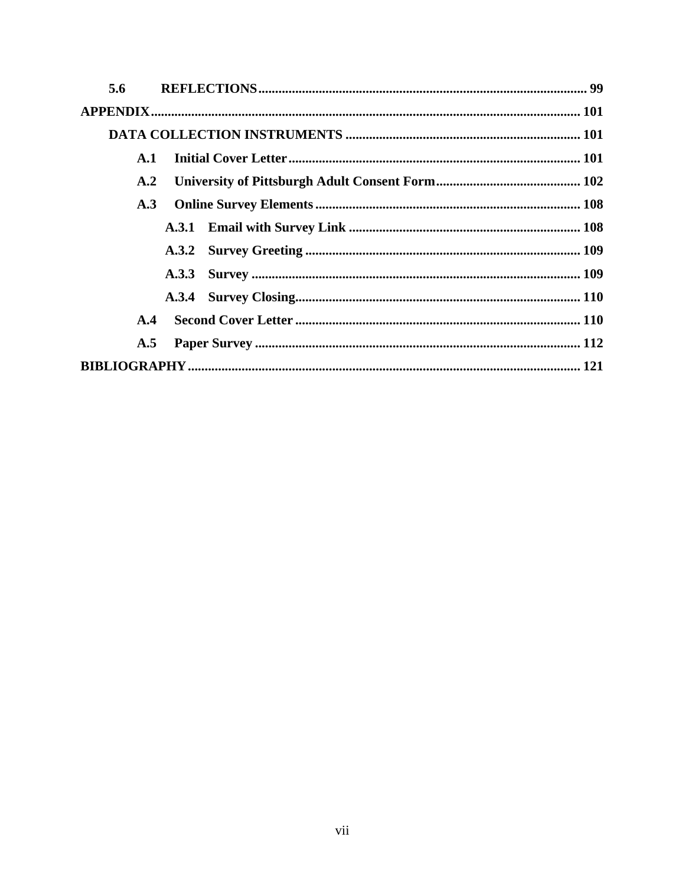| 5.6            |  |  |
|----------------|--|--|
|                |  |  |
|                |  |  |
| $\mathbf{A.1}$ |  |  |
| A.2            |  |  |
| A.3            |  |  |
|                |  |  |
|                |  |  |
|                |  |  |
|                |  |  |
| A.4            |  |  |
| A.5            |  |  |
|                |  |  |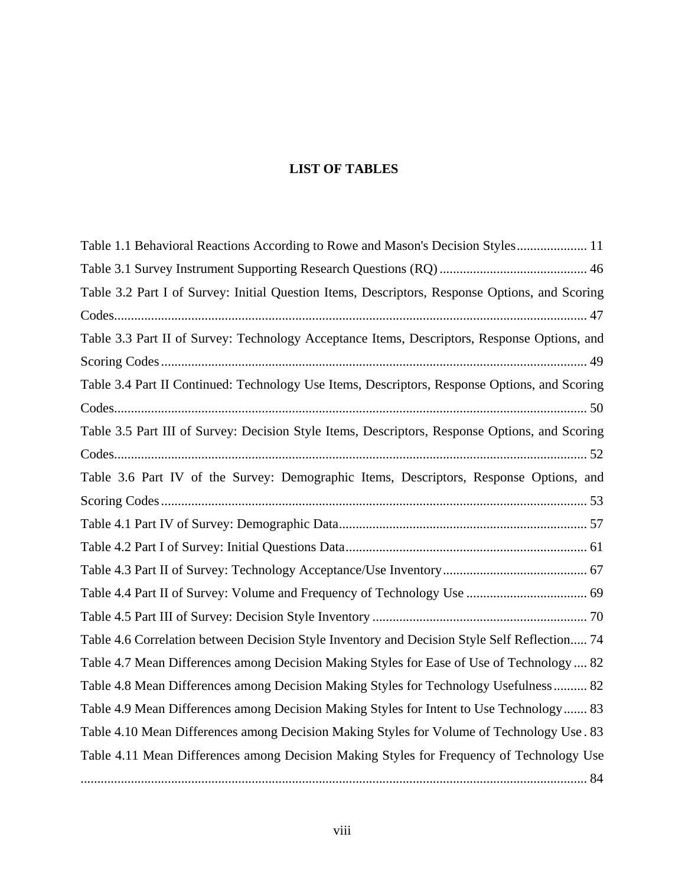# **LIST OF TABLES**

<span id="page-7-0"></span>

| Table 1.1 Behavioral Reactions According to Rowe and Mason's Decision Styles 11                |
|------------------------------------------------------------------------------------------------|
|                                                                                                |
| Table 3.2 Part I of Survey: Initial Question Items, Descriptors, Response Options, and Scoring |
|                                                                                                |
| Table 3.3 Part II of Survey: Technology Acceptance Items, Descriptors, Response Options, and   |
|                                                                                                |
| Table 3.4 Part II Continued: Technology Use Items, Descriptors, Response Options, and Scoring  |
|                                                                                                |
| Table 3.5 Part III of Survey: Decision Style Items, Descriptors, Response Options, and Scoring |
|                                                                                                |
| Table 3.6 Part IV of the Survey: Demographic Items, Descriptors, Response Options, and         |
|                                                                                                |
|                                                                                                |
|                                                                                                |
|                                                                                                |
|                                                                                                |
|                                                                                                |
| Table 4.6 Correlation between Decision Style Inventory and Decision Style Self Reflection 74   |
| Table 4.7 Mean Differences among Decision Making Styles for Ease of Use of Technology  82      |
| Table 4.8 Mean Differences among Decision Making Styles for Technology Usefulness 82           |
| Table 4.9 Mean Differences among Decision Making Styles for Intent to Use Technology 83        |
| Table 4.10 Mean Differences among Decision Making Styles for Volume of Technology Use. 83      |
| Table 4.11 Mean Differences among Decision Making Styles for Frequency of Technology Use       |
|                                                                                                |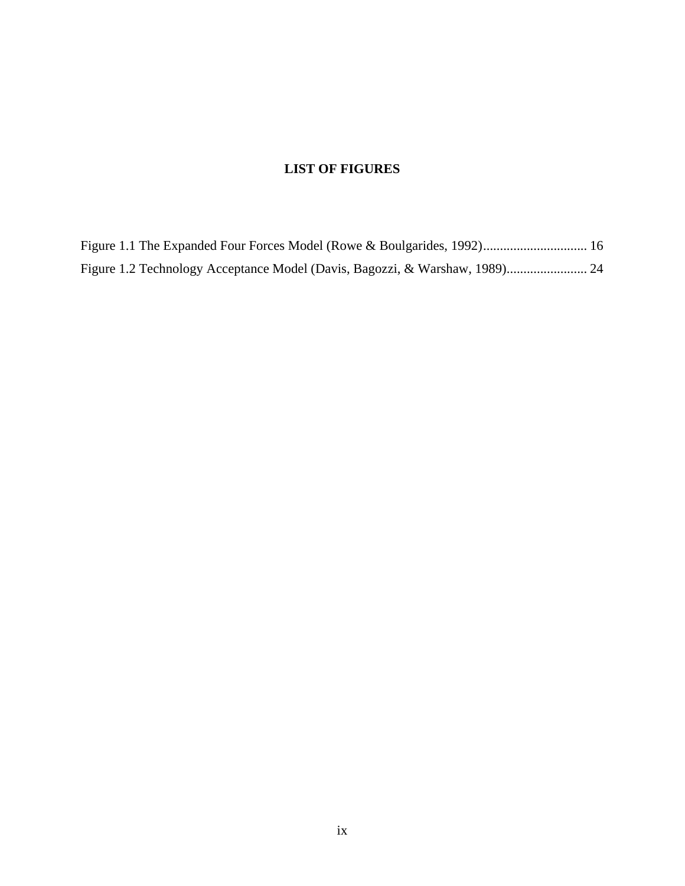# **LIST OF FIGURES**

<span id="page-8-0"></span>

| Figure 1.1 The Expanded Four Forces Model (Rowe & Boulgarides, 1992) 16 |  |
|-------------------------------------------------------------------------|--|
|                                                                         |  |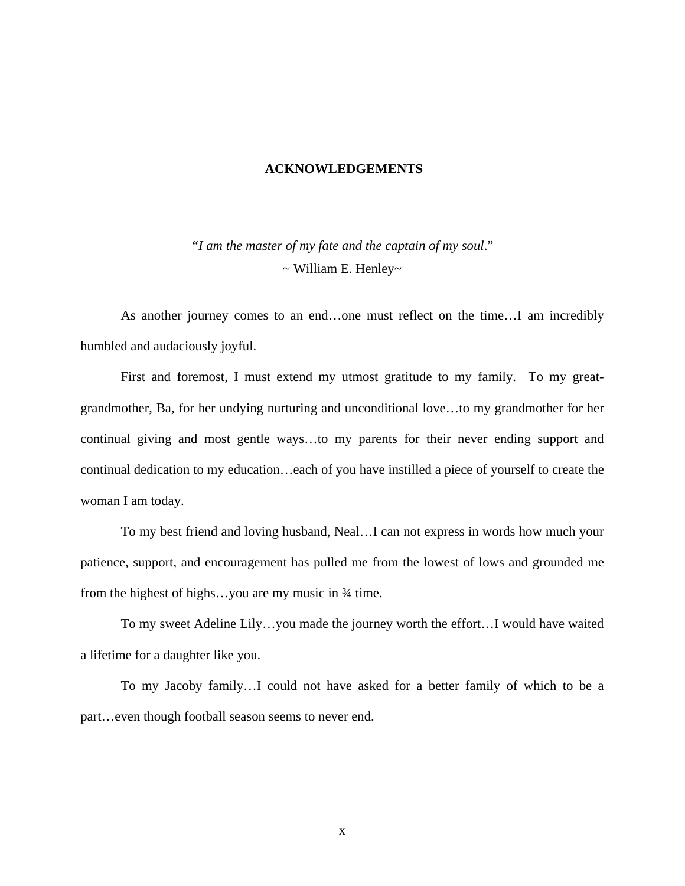#### **ACKNOWLEDGEMENTS**

<span id="page-9-0"></span>*"I am the master of my fate and the captain of my soul*." ~ William E. Henley~

 As another journey comes to an end…one must reflect on the time…I am incredibly humbled and audaciously joyful.

 First and foremost, I must extend my utmost gratitude to my family. To my greatgrandmother, Ba, for her undying nurturing and unconditional love…to my grandmother for her continual giving and most gentle ways…to my parents for their never ending support and continual dedication to my education…each of you have instilled a piece of yourself to create the woman I am today.

 To my best friend and loving husband, Neal…I can not express in words how much your patience, support, and encouragement has pulled me from the lowest of lows and grounded me from the highest of highs...you are my music in  $\frac{3}{4}$  time.

 To my sweet Adeline Lily…you made the journey worth the effort…I would have waited a lifetime for a daughter like you.

 To my Jacoby family…I could not have asked for a better family of which to be a part…even though football season seems to never end.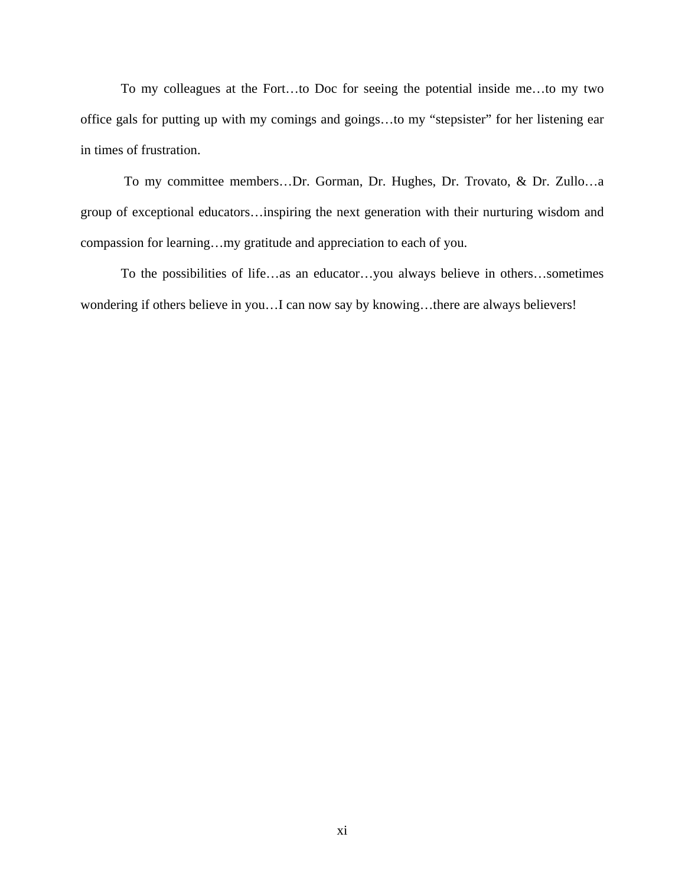To my colleagues at the Fort…to Doc for seeing the potential inside me…to my two office gals for putting up with my comings and goings…to my "stepsister" for her listening ear in times of frustration.

 To my committee members…Dr. Gorman, Dr. Hughes, Dr. Trovato, & Dr. Zullo…a group of exceptional educators…inspiring the next generation with their nurturing wisdom and compassion for learning…my gratitude and appreciation to each of you.

To the possibilities of life…as an educator…you always believe in others…sometimes wondering if others believe in you…I can now say by knowing…there are always believers!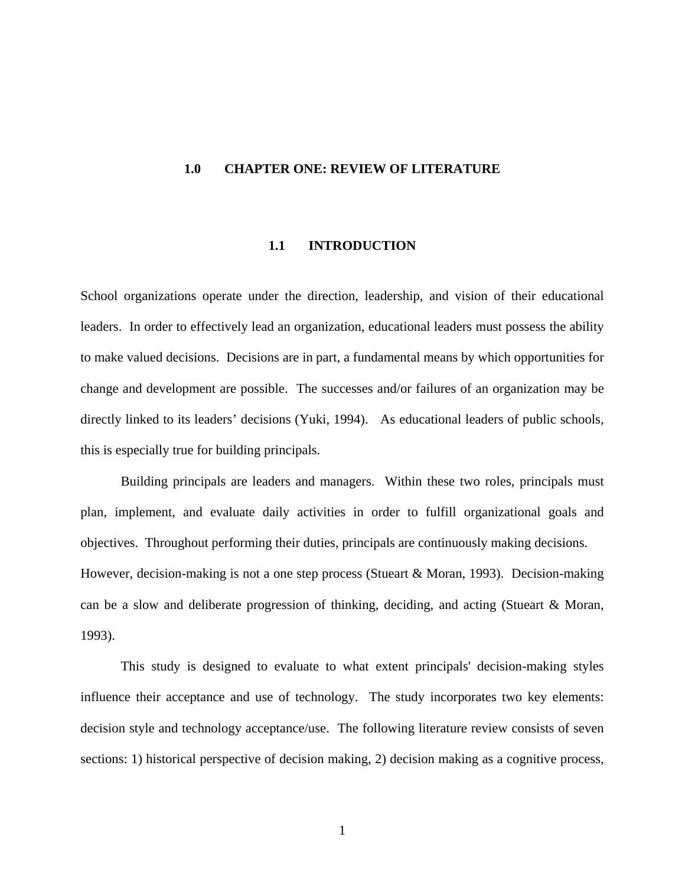#### <span id="page-11-0"></span>**1.0 CHAPTER ONE: REVIEW OF LITERATURE**

#### **1.1 INTRODUCTION**

School organizations operate under the direction, leadership, and vision of their educational leaders. In order to effectively lead an organization, educational leaders must possess the ability to make valued decisions. Decisions are in part, a fundamental means by which opportunities for change and development are possible. The successes and/or failures of an organization may be directly linked to its leaders' decisions (Yuki, 1994). As educational leaders of public schools, this is especially true for building principals.

Building principals are leaders and managers. Within these two roles, principals must plan, implement, and evaluate daily activities in order to fulfill organizational goals and objectives. Throughout performing their duties, principals are continuously making decisions. However, decision-making is not a one step process (Stueart & Moran, 1993). Decision-making can be a slow and deliberate progression of thinking, deciding, and acting (Stueart & Moran, 1993).

This study is designed to evaluate to what extent principals' decision-making styles influence their acceptance and use of technology. The study incorporates two key elements: decision style and technology acceptance/use. The following literature review consists of seven sections: 1) historical perspective of decision making, 2) decision making as a cognitive process,

1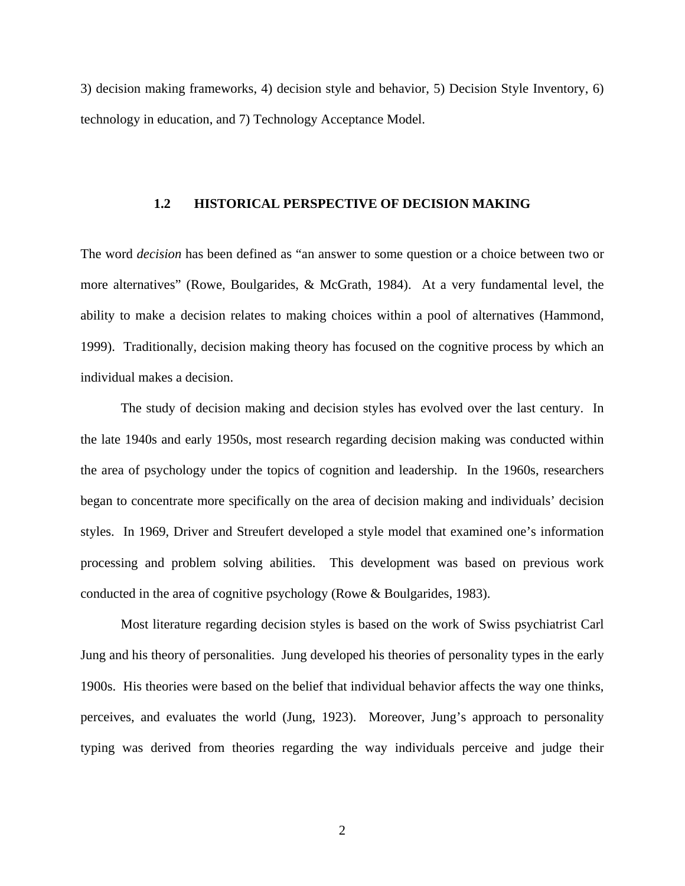<span id="page-12-0"></span>3) decision making frameworks, 4) decision style and behavior, 5) Decision Style Inventory, 6) technology in education, and 7) Technology Acceptance Model.

### **1.2 HISTORICAL PERSPECTIVE OF DECISION MAKING**

The word *decision* has been defined as "an answer to some question or a choice between two or more alternatives" (Rowe, Boulgarides, & McGrath, 1984). At a very fundamental level, the ability to make a decision relates to making choices within a pool of alternatives (Hammond, 1999). Traditionally, decision making theory has focused on the cognitive process by which an individual makes a decision.

The study of decision making and decision styles has evolved over the last century. In the late 1940s and early 1950s, most research regarding decision making was conducted within the area of psychology under the topics of cognition and leadership. In the 1960s, researchers began to concentrate more specifically on the area of decision making and individuals' decision styles. In 1969, Driver and Streufert developed a style model that examined one's information processing and problem solving abilities. This development was based on previous work conducted in the area of cognitive psychology (Rowe & Boulgarides, 1983).

Most literature regarding decision styles is based on the work of Swiss psychiatrist Carl Jung and his theory of personalities. Jung developed his theories of personality types in the early 1900s. His theories were based on the belief that individual behavior affects the way one thinks, perceives, and evaluates the world (Jung, 1923). Moreover, Jung's approach to personality typing was derived from theories regarding the way individuals perceive and judge their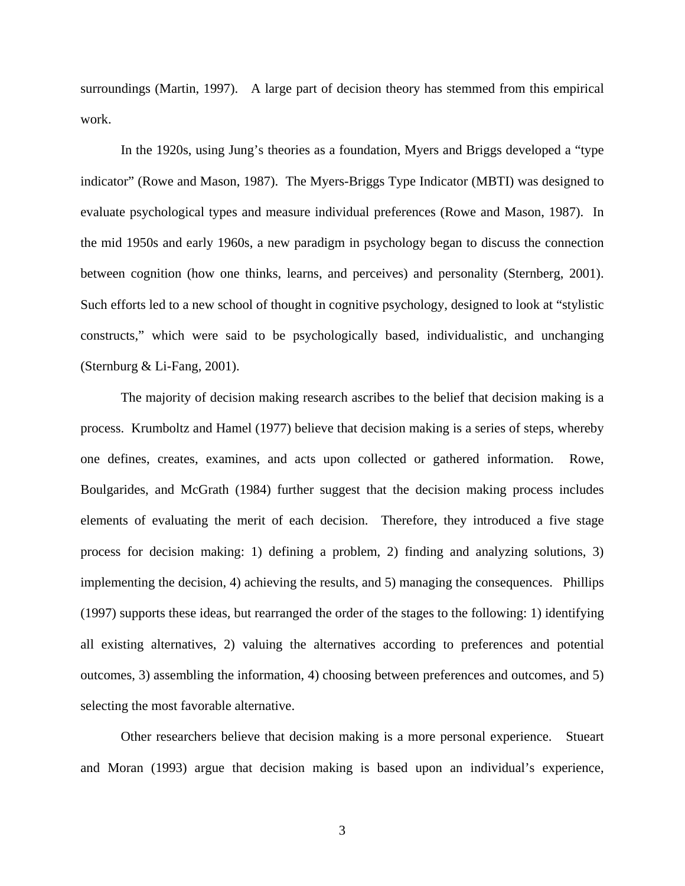surroundings (Martin, 1997). A large part of decision theory has stemmed from this empirical work.

In the 1920s, using Jung's theories as a foundation, Myers and Briggs developed a "type indicator" (Rowe and Mason, 1987). The Myers-Briggs Type Indicator (MBTI) was designed to evaluate psychological types and measure individual preferences (Rowe and Mason, 1987). In the mid 1950s and early 1960s, a new paradigm in psychology began to discuss the connection between cognition (how one thinks, learns, and perceives) and personality (Sternberg, 2001). Such efforts led to a new school of thought in cognitive psychology, designed to look at "stylistic constructs," which were said to be psychologically based, individualistic, and unchanging (Sternburg & Li-Fang, 2001).

The majority of decision making research ascribes to the belief that decision making is a process. Krumboltz and Hamel (1977) believe that decision making is a series of steps, whereby one defines, creates, examines, and acts upon collected or gathered information. Rowe, Boulgarides, and McGrath (1984) further suggest that the decision making process includes elements of evaluating the merit of each decision. Therefore, they introduced a five stage process for decision making: 1) defining a problem, 2) finding and analyzing solutions, 3) implementing the decision, 4) achieving the results, and 5) managing the consequences. Phillips (1997) supports these ideas, but rearranged the order of the stages to the following: 1) identifying all existing alternatives, 2) valuing the alternatives according to preferences and potential outcomes, 3) assembling the information, 4) choosing between preferences and outcomes, and 5) selecting the most favorable alternative.

Other researchers believe that decision making is a more personal experience. Stueart and Moran (1993) argue that decision making is based upon an individual's experience,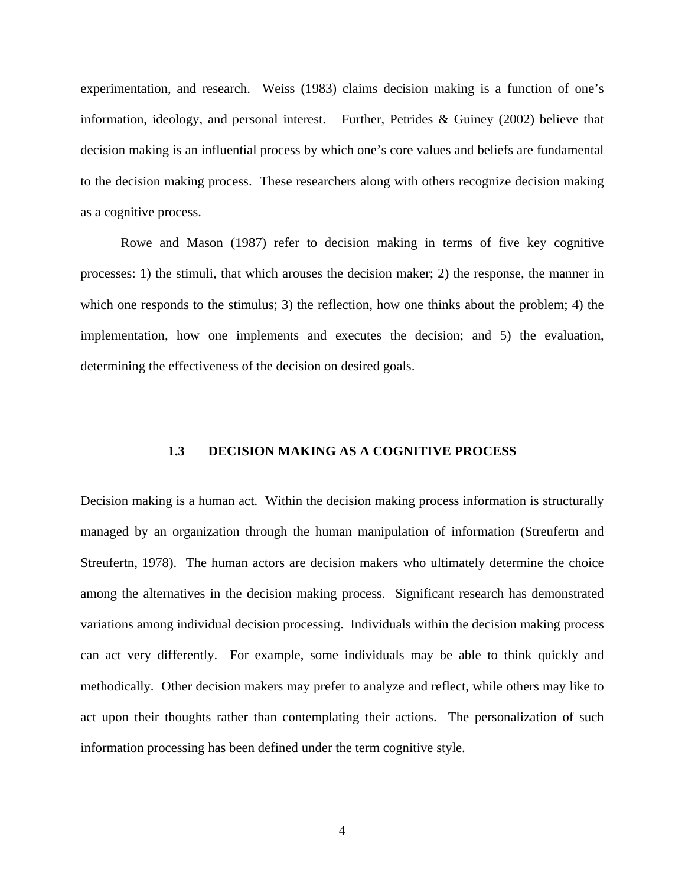<span id="page-14-0"></span>experimentation, and research. Weiss (1983) claims decision making is a function of one's information, ideology, and personal interest. Further, Petrides & Guiney (2002) believe that decision making is an influential process by which one's core values and beliefs are fundamental to the decision making process. These researchers along with others recognize decision making as a cognitive process.

Rowe and Mason (1987) refer to decision making in terms of five key cognitive processes: 1) the stimuli, that which arouses the decision maker; 2) the response, the manner in which one responds to the stimulus; 3) the reflection, how one thinks about the problem; 4) the implementation, how one implements and executes the decision; and 5) the evaluation, determining the effectiveness of the decision on desired goals.

## **1.3 DECISION MAKING AS A COGNITIVE PROCESS**

Decision making is a human act. Within the decision making process information is structurally managed by an organization through the human manipulation of information (Streufertn and Streufertn, 1978). The human actors are decision makers who ultimately determine the choice among the alternatives in the decision making process. Significant research has demonstrated variations among individual decision processing. Individuals within the decision making process can act very differently. For example, some individuals may be able to think quickly and methodically. Other decision makers may prefer to analyze and reflect, while others may like to act upon their thoughts rather than contemplating their actions. The personalization of such information processing has been defined under the term cognitive style.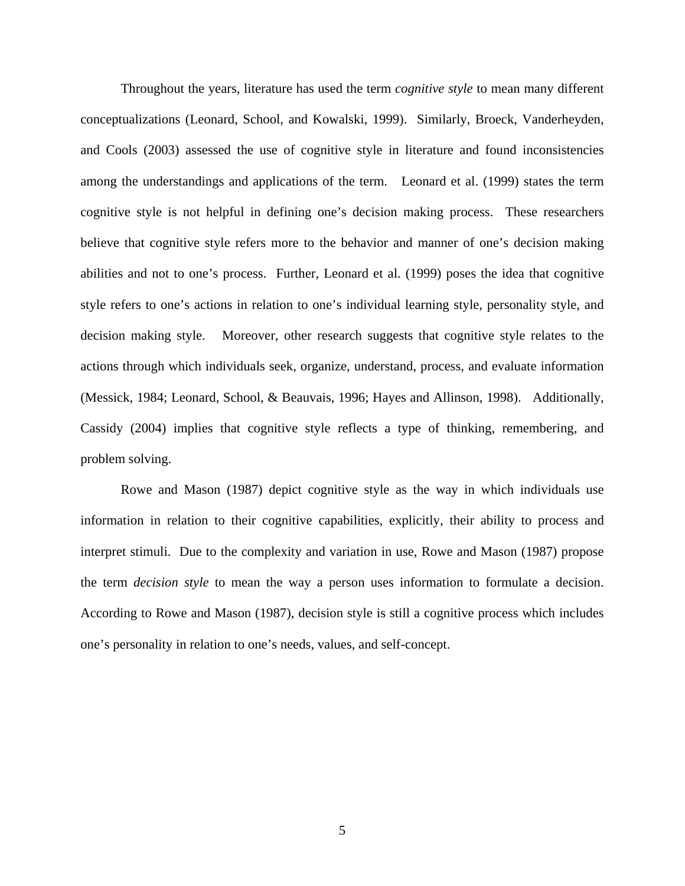Throughout the years, literature has used the term *cognitive style* to mean many different conceptualizations (Leonard, School, and Kowalski, 1999). Similarly, Broeck, Vanderheyden, and Cools (2003) assessed the use of cognitive style in literature and found inconsistencies among the understandings and applications of the term. Leonard et al. (1999) states the term cognitive style is not helpful in defining one's decision making process. These researchers believe that cognitive style refers more to the behavior and manner of one's decision making abilities and not to one's process. Further, Leonard et al. (1999) poses the idea that cognitive style refers to one's actions in relation to one's individual learning style, personality style, and decision making style. Moreover, other research suggests that cognitive style relates to the actions through which individuals seek, organize, understand, process, and evaluate information (Messick, 1984; Leonard, School, & Beauvais, 1996; Hayes and Allinson, 1998). Additionally, Cassidy (2004) implies that cognitive style reflects a type of thinking, remembering, and problem solving.

Rowe and Mason (1987) depict cognitive style as the way in which individuals use information in relation to their cognitive capabilities, explicitly, their ability to process and interpret stimuli. Due to the complexity and variation in use, Rowe and Mason (1987) propose the term *decision style* to mean the way a person uses information to formulate a decision. According to Rowe and Mason (1987), decision style is still a cognitive process which includes one's personality in relation to one's needs, values, and self-concept.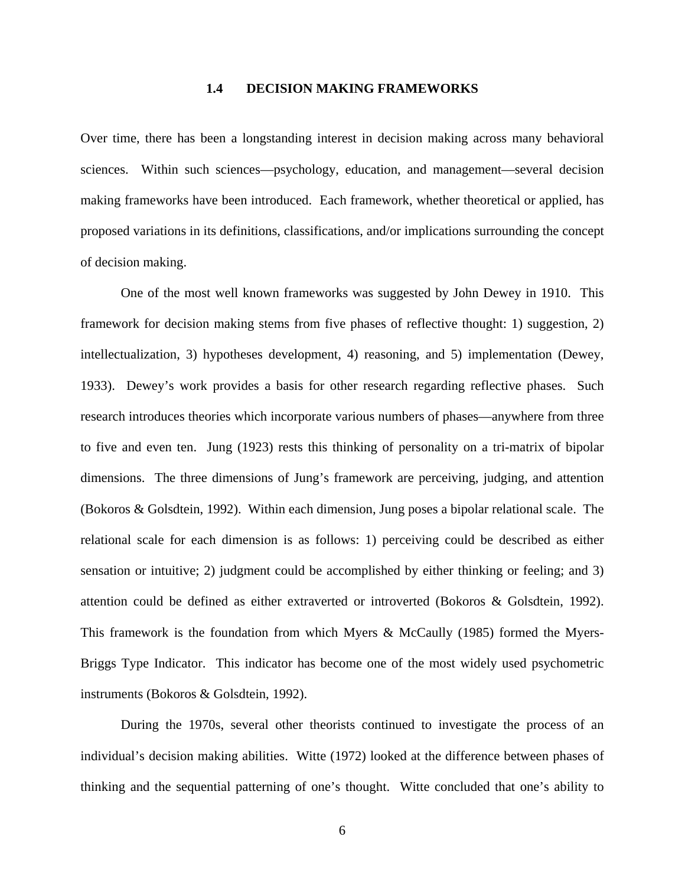#### **1.4 DECISION MAKING FRAMEWORKS**

<span id="page-16-0"></span>Over time, there has been a longstanding interest in decision making across many behavioral sciences. Within such sciences—psychology, education, and management—several decision making frameworks have been introduced. Each framework, whether theoretical or applied, has proposed variations in its definitions, classifications, and/or implications surrounding the concept of decision making.

 One of the most well known frameworks was suggested by John Dewey in 1910. This framework for decision making stems from five phases of reflective thought: 1) suggestion, 2) intellectualization, 3) hypotheses development, 4) reasoning, and 5) implementation (Dewey, 1933). Dewey's work provides a basis for other research regarding reflective phases. Such research introduces theories which incorporate various numbers of phases—anywhere from three to five and even ten. Jung (1923) rests this thinking of personality on a tri-matrix of bipolar dimensions. The three dimensions of Jung's framework are perceiving, judging, and attention (Bokoros & Golsdtein, 1992). Within each dimension, Jung poses a bipolar relational scale. The relational scale for each dimension is as follows: 1) perceiving could be described as either sensation or intuitive; 2) judgment could be accomplished by either thinking or feeling; and 3) attention could be defined as either extraverted or introverted (Bokoros & Golsdtein, 1992). This framework is the foundation from which Myers & McCaully (1985) formed the Myers-Briggs Type Indicator. This indicator has become one of the most widely used psychometric instruments (Bokoros & Golsdtein, 1992).

During the 1970s, several other theorists continued to investigate the process of an individual's decision making abilities. Witte (1972) looked at the difference between phases of thinking and the sequential patterning of one's thought. Witte concluded that one's ability to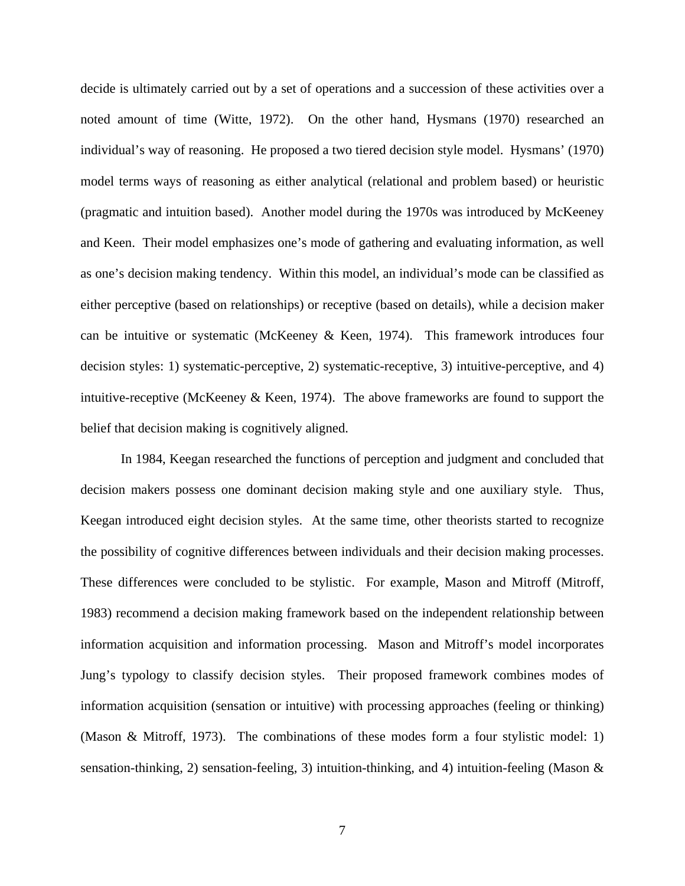decide is ultimately carried out by a set of operations and a succession of these activities over a noted amount of time (Witte, 1972). On the other hand, Hysmans (1970) researched an individual's way of reasoning. He proposed a two tiered decision style model. Hysmans' (1970) model terms ways of reasoning as either analytical (relational and problem based) or heuristic (pragmatic and intuition based). Another model during the 1970s was introduced by McKeeney and Keen. Their model emphasizes one's mode of gathering and evaluating information, as well as one's decision making tendency. Within this model, an individual's mode can be classified as either perceptive (based on relationships) or receptive (based on details), while a decision maker can be intuitive or systematic (McKeeney & Keen, 1974). This framework introduces four decision styles: 1) systematic-perceptive, 2) systematic-receptive, 3) intuitive-perceptive, and 4) intuitive-receptive (McKeeney & Keen, 1974). The above frameworks are found to support the belief that decision making is cognitively aligned.

 In 1984, Keegan researched the functions of perception and judgment and concluded that decision makers possess one dominant decision making style and one auxiliary style. Thus, Keegan introduced eight decision styles. At the same time, other theorists started to recognize the possibility of cognitive differences between individuals and their decision making processes. These differences were concluded to be stylistic. For example, Mason and Mitroff (Mitroff, 1983) recommend a decision making framework based on the independent relationship between information acquisition and information processing. Mason and Mitroff's model incorporates Jung's typology to classify decision styles. Their proposed framework combines modes of information acquisition (sensation or intuitive) with processing approaches (feeling or thinking) (Mason & Mitroff, 1973). The combinations of these modes form a four stylistic model: 1) sensation-thinking, 2) sensation-feeling, 3) intuition-thinking, and 4) intuition-feeling (Mason &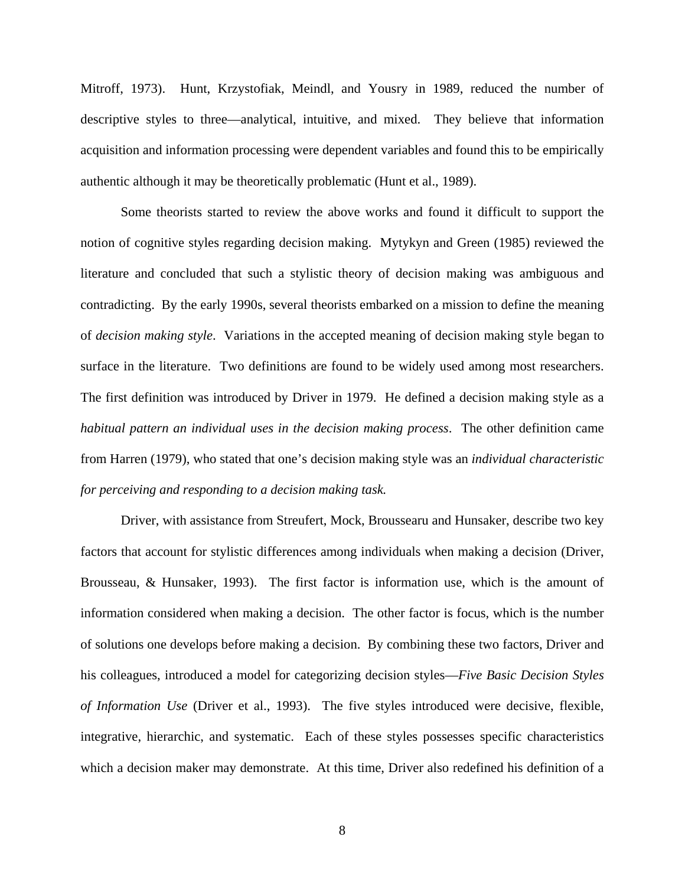Mitroff, 1973). Hunt, Krzystofiak, Meindl, and Yousry in 1989, reduced the number of descriptive styles to three—analytical, intuitive, and mixed. They believe that information acquisition and information processing were dependent variables and found this to be empirically authentic although it may be theoretically problematic (Hunt et al., 1989).

 Some theorists started to review the above works and found it difficult to support the notion of cognitive styles regarding decision making. Mytykyn and Green (1985) reviewed the literature and concluded that such a stylistic theory of decision making was ambiguous and contradicting. By the early 1990s, several theorists embarked on a mission to define the meaning of *decision making style*. Variations in the accepted meaning of decision making style began to surface in the literature. Two definitions are found to be widely used among most researchers. The first definition was introduced by Driver in 1979. He defined a decision making style as a *habitual pattern an individual uses in the decision making process*. The other definition came from Harren (1979), who stated that one's decision making style was an *individual characteristic for perceiving and responding to a decision making task.*

Driver, with assistance from Streufert, Mock, Broussearu and Hunsaker, describe two key factors that account for stylistic differences among individuals when making a decision (Driver, Brousseau, & Hunsaker, 1993). The first factor is information use, which is the amount of information considered when making a decision. The other factor is focus, which is the number of solutions one develops before making a decision. By combining these two factors, Driver and his colleagues, introduced a model for categorizing decision styles—*Five Basic Decision Styles of Information Use* (Driver et al., 1993). The five styles introduced were decisive, flexible, integrative, hierarchic, and systematic. Each of these styles possesses specific characteristics which a decision maker may demonstrate. At this time, Driver also redefined his definition of a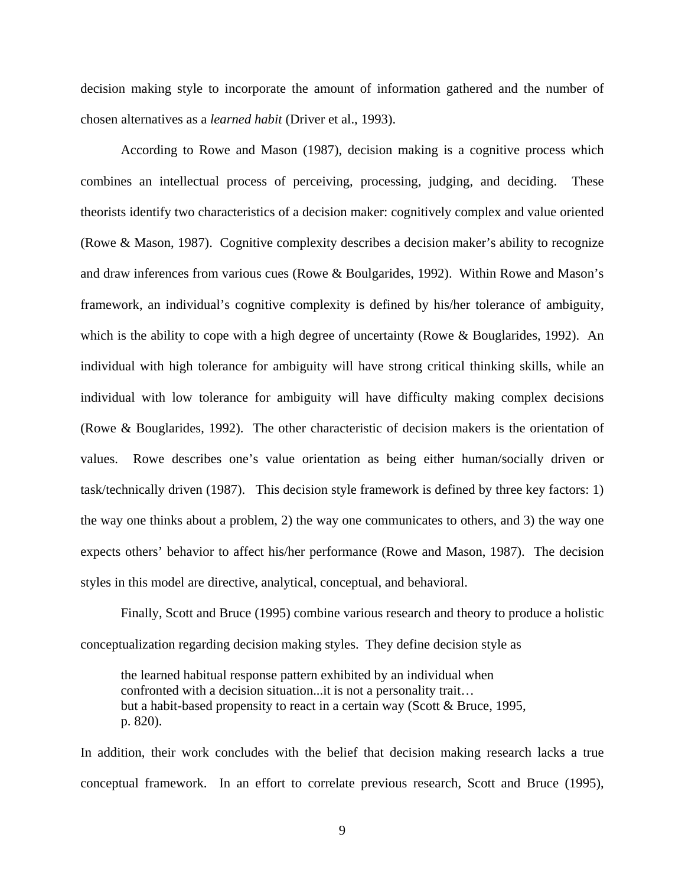decision making style to incorporate the amount of information gathered and the number of chosen alternatives as a *learned habit* (Driver et al., 1993).

 According to Rowe and Mason (1987), decision making is a cognitive process which combines an intellectual process of perceiving, processing, judging, and deciding. These theorists identify two characteristics of a decision maker: cognitively complex and value oriented (Rowe & Mason, 1987). Cognitive complexity describes a decision maker's ability to recognize and draw inferences from various cues (Rowe & Boulgarides, 1992). Within Rowe and Mason's framework, an individual's cognitive complexity is defined by his/her tolerance of ambiguity, which is the ability to cope with a high degree of uncertainty (Rowe & Bouglarides, 1992). An individual with high tolerance for ambiguity will have strong critical thinking skills, while an individual with low tolerance for ambiguity will have difficulty making complex decisions (Rowe & Bouglarides, 1992). The other characteristic of decision makers is the orientation of values. Rowe describes one's value orientation as being either human/socially driven or task/technically driven (1987). This decision style framework is defined by three key factors: 1) the way one thinks about a problem, 2) the way one communicates to others, and 3) the way one expects others' behavior to affect his/her performance (Rowe and Mason, 1987). The decision styles in this model are directive, analytical, conceptual, and behavioral.

Finally, Scott and Bruce (1995) combine various research and theory to produce a holistic conceptualization regarding decision making styles. They define decision style as

the learned habitual response pattern exhibited by an individual when confronted with a decision situation...it is not a personality trait… but a habit-based propensity to react in a certain way (Scott & Bruce, 1995, p. 820).

In addition, their work concludes with the belief that decision making research lacks a true conceptual framework. In an effort to correlate previous research, Scott and Bruce (1995),

9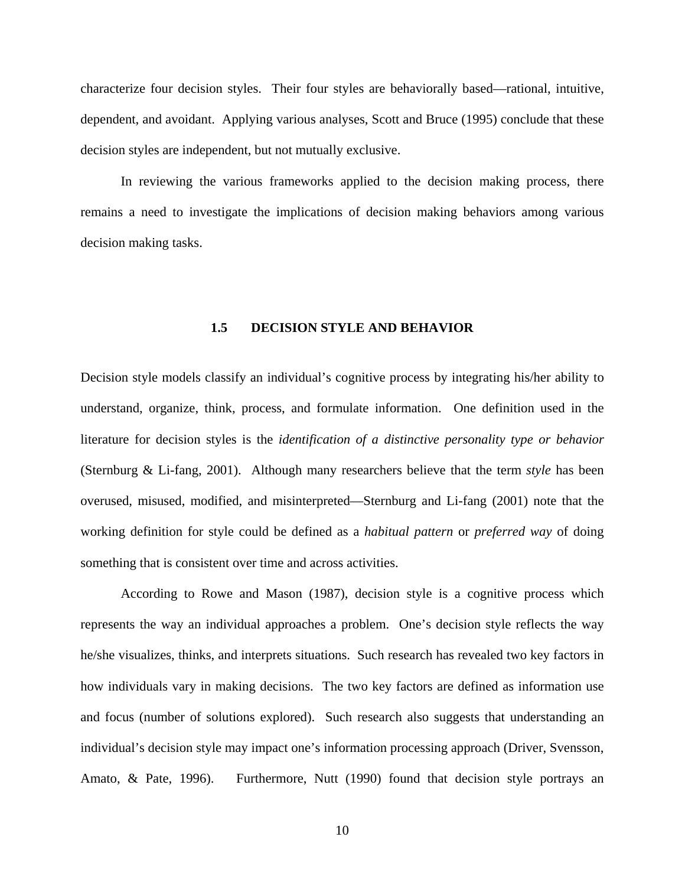<span id="page-20-0"></span>characterize four decision styles. Their four styles are behaviorally based—rational, intuitive, dependent, and avoidant. Applying various analyses, Scott and Bruce (1995) conclude that these decision styles are independent, but not mutually exclusive.

 In reviewing the various frameworks applied to the decision making process, there remains a need to investigate the implications of decision making behaviors among various decision making tasks.

### **1.5 DECISION STYLE AND BEHAVIOR**

Decision style models classify an individual's cognitive process by integrating his/her ability to understand, organize, think, process, and formulate information. One definition used in the literature for decision styles is the *identification of a distinctive personality type or behavior* (Sternburg & Li-fang, 2001). Although many researchers believe that the term *style* has been overused, misused, modified, and misinterpreted—Sternburg and Li-fang (2001) note that the working definition for style could be defined as a *habitual pattern* or *preferred way* of doing something that is consistent over time and across activities.

According to Rowe and Mason (1987), decision style is a cognitive process which represents the way an individual approaches a problem. One's decision style reflects the way he/she visualizes, thinks, and interprets situations. Such research has revealed two key factors in how individuals vary in making decisions. The two key factors are defined as information use and focus (number of solutions explored). Such research also suggests that understanding an individual's decision style may impact one's information processing approach (Driver, Svensson, Amato, & Pate, 1996). Furthermore, Nutt (1990) found that decision style portrays an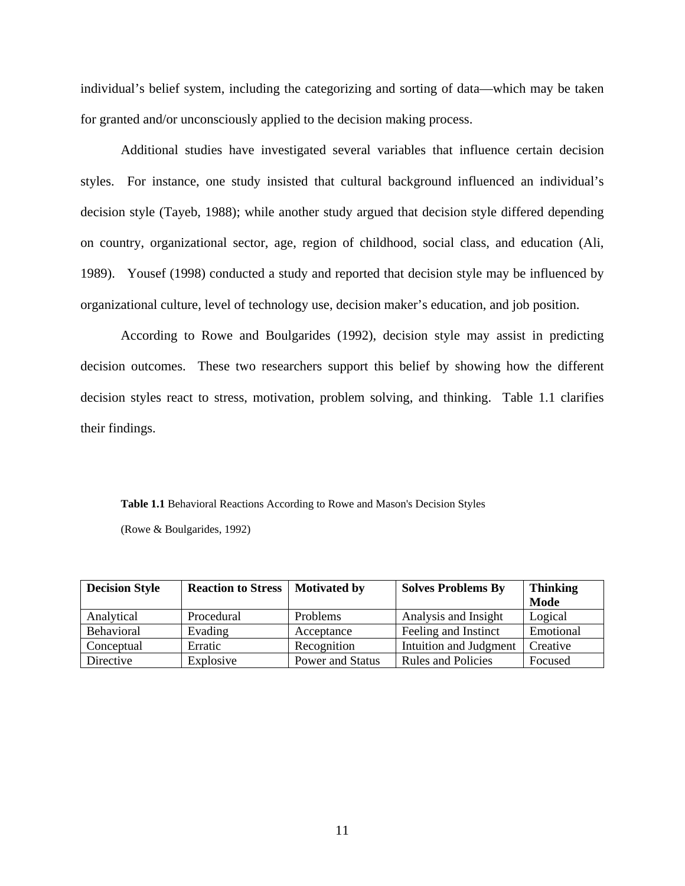<span id="page-21-0"></span>individual's belief system, including the categorizing and sorting of data—which may be taken for granted and/or unconsciously applied to the decision making process.

Additional studies have investigated several variables that influence certain decision styles. For instance, one study insisted that cultural background influenced an individual's decision style (Tayeb, 1988); while another study argued that decision style differed depending on country, organizational sector, age, region of childhood, social class, and education (Ali, 1989). Yousef (1998) conducted a study and reported that decision style may be influenced by organizational culture, level of technology use, decision maker's education, and job position.

According to Rowe and Boulgarides (1992), decision style may assist in predicting decision outcomes. These two researchers support this belief by showing how the different decision styles react to stress, motivation, problem solving, and thinking. Table 1.1 clarifies their findings.

**Table 1.1** Behavioral Reactions According to Rowe and Mason's Decision Styles (Rowe & Boulgarides, 1992)

| <b>Decision Style</b> | <b>Reaction to Stress</b> | <b>Motivated by</b> | <b>Solves Problems By</b> | <b>Thinking</b><br>Mode |
|-----------------------|---------------------------|---------------------|---------------------------|-------------------------|
| Analytical            | Procedural                | Problems            | Analysis and Insight      | Logical                 |
| Behavioral            | Evading                   | Acceptance          | Feeling and Instinct      | Emotional               |
| Conceptual            | Erratic                   | Recognition         | Intuition and Judgment    | Creative                |
| Directive             | Explosive                 | Power and Status    | <b>Rules and Policies</b> | Focused                 |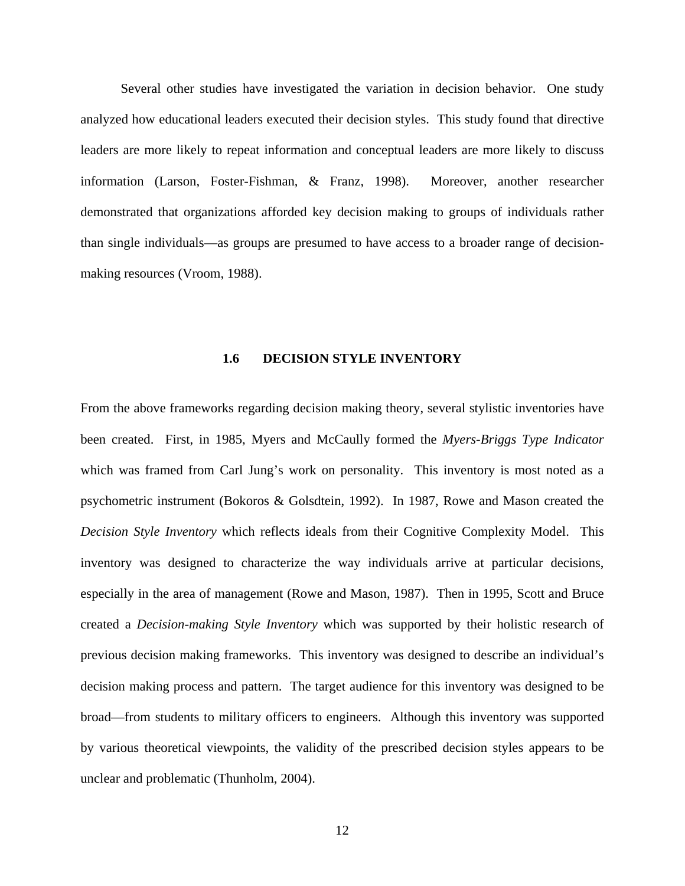<span id="page-22-0"></span>Several other studies have investigated the variation in decision behavior. One study analyzed how educational leaders executed their decision styles. This study found that directive leaders are more likely to repeat information and conceptual leaders are more likely to discuss information (Larson, Foster-Fishman, & Franz, 1998). Moreover, another researcher demonstrated that organizations afforded key decision making to groups of individuals rather than single individuals—as groups are presumed to have access to a broader range of decisionmaking resources (Vroom, 1988).

#### **1.6 DECISION STYLE INVENTORY**

From the above frameworks regarding decision making theory, several stylistic inventories have been created. First, in 1985, Myers and McCaully formed the *Myers-Briggs Type Indicator* which was framed from Carl Jung's work on personality. This inventory is most noted as a psychometric instrument (Bokoros & Golsdtein, 1992). In 1987, Rowe and Mason created the *Decision Style Inventory* which reflects ideals from their Cognitive Complexity Model. This inventory was designed to characterize the way individuals arrive at particular decisions, especially in the area of management (Rowe and Mason, 1987). Then in 1995, Scott and Bruce created a *Decision-making Style Inventory* which was supported by their holistic research of previous decision making frameworks. This inventory was designed to describe an individual's decision making process and pattern. The target audience for this inventory was designed to be broad—from students to military officers to engineers. Although this inventory was supported by various theoretical viewpoints, the validity of the prescribed decision styles appears to be unclear and problematic (Thunholm, 2004).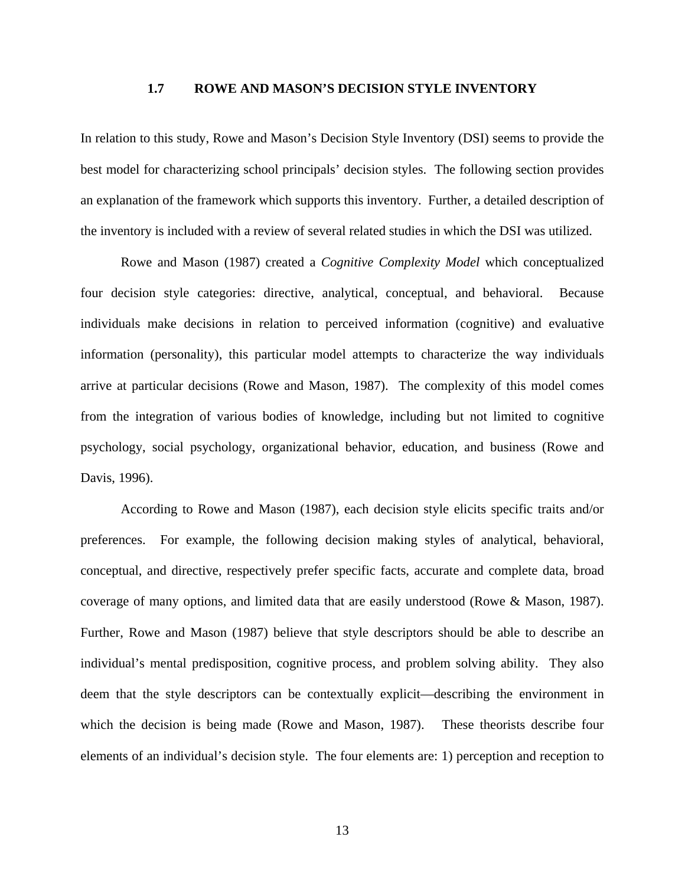#### **1.7 ROWE AND MASON'S DECISION STYLE INVENTORY**

<span id="page-23-0"></span>In relation to this study, Rowe and Mason's Decision Style Inventory (DSI) seems to provide the best model for characterizing school principals' decision styles. The following section provides an explanation of the framework which supports this inventory. Further, a detailed description of the inventory is included with a review of several related studies in which the DSI was utilized.

Rowe and Mason (1987) created a *Cognitive Complexity Model* which conceptualized four decision style categories: directive, analytical, conceptual, and behavioral. Because individuals make decisions in relation to perceived information (cognitive) and evaluative information (personality), this particular model attempts to characterize the way individuals arrive at particular decisions (Rowe and Mason, 1987). The complexity of this model comes from the integration of various bodies of knowledge, including but not limited to cognitive psychology, social psychology, organizational behavior, education, and business (Rowe and Davis, 1996).

According to Rowe and Mason (1987), each decision style elicits specific traits and/or preferences. For example, the following decision making styles of analytical, behavioral, conceptual, and directive, respectively prefer specific facts, accurate and complete data, broad coverage of many options, and limited data that are easily understood (Rowe & Mason, 1987). Further, Rowe and Mason (1987) believe that style descriptors should be able to describe an individual's mental predisposition, cognitive process, and problem solving ability. They also deem that the style descriptors can be contextually explicit—describing the environment in which the decision is being made (Rowe and Mason, 1987). These theorists describe four elements of an individual's decision style. The four elements are: 1) perception and reception to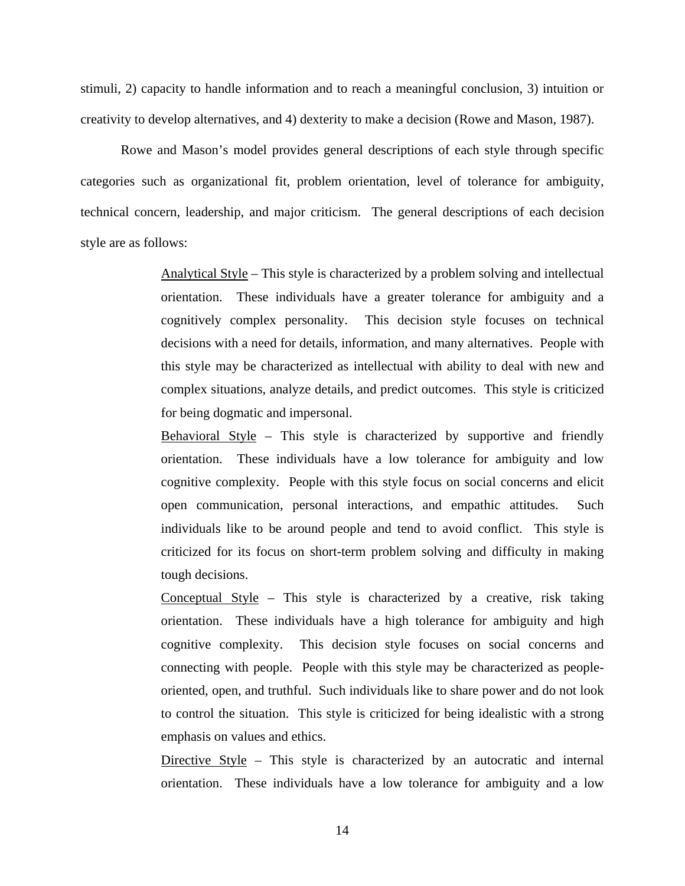stimuli, 2) capacity to handle information and to reach a meaningful conclusion, 3) intuition or creativity to develop alternatives, and 4) dexterity to make a decision (Rowe and Mason, 1987).

Rowe and Mason's model provides general descriptions of each style through specific categories such as organizational fit, problem orientation, level of tolerance for ambiguity, technical concern, leadership, and major criticism. The general descriptions of each decision style are as follows:

> Analytical Style – This style is characterized by a problem solving and intellectual orientation. These individuals have a greater tolerance for ambiguity and a cognitively complex personality. This decision style focuses on technical decisions with a need for details, information, and many alternatives. People with this style may be characterized as intellectual with ability to deal with new and complex situations, analyze details, and predict outcomes. This style is criticized for being dogmatic and impersonal.

> Behavioral Style – This style is characterized by supportive and friendly orientation. These individuals have a low tolerance for ambiguity and low cognitive complexity. People with this style focus on social concerns and elicit open communication, personal interactions, and empathic attitudes. Such individuals like to be around people and tend to avoid conflict. This style is criticized for its focus on short-term problem solving and difficulty in making tough decisions.

> Conceptual Style – This style is characterized by a creative, risk taking orientation. These individuals have a high tolerance for ambiguity and high cognitive complexity. This decision style focuses on social concerns and connecting with people. People with this style may be characterized as peopleoriented, open, and truthful. Such individuals like to share power and do not look to control the situation. This style is criticized for being idealistic with a strong emphasis on values and ethics.

> Directive Style – This style is characterized by an autocratic and internal orientation. These individuals have a low tolerance for ambiguity and a low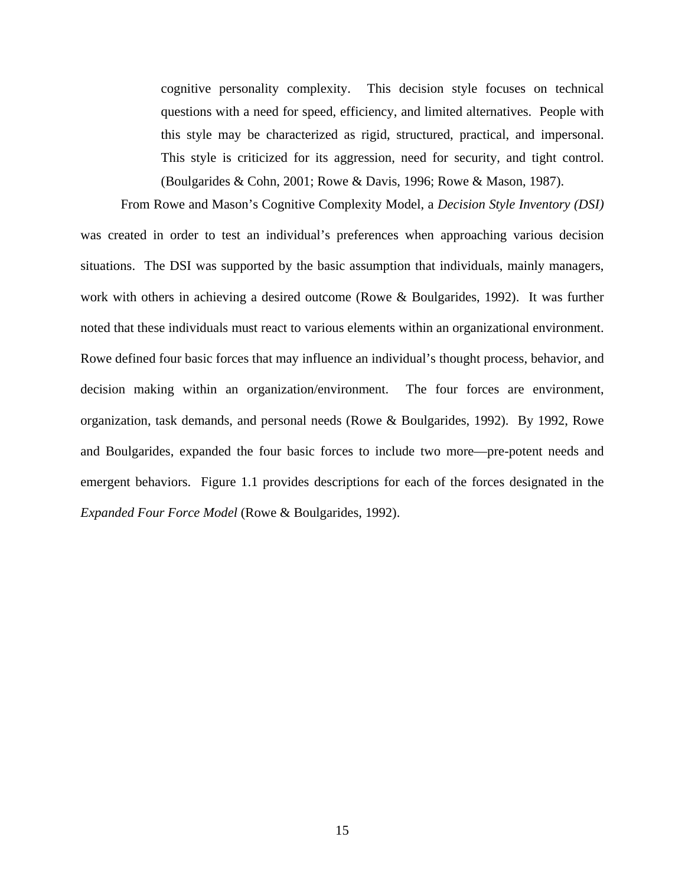cognitive personality complexity. This decision style focuses on technical questions with a need for speed, efficiency, and limited alternatives. People with this style may be characterized as rigid, structured, practical, and impersonal. This style is criticized for its aggression, need for security, and tight control. (Boulgarides & Cohn, 2001; Rowe & Davis, 1996; Rowe & Mason, 1987).

From Rowe and Mason's Cognitive Complexity Model, a *Decision Style Inventory (DSI)* was created in order to test an individual's preferences when approaching various decision situations. The DSI was supported by the basic assumption that individuals, mainly managers, work with others in achieving a desired outcome (Rowe & Boulgarides, 1992). It was further noted that these individuals must react to various elements within an organizational environment. Rowe defined four basic forces that may influence an individual's thought process, behavior, and decision making within an organization/environment. The four forces are environment, organization, task demands, and personal needs (Rowe & Boulgarides, 1992). By 1992, Rowe and Boulgarides, expanded the four basic forces to include two more—pre-potent needs and emergent behaviors. Figure 1.1 provides descriptions for each of the forces designated in the *Expanded Four Force Model* (Rowe & Boulgarides, 1992).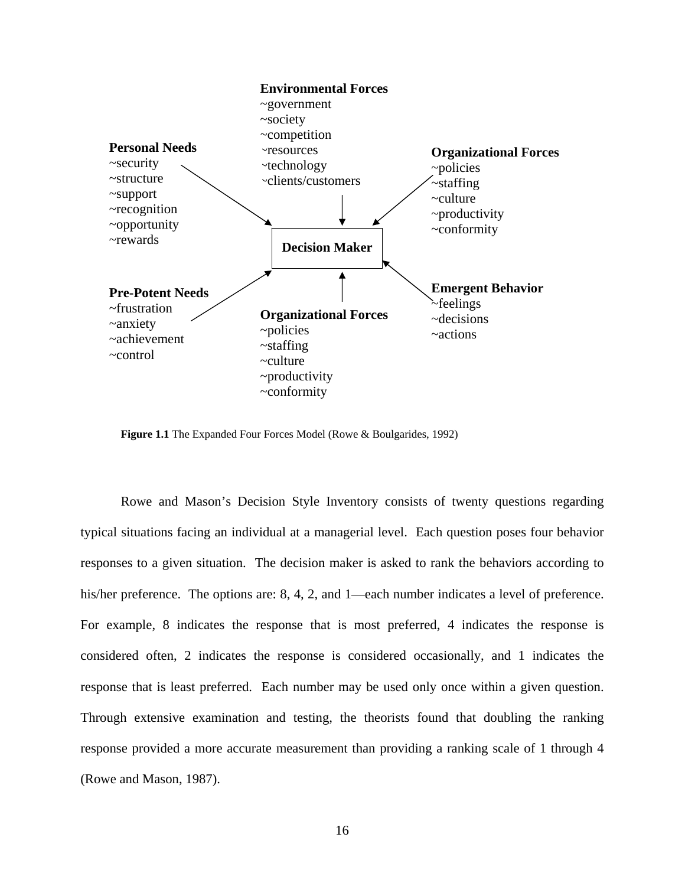<span id="page-26-0"></span>

**Figure 1.1** The Expanded Four Forces Model (Rowe & Boulgarides, 1992)

Rowe and Mason's Decision Style Inventory consists of twenty questions regarding typical situations facing an individual at a managerial level. Each question poses four behavior responses to a given situation. The decision maker is asked to rank the behaviors according to his/her preference. The options are: 8, 4, 2, and 1—each number indicates a level of preference. For example, 8 indicates the response that is most preferred, 4 indicates the response is considered often, 2 indicates the response is considered occasionally, and 1 indicates the response that is least preferred. Each number may be used only once within a given question. Through extensive examination and testing, the theorists found that doubling the ranking response provided a more accurate measurement than providing a ranking scale of 1 through 4 (Rowe and Mason, 1987).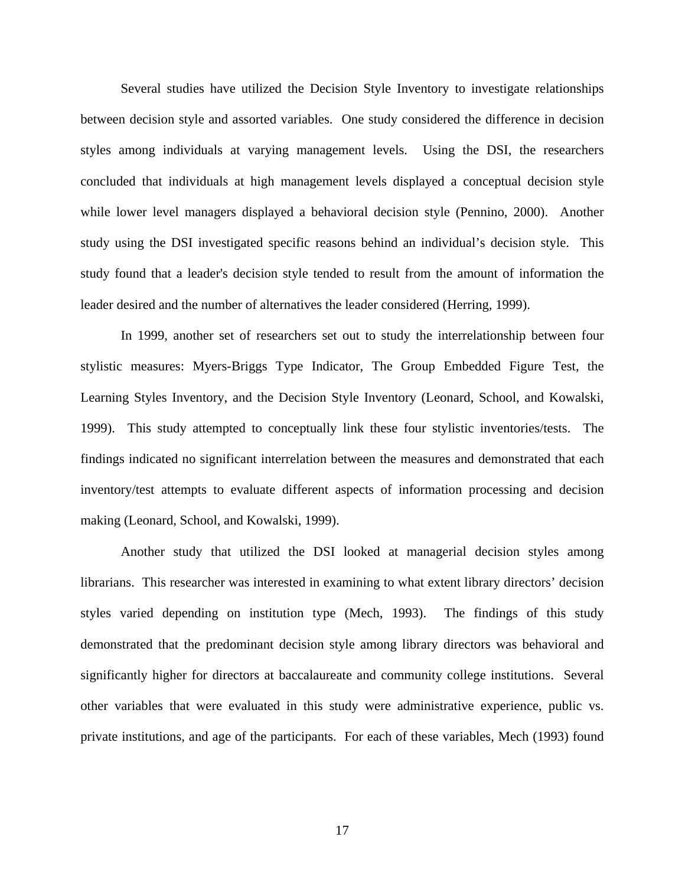Several studies have utilized the Decision Style Inventory to investigate relationships between decision style and assorted variables. One study considered the difference in decision styles among individuals at varying management levels. Using the DSI, the researchers concluded that individuals at high management levels displayed a conceptual decision style while lower level managers displayed a behavioral decision style (Pennino, 2000). Another study using the DSI investigated specific reasons behind an individual's decision style. This study found that a leader's decision style tended to result from the amount of information the leader desired and the number of alternatives the leader considered (Herring, 1999).

In 1999, another set of researchers set out to study the interrelationship between four stylistic measures: Myers-Briggs Type Indicator, The Group Embedded Figure Test, the Learning Styles Inventory, and the Decision Style Inventory (Leonard, School, and Kowalski, 1999). This study attempted to conceptually link these four stylistic inventories/tests. The findings indicated no significant interrelation between the measures and demonstrated that each inventory/test attempts to evaluate different aspects of information processing and decision making (Leonard, School, and Kowalski, 1999).

Another study that utilized the DSI looked at managerial decision styles among librarians. This researcher was interested in examining to what extent library directors' decision styles varied depending on institution type (Mech, 1993). The findings of this study demonstrated that the predominant decision style among library directors was behavioral and significantly higher for directors at baccalaureate and community college institutions. Several other variables that were evaluated in this study were administrative experience, public vs. private institutions, and age of the participants. For each of these variables, Mech (1993) found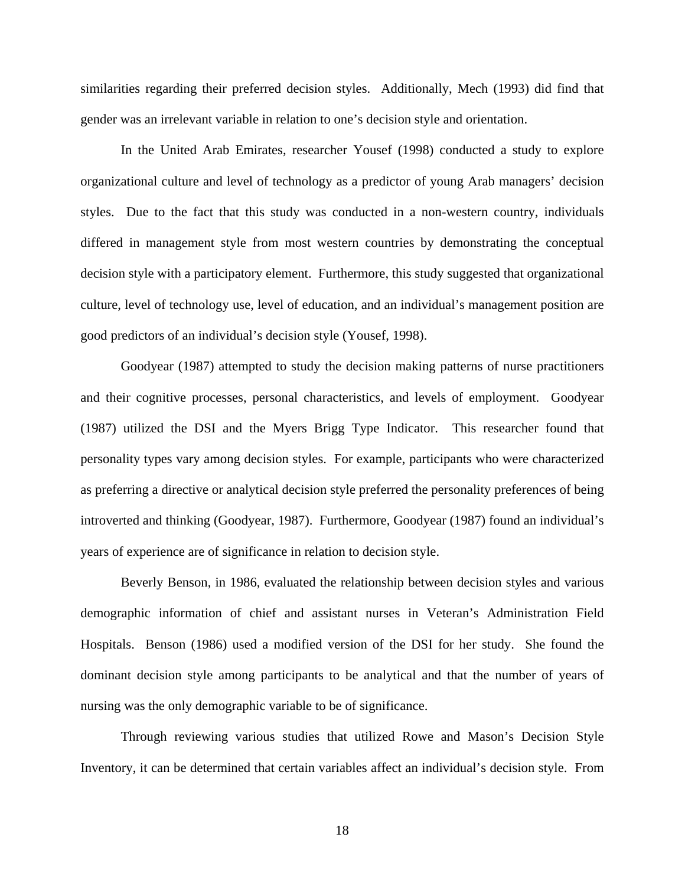similarities regarding their preferred decision styles. Additionally, Mech (1993) did find that gender was an irrelevant variable in relation to one's decision style and orientation.

In the United Arab Emirates, researcher Yousef (1998) conducted a study to explore organizational culture and level of technology as a predictor of young Arab managers' decision styles. Due to the fact that this study was conducted in a non-western country, individuals differed in management style from most western countries by demonstrating the conceptual decision style with a participatory element. Furthermore, this study suggested that organizational culture, level of technology use, level of education, and an individual's management position are good predictors of an individual's decision style (Yousef, 1998).

Goodyear (1987) attempted to study the decision making patterns of nurse practitioners and their cognitive processes, personal characteristics, and levels of employment. Goodyear (1987) utilized the DSI and the Myers Brigg Type Indicator. This researcher found that personality types vary among decision styles. For example, participants who were characterized as preferring a directive or analytical decision style preferred the personality preferences of being introverted and thinking (Goodyear, 1987). Furthermore, Goodyear (1987) found an individual's years of experience are of significance in relation to decision style.

Beverly Benson, in 1986, evaluated the relationship between decision styles and various demographic information of chief and assistant nurses in Veteran's Administration Field Hospitals. Benson (1986) used a modified version of the DSI for her study. She found the dominant decision style among participants to be analytical and that the number of years of nursing was the only demographic variable to be of significance.

Through reviewing various studies that utilized Rowe and Mason's Decision Style Inventory, it can be determined that certain variables affect an individual's decision style. From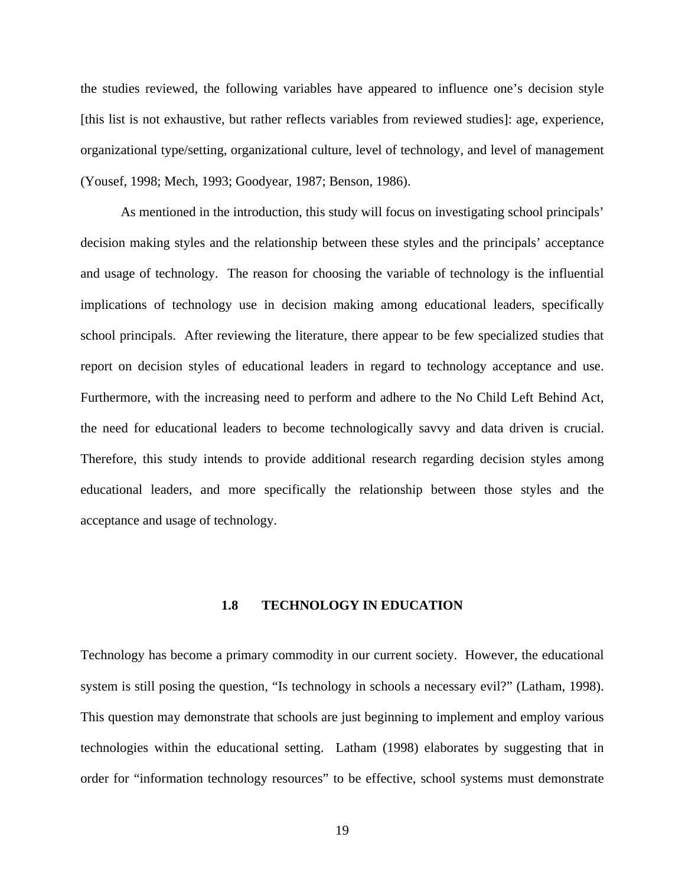<span id="page-29-0"></span>the studies reviewed, the following variables have appeared to influence one's decision style [this list is not exhaustive, but rather reflects variables from reviewed studies]: age, experience, organizational type/setting, organizational culture, level of technology, and level of management (Yousef, 1998; Mech, 1993; Goodyear, 1987; Benson, 1986).

 As mentioned in the introduction, this study will focus on investigating school principals' decision making styles and the relationship between these styles and the principals' acceptance and usage of technology. The reason for choosing the variable of technology is the influential implications of technology use in decision making among educational leaders, specifically school principals. After reviewing the literature, there appear to be few specialized studies that report on decision styles of educational leaders in regard to technology acceptance and use. Furthermore, with the increasing need to perform and adhere to the No Child Left Behind Act, the need for educational leaders to become technologically savvy and data driven is crucial. Therefore, this study intends to provide additional research regarding decision styles among educational leaders, and more specifically the relationship between those styles and the acceptance and usage of technology.

#### **1.8 TECHNOLOGY IN EDUCATION**

Technology has become a primary commodity in our current society. However, the educational system is still posing the question, "Is technology in schools a necessary evil?" (Latham, 1998). This question may demonstrate that schools are just beginning to implement and employ various technologies within the educational setting. Latham (1998) elaborates by suggesting that in order for "information technology resources" to be effective, school systems must demonstrate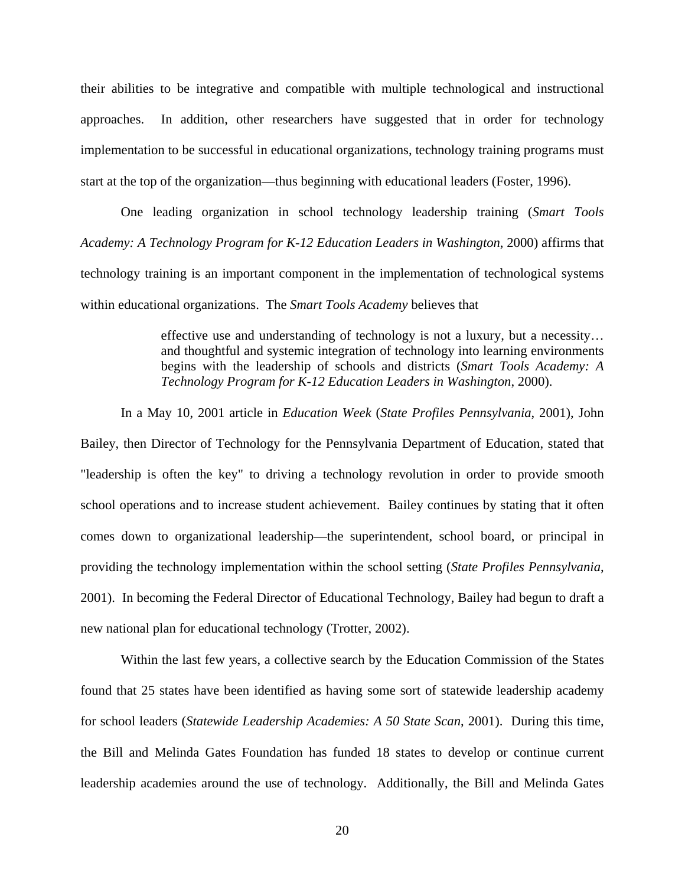their abilities to be integrative and compatible with multiple technological and instructional approaches. In addition, other researchers have suggested that in order for technology implementation to be successful in educational organizations, technology training programs must start at the top of the organization—thus beginning with educational leaders (Foster, 1996).

One leading organization in school technology leadership training (*Smart Tools Academy: A Technology Program for K-12 Education Leaders in Washington*, 2000) affirms that technology training is an important component in the implementation of technological systems within educational organizations. The *Smart Tools Academy* believes that

> effective use and understanding of technology is not a luxury, but a necessity… and thoughtful and systemic integration of technology into learning environments begins with the leadership of schools and districts (*Smart Tools Academy: A Technology Program for K-12 Education Leaders in Washington*, 2000).

In a May 10, 2001 article in *Education Week* (*State Profiles Pennsylvania*, 2001), John Bailey, then Director of Technology for the Pennsylvania Department of Education, stated that "leadership is often the key" to driving a technology revolution in order to provide smooth school operations and to increase student achievement. Bailey continues by stating that it often comes down to organizational leadership—the superintendent, school board, or principal in providing the technology implementation within the school setting (*State Profiles Pennsylvania*, 2001). In becoming the Federal Director of Educational Technology, Bailey had begun to draft a new national plan for educational technology (Trotter, 2002).

Within the last few years, a collective search by the Education Commission of the States found that 25 states have been identified as having some sort of statewide leadership academy for school leaders (*Statewide Leadership Academies: A 50 State Scan*, 2001). During this time, the Bill and Melinda Gates Foundation has funded 18 states to develop or continue current leadership academies around the use of technology. Additionally, the Bill and Melinda Gates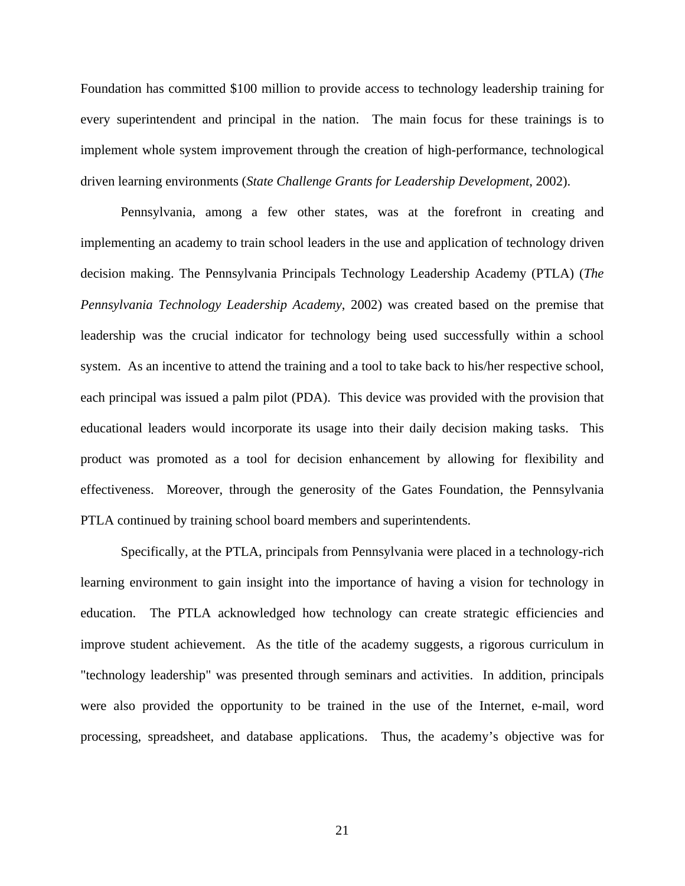Foundation has committed \$100 million to provide access to technology leadership training for every superintendent and principal in the nation. The main focus for these trainings is to implement whole system improvement through the creation of high-performance, technological driven learning environments (*State Challenge Grants for Leadership Development*, 2002).

Pennsylvania, among a few other states, was at the forefront in creating and implementing an academy to train school leaders in the use and application of technology driven decision making. The Pennsylvania Principals Technology Leadership Academy (PTLA) (*The Pennsylvania Technology Leadership Academy*, 2002) was created based on the premise that leadership was the crucial indicator for technology being used successfully within a school system. As an incentive to attend the training and a tool to take back to his/her respective school, each principal was issued a palm pilot (PDA). This device was provided with the provision that educational leaders would incorporate its usage into their daily decision making tasks. This product was promoted as a tool for decision enhancement by allowing for flexibility and effectiveness. Moreover, through the generosity of the Gates Foundation, the Pennsylvania PTLA continued by training school board members and superintendents.

Specifically, at the PTLA, principals from Pennsylvania were placed in a technology-rich learning environment to gain insight into the importance of having a vision for technology in education. The PTLA acknowledged how technology can create strategic efficiencies and improve student achievement. As the title of the academy suggests, a rigorous curriculum in "technology leadership" was presented through seminars and activities. In addition, principals were also provided the opportunity to be trained in the use of the Internet, e-mail, word processing, spreadsheet, and database applications. Thus, the academy's objective was for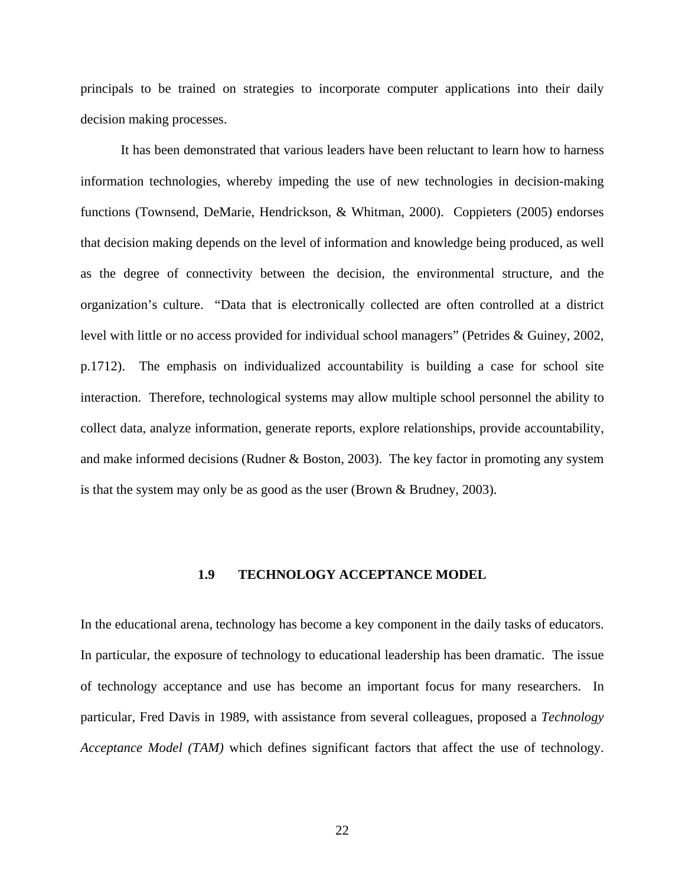<span id="page-32-0"></span>principals to be trained on strategies to incorporate computer applications into their daily decision making processes.

It has been demonstrated that various leaders have been reluctant to learn how to harness information technologies, whereby impeding the use of new technologies in decision-making functions (Townsend, DeMarie, Hendrickson, & Whitman, 2000). Coppieters (2005) endorses that decision making depends on the level of information and knowledge being produced, as well as the degree of connectivity between the decision, the environmental structure, and the organization's culture. "Data that is electronically collected are often controlled at a district level with little or no access provided for individual school managers" (Petrides & Guiney, 2002, p.1712). The emphasis on individualized accountability is building a case for school site interaction. Therefore, technological systems may allow multiple school personnel the ability to collect data, analyze information, generate reports, explore relationships, provide accountability, and make informed decisions (Rudner & Boston, 2003). The key factor in promoting any system is that the system may only be as good as the user (Brown & Brudney, 2003).

### **1.9 TECHNOLOGY ACCEPTANCE MODEL**

In the educational arena, technology has become a key component in the daily tasks of educators. In particular, the exposure of technology to educational leadership has been dramatic. The issue of technology acceptance and use has become an important focus for many researchers. In particular, Fred Davis in 1989, with assistance from several colleagues, proposed a *Technology Acceptance Model (TAM)* which defines significant factors that affect the use of technology.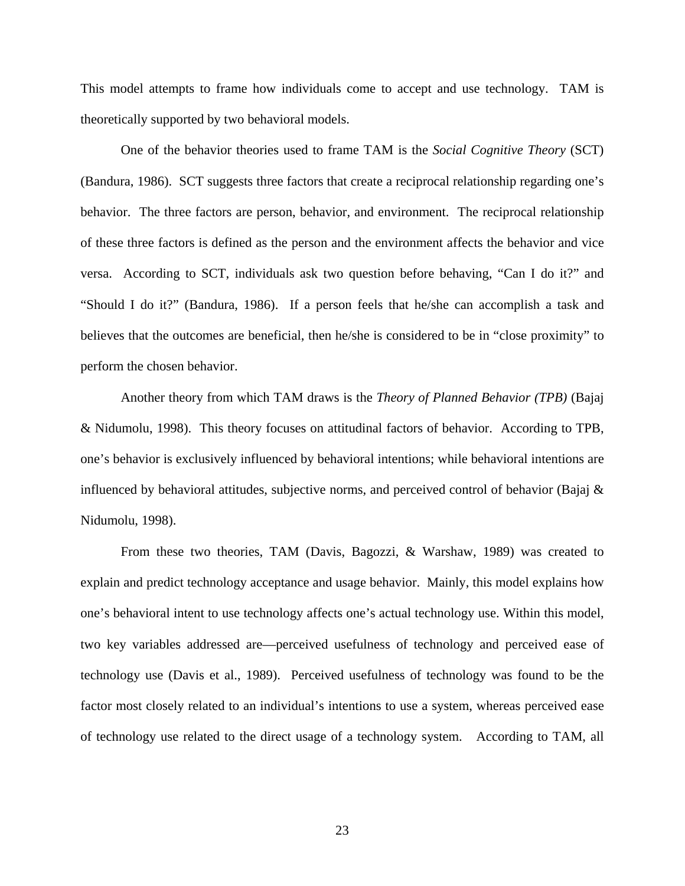This model attempts to frame how individuals come to accept and use technology. TAM is theoretically supported by two behavioral models.

 One of the behavior theories used to frame TAM is the *Social Cognitive Theory* (SCT) (Bandura, 1986). SCT suggests three factors that create a reciprocal relationship regarding one's behavior. The three factors are person, behavior, and environment. The reciprocal relationship of these three factors is defined as the person and the environment affects the behavior and vice versa. According to SCT, individuals ask two question before behaving, "Can I do it?" and "Should I do it?" (Bandura, 1986). If a person feels that he/she can accomplish a task and believes that the outcomes are beneficial, then he/she is considered to be in "close proximity" to perform the chosen behavior.

 Another theory from which TAM draws is the *Theory of Planned Behavior (TPB)* (Bajaj & Nidumolu, 1998). This theory focuses on attitudinal factors of behavior. According to TPB, one's behavior is exclusively influenced by behavioral intentions; while behavioral intentions are influenced by behavioral attitudes, subjective norms, and perceived control of behavior (Bajaj  $\&$ Nidumolu, 1998).

From these two theories, TAM (Davis, Bagozzi, & Warshaw, 1989) was created to explain and predict technology acceptance and usage behavior. Mainly, this model explains how one's behavioral intent to use technology affects one's actual technology use. Within this model, two key variables addressed are—perceived usefulness of technology and perceived ease of technology use (Davis et al., 1989). Perceived usefulness of technology was found to be the factor most closely related to an individual's intentions to use a system, whereas perceived ease of technology use related to the direct usage of a technology system. According to TAM, all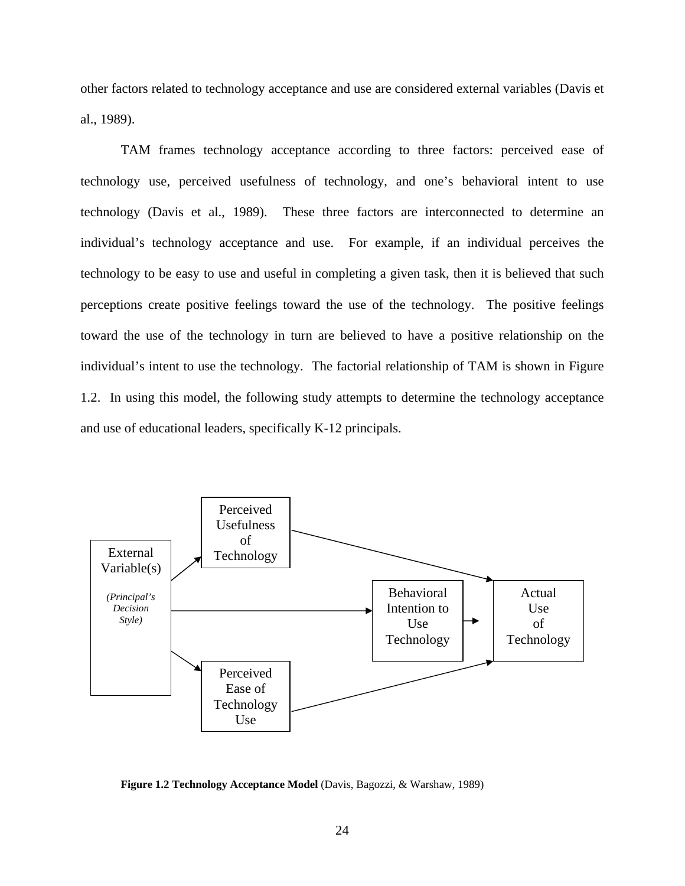<span id="page-34-0"></span>other factors related to technology acceptance and use are considered external variables (Davis et al., 1989).

TAM frames technology acceptance according to three factors: perceived ease of technology use, perceived usefulness of technology, and one's behavioral intent to use technology (Davis et al., 1989). These three factors are interconnected to determine an individual's technology acceptance and use. For example, if an individual perceives the technology to be easy to use and useful in completing a given task, then it is believed that such perceptions create positive feelings toward the use of the technology. The positive feelings toward the use of the technology in turn are believed to have a positive relationship on the individual's intent to use the technology. The factorial relationship of TAM is shown in Figure 1.2. In using this model, the following study attempts to determine the technology acceptance and use of educational leaders, specifically K-12 principals.



**Figure 1.2 Technology Acceptance Model** (Davis, Bagozzi, & Warshaw, 1989)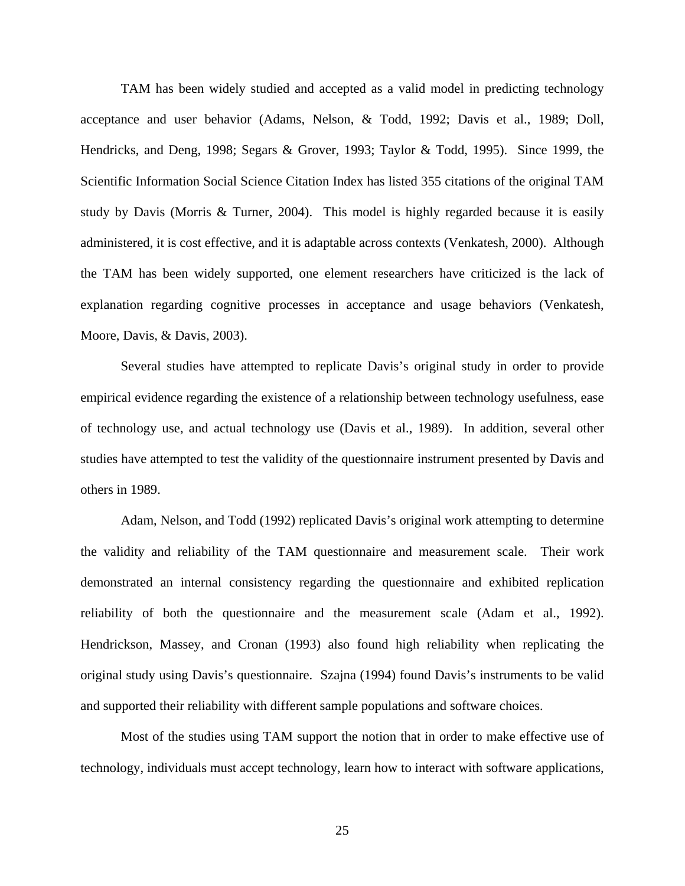TAM has been widely studied and accepted as a valid model in predicting technology acceptance and user behavior (Adams, Nelson, & Todd, 1992; Davis et al., 1989; Doll, Hendricks, and Deng, 1998; Segars & Grover, 1993; Taylor & Todd, 1995). Since 1999, the Scientific Information Social Science Citation Index has listed 355 citations of the original TAM study by Davis (Morris & Turner, 2004). This model is highly regarded because it is easily administered, it is cost effective, and it is adaptable across contexts (Venkatesh, 2000). Although the TAM has been widely supported, one element researchers have criticized is the lack of explanation regarding cognitive processes in acceptance and usage behaviors (Venkatesh, Moore, Davis, & Davis, 2003).

Several studies have attempted to replicate Davis's original study in order to provide empirical evidence regarding the existence of a relationship between technology usefulness, ease of technology use, and actual technology use (Davis et al., 1989). In addition, several other studies have attempted to test the validity of the questionnaire instrument presented by Davis and others in 1989.

Adam, Nelson, and Todd (1992) replicated Davis's original work attempting to determine the validity and reliability of the TAM questionnaire and measurement scale. Their work demonstrated an internal consistency regarding the questionnaire and exhibited replication reliability of both the questionnaire and the measurement scale (Adam et al., 1992). Hendrickson, Massey, and Cronan (1993) also found high reliability when replicating the original study using Davis's questionnaire. Szajna (1994) found Davis's instruments to be valid and supported their reliability with different sample populations and software choices.

Most of the studies using TAM support the notion that in order to make effective use of technology, individuals must accept technology, learn how to interact with software applications,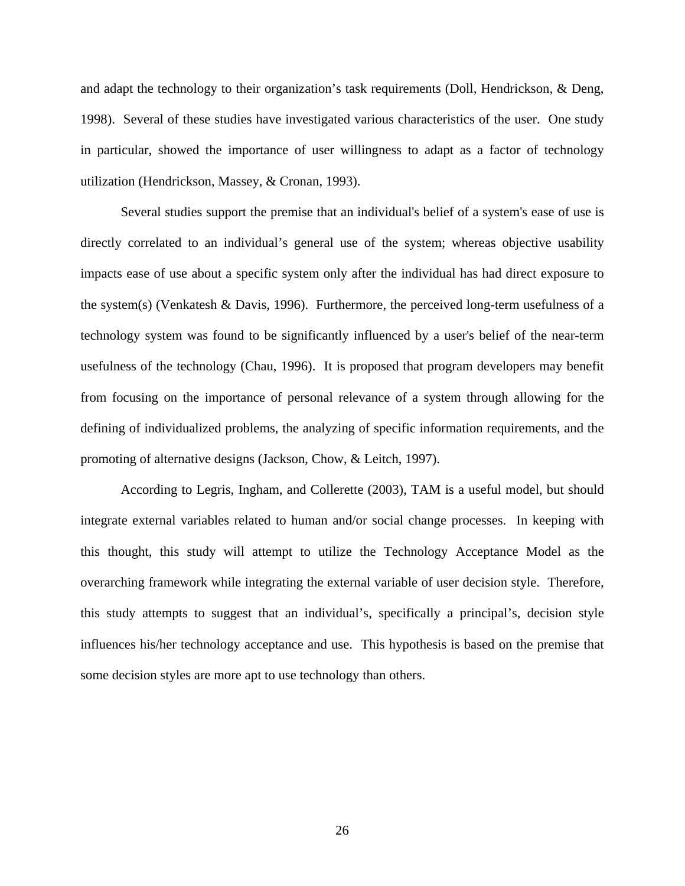and adapt the technology to their organization's task requirements (Doll, Hendrickson, & Deng, 1998). Several of these studies have investigated various characteristics of the user. One study in particular, showed the importance of user willingness to adapt as a factor of technology utilization (Hendrickson, Massey, & Cronan, 1993).

Several studies support the premise that an individual's belief of a system's ease of use is directly correlated to an individual's general use of the system; whereas objective usability impacts ease of use about a specific system only after the individual has had direct exposure to the system(s) (Venkatesh & Davis, 1996). Furthermore, the perceived long-term usefulness of a technology system was found to be significantly influenced by a user's belief of the near-term usefulness of the technology (Chau, 1996). It is proposed that program developers may benefit from focusing on the importance of personal relevance of a system through allowing for the defining of individualized problems, the analyzing of specific information requirements, and the promoting of alternative designs (Jackson, Chow, & Leitch, 1997).

According to Legris, Ingham, and Collerette (2003), TAM is a useful model, but should integrate external variables related to human and/or social change processes. In keeping with this thought, this study will attempt to utilize the Technology Acceptance Model as the overarching framework while integrating the external variable of user decision style. Therefore, this study attempts to suggest that an individual's, specifically a principal's, decision style influences his/her technology acceptance and use. This hypothesis is based on the premise that some decision styles are more apt to use technology than others.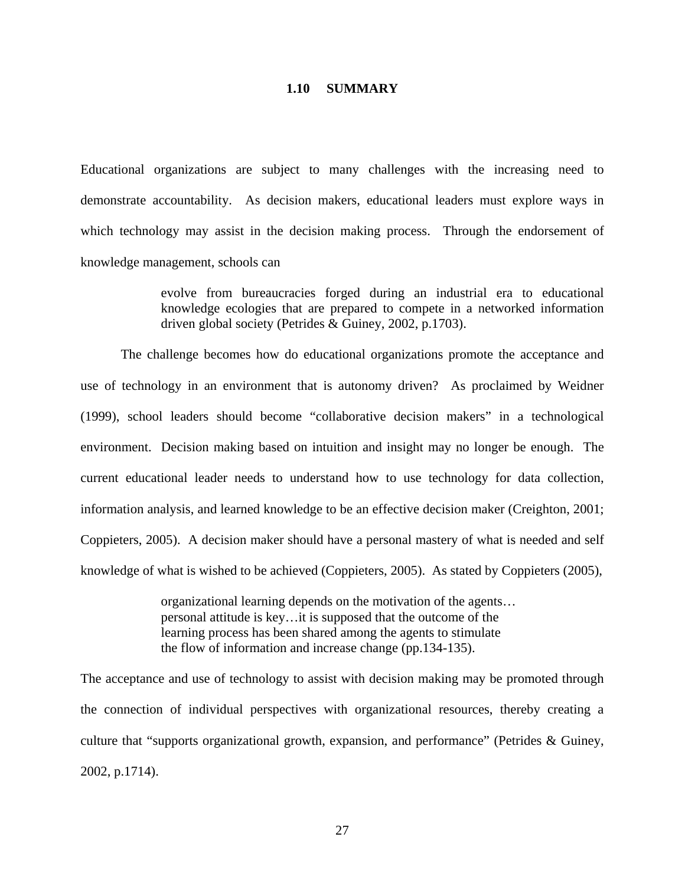#### **1.10 SUMMARY**

Educational organizations are subject to many challenges with the increasing need to demonstrate accountability. As decision makers, educational leaders must explore ways in which technology may assist in the decision making process. Through the endorsement of knowledge management, schools can

> evolve from bureaucracies forged during an industrial era to educational knowledge ecologies that are prepared to compete in a networked information driven global society (Petrides & Guiney, 2002, p.1703).

The challenge becomes how do educational organizations promote the acceptance and use of technology in an environment that is autonomy driven? As proclaimed by Weidner (1999), school leaders should become "collaborative decision makers" in a technological environment. Decision making based on intuition and insight may no longer be enough. The current educational leader needs to understand how to use technology for data collection, information analysis, and learned knowledge to be an effective decision maker (Creighton, 2001; Coppieters, 2005). A decision maker should have a personal mastery of what is needed and self knowledge of what is wished to be achieved (Coppieters, 2005). As stated by Coppieters (2005),

> organizational learning depends on the motivation of the agents… personal attitude is key…it is supposed that the outcome of the learning process has been shared among the agents to stimulate the flow of information and increase change (pp.134-135).

The acceptance and use of technology to assist with decision making may be promoted through the connection of individual perspectives with organizational resources, thereby creating a culture that "supports organizational growth, expansion, and performance" (Petrides & Guiney, 2002, p.1714).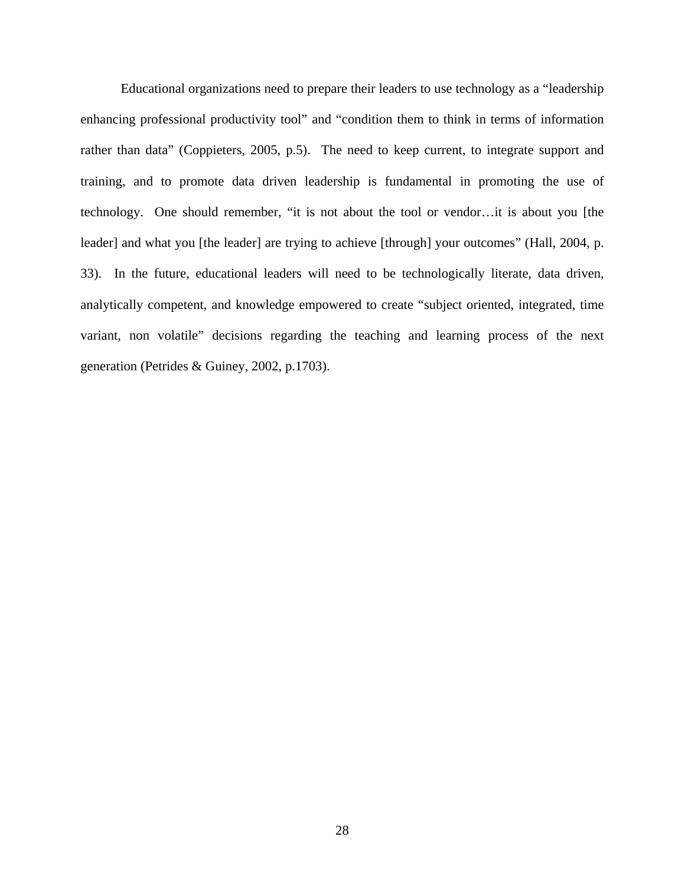Educational organizations need to prepare their leaders to use technology as a "leadership enhancing professional productivity tool" and "condition them to think in terms of information rather than data" (Coppieters, 2005, p.5). The need to keep current, to integrate support and training, and to promote data driven leadership is fundamental in promoting the use of technology. One should remember, "it is not about the tool or vendor…it is about you [the leader] and what you [the leader] are trying to achieve [through] your outcomes" (Hall, 2004, p. 33). In the future, educational leaders will need to be technologically literate, data driven, analytically competent, and knowledge empowered to create "subject oriented, integrated, time variant, non volatile" decisions regarding the teaching and learning process of the next generation (Petrides & Guiney, 2002, p.1703).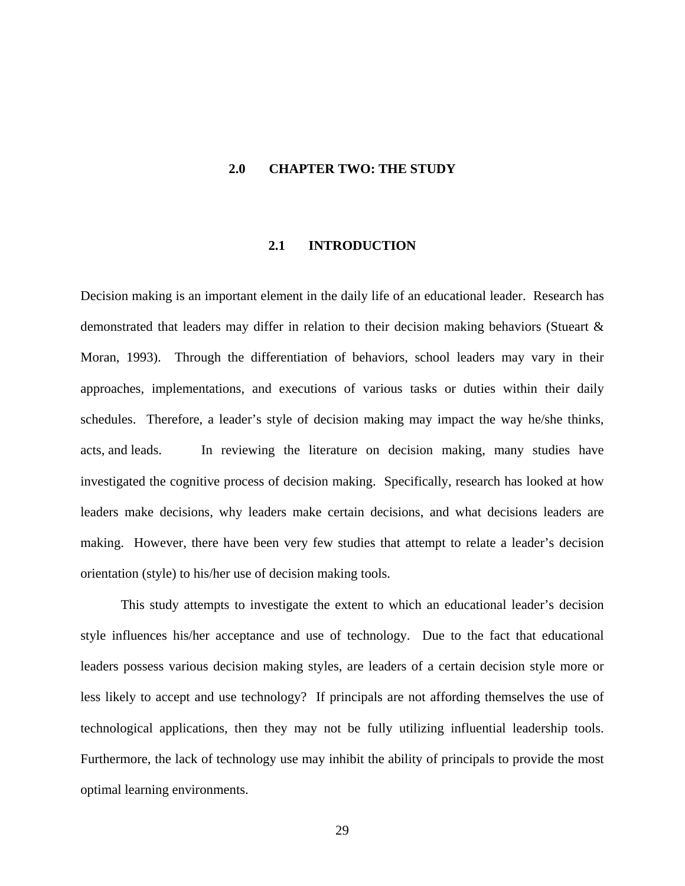## **2.0 CHAPTER TWO: THE STUDY**

#### **2.1 INTRODUCTION**

Decision making is an important element in the daily life of an educational leader. Research has demonstrated that leaders may differ in relation to their decision making behaviors (Stueart & Moran, 1993). Through the differentiation of behaviors, school leaders may vary in their approaches, implementations, and executions of various tasks or duties within their daily schedules. Therefore, a leader's style of decision making may impact the way he/she thinks, acts, and leads. In reviewing the literature on decision making, many studies have investigated the cognitive process of decision making. Specifically, research has looked at how leaders make decisions, why leaders make certain decisions, and what decisions leaders are making. However, there have been very few studies that attempt to relate a leader's decision orientation (style) to his/her use of decision making tools.

This study attempts to investigate the extent to which an educational leader's decision style influences his/her acceptance and use of technology. Due to the fact that educational leaders possess various decision making styles, are leaders of a certain decision style more or less likely to accept and use technology? If principals are not affording themselves the use of technological applications, then they may not be fully utilizing influential leadership tools. Furthermore, the lack of technology use may inhibit the ability of principals to provide the most optimal learning environments.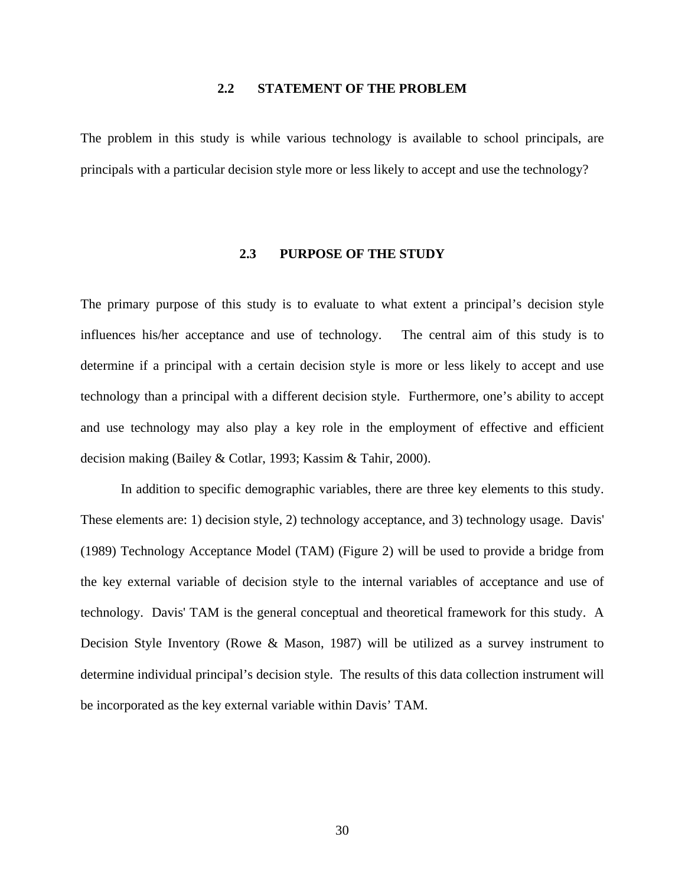# **2.2 STATEMENT OF THE PROBLEM**

The problem in this study is while various technology is available to school principals, are principals with a particular decision style more or less likely to accept and use the technology?

# **2.3 PURPOSE OF THE STUDY**

The primary purpose of this study is to evaluate to what extent a principal's decision style influences his/her acceptance and use of technology. The central aim of this study is to determine if a principal with a certain decision style is more or less likely to accept and use technology than a principal with a different decision style. Furthermore, one's ability to accept and use technology may also play a key role in the employment of effective and efficient decision making (Bailey & Cotlar, 1993; Kassim & Tahir, 2000).

In addition to specific demographic variables, there are three key elements to this study. These elements are: 1) decision style, 2) technology acceptance, and 3) technology usage. Davis' (1989) Technology Acceptance Model (TAM) (Figure 2) will be used to provide a bridge from the key external variable of decision style to the internal variables of acceptance and use of technology. Davis' TAM is the general conceptual and theoretical framework for this study. A Decision Style Inventory (Rowe & Mason, 1987) will be utilized as a survey instrument to determine individual principal's decision style. The results of this data collection instrument will be incorporated as the key external variable within Davis' TAM.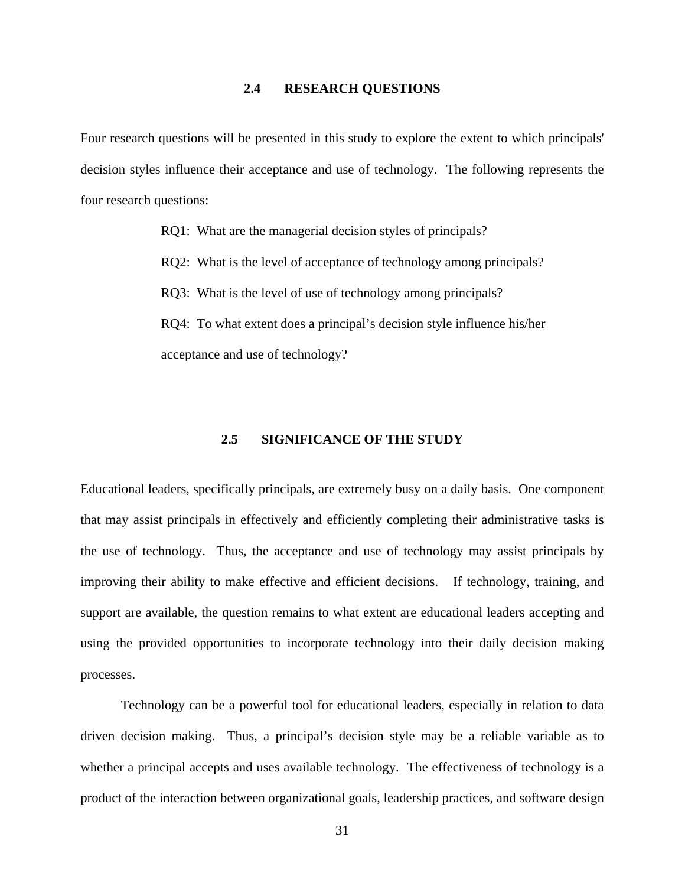#### **2.4 RESEARCH QUESTIONS**

Four research questions will be presented in this study to explore the extent to which principals' decision styles influence their acceptance and use of technology. The following represents the four research questions:

RQ1: What are the managerial decision styles of principals?

RQ2: What is the level of acceptance of technology among principals?

RQ3: What is the level of use of technology among principals?

RQ4: To what extent does a principal's decision style influence his/her acceptance and use of technology?

# **2.5 SIGNIFICANCE OF THE STUDY**

Educational leaders, specifically principals, are extremely busy on a daily basis. One component that may assist principals in effectively and efficiently completing their administrative tasks is the use of technology. Thus, the acceptance and use of technology may assist principals by improving their ability to make effective and efficient decisions. If technology, training, and support are available, the question remains to what extent are educational leaders accepting and using the provided opportunities to incorporate technology into their daily decision making processes.

Technology can be a powerful tool for educational leaders, especially in relation to data driven decision making. Thus, a principal's decision style may be a reliable variable as to whether a principal accepts and uses available technology. The effectiveness of technology is a product of the interaction between organizational goals, leadership practices, and software design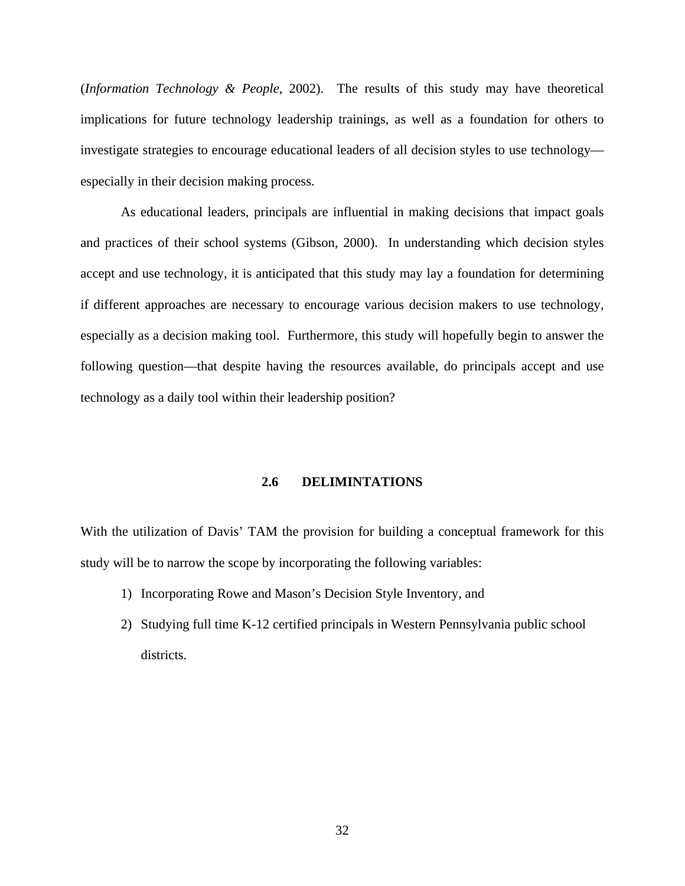(*Information Technology & People*, 2002). The results of this study may have theoretical implications for future technology leadership trainings, as well as a foundation for others to investigate strategies to encourage educational leaders of all decision styles to use technology especially in their decision making process.

As educational leaders, principals are influential in making decisions that impact goals and practices of their school systems (Gibson, 2000). In understanding which decision styles accept and use technology, it is anticipated that this study may lay a foundation for determining if different approaches are necessary to encourage various decision makers to use technology, especially as a decision making tool. Furthermore, this study will hopefully begin to answer the following question—that despite having the resources available, do principals accept and use technology as a daily tool within their leadership position?

# **2.6 DELIMINTATIONS**

With the utilization of Davis' TAM the provision for building a conceptual framework for this study will be to narrow the scope by incorporating the following variables:

- 1) Incorporating Rowe and Mason's Decision Style Inventory, and
- 2) Studying full time K-12 certified principals in Western Pennsylvania public school districts.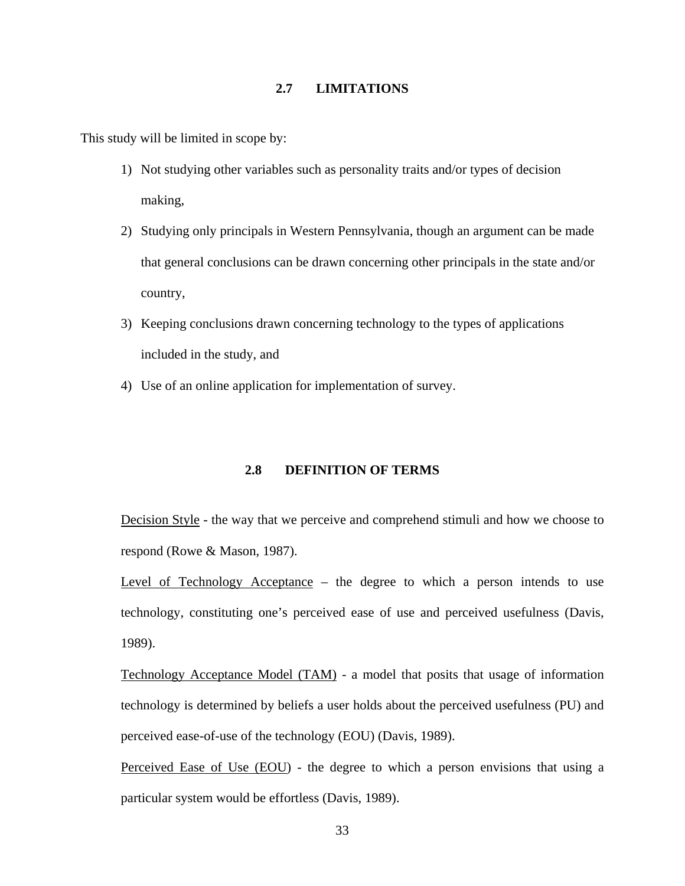## **2.7 LIMITATIONS**

This study will be limited in scope by:

- 1) Not studying other variables such as personality traits and/or types of decision making,
- 2) Studying only principals in Western Pennsylvania, though an argument can be made that general conclusions can be drawn concerning other principals in the state and/or country,
- 3) Keeping conclusions drawn concerning technology to the types of applications included in the study, and
- 4) Use of an online application for implementation of survey.

## **2.8 DEFINITION OF TERMS**

Decision Style - the way that we perceive and comprehend stimuli and how we choose to respond (Rowe & Mason, 1987).

Level of Technology Acceptance – the degree to which a person intends to use technology, constituting one's perceived ease of use and perceived usefulness (Davis, 1989).

Technology Acceptance Model (TAM) - a model that posits that usage of information technology is determined by beliefs a user holds about the perceived usefulness (PU) and perceived ease-of-use of the technology (EOU) (Davis, 1989).

Perceived Ease of Use (EOU) - the degree to which a person envisions that using a particular system would be effortless (Davis, 1989).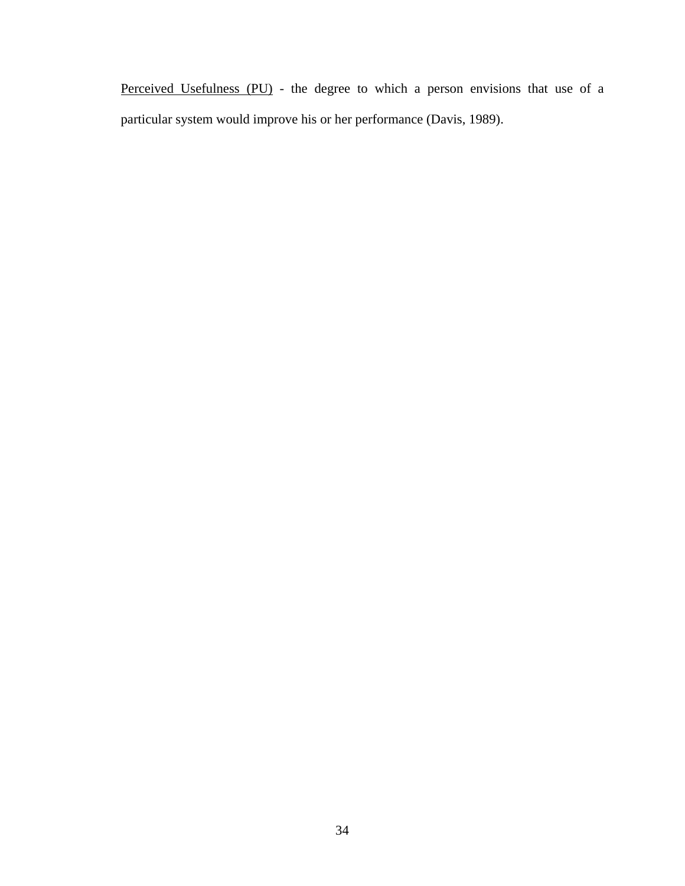Perceived Usefulness (PU) - the degree to which a person envisions that use of a particular system would improve his or her performance (Davis, 1989).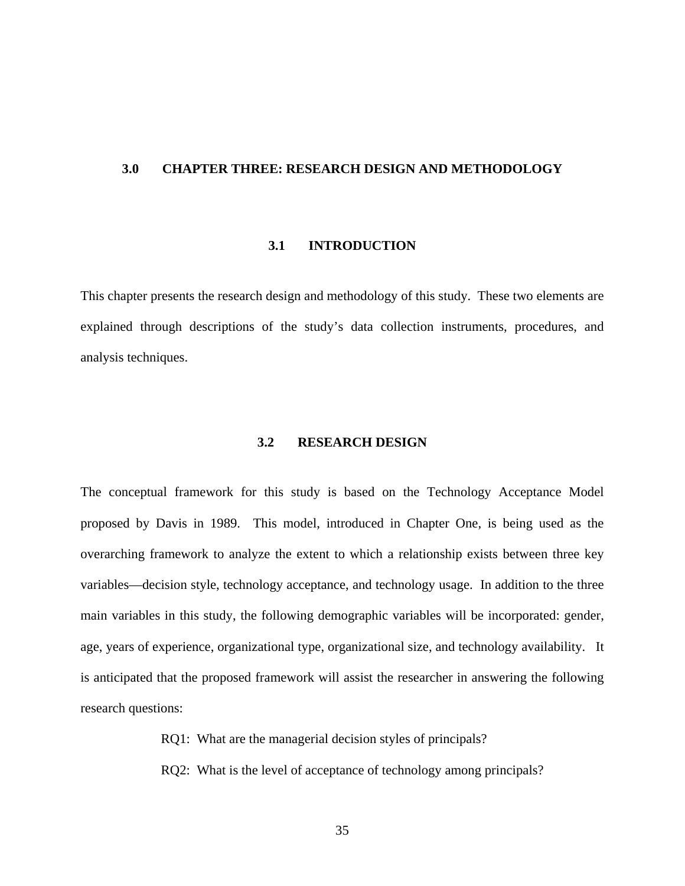#### **3.0 CHAPTER THREE: RESEARCH DESIGN AND METHODOLOGY**

## **3.1 INTRODUCTION**

This chapter presents the research design and methodology of this study. These two elements are explained through descriptions of the study's data collection instruments, procedures, and analysis techniques.

## **3.2 RESEARCH DESIGN**

The conceptual framework for this study is based on the Technology Acceptance Model proposed by Davis in 1989. This model, introduced in Chapter One, is being used as the overarching framework to analyze the extent to which a relationship exists between three key variables—decision style, technology acceptance, and technology usage. In addition to the three main variables in this study, the following demographic variables will be incorporated: gender, age, years of experience, organizational type, organizational size, and technology availability. It is anticipated that the proposed framework will assist the researcher in answering the following research questions:

RQ1: What are the managerial decision styles of principals?

RQ2: What is the level of acceptance of technology among principals?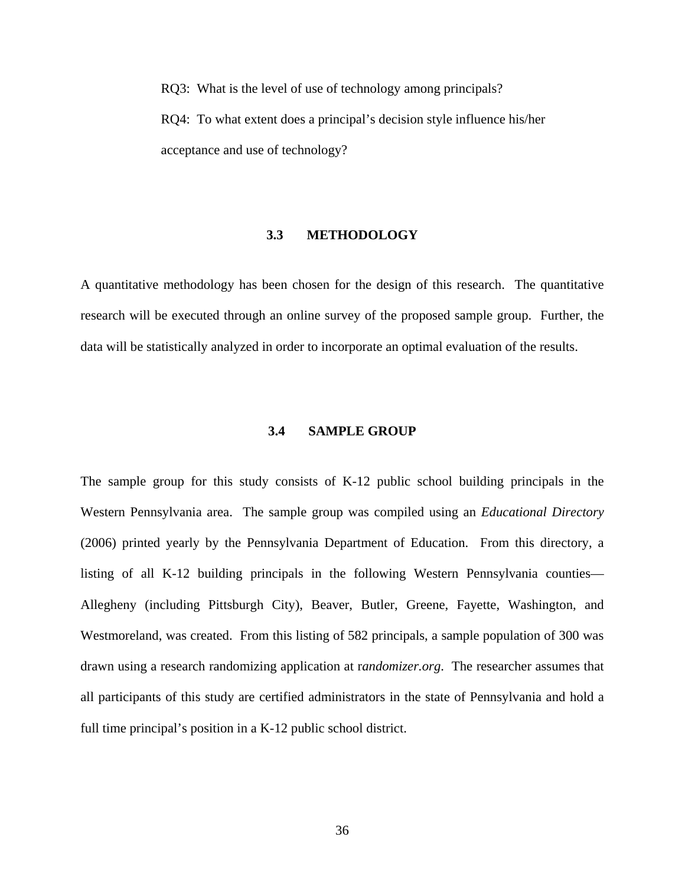RQ3: What is the level of use of technology among principals? RQ4: To what extent does a principal's decision style influence his/her acceptance and use of technology?

## **3.3 METHODOLOGY**

A quantitative methodology has been chosen for the design of this research. The quantitative research will be executed through an online survey of the proposed sample group. Further, the data will be statistically analyzed in order to incorporate an optimal evaluation of the results.

## **3.4 SAMPLE GROUP**

The sample group for this study consists of K-12 public school building principals in the Western Pennsylvania area. The sample group was compiled using an *Educational Directory*  (2006) printed yearly by the Pennsylvania Department of Education. From this directory, a listing of all K-12 building principals in the following Western Pennsylvania counties— Allegheny (including Pittsburgh City), Beaver, Butler, Greene, Fayette, Washington, and Westmoreland, was created. From this listing of 582 principals, a sample population of 300 was drawn using a research randomizing application at r*andomizer.org*. The researcher assumes that all participants of this study are certified administrators in the state of Pennsylvania and hold a full time principal's position in a K-12 public school district.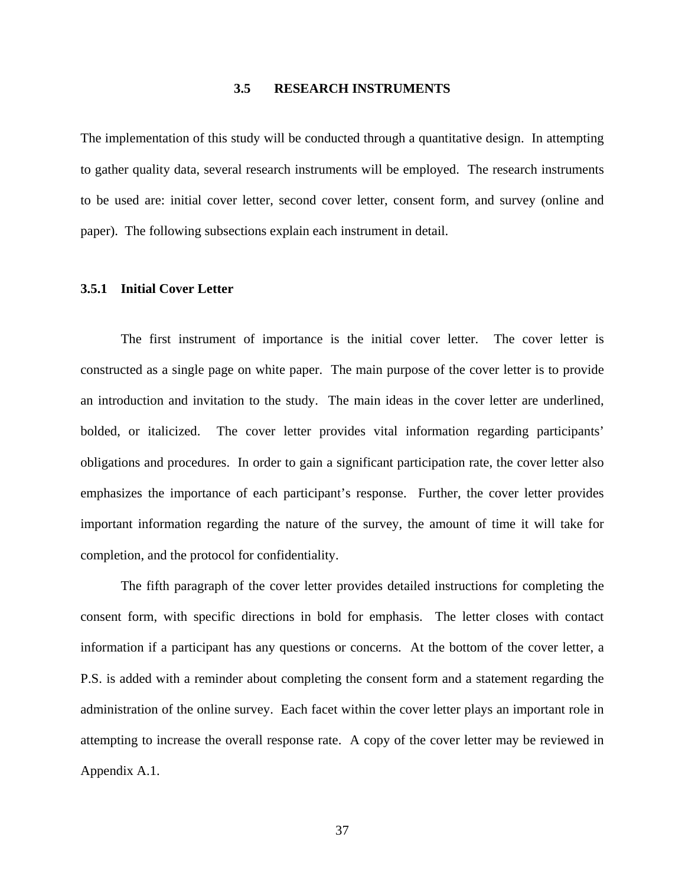# **3.5 RESEARCH INSTRUMENTS**

The implementation of this study will be conducted through a quantitative design. In attempting to gather quality data, several research instruments will be employed. The research instruments to be used are: initial cover letter, second cover letter, consent form, and survey (online and paper). The following subsections explain each instrument in detail.

# **3.5.1 Initial Cover Letter**

The first instrument of importance is the initial cover letter. The cover letter is constructed as a single page on white paper. The main purpose of the cover letter is to provide an introduction and invitation to the study. The main ideas in the cover letter are underlined, bolded, or italicized. The cover letter provides vital information regarding participants' obligations and procedures. In order to gain a significant participation rate, the cover letter also emphasizes the importance of each participant's response. Further, the cover letter provides important information regarding the nature of the survey, the amount of time it will take for completion, and the protocol for confidentiality.

The fifth paragraph of the cover letter provides detailed instructions for completing the consent form, with specific directions in bold for emphasis. The letter closes with contact information if a participant has any questions or concerns. At the bottom of the cover letter, a P.S. is added with a reminder about completing the consent form and a statement regarding the administration of the online survey. Each facet within the cover letter plays an important role in attempting to increase the overall response rate. A copy of the cover letter may be reviewed in Appendix A.1.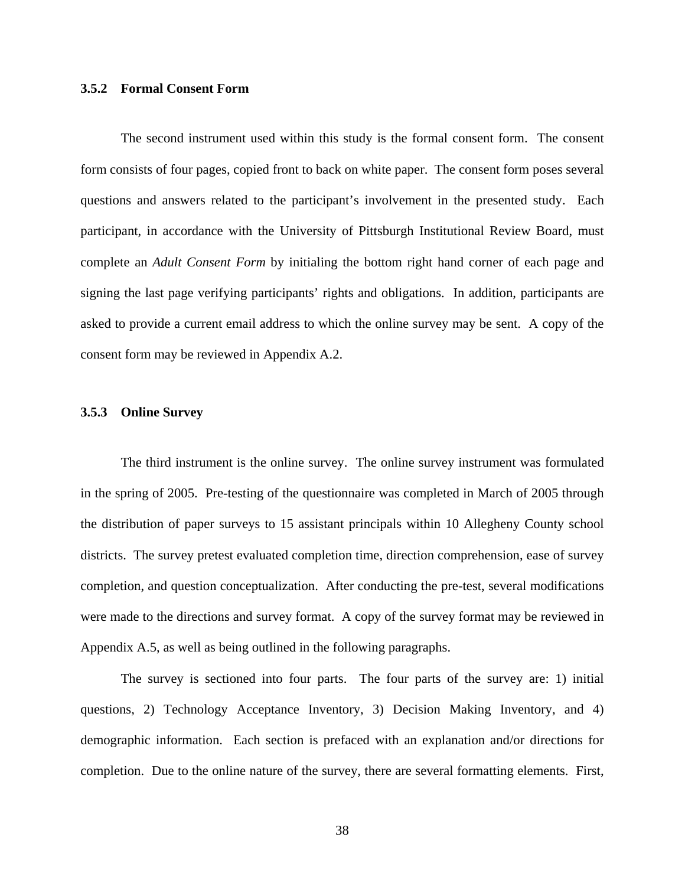# **3.5.2 Formal Consent Form**

 The second instrument used within this study is the formal consent form. The consent form consists of four pages, copied front to back on white paper. The consent form poses several questions and answers related to the participant's involvement in the presented study. Each participant, in accordance with the University of Pittsburgh Institutional Review Board, must complete an *Adult Consent Form* by initialing the bottom right hand corner of each page and signing the last page verifying participants' rights and obligations. In addition, participants are asked to provide a current email address to which the online survey may be sent. A copy of the consent form may be reviewed in Appendix A.2.

## **3.5.3 Online Survey**

 The third instrument is the online survey. The online survey instrument was formulated in the spring of 2005. Pre-testing of the questionnaire was completed in March of 2005 through the distribution of paper surveys to 15 assistant principals within 10 Allegheny County school districts. The survey pretest evaluated completion time, direction comprehension, ease of survey completion, and question conceptualization. After conducting the pre-test, several modifications were made to the directions and survey format. A copy of the survey format may be reviewed in Appendix A.5, as well as being outlined in the following paragraphs.

 The survey is sectioned into four parts. The four parts of the survey are: 1) initial questions, 2) Technology Acceptance Inventory, 3) Decision Making Inventory, and 4) demographic information. Each section is prefaced with an explanation and/or directions for completion. Due to the online nature of the survey, there are several formatting elements. First,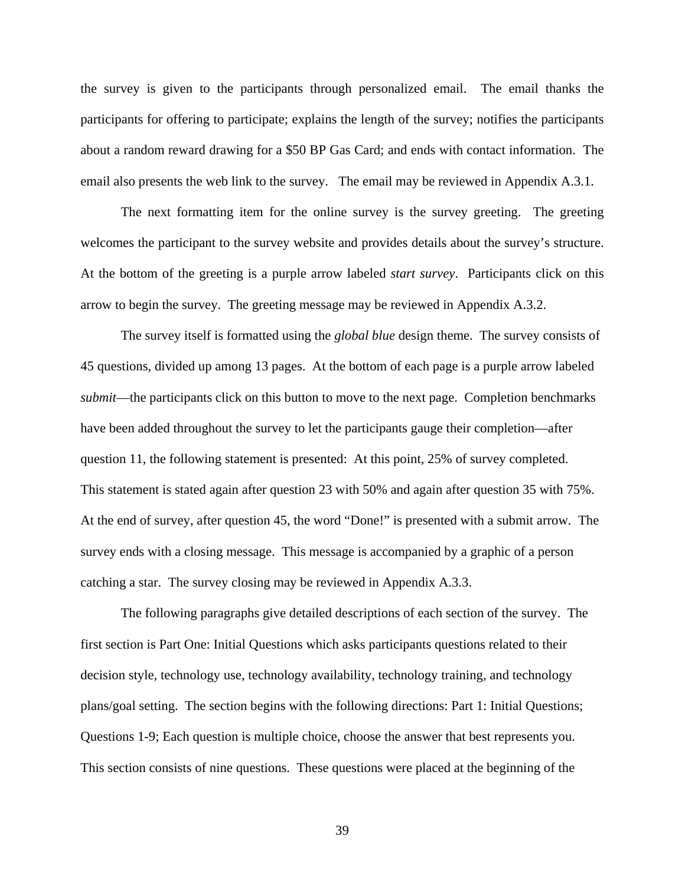the survey is given to the participants through personalized email. The email thanks the participants for offering to participate; explains the length of the survey; notifies the participants about a random reward drawing for a \$50 BP Gas Card; and ends with contact information. The email also presents the web link to the survey. The email may be reviewed in Appendix A.3.1.

 The next formatting item for the online survey is the survey greeting. The greeting welcomes the participant to the survey website and provides details about the survey's structure. At the bottom of the greeting is a purple arrow labeled *start survey*. Participants click on this arrow to begin the survey. The greeting message may be reviewed in Appendix A.3.2.

The survey itself is formatted using the *global blue* design theme. The survey consists of 45 questions, divided up among 13 pages. At the bottom of each page is a purple arrow labeled *submit*—the participants click on this button to move to the next page. Completion benchmarks have been added throughout the survey to let the participants gauge their completion—after question 11, the following statement is presented: At this point, 25% of survey completed. This statement is stated again after question 23 with 50% and again after question 35 with 75%. At the end of survey, after question 45, the word "Done!" is presented with a submit arrow. The survey ends with a closing message. This message is accompanied by a graphic of a person catching a star. The survey closing may be reviewed in Appendix A.3.3.

 The following paragraphs give detailed descriptions of each section of the survey. The first section is Part One: Initial Questions which asks participants questions related to their decision style, technology use, technology availability, technology training, and technology plans/goal setting. The section begins with the following directions: Part 1: Initial Questions; Questions 1-9; Each question is multiple choice, choose the answer that best represents you. This section consists of nine questions. These questions were placed at the beginning of the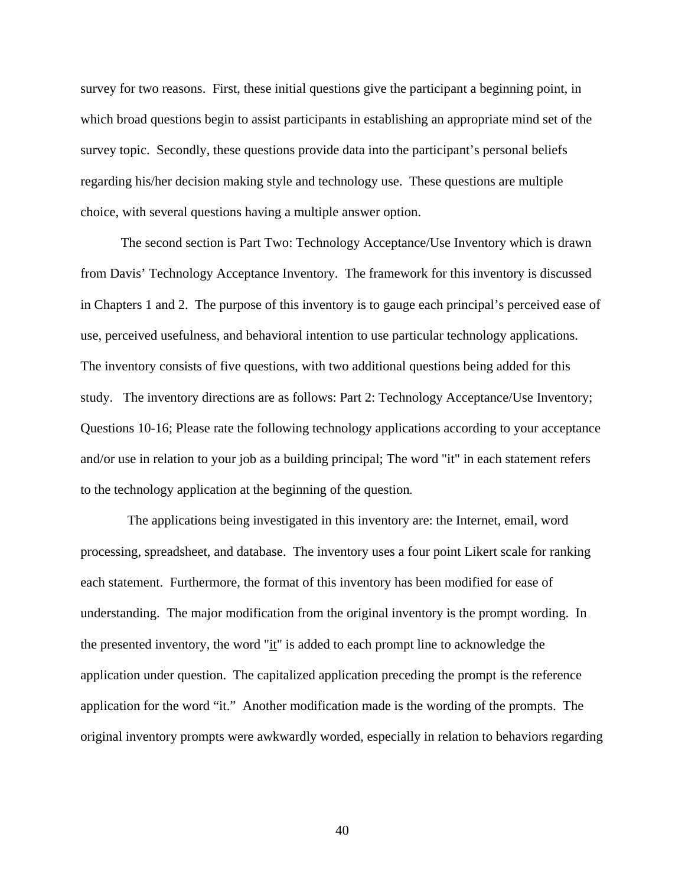survey for two reasons. First, these initial questions give the participant a beginning point, in which broad questions begin to assist participants in establishing an appropriate mind set of the survey topic. Secondly, these questions provide data into the participant's personal beliefs regarding his/her decision making style and technology use. These questions are multiple choice, with several questions having a multiple answer option.

The second section is Part Two: Technology Acceptance/Use Inventory which is drawn from Davis' Technology Acceptance Inventory. The framework for this inventory is discussed in Chapters 1 and 2. The purpose of this inventory is to gauge each principal's perceived ease of use, perceived usefulness, and behavioral intention to use particular technology applications. The inventory consists of five questions, with two additional questions being added for this study. The inventory directions are as follows: Part 2: Technology Acceptance/Use Inventory; Questions 10-16; Please rate the following technology applications according to your acceptance and/or use in relation to your job as a building principal; The word "it" in each statement refers to the technology application at the beginning of the question.

 The applications being investigated in this inventory are: the Internet, email, word processing, spreadsheet, and database. The inventory uses a four point Likert scale for ranking each statement. Furthermore, the format of this inventory has been modified for ease of understanding. The major modification from the original inventory is the prompt wording. In the presented inventory, the word " $\mathbf{i}$ " is added to each prompt line to acknowledge the application under question. The capitalized application preceding the prompt is the reference application for the word "it." Another modification made is the wording of the prompts. The original inventory prompts were awkwardly worded, especially in relation to behaviors regarding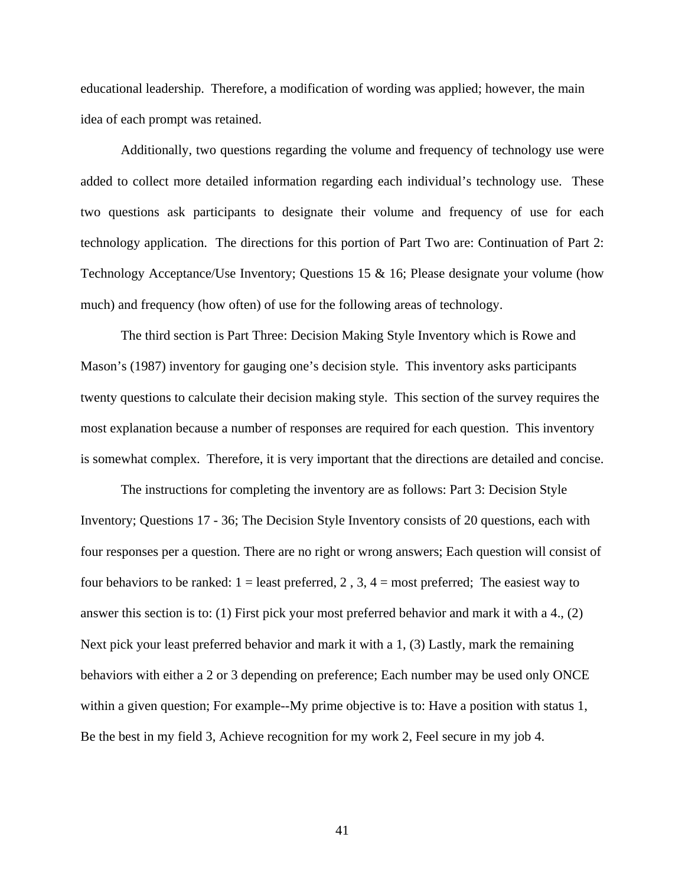educational leadership. Therefore, a modification of wording was applied; however, the main idea of each prompt was retained.

Additionally, two questions regarding the volume and frequency of technology use were added to collect more detailed information regarding each individual's technology use. These two questions ask participants to designate their volume and frequency of use for each technology application. The directions for this portion of Part Two are: Continuation of Part 2: Technology Acceptance/Use Inventory; Questions 15 & 16; Please designate your volume (how much) and frequency (how often) of use for the following areas of technology.

The third section is Part Three: Decision Making Style Inventory which is Rowe and Mason's (1987) inventory for gauging one's decision style. This inventory asks participants twenty questions to calculate their decision making style. This section of the survey requires the most explanation because a number of responses are required for each question. This inventory is somewhat complex. Therefore, it is very important that the directions are detailed and concise.

The instructions for completing the inventory are as follows: Part 3: Decision Style Inventory; Questions 17 - 36; The Decision Style Inventory consists of 20 questions, each with four responses per a question. There are no right or wrong answers; Each question will consist of four behaviors to be ranked:  $1 =$  least preferred,  $2$ ,  $3$ ,  $4 =$  most preferred; The easiest way to answer this section is to: (1) First pick your most preferred behavior and mark it with a 4., (2) Next pick your least preferred behavior and mark it with a 1, (3) Lastly, mark the remaining behaviors with either a 2 or 3 depending on preference; Each number may be used only ONCE within a given question; For example--My prime objective is to: Have a position with status 1, Be the best in my field 3, Achieve recognition for my work 2, Feel secure in my job 4.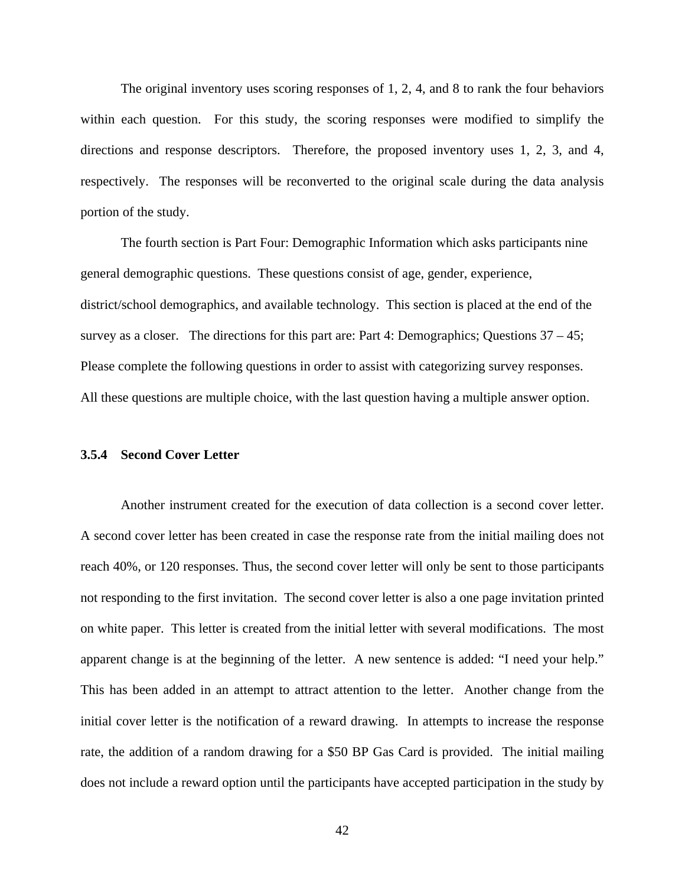The original inventory uses scoring responses of 1, 2, 4, and 8 to rank the four behaviors within each question. For this study, the scoring responses were modified to simplify the directions and response descriptors. Therefore, the proposed inventory uses 1, 2, 3, and 4, respectively. The responses will be reconverted to the original scale during the data analysis portion of the study.

The fourth section is Part Four: Demographic Information which asks participants nine general demographic questions. These questions consist of age, gender, experience, district/school demographics, and available technology. This section is placed at the end of the survey as a closer. The directions for this part are: Part 4: Demographics; Questions  $37 - 45$ ; Please complete the following questions in order to assist with categorizing survey responses. All these questions are multiple choice, with the last question having a multiple answer option.

# **3.5.4 Second Cover Letter**

Another instrument created for the execution of data collection is a second cover letter. A second cover letter has been created in case the response rate from the initial mailing does not reach 40%, or 120 responses. Thus, the second cover letter will only be sent to those participants not responding to the first invitation. The second cover letter is also a one page invitation printed on white paper. This letter is created from the initial letter with several modifications. The most apparent change is at the beginning of the letter. A new sentence is added: "I need your help." This has been added in an attempt to attract attention to the letter. Another change from the initial cover letter is the notification of a reward drawing. In attempts to increase the response rate, the addition of a random drawing for a \$50 BP Gas Card is provided. The initial mailing does not include a reward option until the participants have accepted participation in the study by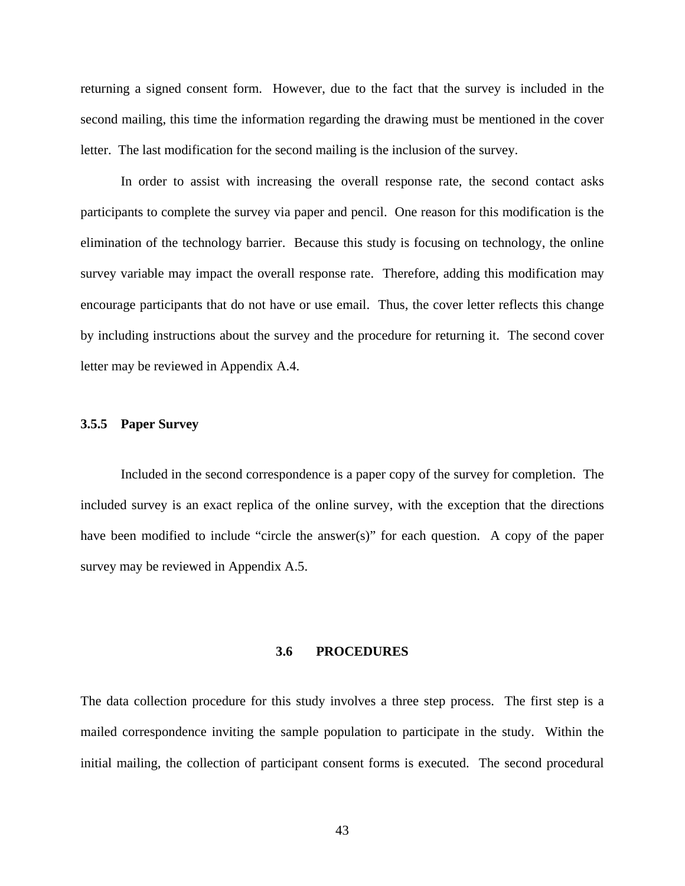returning a signed consent form. However, due to the fact that the survey is included in the second mailing, this time the information regarding the drawing must be mentioned in the cover letter. The last modification for the second mailing is the inclusion of the survey.

In order to assist with increasing the overall response rate, the second contact asks participants to complete the survey via paper and pencil. One reason for this modification is the elimination of the technology barrier. Because this study is focusing on technology, the online survey variable may impact the overall response rate. Therefore, adding this modification may encourage participants that do not have or use email. Thus, the cover letter reflects this change by including instructions about the survey and the procedure for returning it. The second cover letter may be reviewed in Appendix A.4.

## **3.5.5 Paper Survey**

Included in the second correspondence is a paper copy of the survey for completion. The included survey is an exact replica of the online survey, with the exception that the directions have been modified to include "circle the answer(s)" for each question. A copy of the paper survey may be reviewed in Appendix A.5.

#### **3.6 PROCEDURES**

The data collection procedure for this study involves a three step process. The first step is a mailed correspondence inviting the sample population to participate in the study. Within the initial mailing, the collection of participant consent forms is executed. The second procedural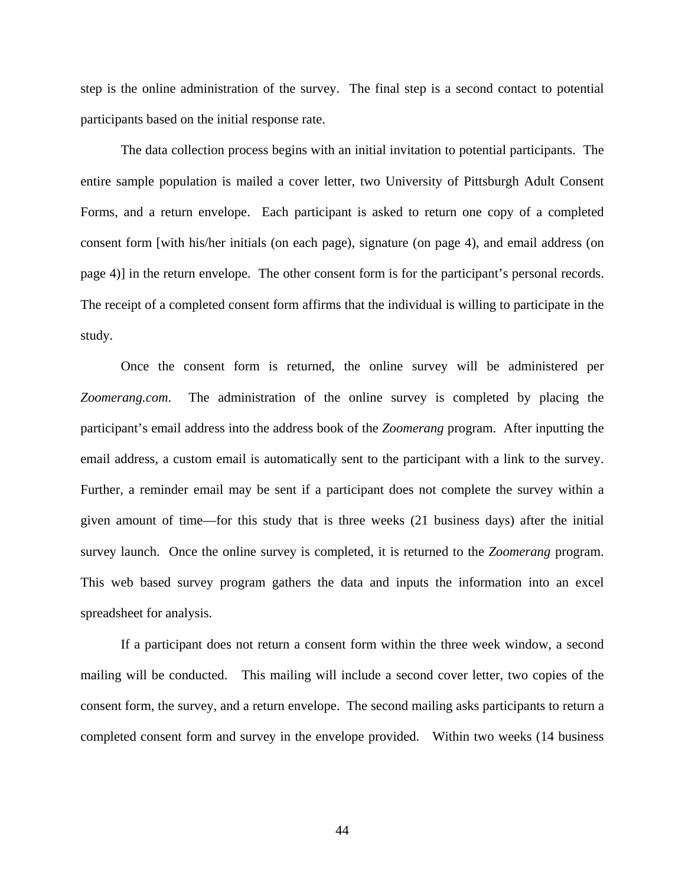step is the online administration of the survey. The final step is a second contact to potential participants based on the initial response rate.

 The data collection process begins with an initial invitation to potential participants. The entire sample population is mailed a cover letter, two University of Pittsburgh Adult Consent Forms, and a return envelope. Each participant is asked to return one copy of a completed consent form [with his/her initials (on each page), signature (on page 4), and email address (on page 4)] in the return envelope. The other consent form is for the participant's personal records. The receipt of a completed consent form affirms that the individual is willing to participate in the study.

Once the consent form is returned, the online survey will be administered per *Zoomerang.com*. The administration of the online survey is completed by placing the participant's email address into the address book of the *Zoomerang* program. After inputting the email address, a custom email is automatically sent to the participant with a link to the survey. Further, a reminder email may be sent if a participant does not complete the survey within a given amount of time—for this study that is three weeks (21 business days) after the initial survey launch. Once the online survey is completed, it is returned to the *Zoomerang* program. This web based survey program gathers the data and inputs the information into an excel spreadsheet for analysis.

If a participant does not return a consent form within the three week window, a second mailing will be conducted. This mailing will include a second cover letter, two copies of the consent form, the survey, and a return envelope. The second mailing asks participants to return a completed consent form and survey in the envelope provided. Within two weeks (14 business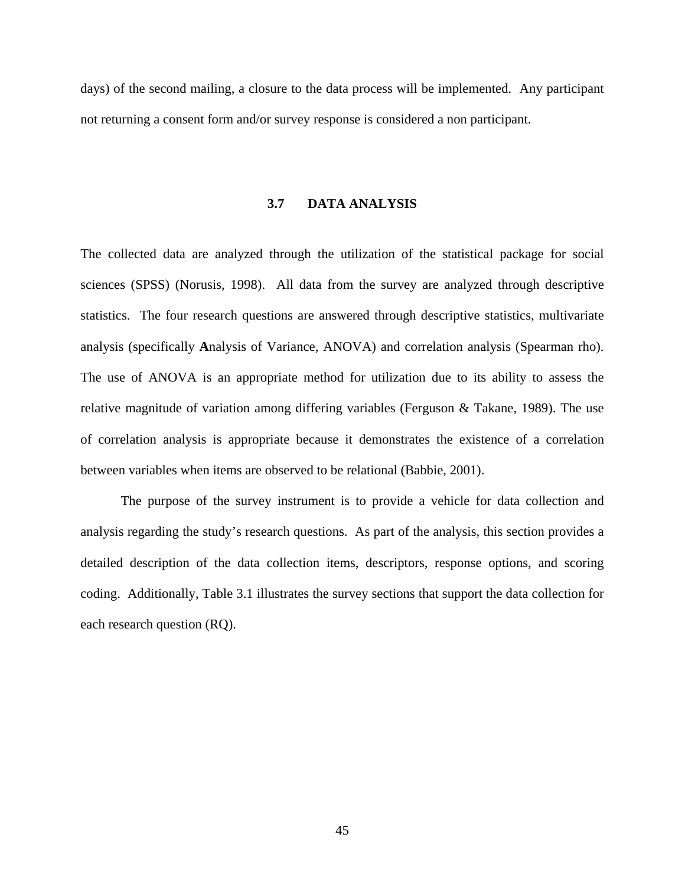days) of the second mailing, a closure to the data process will be implemented. Any participant not returning a consent form and/or survey response is considered a non participant.

# **3.7 DATA ANALYSIS**

The collected data are analyzed through the utilization of the statistical package for social sciences (SPSS) (Norusis, 1998).All data from the survey are analyzed through descriptive statistics. The four research questions are answered through descriptive statistics, multivariate analysis (specifically **A**nalysis of Variance, ANOVA) and correlation analysis (Spearman rho). The use of ANOVA is an appropriate method for utilization due to its ability to assess the relative magnitude of variation among differing variables (Ferguson & Takane, 1989). The use of correlation analysis is appropriate because it demonstrates the existence of a correlation between variables when items are observed to be relational (Babbie, 2001).

The purpose of the survey instrument is to provide a vehicle for data collection and analysis regarding the study's research questions. As part of the analysis, this section provides a detailed description of the data collection items, descriptors, response options, and scoring coding. Additionally, Table 3.1 illustrates the survey sections that support the data collection for each research question (RQ).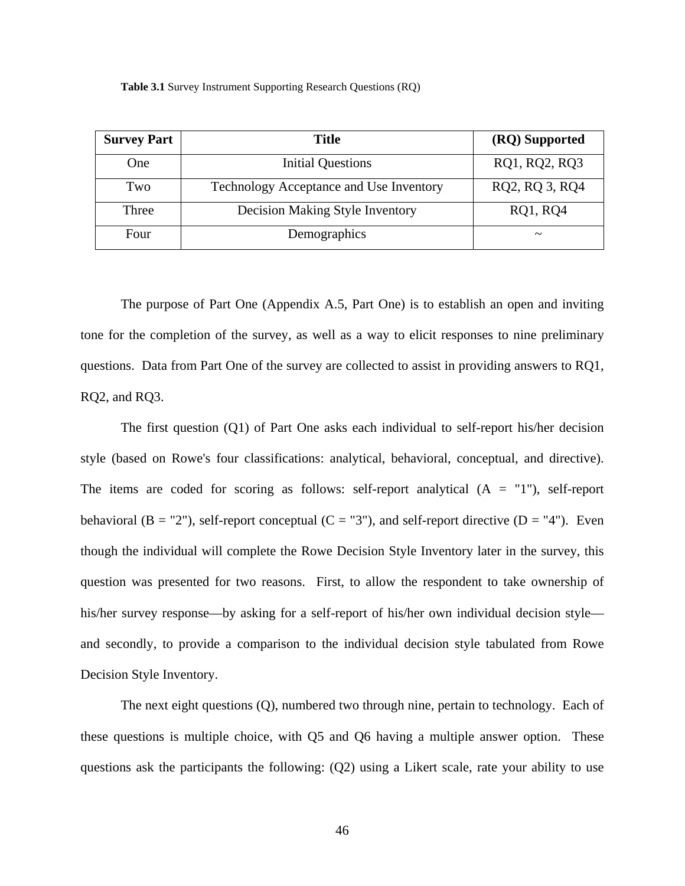**Table 3.1** Survey Instrument Supporting Research Questions (RQ)

| <b>Survey Part</b> | <b>Title</b>                            | (RQ) Supported        |
|--------------------|-----------------------------------------|-----------------------|
| One                | <b>Initial Questions</b>                | RQ1, RQ2, RQ3         |
| Two                | Technology Acceptance and Use Inventory | RQ2, RQ 3, RQ4        |
| Three              | <b>Decision Making Style Inventory</b>  | <b>RQ1, RQ4</b>       |
| Four               | Demographics                            | $\tilde{\phantom{a}}$ |

The purpose of Part One (Appendix A.5, Part One) is to establish an open and inviting tone for the completion of the survey, as well as a way to elicit responses to nine preliminary questions. Data from Part One of the survey are collected to assist in providing answers to RQ1, RQ2, and RQ3.

The first question (Q1) of Part One asks each individual to self-report his/her decision style (based on Rowe's four classifications: analytical, behavioral, conceptual, and directive). The items are coded for scoring as follows: self-report analytical  $(A = "1")$ , self-report behavioral  $(B = "2")$ , self-report conceptual  $(C = "3")$ , and self-report directive  $(D = "4")$ . Even though the individual will complete the Rowe Decision Style Inventory later in the survey, this question was presented for two reasons. First, to allow the respondent to take ownership of his/her survey response—by asking for a self-report of his/her own individual decision style and secondly, to provide a comparison to the individual decision style tabulated from Rowe Decision Style Inventory.

The next eight questions (Q), numbered two through nine, pertain to technology. Each of these questions is multiple choice, with Q5 and Q6 having a multiple answer option. These questions ask the participants the following: (Q2) using a Likert scale, rate your ability to use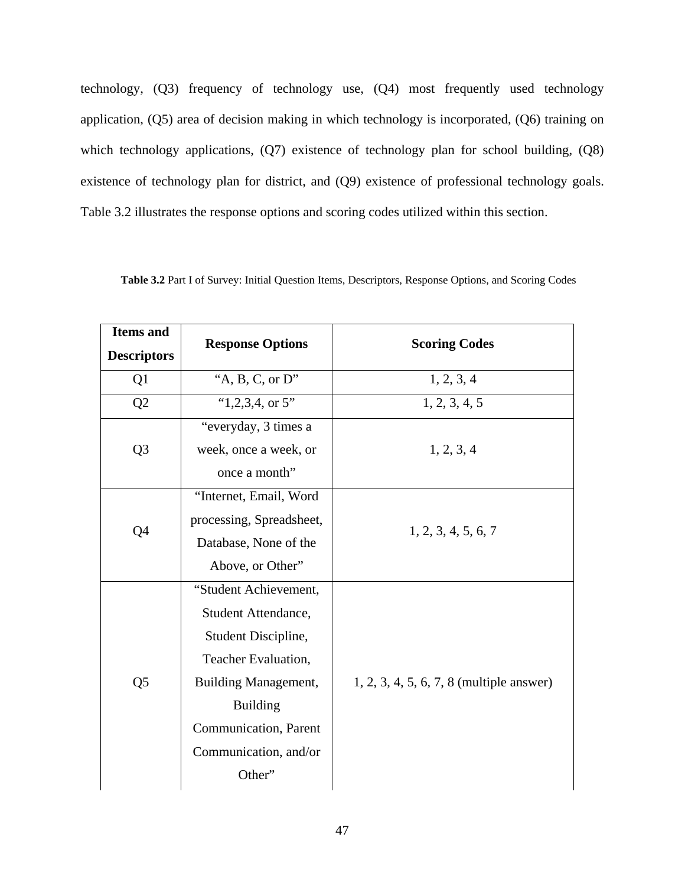technology, (Q3) frequency of technology use, (Q4) most frequently used technology application, (Q5) area of decision making in which technology is incorporated, (Q6) training on which technology applications, (Q7) existence of technology plan for school building, (Q8) existence of technology plan for district, and (Q9) existence of professional technology goals. Table 3.2 illustrates the response options and scoring codes utilized within this section.

| <b>Items</b> and<br><b>Descriptors</b> | <b>Response Options</b>     | <b>Scoring Codes</b>                       |  |
|----------------------------------------|-----------------------------|--------------------------------------------|--|
| Q <sub>1</sub>                         | "A, B, C, or $D$ "          | 1, 2, 3, 4                                 |  |
| Q2                                     | " $1,2,3,4$ , or 5"         | 1, 2, 3, 4, 5                              |  |
|                                        | "everyday, 3 times a        |                                            |  |
| Q <sub>3</sub>                         | week, once a week, or       | 1, 2, 3, 4                                 |  |
|                                        | once a month"               |                                            |  |
|                                        | "Internet, Email, Word      |                                            |  |
| Q4                                     | processing, Spreadsheet,    | 1, 2, 3, 4, 5, 6, 7                        |  |
|                                        | Database, None of the       |                                            |  |
|                                        | Above, or Other"            |                                            |  |
|                                        | "Student Achievement,       |                                            |  |
|                                        | Student Attendance,         |                                            |  |
|                                        | Student Discipline,         |                                            |  |
|                                        | Teacher Evaluation,         |                                            |  |
| Q <sub>5</sub>                         | <b>Building Management,</b> | $1, 2, 3, 4, 5, 6, 7, 8$ (multiple answer) |  |
|                                        | <b>Building</b>             |                                            |  |
|                                        | Communication, Parent       |                                            |  |
|                                        | Communication, and/or       |                                            |  |
|                                        | Other"                      |                                            |  |
|                                        |                             |                                            |  |

**Table 3.2** Part I of Survey: Initial Question Items, Descriptors, Response Options, and Scoring Codes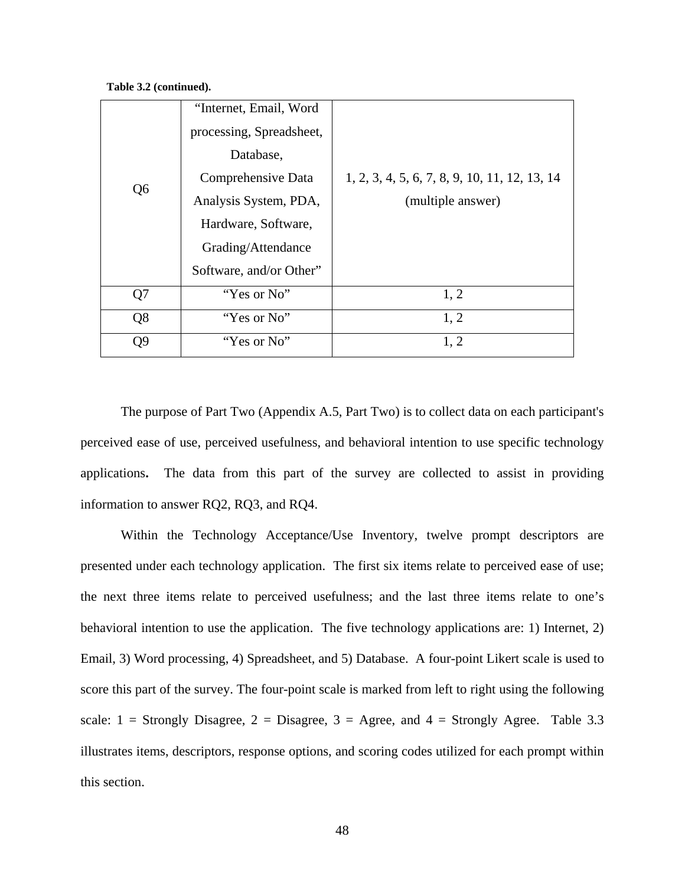**Table 3.2 (continued).** 

|                | "Internet, Email, Word   |                                               |
|----------------|--------------------------|-----------------------------------------------|
|                | processing, Spreadsheet, |                                               |
|                | Database,                |                                               |
| Q <sub>6</sub> | Comprehensive Data       | 1, 2, 3, 4, 5, 6, 7, 8, 9, 10, 11, 12, 13, 14 |
|                | Analysis System, PDA,    | (multiple answer)                             |
|                | Hardware, Software,      |                                               |
|                | Grading/Attendance       |                                               |
|                | Software, and/or Other"  |                                               |
| Q7             | "Yes or No"              | 1, 2                                          |
| Q8             | "Yes or No"              | 1, 2                                          |
| Q <sub>9</sub> | "Yes or No"              | 1, 2                                          |

The purpose of Part Two (Appendix A.5, Part Two) is to collect data on each participant's perceived ease of use, perceived usefulness, and behavioral intention to use specific technology applications**.** The data from this part of the survey are collected to assist in providing information to answer RQ2, RQ3, and RQ4.

Within the Technology Acceptance/Use Inventory, twelve prompt descriptors are presented under each technology application. The first six items relate to perceived ease of use; the next three items relate to perceived usefulness; and the last three items relate to one's behavioral intention to use the application. The five technology applications are: 1) Internet, 2) Email, 3) Word processing, 4) Spreadsheet, and 5) Database. A four-point Likert scale is used to score this part of the survey. The four-point scale is marked from left to right using the following scale:  $1 =$  Strongly Disagree,  $2 =$  Disagree,  $3 =$  Agree, and  $4 =$  Strongly Agree. Table 3.3 illustrates items, descriptors, response options, and scoring codes utilized for each prompt within this section.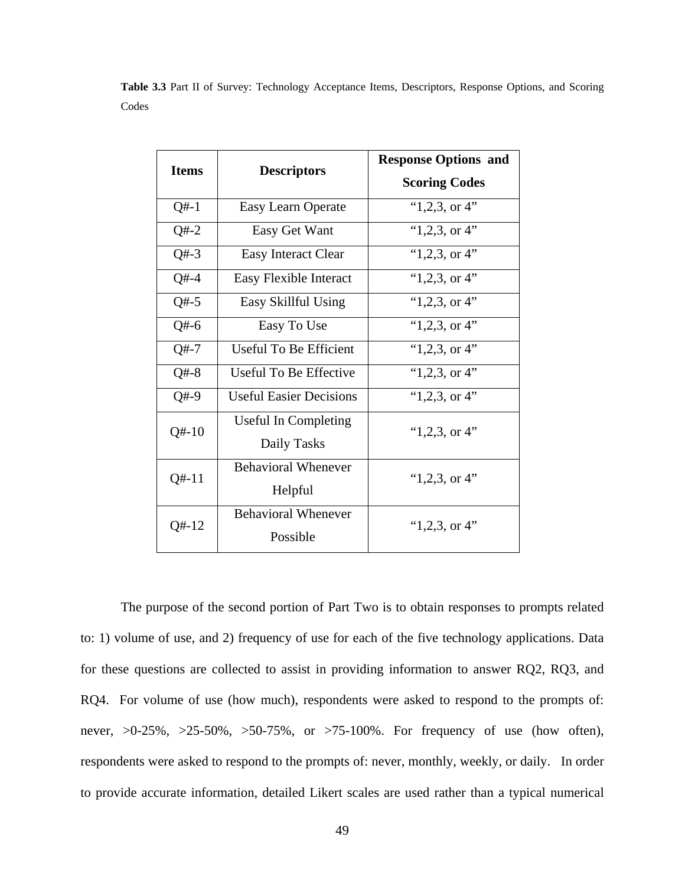| <b>Items</b> | <b>Descriptors</b>                     | <b>Response Options and</b><br><b>Scoring Codes</b> |  |
|--------------|----------------------------------------|-----------------------------------------------------|--|
| $Q#-1$       | Easy Learn Operate                     | " $1,2,3$ , or 4"                                   |  |
| $Q# - 2$     | Easy Get Want                          | " $1,2,3$ , or 4"                                   |  |
| $Q# - 3$     | <b>Easy Interact Clear</b>             | " $1,2,3$ , or 4"                                   |  |
| $Q#-4$       | Easy Flexible Interact                 | " $1,2,3$ , or 4"                                   |  |
| $Q#-5$       | Easy Skillful Using                    | " $1,2,3$ , or 4"                                   |  |
| $Q#-6$       | Easy To Use                            | " $1,2,3$ , or 4"                                   |  |
| $Q# - 7$     | Useful To Be Efficient                 | " $1,2,3$ , or 4"                                   |  |
| $Q#-8$       | Useful To Be Effective                 | " $1,2,3$ , or 4"                                   |  |
| $Q#-9$       | <b>Useful Easier Decisions</b>         | " $1,2,3$ , or 4"                                   |  |
| $Q# - 10$    | Useful In Completing<br>Daily Tasks    | " $1,2,3$ , or 4"                                   |  |
| $Q# - 11$    | <b>Behavioral Whenever</b><br>Helpful  | " $1,2,3$ , or 4"                                   |  |
| $Q#-12$      | <b>Behavioral Whenever</b><br>Possible | " $1,2,3$ , or 4"                                   |  |

**Table 3.3** Part II of Survey: Technology Acceptance Items, Descriptors, Response Options, and Scoring Codes

The purpose of the second portion of Part Two is to obtain responses to prompts related to: 1) volume of use, and 2) frequency of use for each of the five technology applications. Data for these questions are collected to assist in providing information to answer RQ2, RQ3, and RQ4. For volume of use (how much), respondents were asked to respond to the prompts of: never, >0-25%, >25-50%, >50-75%, or >75-100%. For frequency of use (how often), respondents were asked to respond to the prompts of: never, monthly, weekly, or daily. In order to provide accurate information, detailed Likert scales are used rather than a typical numerical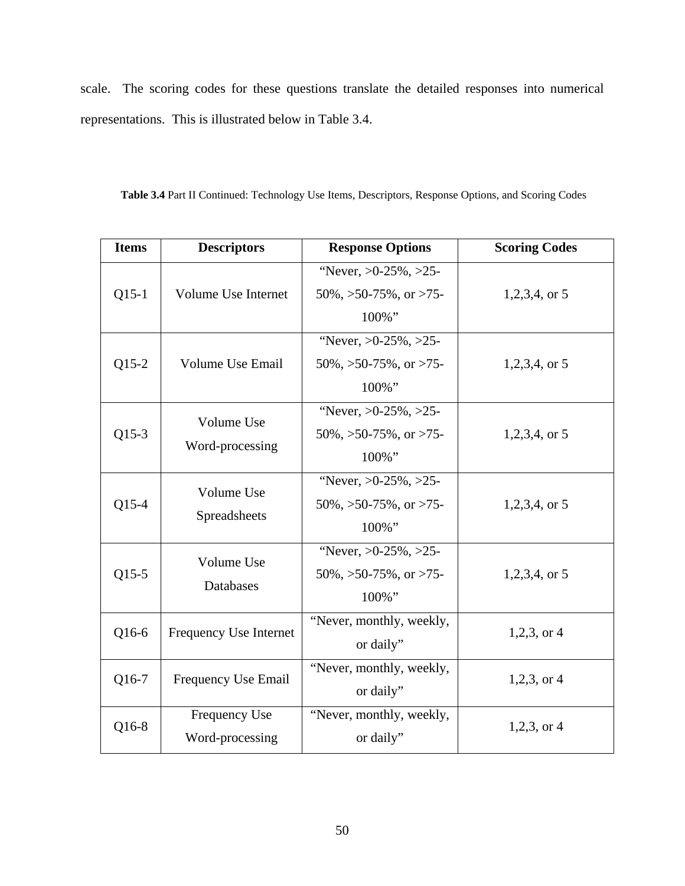scale. The scoring codes for these questions translate the detailed responses into numerical representations. This is illustrated below in Table 3.4.

| Table 3.4 Part II Continued: Technology Use Items, Descriptors, Response Options, and Scoring Codes |  |
|-----------------------------------------------------------------------------------------------------|--|
|-----------------------------------------------------------------------------------------------------|--|

| <b>Items</b> | <b>Descriptors</b>               | <b>Response Options</b>                                                 | <b>Scoring Codes</b> |
|--------------|----------------------------------|-------------------------------------------------------------------------|----------------------|
| $Q15-1$      | Volume Use Internet              | "Never, $>0.25\%$ , $>25$ -<br>$50\%$ , $>50-75\%$ , or $>75-$<br>100%" | $1,2,3,4$ , or 5     |
| $Q15-2$      | <b>Volume Use Email</b>          | "Never, $>0.25\%$ , $>25$ -<br>$50\%, >50-75\%,$ or $>75-$<br>100%"     | $1,2,3,4$ , or 5     |
| $Q15-3$      | Volume Use<br>Word-processing    | "Never, $>0.25\%$ , $>25$ -<br>$50\%$ , $>50-75\%$ , or $>75-$<br>100%" | $1,2,3,4$ , or 5     |
| $Q15-4$      | Volume Use<br>Spreadsheets       | "Never, $>0.25\%$ , $>25$ -<br>$50\%$ , $>50-75\%$ , or $>75-$<br>100%" | $1,2,3,4$ , or 5     |
| $Q15-5$      | Volume Use<br>Databases          | "Never, $>0.25\%$ , $>25$ -<br>$50\%$ , $>50-75\%$ , or $>75-$<br>100%" | $1,2,3,4$ , or 5     |
| Q16-6        | Frequency Use Internet           | "Never, monthly, weekly,<br>or daily"                                   | $1,2,3$ , or 4       |
| Q16-7        | Frequency Use Email              | "Never, monthly, weekly,<br>or daily"                                   | $1,2,3$ , or 4       |
| Q16-8        | Frequency Use<br>Word-processing | "Never, monthly, weekly,<br>or daily"                                   | $1,2,3$ , or 4       |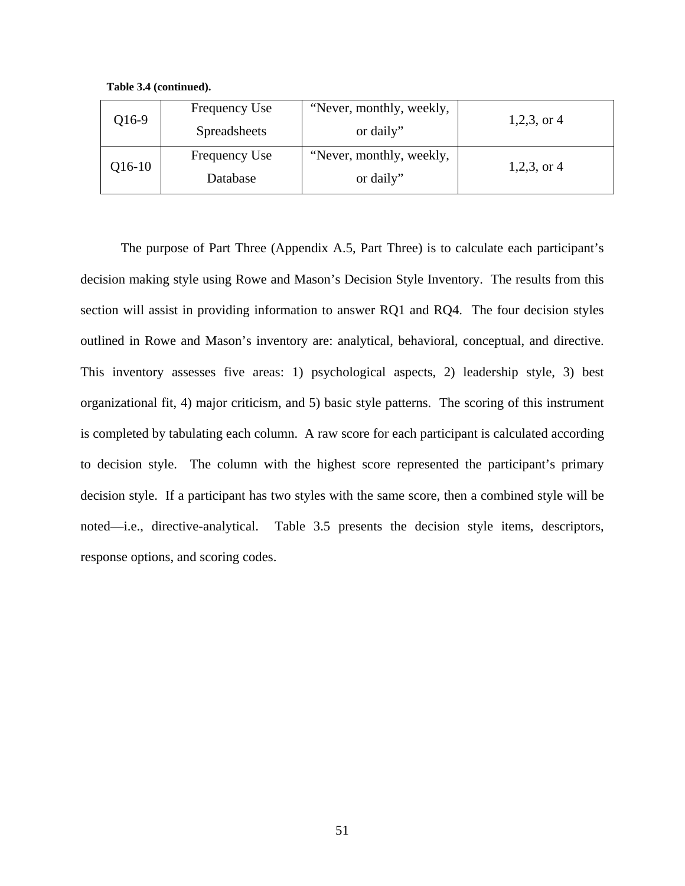**Table 3.4 (continued).**

| Q16-9    | Frequency Use       | "Never, monthly, weekly, |                |
|----------|---------------------|--------------------------|----------------|
|          | <b>Spreadsheets</b> | or daily"                | $1,2,3$ , or 4 |
|          | Frequency Use       | "Never, monthly, weekly, |                |
| $Q16-10$ | Database            | or daily"                | $1,2,3$ , or 4 |

The purpose of Part Three (Appendix A.5, Part Three) is to calculate each participant's decision making style using Rowe and Mason's Decision Style Inventory. The results from this section will assist in providing information to answer RQ1 and RQ4. The four decision styles outlined in Rowe and Mason's inventory are: analytical, behavioral, conceptual, and directive. This inventory assesses five areas: 1) psychological aspects, 2) leadership style, 3) best organizational fit, 4) major criticism, and 5) basic style patterns. The scoring of this instrument is completed by tabulating each column. A raw score for each participant is calculated according to decision style. The column with the highest score represented the participant's primary decision style. If a participant has two styles with the same score, then a combined style will be noted—i.e., directive-analytical. Table 3.5 presents the decision style items, descriptors, response options, and scoring codes.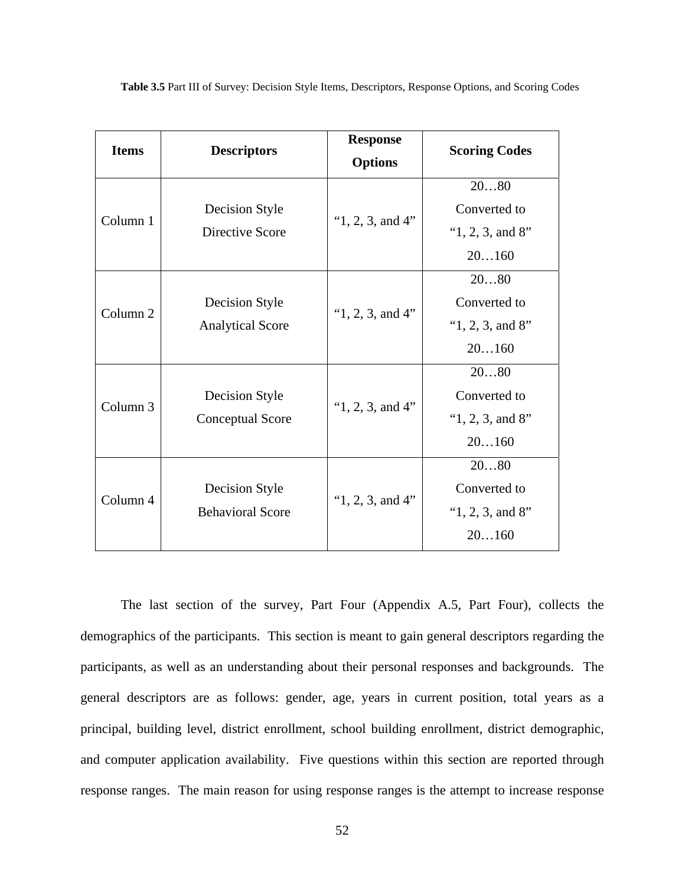| <b>Items</b>        | <b>Descriptors</b>                        | <b>Response</b>         | <b>Scoring Codes</b> |  |
|---------------------|-------------------------------------------|-------------------------|----------------------|--|
|                     |                                           |                         |                      |  |
|                     |                                           |                         | 2080                 |  |
| Column 1            | Decision Style                            |                         | Converted to         |  |
|                     | Directive Score                           | " $1, 2, 3$ , and $4$ " | " $1, 2, 3$ , and 8" |  |
|                     |                                           |                         | 20160                |  |
|                     |                                           |                         | 2080                 |  |
| Column <sub>2</sub> | Decision Style<br><b>Analytical Score</b> | " $1, 2, 3$ , and $4$ " | Converted to         |  |
|                     |                                           |                         | " $1, 2, 3$ , and 8" |  |
|                     |                                           |                         | 20160                |  |
|                     | Decision Style<br>Conceptual Score        | " $1, 2, 3$ , and $4$ " | 2080                 |  |
| Column <sub>3</sub> |                                           |                         | Converted to         |  |
|                     |                                           |                         | " $1, 2, 3$ , and 8" |  |
|                     |                                           |                         | 20160                |  |
|                     |                                           |                         | 2080                 |  |
| Column 4            | Decision Style<br><b>Behavioral Score</b> | " $1, 2, 3$ , and $4$ " | Converted to         |  |
|                     |                                           |                         | " $1, 2, 3$ , and 8" |  |
|                     |                                           |                         | 20160                |  |

**Table 3.5** Part III of Survey: Decision Style Items, Descriptors, Response Options, and Scoring Codes

The last section of the survey, Part Four (Appendix A.5, Part Four), collects the demographics of the participants. This section is meant to gain general descriptors regarding the participants, as well as an understanding about their personal responses and backgrounds. The general descriptors are as follows: gender, age, years in current position, total years as a principal, building level, district enrollment, school building enrollment, district demographic, and computer application availability. Five questions within this section are reported through response ranges. The main reason for using response ranges is the attempt to increase response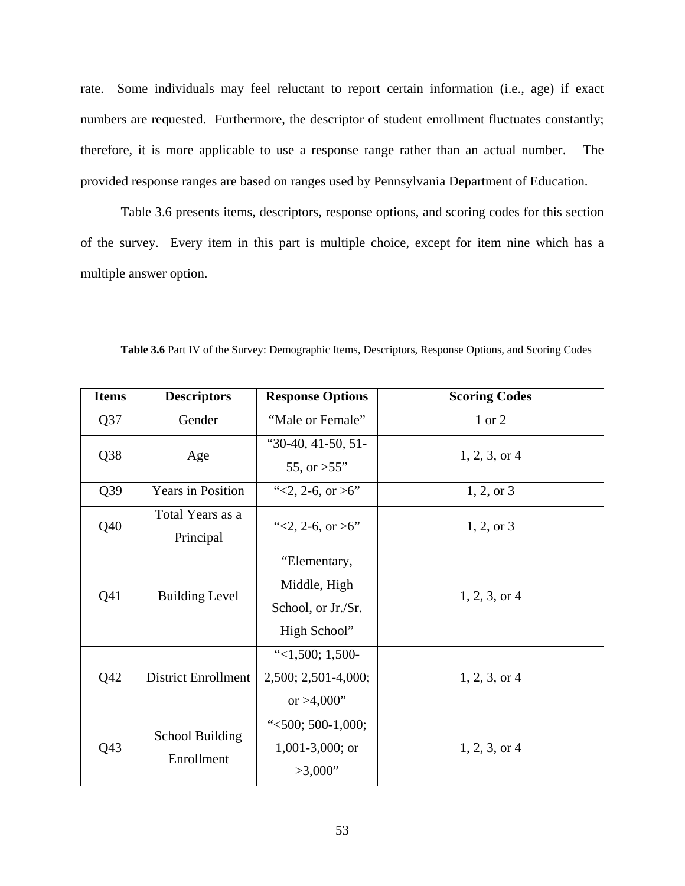rate. Some individuals may feel reluctant to report certain information (i.e., age) if exact numbers are requested. Furthermore, the descriptor of student enrollment fluctuates constantly; therefore, it is more applicable to use a response range rather than an actual number. The provided response ranges are based on ranges used by Pennsylvania Department of Education.

Table 3.6 presents items, descriptors, response options, and scoring codes for this section of the survey. Every item in this part is multiple choice, except for item nine which has a multiple answer option.

| <b>Items</b>    | <b>Descriptors</b>                   | <b>Response Options</b>                                            | <b>Scoring Codes</b> |
|-----------------|--------------------------------------|--------------------------------------------------------------------|----------------------|
| Q37             | Gender                               | "Male or Female"                                                   | 1 or 2               |
| Q38             | Age                                  | " $30-40$ , $41-50$ , $51-$<br>55, or $>55$ "                      | $1, 2, 3,$ or 4      |
| Q39             | <b>Years in Position</b>             | "<2, 2-6, or >6"                                                   | $1, 2, \text{or } 3$ |
| Q40             | Total Years as a<br>Principal        | "<2, 2-6, or $>6$ "                                                | $1, 2, \text{or } 3$ |
| Q <sub>41</sub> | <b>Building Level</b>                | "Elementary,<br>Middle, High<br>School, or Jr./Sr.<br>High School" | $1, 2, 3,$ or 4      |
| Q42             | <b>District Enrollment</b>           | " $<$ 1,500; 1,500-<br>2,500; 2,501-4,000;<br>or $>4,000"$         | $1, 2, 3,$ or 4      |
| Q <sub>43</sub> | <b>School Building</b><br>Enrollment | " $<500; 500-1,000;$<br>$1,001-3,000$ ; or<br>>3,000"              | $1, 2, 3,$ or 4      |

**Table 3.6** Part IV of the Survey: Demographic Items, Descriptors, Response Options, and Scoring Codes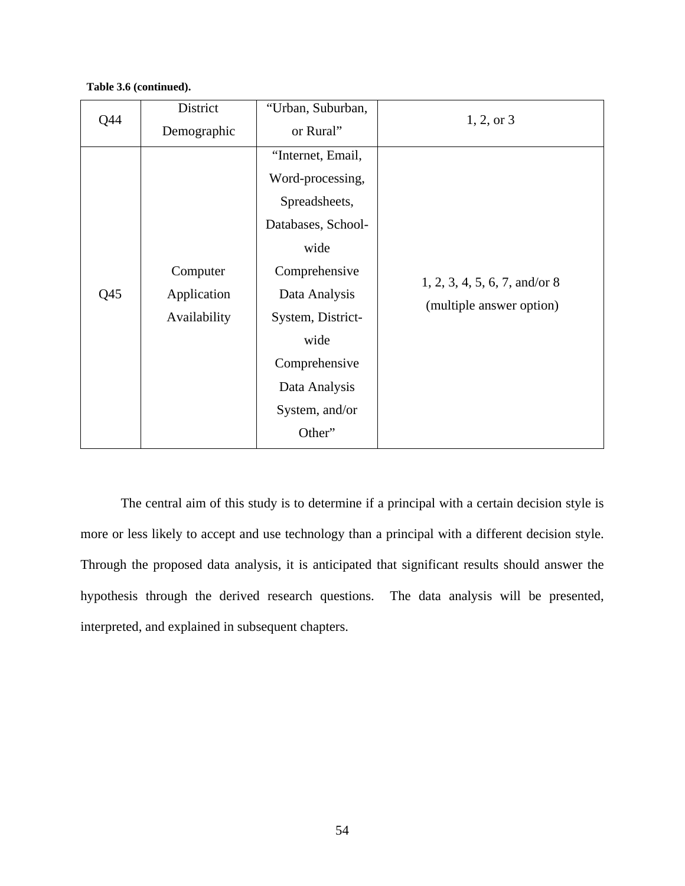## **Table 3.6 (continued).**

| Q44             | District     | "Urban, Suburban,  | $1, 2,$ or 3                    |
|-----------------|--------------|--------------------|---------------------------------|
|                 | Demographic  | or Rural"          |                                 |
|                 |              | "Internet, Email,  |                                 |
|                 |              | Word-processing,   |                                 |
|                 |              | Spreadsheets,      |                                 |
|                 |              | Databases, School- |                                 |
|                 |              | wide               |                                 |
|                 | Computer     | Comprehensive      |                                 |
| Q <sub>45</sub> | Application  | Data Analysis      | $1, 2, 3, 4, 5, 6, 7,$ and/or 8 |
|                 | Availability | System, District-  | (multiple answer option)        |
|                 |              | wide               |                                 |
|                 |              | Comprehensive      |                                 |
|                 |              | Data Analysis      |                                 |
|                 |              | System, and/or     |                                 |
|                 |              | Other"             |                                 |

The central aim of this study is to determine if a principal with a certain decision style is more or less likely to accept and use technology than a principal with a different decision style. Through the proposed data analysis, it is anticipated that significant results should answer the hypothesis through the derived research questions. The data analysis will be presented, interpreted, and explained in subsequent chapters.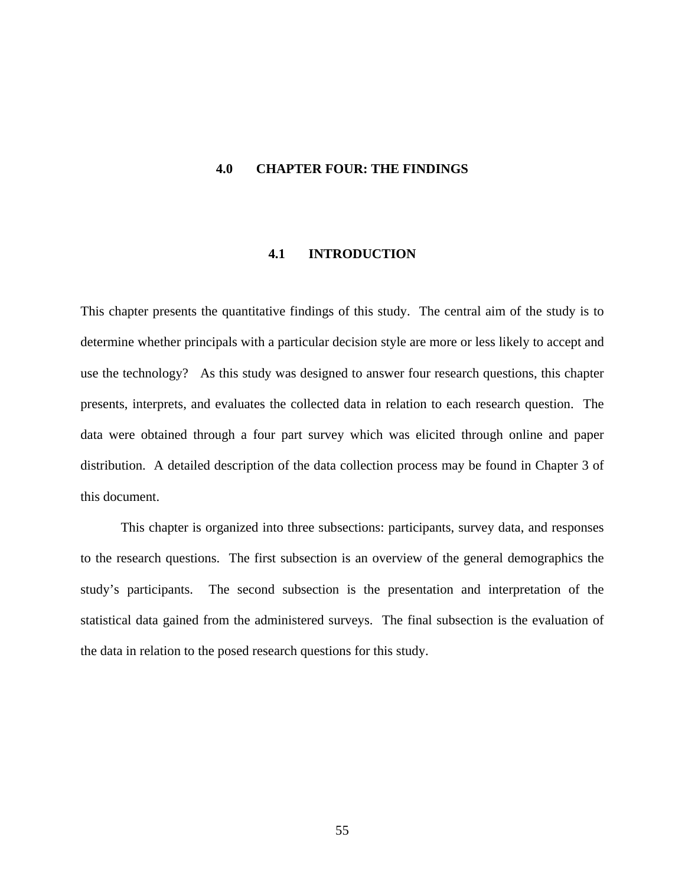#### **4.0 CHAPTER FOUR: THE FINDINGS**

# **4.1 INTRODUCTION**

This chapter presents the quantitative findings of this study. The central aim of the study is to determine whether principals with a particular decision style are more or less likely to accept and use the technology? As this study was designed to answer four research questions, this chapter presents, interprets, and evaluates the collected data in relation to each research question. The data were obtained through a four part survey which was elicited through online and paper distribution. A detailed description of the data collection process may be found in Chapter 3 of this document.

This chapter is organized into three subsections: participants, survey data, and responses to the research questions. The first subsection is an overview of the general demographics the study's participants. The second subsection is the presentation and interpretation of the statistical data gained from the administered surveys. The final subsection is the evaluation of the data in relation to the posed research questions for this study.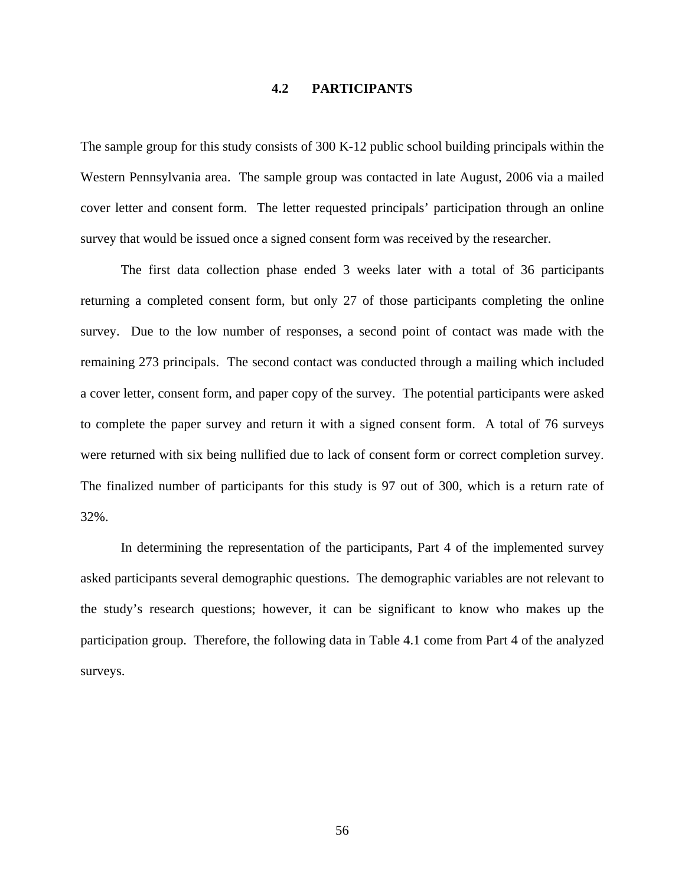# **4.2 PARTICIPANTS**

The sample group for this study consists of 300 K-12 public school building principals within the Western Pennsylvania area. The sample group was contacted in late August, 2006 via a mailed cover letter and consent form. The letter requested principals' participation through an online survey that would be issued once a signed consent form was received by the researcher.

The first data collection phase ended 3 weeks later with a total of 36 participants returning a completed consent form, but only 27 of those participants completing the online survey. Due to the low number of responses, a second point of contact was made with the remaining 273 principals. The second contact was conducted through a mailing which included a cover letter, consent form, and paper copy of the survey. The potential participants were asked to complete the paper survey and return it with a signed consent form. A total of 76 surveys were returned with six being nullified due to lack of consent form or correct completion survey. The finalized number of participants for this study is 97 out of 300, which is a return rate of 32%.

In determining the representation of the participants, Part 4 of the implemented survey asked participants several demographic questions. The demographic variables are not relevant to the study's research questions; however, it can be significant to know who makes up the participation group. Therefore, the following data in Table 4.1 come from Part 4 of the analyzed surveys.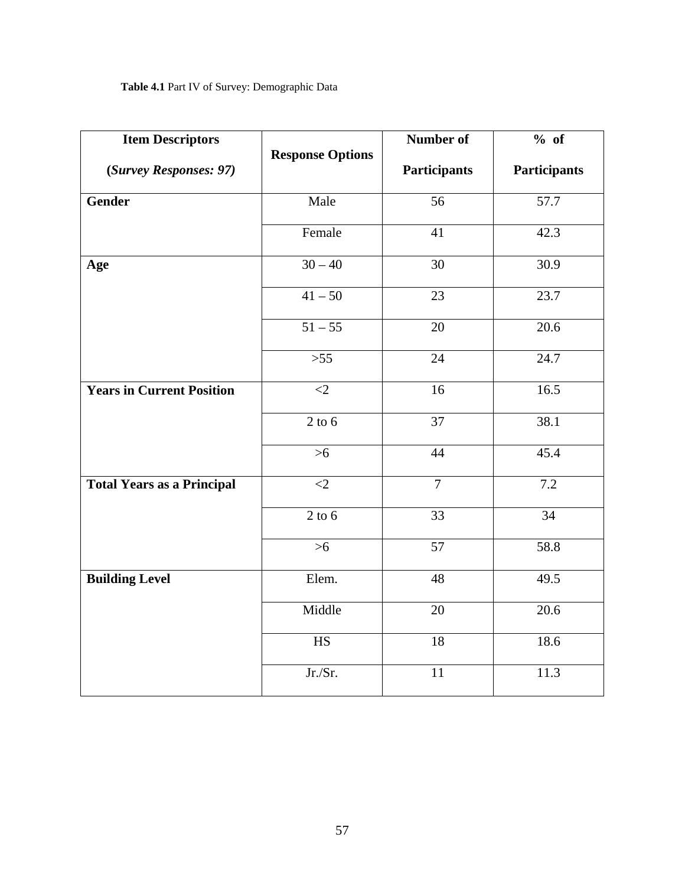| <b>Item Descriptors</b>           |                         | Number of           | % of                |  |
|-----------------------------------|-------------------------|---------------------|---------------------|--|
| (Survey Responses: 97)            | <b>Response Options</b> | <b>Participants</b> | <b>Participants</b> |  |
| Gender                            | Male                    | $\overline{56}$     | 57.7                |  |
|                                   | Female                  | 41                  | 42.3                |  |
| Age                               | $30 - 40$               | $\overline{30}$     | 30.9                |  |
|                                   | $41 - 50$               | 23                  | 23.7                |  |
|                                   | $51 - 55$               | 20                  | 20.6                |  |
|                                   | $>55$                   | 24                  | 24.7                |  |
| <b>Years in Current Position</b>  | $\langle 2$             | 16                  | 16.5                |  |
|                                   | $2$ to 6                | $\overline{37}$     | 38.1                |  |
|                                   | $>6$                    | 44                  | 45.4                |  |
| <b>Total Years as a Principal</b> | $\leq$ 2                | $\overline{7}$      | 7.2                 |  |
|                                   | $2$ to $6$              | 33                  | $\overline{34}$     |  |
|                                   | $>6$                    | 57                  | 58.8                |  |
| <b>Building Level</b>             | Elem.                   | 48                  | 49.5                |  |
|                                   | Middle                  | $\overline{20}$     | 20.6                |  |
|                                   | HS                      | 18                  | 18.6                |  |
|                                   | Jr./Sr.                 | $\overline{11}$     | 11.3                |  |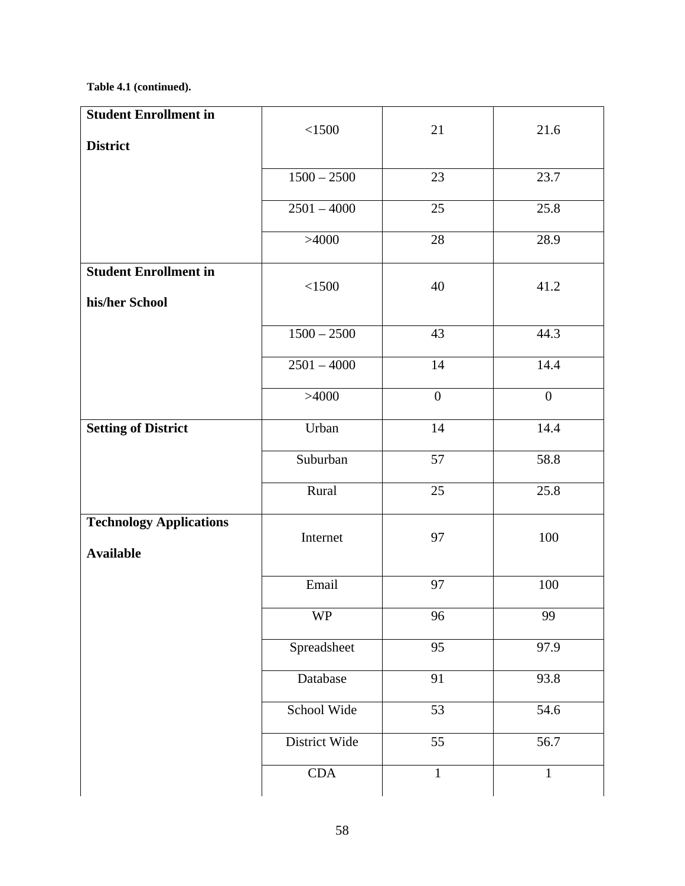# **Table 4.1 (continued).**

| <b>Student Enrollment in</b>                       |               |                  |                  |
|----------------------------------------------------|---------------|------------------|------------------|
|                                                    | < 1500        | 21               | 21.6             |
| <b>District</b>                                    |               |                  |                  |
|                                                    | $1500 - 2500$ | 23               | 23.7             |
|                                                    | $2501 - 4000$ | 25               | 25.8             |
|                                                    | >4000         | 28               | 28.9             |
| <b>Student Enrollment in</b><br>his/her School     | < 1500        | 40               | 41.2             |
|                                                    | $1500 - 2500$ | 43               | 44.3             |
|                                                    | $2501 - 4000$ | 14               | 14.4             |
|                                                    | >4000         | $\boldsymbol{0}$ | $\boldsymbol{0}$ |
| <b>Setting of District</b>                         | Urban         | 14               | 14.4             |
|                                                    | Suburban      | 57               | 58.8             |
|                                                    | Rural         | 25               | 25.8             |
| <b>Technology Applications</b><br><b>Available</b> | Internet      | 97               | 100              |
|                                                    | Email         | 97               | 100              |
|                                                    | <b>WP</b>     | 96               | 99               |
|                                                    | Spreadsheet   | 95               | 97.9             |
|                                                    | Database      | 91               | 93.8             |
|                                                    | School Wide   | 53               | 54.6             |
|                                                    | District Wide | 55               | 56.7             |
|                                                    | CDA           | $\mathbf 1$      | $\mathbf{1}$     |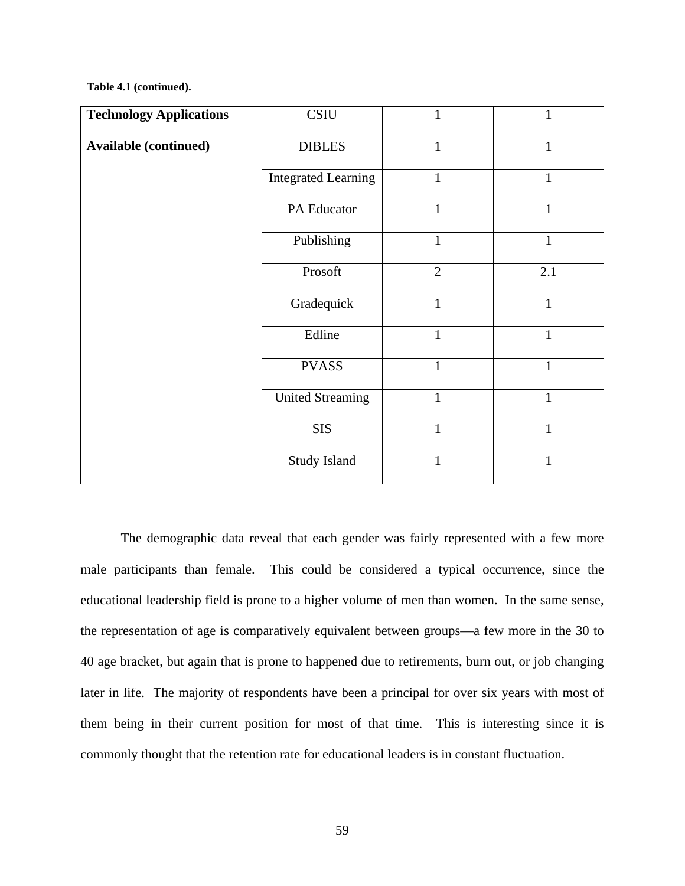#### **Table 4.1 (continued).**

| <b>Technology Applications</b> | <b>CSIU</b>                | 1              | 1            |
|--------------------------------|----------------------------|----------------|--------------|
| <b>Available (continued)</b>   | <b>DIBLES</b>              | $\mathbf{1}$   | $\mathbf{1}$ |
|                                | <b>Integrated Learning</b> | $\mathbf{1}$   | 1            |
|                                | PA Educator                | $\mathbf{1}$   | $\mathbf{1}$ |
|                                | Publishing                 | $\mathbf{1}$   | $\mathbf{1}$ |
|                                | Prosoft                    | $\overline{2}$ | 2.1          |
|                                | Gradequick                 | $\mathbf{1}$   | $\mathbf{1}$ |
|                                | Edline                     | $\mathbf{1}$   | $\mathbf{1}$ |
|                                | <b>PVASS</b>               | $\mathbf{1}$   | $\mathbf{1}$ |
|                                | <b>United Streaming</b>    | $\mathbf{1}$   | 1            |
|                                | <b>SIS</b>                 | $\mathbf{1}$   | $\mathbf{1}$ |
|                                | Study Island               | 1              | 1            |

The demographic data reveal that each gender was fairly represented with a few more male participants than female. This could be considered a typical occurrence, since the educational leadership field is prone to a higher volume of men than women. In the same sense, the representation of age is comparatively equivalent between groups—a few more in the 30 to 40 age bracket, but again that is prone to happened due to retirements, burn out, or job changing later in life. The majority of respondents have been a principal for over six years with most of them being in their current position for most of that time. This is interesting since it is commonly thought that the retention rate for educational leaders is in constant fluctuation.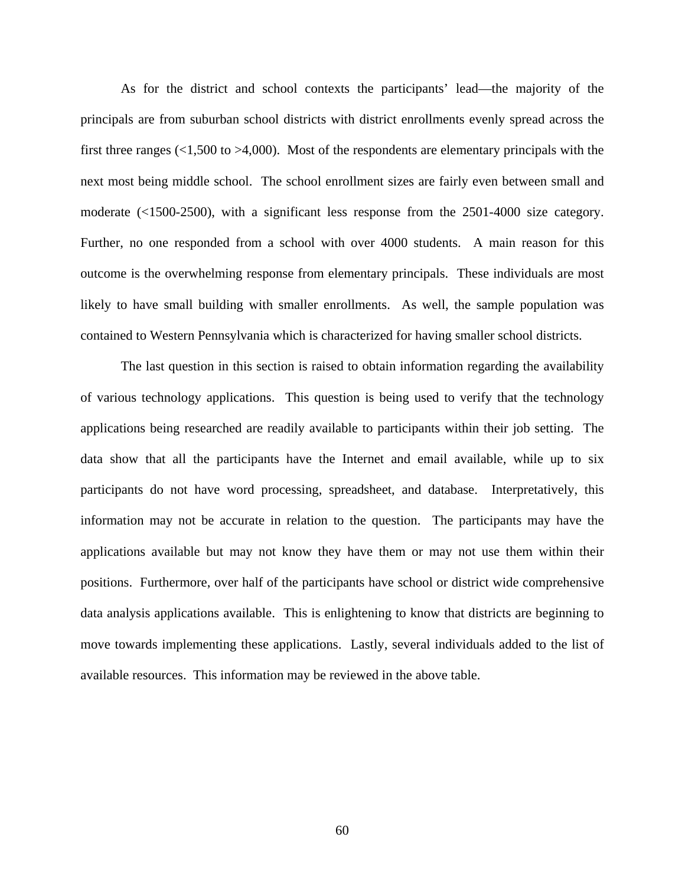As for the district and school contexts the participants' lead—the majority of the principals are from suburban school districts with district enrollments evenly spread across the first three ranges  $(1,500 \text{ to } 94,000)$ . Most of the respondents are elementary principals with the next most being middle school. The school enrollment sizes are fairly even between small and moderate (<1500-2500), with a significant less response from the 2501-4000 size category. Further, no one responded from a school with over 4000 students. A main reason for this outcome is the overwhelming response from elementary principals. These individuals are most likely to have small building with smaller enrollments. As well, the sample population was contained to Western Pennsylvania which is characterized for having smaller school districts.

 The last question in this section is raised to obtain information regarding the availability of various technology applications. This question is being used to verify that the technology applications being researched are readily available to participants within their job setting. The data show that all the participants have the Internet and email available, while up to six participants do not have word processing, spreadsheet, and database. Interpretatively, this information may not be accurate in relation to the question. The participants may have the applications available but may not know they have them or may not use them within their positions. Furthermore, over half of the participants have school or district wide comprehensive data analysis applications available. This is enlightening to know that districts are beginning to move towards implementing these applications. Lastly, several individuals added to the list of available resources. This information may be reviewed in the above table.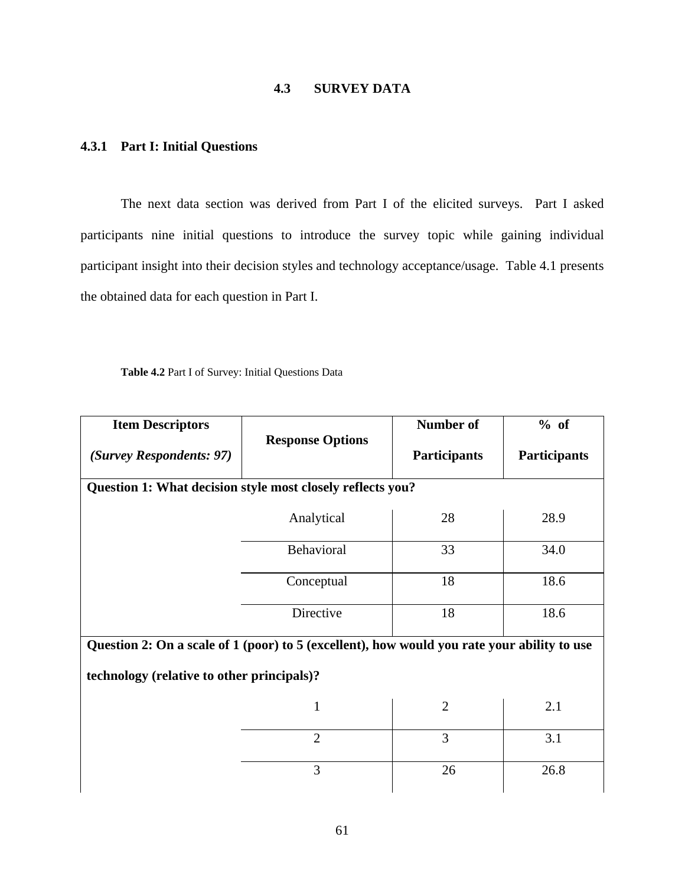# **4.3 SURVEY DATA**

# **4.3.1 Part I: Initial Questions**

The next data section was derived from Part I of the elicited surveys. Part I asked participants nine initial questions to introduce the survey topic while gaining individual participant insight into their decision styles and technology acceptance/usage. Table 4.1 presents the obtained data for each question in Part I.

**Table 4.2** Part I of Survey: Initial Questions Data

| <b>Item Descriptors</b>                                                                     | <b>Response Options</b> | <b>Number of</b>    | % of                |  |
|---------------------------------------------------------------------------------------------|-------------------------|---------------------|---------------------|--|
| (Survey Respondents: 97)                                                                    |                         | <b>Participants</b> | <b>Participants</b> |  |
| Question 1: What decision style most closely reflects you?                                  |                         |                     |                     |  |
|                                                                                             | Analytical              | 28                  | 28.9                |  |
|                                                                                             | Behavioral              | 33                  | 34.0                |  |
|                                                                                             | Conceptual              | 18                  | 18.6                |  |
|                                                                                             | Directive               | 18                  | 18.6                |  |
| Question 2: On a scale of 1 (poor) to 5 (excellent), how would you rate your ability to use |                         |                     |                     |  |
| technology (relative to other principals)?                                                  |                         |                     |                     |  |
|                                                                                             | $\mathbf{1}$            | $\overline{2}$      | 2.1                 |  |
|                                                                                             | $\overline{2}$          | 3                   | 3.1                 |  |
|                                                                                             | 3                       | 26                  | 26.8                |  |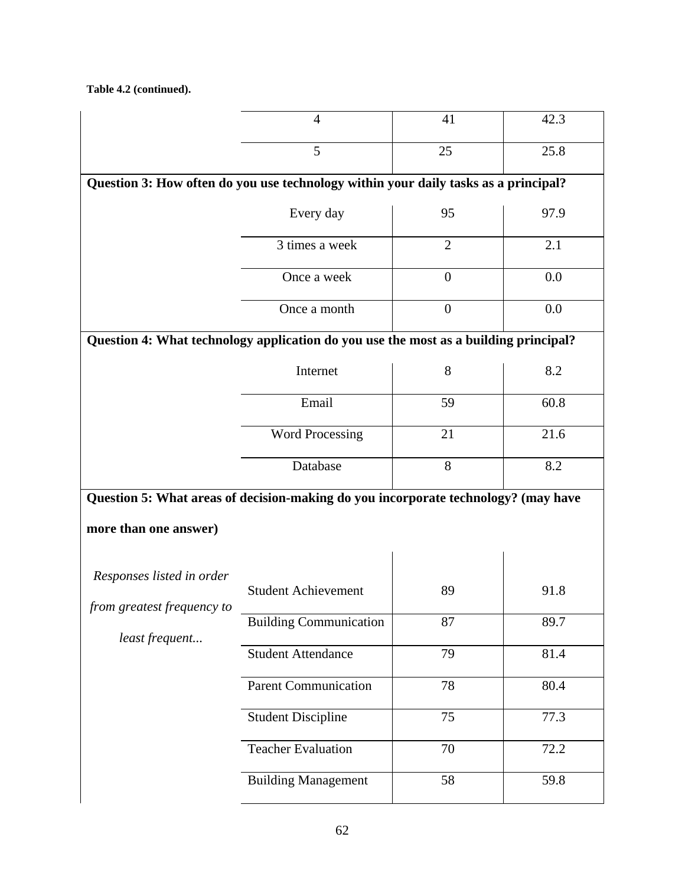**Table 4.2 (continued).**

|                                                                                     | 4                                                                                    | 41             | 42.3 |  |  |  |  |
|-------------------------------------------------------------------------------------|--------------------------------------------------------------------------------------|----------------|------|--|--|--|--|
|                                                                                     | 5                                                                                    | 25             | 25.8 |  |  |  |  |
| Question 3: How often do you use technology within your daily tasks as a principal? |                                                                                      |                |      |  |  |  |  |
|                                                                                     | Every day                                                                            | 95             | 97.9 |  |  |  |  |
|                                                                                     | 3 times a week                                                                       | $\overline{2}$ | 2.1  |  |  |  |  |
|                                                                                     | Once a week                                                                          | $\overline{0}$ | 0.0  |  |  |  |  |
|                                                                                     | Once a month                                                                         | $\overline{0}$ | 0.0  |  |  |  |  |
|                                                                                     | Question 4: What technology application do you use the most as a building principal? |                |      |  |  |  |  |
|                                                                                     | Internet                                                                             | 8              | 8.2  |  |  |  |  |
|                                                                                     | Email                                                                                | 59             | 60.8 |  |  |  |  |
|                                                                                     | <b>Word Processing</b>                                                               | 21             | 21.6 |  |  |  |  |
|                                                                                     | Database                                                                             | 8              | 8.2  |  |  |  |  |
|                                                                                     | Question 5: What areas of decision-making do you incorporate technology? (may have   |                |      |  |  |  |  |
| more than one answer)                                                               |                                                                                      |                |      |  |  |  |  |
| Responses listed in order                                                           |                                                                                      |                |      |  |  |  |  |
| from greatest frequency to                                                          | <b>Student Achievement</b>                                                           | 89             | 91.8 |  |  |  |  |
| least frequent                                                                      | <b>Building Communication</b>                                                        | 87             | 89.7 |  |  |  |  |
|                                                                                     | <b>Student Attendance</b>                                                            | 79             | 81.4 |  |  |  |  |
|                                                                                     | Parent Communication                                                                 | 78             | 80.4 |  |  |  |  |
|                                                                                     | <b>Student Discipline</b>                                                            | 75             | 77.3 |  |  |  |  |
|                                                                                     | <b>Teacher Evaluation</b>                                                            | 70             | 72.2 |  |  |  |  |
|                                                                                     | <b>Building Management</b>                                                           | 58             | 59.8 |  |  |  |  |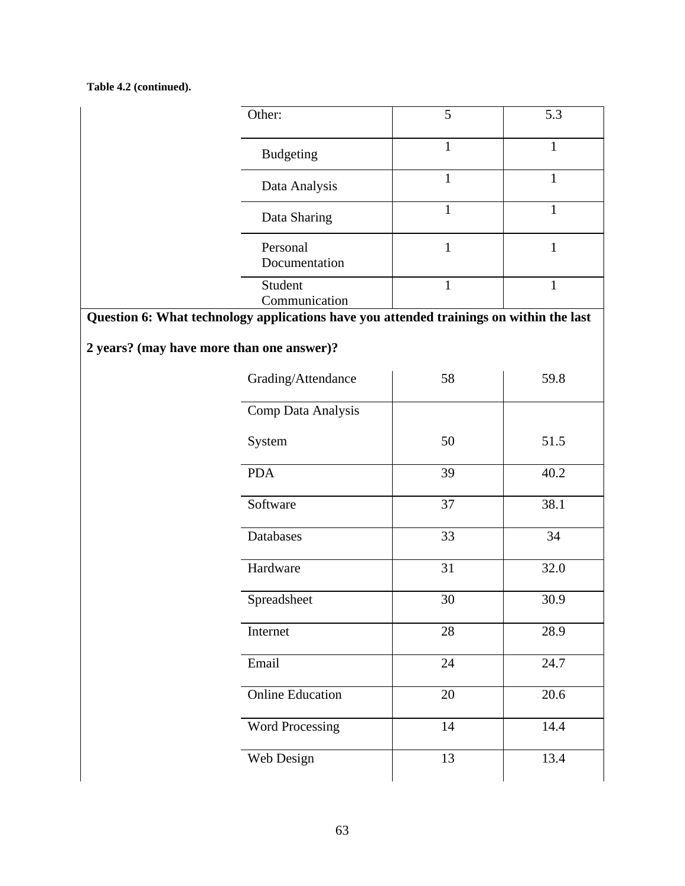## **Table 4.2 (continued).**

|                                                                                         | Other:                    | 5            | 5.3          |  |
|-----------------------------------------------------------------------------------------|---------------------------|--------------|--------------|--|
|                                                                                         | <b>Budgeting</b>          | $\mathbf{1}$ | $\mathbf{1}$ |  |
|                                                                                         | Data Analysis             | $\mathbf{1}$ | $\mathbf{1}$ |  |
|                                                                                         | Data Sharing              | 1            | $\mathbf{1}$ |  |
|                                                                                         | Personal<br>Documentation | 1            | $\mathbf{1}$ |  |
|                                                                                         | Student<br>Communication  | $\mathbf{1}$ | $\mathbf{1}$ |  |
| Question 6: What technology applications have you attended trainings on within the last |                           |              |              |  |
| 2 years? (may have more than one answer)?                                               |                           |              |              |  |
|                                                                                         | Grading/Attendance        | 58           | 59.8         |  |
|                                                                                         | Comp Data Analysis        |              |              |  |
|                                                                                         | System                    | 50           | 51.5         |  |
|                                                                                         | <b>PDA</b>                | 39           | 40.2         |  |
|                                                                                         | Software                  | 37           | 38.1         |  |
|                                                                                         | Databases                 | 33           | 34           |  |
|                                                                                         | Hardware                  | 31           | 32.0         |  |
|                                                                                         | Spreadsheet               | 30           | 30.9         |  |
|                                                                                         | Internet                  | 28           | 28.9         |  |
|                                                                                         | Email                     | 24           | 24.7         |  |
|                                                                                         | <b>Online Education</b>   | 20           | 20.6         |  |
|                                                                                         | <b>Word Processing</b>    | 14           | 14.4         |  |
|                                                                                         | Web Design                | 13           | 13.4         |  |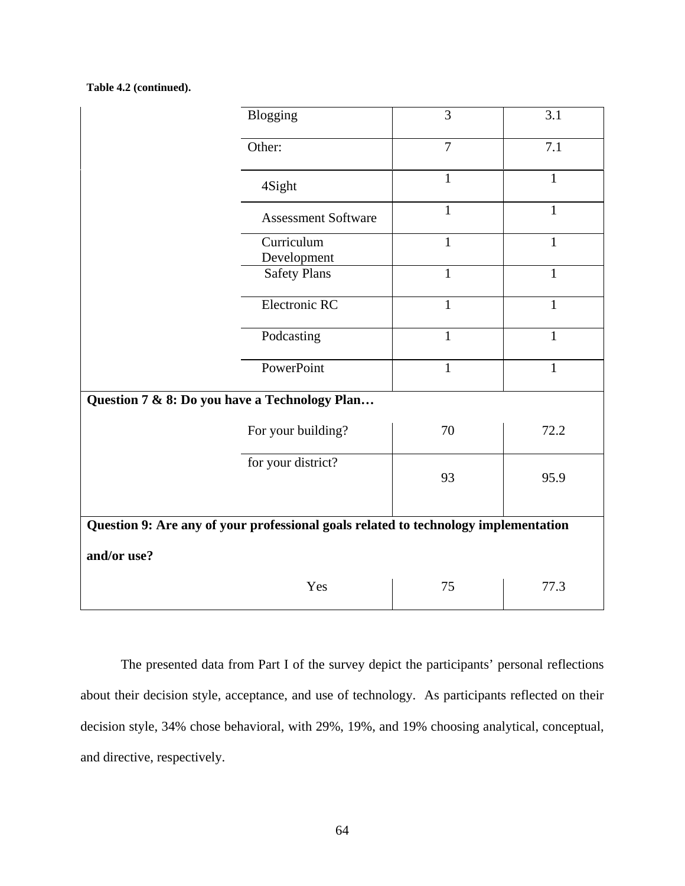**Table 4.2 (continued).**

|                                                                                     | Blogging                   |              | 3.1          |  |  |
|-------------------------------------------------------------------------------------|----------------------------|--------------|--------------|--|--|
|                                                                                     | Other:                     |              | 7.1          |  |  |
|                                                                                     | 4Sight                     | $\mathbf{1}$ | $\mathbf{1}$ |  |  |
|                                                                                     | <b>Assessment Software</b> | $\mathbf{1}$ | $\mathbf{1}$ |  |  |
|                                                                                     | Curriculum<br>Development  | $\mathbf{1}$ | $\mathbf{1}$ |  |  |
|                                                                                     | <b>Safety Plans</b>        | $\mathbf{1}$ | $\mathbf{1}$ |  |  |
|                                                                                     | Electronic RC              |              | $\mathbf{1}$ |  |  |
|                                                                                     | Podcasting                 |              | $\mathbf{1}$ |  |  |
|                                                                                     | PowerPoint                 |              | $\mathbf{1}$ |  |  |
| Question 7 & 8: Do you have a Technology Plan                                       |                            |              |              |  |  |
|                                                                                     | For your building?         | 70           | 72.2         |  |  |
| for your district?                                                                  |                            | 93           | 95.9         |  |  |
| Question 9: Are any of your professional goals related to technology implementation |                            |              |              |  |  |
| and/or use?                                                                         |                            |              |              |  |  |
|                                                                                     | Yes                        | 75           | 77.3         |  |  |

The presented data from Part I of the survey depict the participants' personal reflections about their decision style, acceptance, and use of technology. As participants reflected on their decision style, 34% chose behavioral, with 29%, 19%, and 19% choosing analytical, conceptual, and directive, respectively.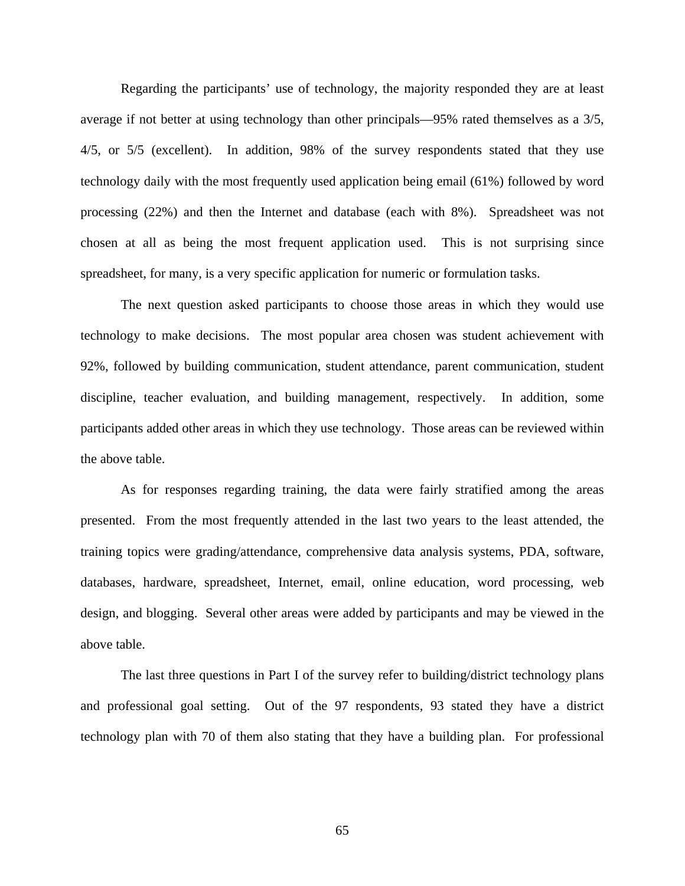Regarding the participants' use of technology, the majority responded they are at least average if not better at using technology than other principals—95% rated themselves as a 3/5, 4/5, or 5/5 (excellent). In addition, 98% of the survey respondents stated that they use technology daily with the most frequently used application being email (61%) followed by word processing (22%) and then the Internet and database (each with 8%). Spreadsheet was not chosen at all as being the most frequent application used. This is not surprising since spreadsheet, for many, is a very specific application for numeric or formulation tasks.

 The next question asked participants to choose those areas in which they would use technology to make decisions. The most popular area chosen was student achievement with 92%, followed by building communication, student attendance, parent communication, student discipline, teacher evaluation, and building management, respectively. In addition, some participants added other areas in which they use technology. Those areas can be reviewed within the above table.

 As for responses regarding training, the data were fairly stratified among the areas presented. From the most frequently attended in the last two years to the least attended, the training topics were grading/attendance, comprehensive data analysis systems, PDA, software, databases, hardware, spreadsheet, Internet, email, online education, word processing, web design, and blogging. Several other areas were added by participants and may be viewed in the above table.

 The last three questions in Part I of the survey refer to building/district technology plans and professional goal setting. Out of the 97 respondents, 93 stated they have a district technology plan with 70 of them also stating that they have a building plan. For professional

65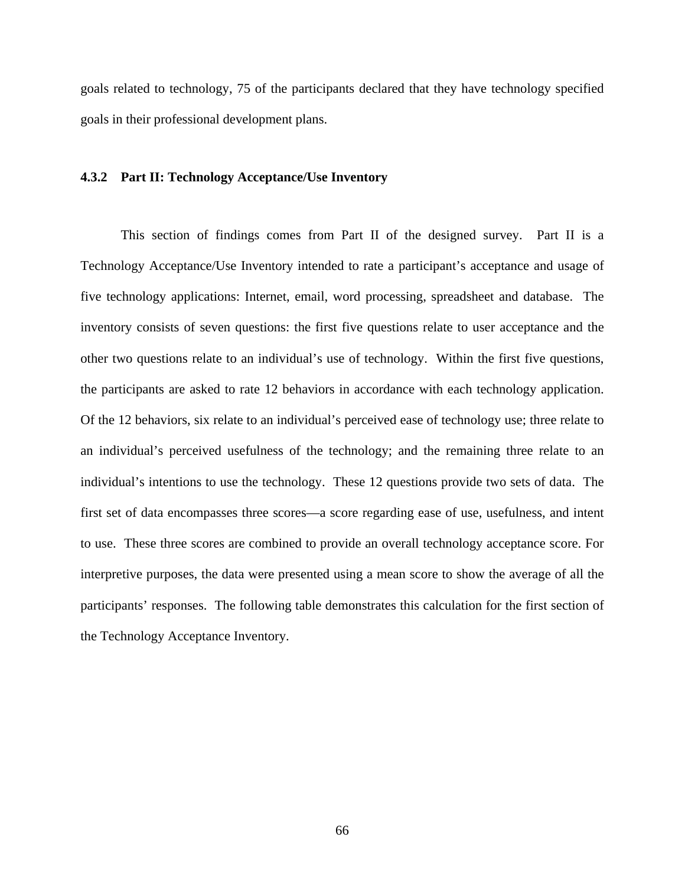goals related to technology, 75 of the participants declared that they have technology specified goals in their professional development plans.

#### **4.3.2 Part II: Technology Acceptance/Use Inventory**

This section of findings comes from Part II of the designed survey. Part II is a Technology Acceptance/Use Inventory intended to rate a participant's acceptance and usage of five technology applications: Internet, email, word processing, spreadsheet and database. The inventory consists of seven questions: the first five questions relate to user acceptance and the other two questions relate to an individual's use of technology. Within the first five questions, the participants are asked to rate 12 behaviors in accordance with each technology application. Of the 12 behaviors, six relate to an individual's perceived ease of technology use; three relate to an individual's perceived usefulness of the technology; and the remaining three relate to an individual's intentions to use the technology. These 12 questions provide two sets of data. The first set of data encompasses three scores—a score regarding ease of use, usefulness, and intent to use. These three scores are combined to provide an overall technology acceptance score. For interpretive purposes, the data were presented using a mean score to show the average of all the participants' responses. The following table demonstrates this calculation for the first section of the Technology Acceptance Inventory.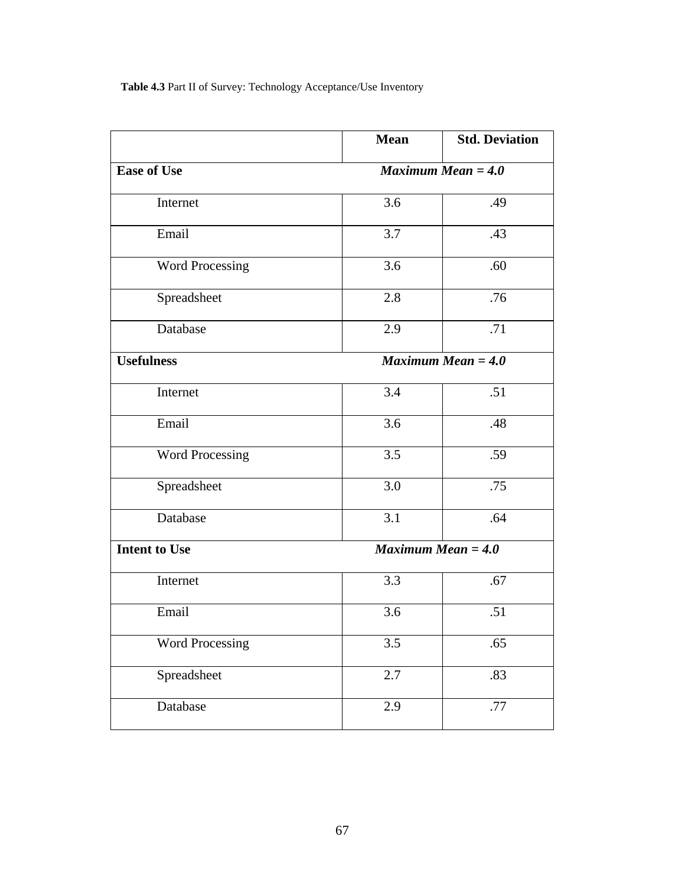**Table 4.3** Part II of Survey: Technology Acceptance/Use Inventory

|                        | <b>Mean</b>          | <b>Std. Deviation</b>           |
|------------------------|----------------------|---------------------------------|
| <b>Ease of Use</b>     | Maximum Mean $= 4.0$ |                                 |
| Internet               | 3.6                  | .49                             |
| Email                  | 3.7                  | .43                             |
| <b>Word Processing</b> | 3.6                  | .60                             |
| Spreadsheet            | 2.8                  | .76                             |
| Database               | 2.9                  | .71                             |
| <b>Usefulness</b>      |                      | $\overline{Maximum}$ Mean = 4.0 |
| Internet               | 3.4                  | .51                             |
| Email                  | 3.6                  | .48                             |
| <b>Word Processing</b> | 3.5                  | .59                             |
| Spreadsheet            | 3.0                  | .75                             |
| Database               | 3.1                  | .64                             |
| <b>Intent to Use</b>   |                      | Maximum Mean $=$ 4.0            |
| Internet               | 3.3                  | .67                             |
| Email                  | 3.6                  | .51                             |
| <b>Word Processing</b> | 3.5                  | .65                             |
| Spreadsheet            | 2.7                  | .83                             |
| Database               | 2.9                  | .77                             |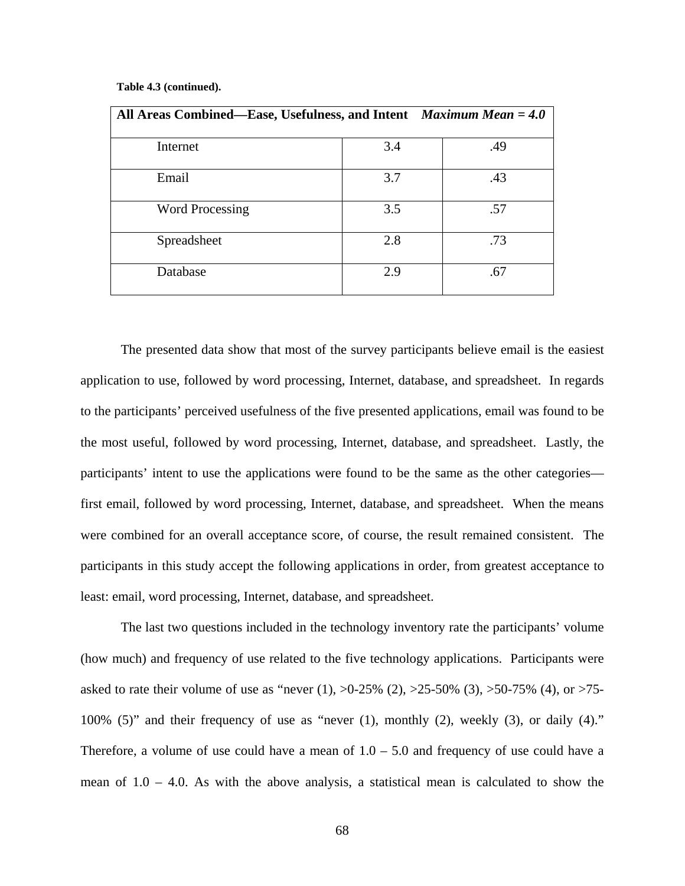#### **Table 4.3 (continued).**

| All Areas Combined—Ease, Usefulness, and Intent Maximum Mean = 4.0 |     |     |
|--------------------------------------------------------------------|-----|-----|
| Internet                                                           | 3.4 | .49 |
| Email                                                              | 3.7 | .43 |
| <b>Word Processing</b>                                             | 3.5 | .57 |
| Spreadsheet                                                        | 2.8 | .73 |
| Database                                                           | 2.9 | .67 |

The presented data show that most of the survey participants believe email is the easiest application to use, followed by word processing, Internet, database, and spreadsheet. In regards to the participants' perceived usefulness of the five presented applications, email was found to be the most useful, followed by word processing, Internet, database, and spreadsheet. Lastly, the participants' intent to use the applications were found to be the same as the other categories first email, followed by word processing, Internet, database, and spreadsheet. When the means were combined for an overall acceptance score, of course, the result remained consistent. The participants in this study accept the following applications in order, from greatest acceptance to least: email, word processing, Internet, database, and spreadsheet.

The last two questions included in the technology inventory rate the participants' volume (how much) and frequency of use related to the five technology applications. Participants were asked to rate their volume of use as "never (1),  $>0.25\%$  (2),  $>25.50\%$  (3),  $>50.75\%$  (4), or  $>75$ -100% (5)" and their frequency of use as "never (1), monthly (2), weekly (3), or daily (4)." Therefore, a volume of use could have a mean of  $1.0 - 5.0$  and frequency of use could have a mean of 1.0 – 4.0. As with the above analysis, a statistical mean is calculated to show the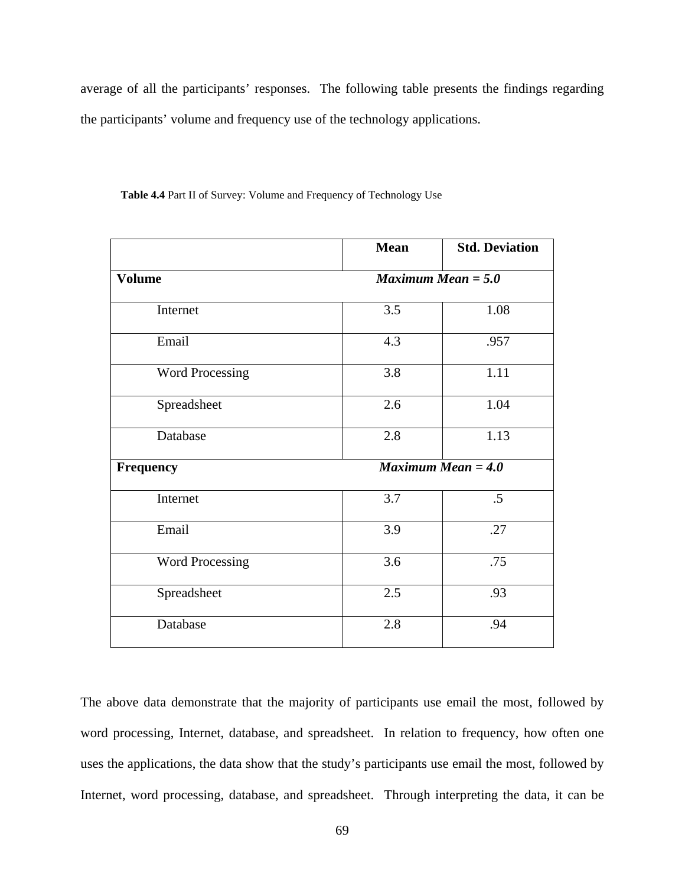average of all the participants' responses. The following table presents the findings regarding the participants' volume and frequency use of the technology applications.

|                        | <b>Mean</b> | <b>Std. Deviation</b> |
|------------------------|-------------|-----------------------|
| <b>Volume</b>          |             | Maximum Mean $= 5.0$  |
| Internet               | 3.5         | 1.08                  |
| Email                  | 4.3         | .957                  |
| <b>Word Processing</b> | 3.8         | 1.11                  |
| Spreadsheet            | 2.6         | 1.04                  |
| Database               | 2.8         | 1.13                  |
| Frequency              |             | Maximum Mean $= 4.0$  |
| Internet               | 3.7         | $.5\,$                |
| Email                  | 3.9         | .27                   |
| Word Processing        | 3.6         | .75                   |
| Spreadsheet            | 2.5         | .93                   |
| Database               | 2.8         | .94                   |

**Table 4.4** Part II of Survey: Volume and Frequency of Technology Use

The above data demonstrate that the majority of participants use email the most, followed by word processing, Internet, database, and spreadsheet. In relation to frequency, how often one uses the applications, the data show that the study's participants use email the most, followed by Internet, word processing, database, and spreadsheet. Through interpreting the data, it can be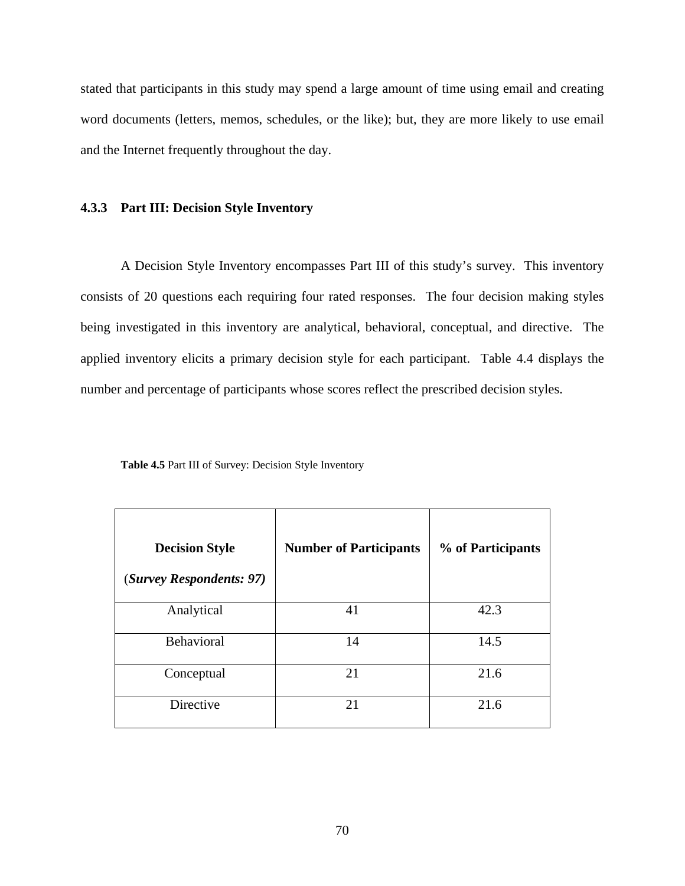stated that participants in this study may spend a large amount of time using email and creating word documents (letters, memos, schedules, or the like); but, they are more likely to use email and the Internet frequently throughout the day.

## **4.3.3 Part III: Decision Style Inventory**

A Decision Style Inventory encompasses Part III of this study's survey. This inventory consists of 20 questions each requiring four rated responses. The four decision making styles being investigated in this inventory are analytical, behavioral, conceptual, and directive. The applied inventory elicits a primary decision style for each participant. Table 4.4 displays the number and percentage of participants whose scores reflect the prescribed decision styles.

| <b>Decision Style</b><br>(Survey Respondents: 97) | <b>Number of Participants</b> | % of Participants |
|---------------------------------------------------|-------------------------------|-------------------|
| Analytical                                        | 41                            | 42.3              |
| Behavioral                                        | 14                            | 14.5              |
| Conceptual                                        | 21                            | 21.6              |
| Directive                                         | 21                            | 21.6              |

**Table 4.5** Part III of Survey: Decision Style Inventory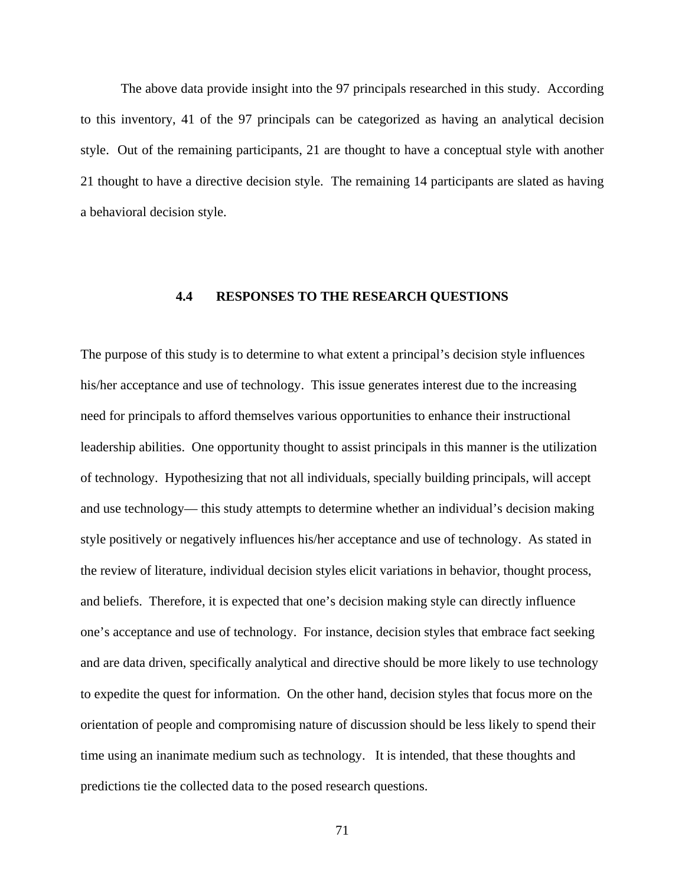The above data provide insight into the 97 principals researched in this study. According to this inventory, 41 of the 97 principals can be categorized as having an analytical decision style. Out of the remaining participants, 21 are thought to have a conceptual style with another 21 thought to have a directive decision style. The remaining 14 participants are slated as having a behavioral decision style.

# **4.4 RESPONSES TO THE RESEARCH QUESTIONS**

The purpose of this study is to determine to what extent a principal's decision style influences his/her acceptance and use of technology. This issue generates interest due to the increasing need for principals to afford themselves various opportunities to enhance their instructional leadership abilities. One opportunity thought to assist principals in this manner is the utilization of technology. Hypothesizing that not all individuals, specially building principals, will accept and use technology— this study attempts to determine whether an individual's decision making style positively or negatively influences his/her acceptance and use of technology. As stated in the review of literature, individual decision styles elicit variations in behavior, thought process, and beliefs. Therefore, it is expected that one's decision making style can directly influence one's acceptance and use of technology. For instance, decision styles that embrace fact seeking and are data driven, specifically analytical and directive should be more likely to use technology to expedite the quest for information. On the other hand, decision styles that focus more on the orientation of people and compromising nature of discussion should be less likely to spend their time using an inanimate medium such as technology. It is intended, that these thoughts and predictions tie the collected data to the posed research questions.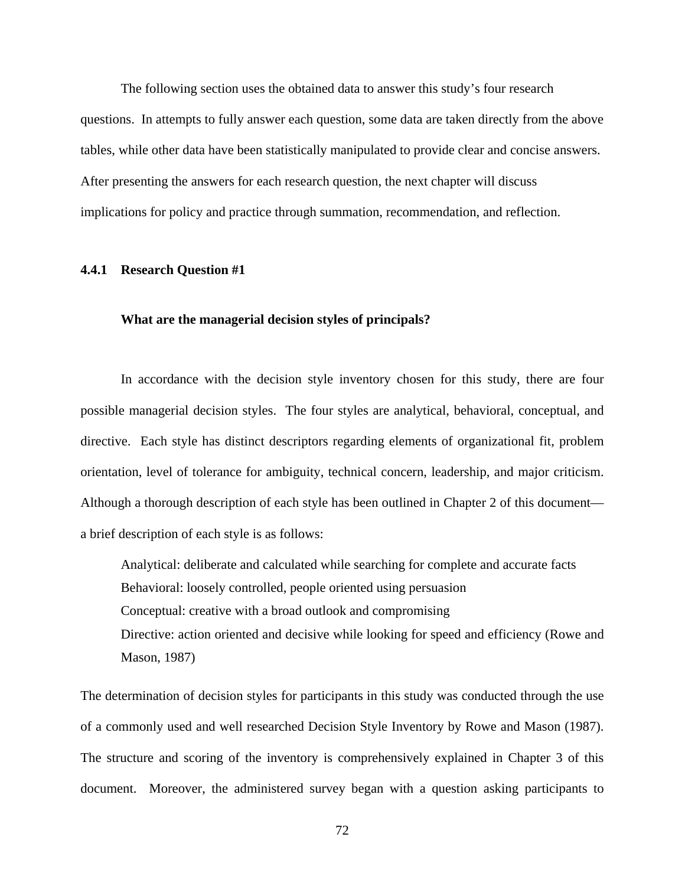The following section uses the obtained data to answer this study's four research questions. In attempts to fully answer each question, some data are taken directly from the above tables, while other data have been statistically manipulated to provide clear and concise answers. After presenting the answers for each research question, the next chapter will discuss implications for policy and practice through summation, recommendation, and reflection.

#### **4.4.1 Research Question #1**

## **What are the managerial decision styles of principals?**

In accordance with the decision style inventory chosen for this study, there are four possible managerial decision styles. The four styles are analytical, behavioral, conceptual, and directive. Each style has distinct descriptors regarding elements of organizational fit, problem orientation, level of tolerance for ambiguity, technical concern, leadership, and major criticism. Although a thorough description of each style has been outlined in Chapter 2 of this document a brief description of each style is as follows:

Analytical: deliberate and calculated while searching for complete and accurate facts Behavioral: loosely controlled, people oriented using persuasion Conceptual: creative with a broad outlook and compromising Directive: action oriented and decisive while looking for speed and efficiency (Rowe and Mason, 1987)

The determination of decision styles for participants in this study was conducted through the use of a commonly used and well researched Decision Style Inventory by Rowe and Mason (1987). The structure and scoring of the inventory is comprehensively explained in Chapter 3 of this document. Moreover, the administered survey began with a question asking participants to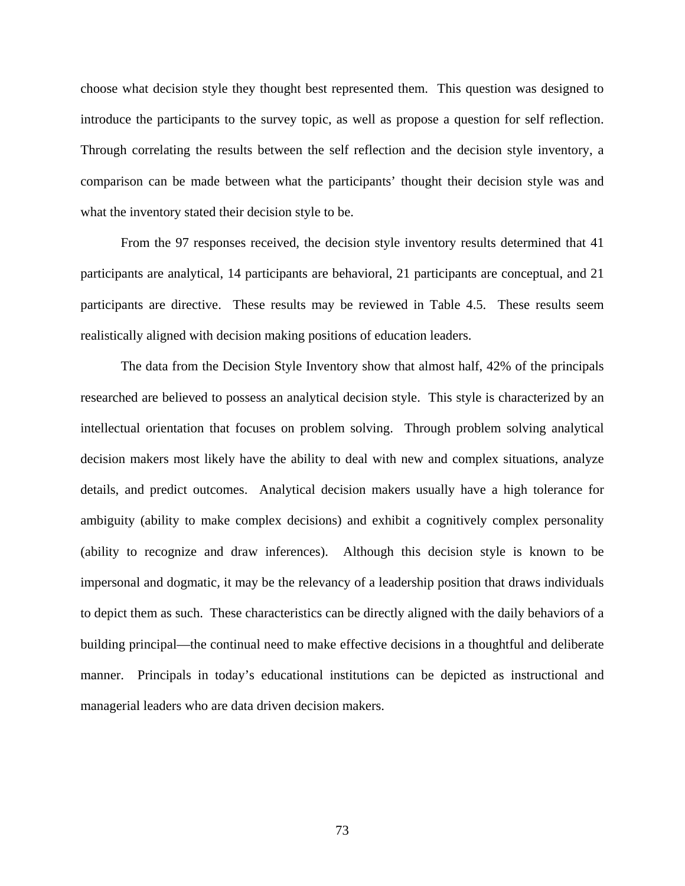choose what decision style they thought best represented them. This question was designed to introduce the participants to the survey topic, as well as propose a question for self reflection. Through correlating the results between the self reflection and the decision style inventory, a comparison can be made between what the participants' thought their decision style was and what the inventory stated their decision style to be.

 From the 97 responses received, the decision style inventory results determined that 41 participants are analytical, 14 participants are behavioral, 21 participants are conceptual, and 21 participants are directive. These results may be reviewed in Table 4.5. These results seem realistically aligned with decision making positions of education leaders.

The data from the Decision Style Inventory show that almost half, 42% of the principals researched are believed to possess an analytical decision style. This style is characterized by an intellectual orientation that focuses on problem solving. Through problem solving analytical decision makers most likely have the ability to deal with new and complex situations, analyze details, and predict outcomes. Analytical decision makers usually have a high tolerance for ambiguity (ability to make complex decisions) and exhibit a cognitively complex personality (ability to recognize and draw inferences). Although this decision style is known to be impersonal and dogmatic, it may be the relevancy of a leadership position that draws individuals to depict them as such. These characteristics can be directly aligned with the daily behaviors of a building principal—the continual need to make effective decisions in a thoughtful and deliberate manner. Principals in today's educational institutions can be depicted as instructional and managerial leaders who are data driven decision makers.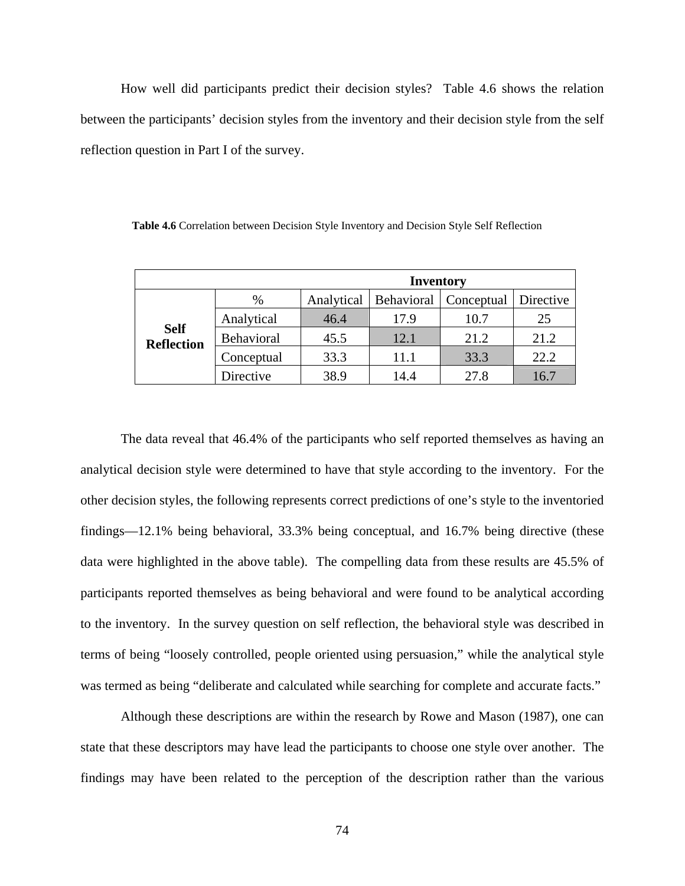How well did participants predict their decision styles? Table 4.6 shows the relation between the participants' decision styles from the inventory and their decision style from the self reflection question in Part I of the survey.

|                                  | <b>Inventory</b> |            |      |                         |           |  |
|----------------------------------|------------------|------------|------|-------------------------|-----------|--|
|                                  | $\%$             | Analytical |      | Behavioral   Conceptual | Directive |  |
|                                  | Analytical       | 46.4       | 17.9 | 10.7                    | 25        |  |
| <b>Self</b><br><b>Reflection</b> | Behavioral       | 45.5       | 12.1 | 21.2                    | 21.2      |  |
|                                  | Conceptual       | 33.3       | 11.1 | 33.3                    | 22.2      |  |
|                                  | Directive        | 38.9       | 14.4 | 27.8                    | 16.7      |  |

 **Table 4.6** Correlation between Decision Style Inventory and Decision Style Self Reflection

The data reveal that 46.4% of the participants who self reported themselves as having an analytical decision style were determined to have that style according to the inventory. For the other decision styles, the following represents correct predictions of one's style to the inventoried findings—12.1% being behavioral, 33.3% being conceptual, and 16.7% being directive (these data were highlighted in the above table). The compelling data from these results are 45.5% of participants reported themselves as being behavioral and were found to be analytical according to the inventory. In the survey question on self reflection, the behavioral style was described in terms of being "loosely controlled, people oriented using persuasion," while the analytical style was termed as being "deliberate and calculated while searching for complete and accurate facts."

Although these descriptions are within the research by Rowe and Mason (1987), one can state that these descriptors may have lead the participants to choose one style over another. The findings may have been related to the perception of the description rather than the various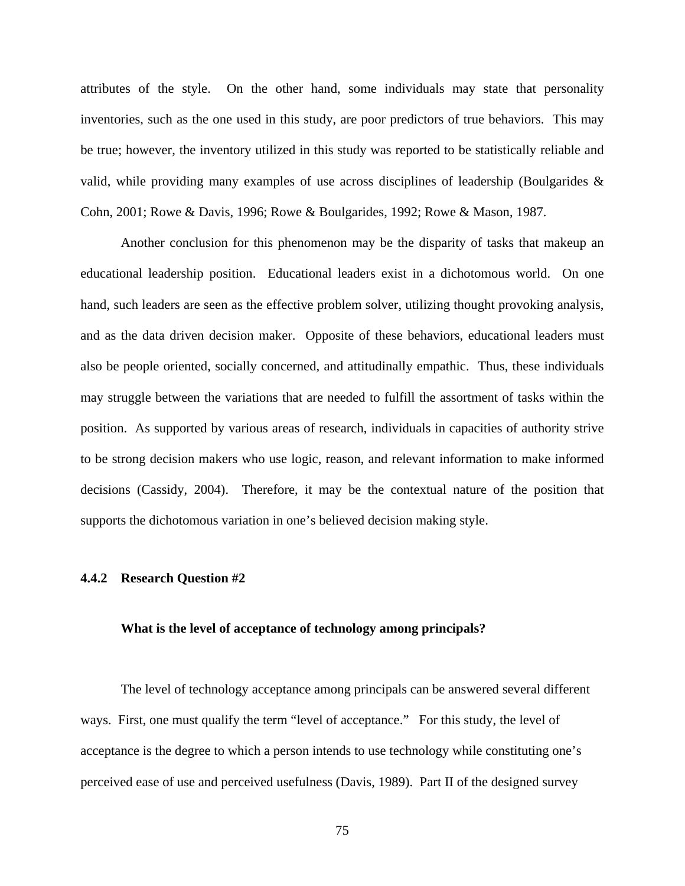attributes of the style. On the other hand, some individuals may state that personality inventories, such as the one used in this study, are poor predictors of true behaviors. This may be true; however, the inventory utilized in this study was reported to be statistically reliable and valid, while providing many examples of use across disciplines of leadership (Boulgarides & Cohn, 2001; Rowe & Davis, 1996; Rowe & Boulgarides, 1992; Rowe & Mason, 1987.

Another conclusion for this phenomenon may be the disparity of tasks that makeup an educational leadership position. Educational leaders exist in a dichotomous world. On one hand, such leaders are seen as the effective problem solver, utilizing thought provoking analysis, and as the data driven decision maker. Opposite of these behaviors, educational leaders must also be people oriented, socially concerned, and attitudinally empathic. Thus, these individuals may struggle between the variations that are needed to fulfill the assortment of tasks within the position. As supported by various areas of research, individuals in capacities of authority strive to be strong decision makers who use logic, reason, and relevant information to make informed decisions (Cassidy, 2004). Therefore, it may be the contextual nature of the position that supports the dichotomous variation in one's believed decision making style.

## **4.4.2 Research Question #2**

## **What is the level of acceptance of technology among principals?**

The level of technology acceptance among principals can be answered several different ways. First, one must qualify the term "level of acceptance." For this study, the level of acceptance is the degree to which a person intends to use technology while constituting one's perceived ease of use and perceived usefulness (Davis, 1989). Part II of the designed survey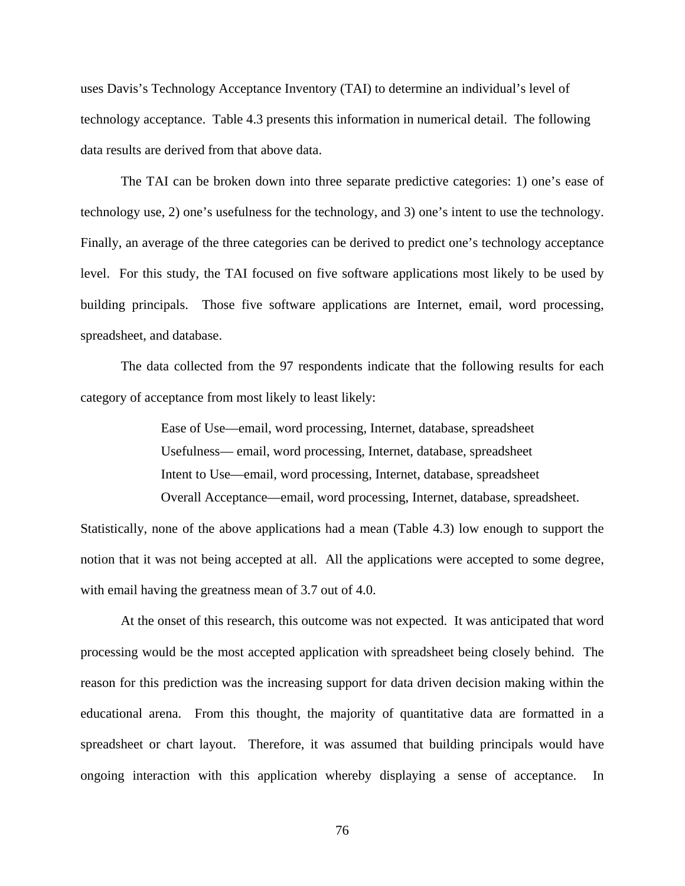uses Davis's Technology Acceptance Inventory (TAI) to determine an individual's level of technology acceptance. Table 4.3 presents this information in numerical detail. The following data results are derived from that above data.

The TAI can be broken down into three separate predictive categories: 1) one's ease of technology use, 2) one's usefulness for the technology, and 3) one's intent to use the technology. Finally, an average of the three categories can be derived to predict one's technology acceptance level. For this study, the TAI focused on five software applications most likely to be used by building principals. Those five software applications are Internet, email, word processing, spreadsheet, and database.

The data collected from the 97 respondents indicate that the following results for each category of acceptance from most likely to least likely:

> Ease of Use—email, word processing, Internet, database, spreadsheet Usefulness— email, word processing, Internet, database, spreadsheet Intent to Use—email, word processing, Internet, database, spreadsheet Overall Acceptance—email, word processing, Internet, database, spreadsheet.

Statistically, none of the above applications had a mean (Table 4.3) low enough to support the notion that it was not being accepted at all. All the applications were accepted to some degree, with email having the greatness mean of 3.7 out of 4.0.

At the onset of this research, this outcome was not expected. It was anticipated that word processing would be the most accepted application with spreadsheet being closely behind. The reason for this prediction was the increasing support for data driven decision making within the educational arena. From this thought, the majority of quantitative data are formatted in a spreadsheet or chart layout. Therefore, it was assumed that building principals would have ongoing interaction with this application whereby displaying a sense of acceptance. In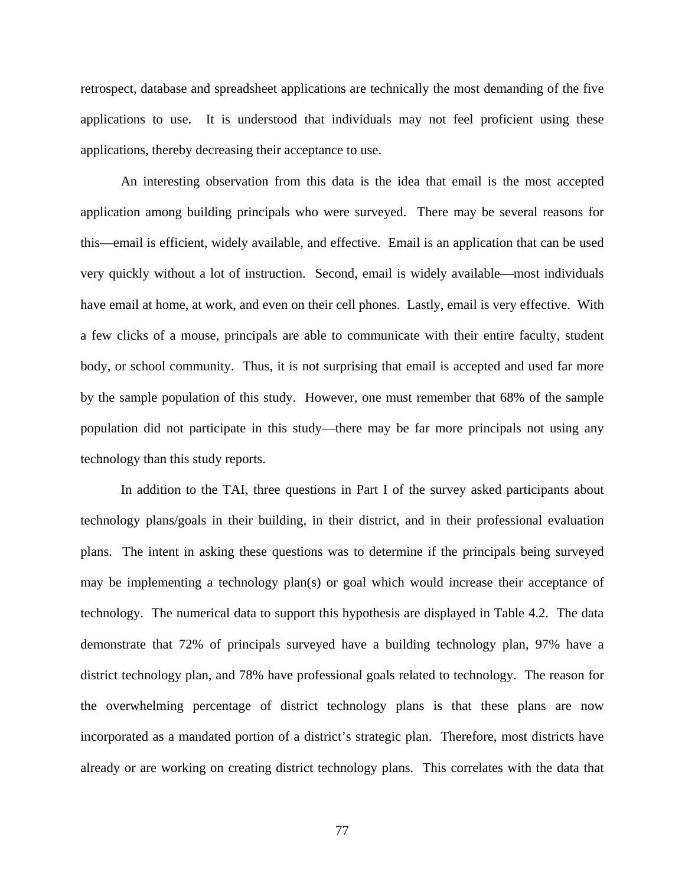retrospect, database and spreadsheet applications are technically the most demanding of the five applications to use. It is understood that individuals may not feel proficient using these applications, thereby decreasing their acceptance to use.

 An interesting observation from this data is the idea that email is the most accepted application among building principals who were surveyed. There may be several reasons for this—email is efficient, widely available, and effective. Email is an application that can be used very quickly without a lot of instruction. Second, email is widely available—most individuals have email at home, at work, and even on their cell phones. Lastly, email is very effective. With a few clicks of a mouse, principals are able to communicate with their entire faculty, student body, or school community. Thus, it is not surprising that email is accepted and used far more by the sample population of this study. However, one must remember that 68% of the sample population did not participate in this study—there may be far more principals not using any technology than this study reports.

 In addition to the TAI, three questions in Part I of the survey asked participants about technology plans/goals in their building, in their district, and in their professional evaluation plans. The intent in asking these questions was to determine if the principals being surveyed may be implementing a technology plan(s) or goal which would increase their acceptance of technology. The numerical data to support this hypothesis are displayed in Table 4.2. The data demonstrate that 72% of principals surveyed have a building technology plan, 97% have a district technology plan, and 78% have professional goals related to technology. The reason for the overwhelming percentage of district technology plans is that these plans are now incorporated as a mandated portion of a district's strategic plan. Therefore, most districts have already or are working on creating district technology plans. This correlates with the data that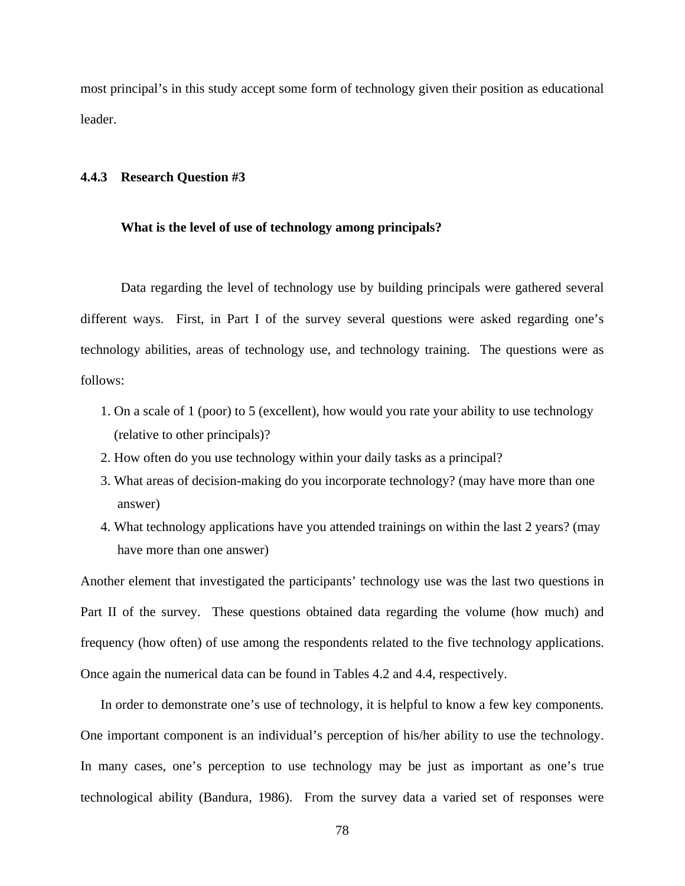most principal's in this study accept some form of technology given their position as educational leader.

#### **4.4.3 Research Question #3**

#### **What is the level of use of technology among principals?**

Data regarding the level of technology use by building principals were gathered several different ways. First, in Part I of the survey several questions were asked regarding one's technology abilities, areas of technology use, and technology training. The questions were as follows:

- 1. On a scale of 1 (poor) to 5 (excellent), how would you rate your ability to use technology (relative to other principals)?
- 2. How often do you use technology within your daily tasks as a principal?
- 3. What areas of decision-making do you incorporate technology? (may have more than one answer)
- 4. What technology applications have you attended trainings on within the last 2 years? (may have more than one answer)

Another element that investigated the participants' technology use was the last two questions in Part II of the survey. These questions obtained data regarding the volume (how much) and frequency (how often) of use among the respondents related to the five technology applications. Once again the numerical data can be found in Tables 4.2 and 4.4, respectively.

 In order to demonstrate one's use of technology, it is helpful to know a few key components. One important component is an individual's perception of his/her ability to use the technology. In many cases, one's perception to use technology may be just as important as one's true technological ability (Bandura, 1986). From the survey data a varied set of responses were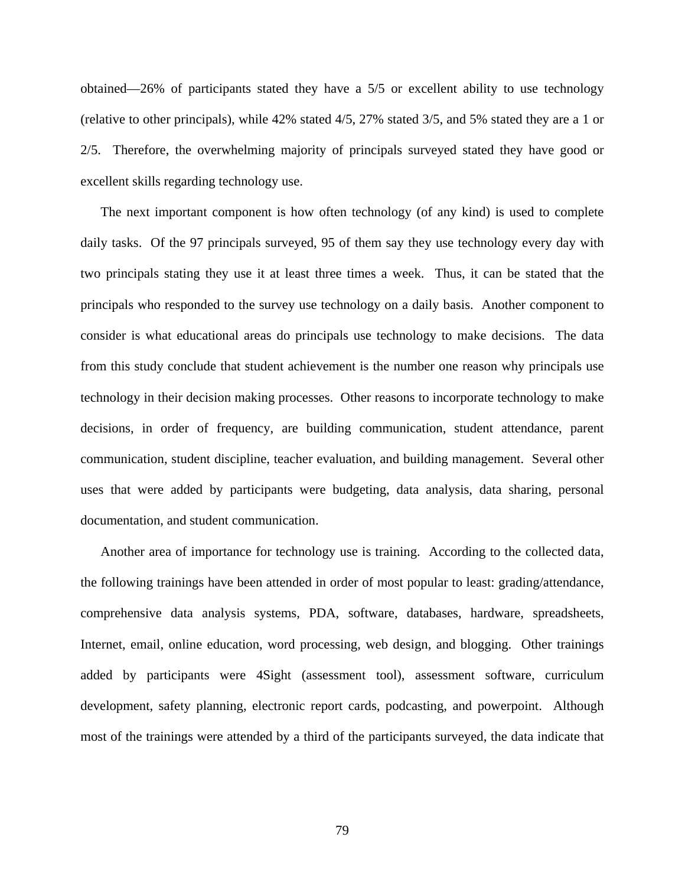obtained—26% of participants stated they have a 5/5 or excellent ability to use technology (relative to other principals), while 42% stated 4/5, 27% stated 3/5, and 5% stated they are a 1 or 2/5. Therefore, the overwhelming majority of principals surveyed stated they have good or excellent skills regarding technology use.

 The next important component is how often technology (of any kind) is used to complete daily tasks. Of the 97 principals surveyed, 95 of them say they use technology every day with two principals stating they use it at least three times a week. Thus, it can be stated that the principals who responded to the survey use technology on a daily basis. Another component to consider is what educational areas do principals use technology to make decisions. The data from this study conclude that student achievement is the number one reason why principals use technology in their decision making processes. Other reasons to incorporate technology to make decisions, in order of frequency, are building communication, student attendance, parent communication, student discipline, teacher evaluation, and building management. Several other uses that were added by participants were budgeting, data analysis, data sharing, personal documentation, and student communication.

 Another area of importance for technology use is training. According to the collected data, the following trainings have been attended in order of most popular to least: grading/attendance, comprehensive data analysis systems, PDA, software, databases, hardware, spreadsheets, Internet, email, online education, word processing, web design, and blogging. Other trainings added by participants were 4Sight (assessment tool), assessment software, curriculum development, safety planning, electronic report cards, podcasting, and powerpoint. Although most of the trainings were attended by a third of the participants surveyed, the data indicate that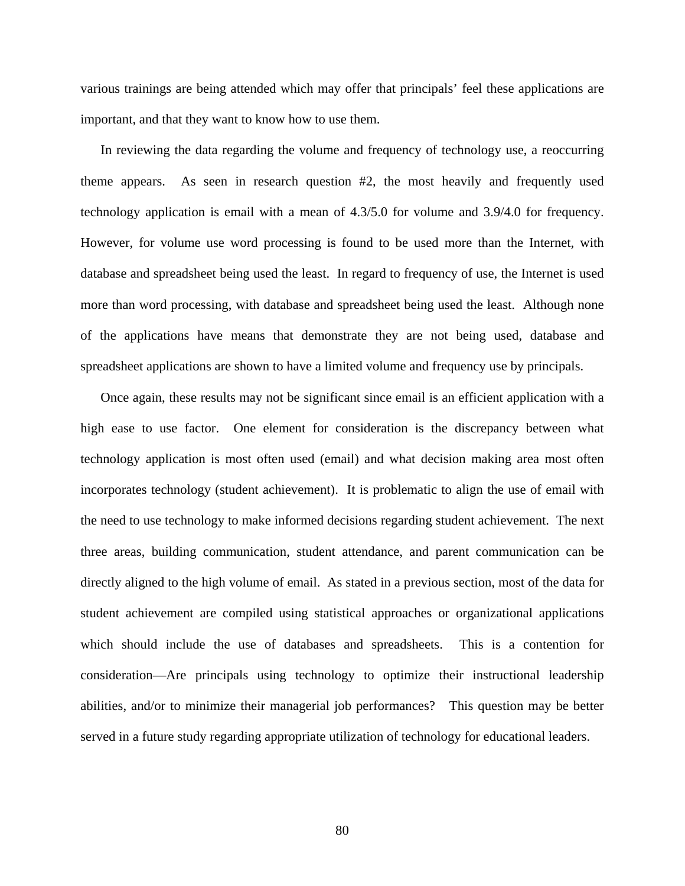various trainings are being attended which may offer that principals' feel these applications are important, and that they want to know how to use them.

 In reviewing the data regarding the volume and frequency of technology use, a reoccurring theme appears. As seen in research question #2, the most heavily and frequently used technology application is email with a mean of 4.3/5.0 for volume and 3.9/4.0 for frequency. However, for volume use word processing is found to be used more than the Internet, with database and spreadsheet being used the least. In regard to frequency of use, the Internet is used more than word processing, with database and spreadsheet being used the least. Although none of the applications have means that demonstrate they are not being used, database and spreadsheet applications are shown to have a limited volume and frequency use by principals.

 Once again, these results may not be significant since email is an efficient application with a high ease to use factor. One element for consideration is the discrepancy between what technology application is most often used (email) and what decision making area most often incorporates technology (student achievement). It is problematic to align the use of email with the need to use technology to make informed decisions regarding student achievement. The next three areas, building communication, student attendance, and parent communication can be directly aligned to the high volume of email. As stated in a previous section, most of the data for student achievement are compiled using statistical approaches or organizational applications which should include the use of databases and spreadsheets. This is a contention for consideration—Are principals using technology to optimize their instructional leadership abilities, and/or to minimize their managerial job performances? This question may be better served in a future study regarding appropriate utilization of technology for educational leaders.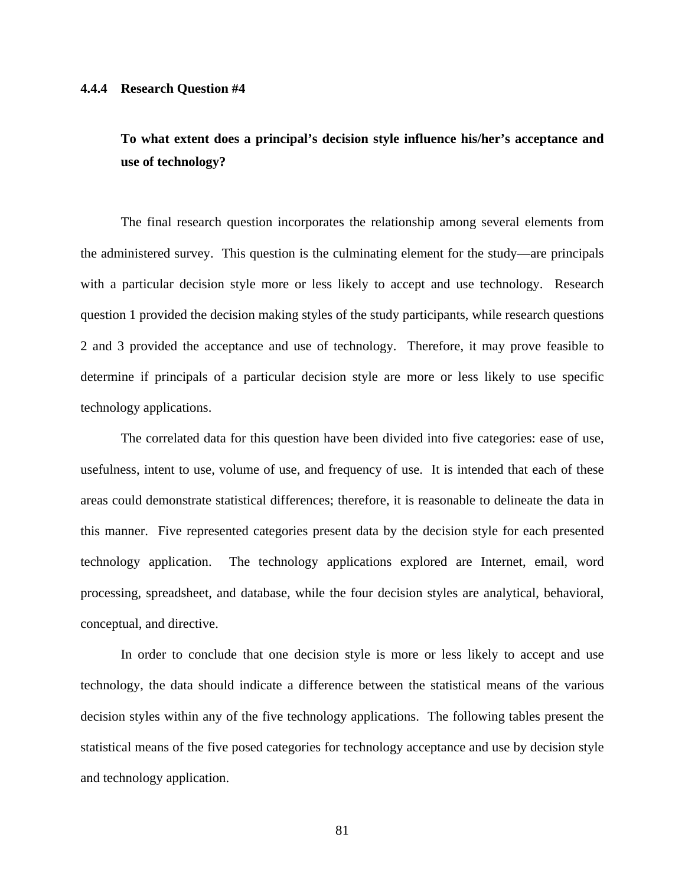# **To what extent does a principal's decision style influence his/her's acceptance and use of technology?**

The final research question incorporates the relationship among several elements from the administered survey. This question is the culminating element for the study—are principals with a particular decision style more or less likely to accept and use technology. Research question 1 provided the decision making styles of the study participants, while research questions 2 and 3 provided the acceptance and use of technology. Therefore, it may prove feasible to determine if principals of a particular decision style are more or less likely to use specific technology applications.

The correlated data for this question have been divided into five categories: ease of use, usefulness, intent to use, volume of use, and frequency of use. It is intended that each of these areas could demonstrate statistical differences; therefore, it is reasonable to delineate the data in this manner. Five represented categories present data by the decision style for each presented technology application. The technology applications explored are Internet, email, word processing, spreadsheet, and database, while the four decision styles are analytical, behavioral, conceptual, and directive.

In order to conclude that one decision style is more or less likely to accept and use technology, the data should indicate a difference between the statistical means of the various decision styles within any of the five technology applications. The following tables present the statistical means of the five posed categories for technology acceptance and use by decision style and technology application.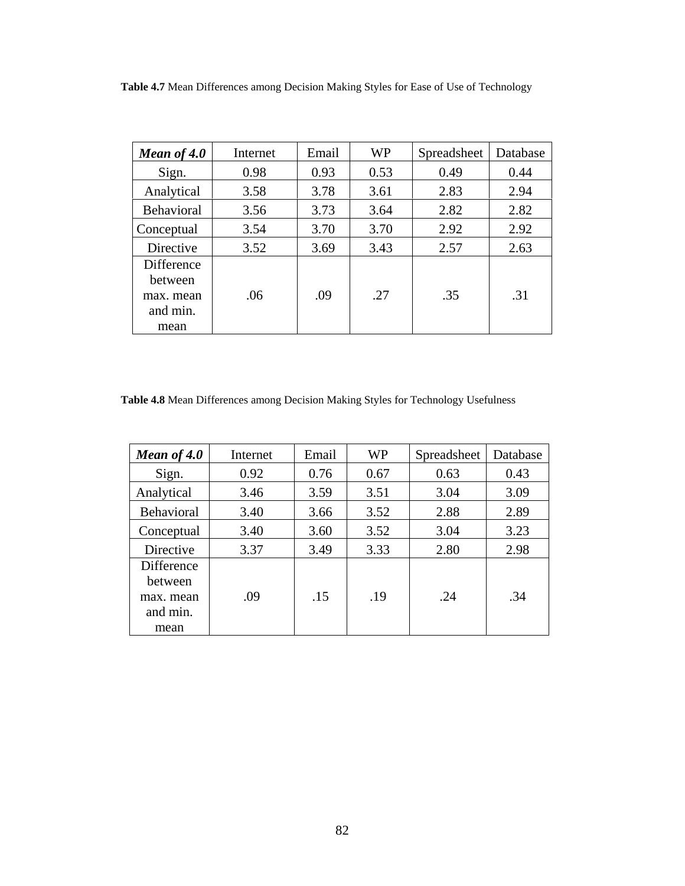**Table 4.7** Mean Differences among Decision Making Styles for Ease of Use of Technology

| Mean of 4.0                                    | Internet | Email | <b>WP</b> | Spreadsheet | Database |
|------------------------------------------------|----------|-------|-----------|-------------|----------|
| Sign.                                          | 0.98     | 0.93  | 0.53      | 0.49        | 0.44     |
| Analytical                                     | 3.58     | 3.78  | 3.61      | 2.83        | 2.94     |
| <b>Behavioral</b>                              | 3.56     | 3.73  | 3.64      | 2.82        | 2.82     |
| Conceptual                                     | 3.54     | 3.70  | 3.70      | 2.92        | 2.92     |
| Directive                                      | 3.52     | 3.69  | 3.43      | 2.57        | 2.63     |
| Difference<br>between<br>max. mean<br>and min. | .06      | .09   | .27       | .35         | .31      |
| mean                                           |          |       |           |             |          |

**Table 4.8** Mean Differences among Decision Making Styles for Technology Usefulness

| Mean of 4.0                                            | Internet | Email | <b>WP</b> | Spreadsheet | Database |
|--------------------------------------------------------|----------|-------|-----------|-------------|----------|
| Sign.                                                  | 0.92     | 0.76  | 0.67      | 0.63        | 0.43     |
| Analytical                                             | 3.46     | 3.59  | 3.51      | 3.04        | 3.09     |
| <b>Behavioral</b>                                      | 3.40     | 3.66  | 3.52      | 2.88        | 2.89     |
| Conceptual                                             | 3.40     | 3.60  | 3.52      | 3.04        | 3.23     |
| Directive                                              | 3.37     | 3.49  | 3.33      | 2.80        | 2.98     |
| Difference<br>between<br>max. mean<br>and min.<br>mean | .09      | .15   | .19       | .24         | .34      |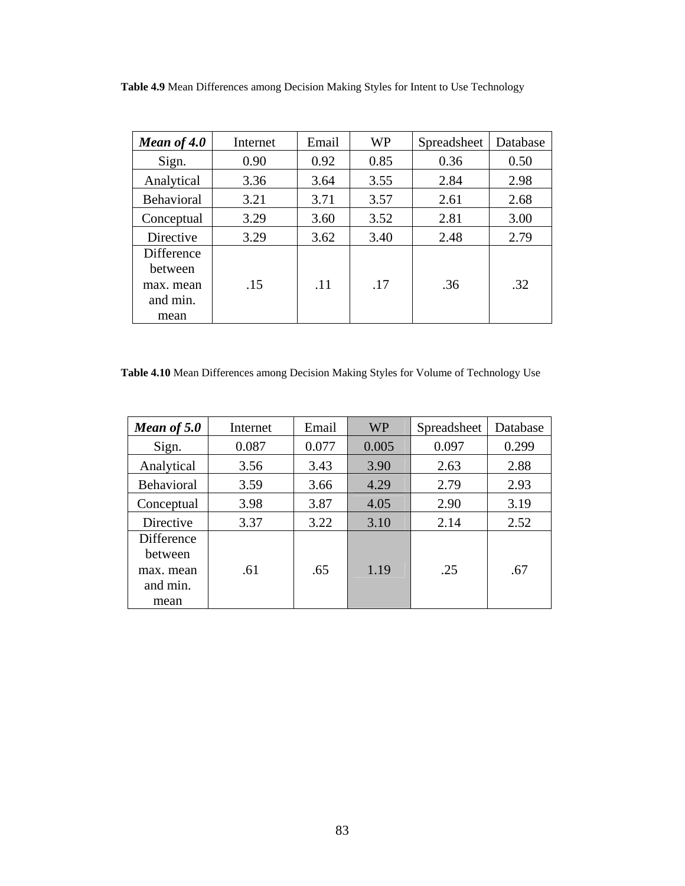**Table 4.9** Mean Differences among Decision Making Styles for Intent to Use Technology

| Internet | Email | <b>WP</b> | Spreadsheet | Database |
|----------|-------|-----------|-------------|----------|
| 0.90     | 0.92  | 0.85      | 0.36        | 0.50     |
| 3.36     | 3.64  | 3.55      | 2.84        | 2.98     |
| 3.21     | 3.71  | 3.57      | 2.61        | 2.68     |
| 3.29     | 3.60  | 3.52      | 2.81        | 3.00     |
| 3.29     | 3.62  | 3.40      | 2.48        | 2.79     |
| .15      | .11   | .17       | .36         | .32      |
|          |       |           |             |          |

**Table 4.10** Mean Differences among Decision Making Styles for Volume of Technology Use

| Mean of 5.0                                           | Internet | Email | <b>WP</b> | Spreadsheet | Database |
|-------------------------------------------------------|----------|-------|-----------|-------------|----------|
| Sign.                                                 | 0.087    | 0.077 | 0.005     | 0.097       | 0.299    |
| Analytical                                            | 3.56     | 3.43  | 3.90      | 2.63        | 2.88     |
| Behavioral                                            | 3.59     | 3.66  | 4.29      | 2.79        | 2.93     |
| Conceptual                                            | 3.98     | 3.87  | 4.05      | 2.90        | 3.19     |
| Directive                                             | 3.37     | 3.22  | 3.10      | 2.14        | 2.52     |
| <b>Difference</b><br>between<br>max. mean<br>and min. | .61      | .65   | 1.19      | .25         | .67      |
| mean                                                  |          |       |           |             |          |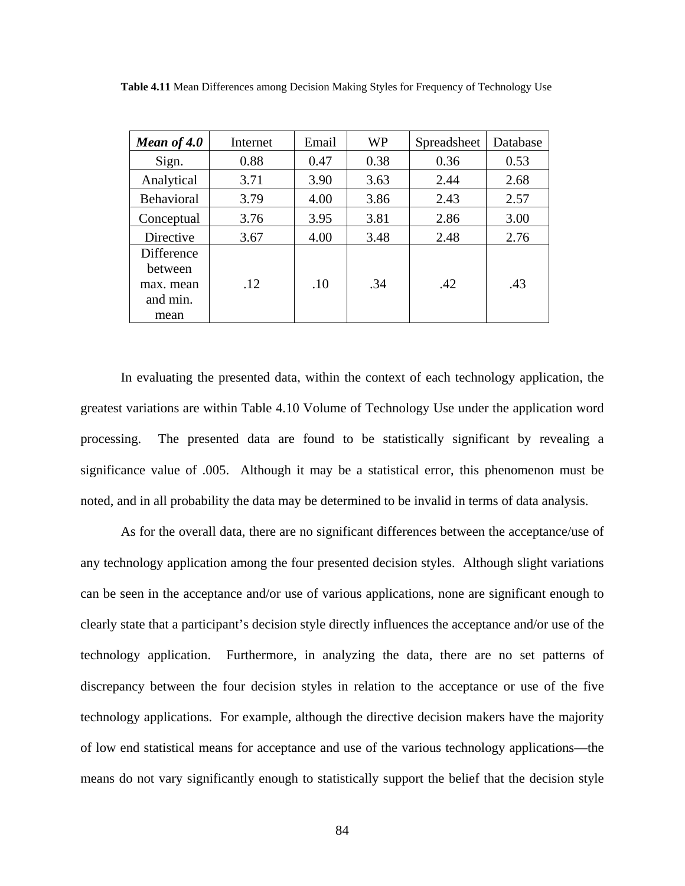| Mean of $4.0$                                          | Internet | Email | <b>WP</b> | Spreadsheet | Database |
|--------------------------------------------------------|----------|-------|-----------|-------------|----------|
| Sign.                                                  | 0.88     | 0.47  | 0.38      | 0.36        | 0.53     |
| Analytical                                             | 3.71     | 3.90  | 3.63      | 2.44        | 2.68     |
| <b>Behavioral</b>                                      | 3.79     | 4.00  | 3.86      | 2.43        | 2.57     |
| Conceptual                                             | 3.76     | 3.95  | 3.81      | 2.86        | 3.00     |
| Directive                                              | 3.67     | 4.00  | 3.48      | 2.48        | 2.76     |
| Difference<br>between<br>max. mean<br>and min.<br>mean | .12      | .10   | .34       | .42         | .43      |

**Table 4.11** Mean Differences among Decision Making Styles for Frequency of Technology Use

In evaluating the presented data, within the context of each technology application, the greatest variations are within Table 4.10 Volume of Technology Use under the application word processing. The presented data are found to be statistically significant by revealing a significance value of .005. Although it may be a statistical error, this phenomenon must be noted, and in all probability the data may be determined to be invalid in terms of data analysis.

As for the overall data, there are no significant differences between the acceptance/use of any technology application among the four presented decision styles. Although slight variations can be seen in the acceptance and/or use of various applications, none are significant enough to clearly state that a participant's decision style directly influences the acceptance and/or use of the technology application. Furthermore, in analyzing the data, there are no set patterns of discrepancy between the four decision styles in relation to the acceptance or use of the five technology applications. For example, although the directive decision makers have the majority of low end statistical means for acceptance and use of the various technology applications—the means do not vary significantly enough to statistically support the belief that the decision style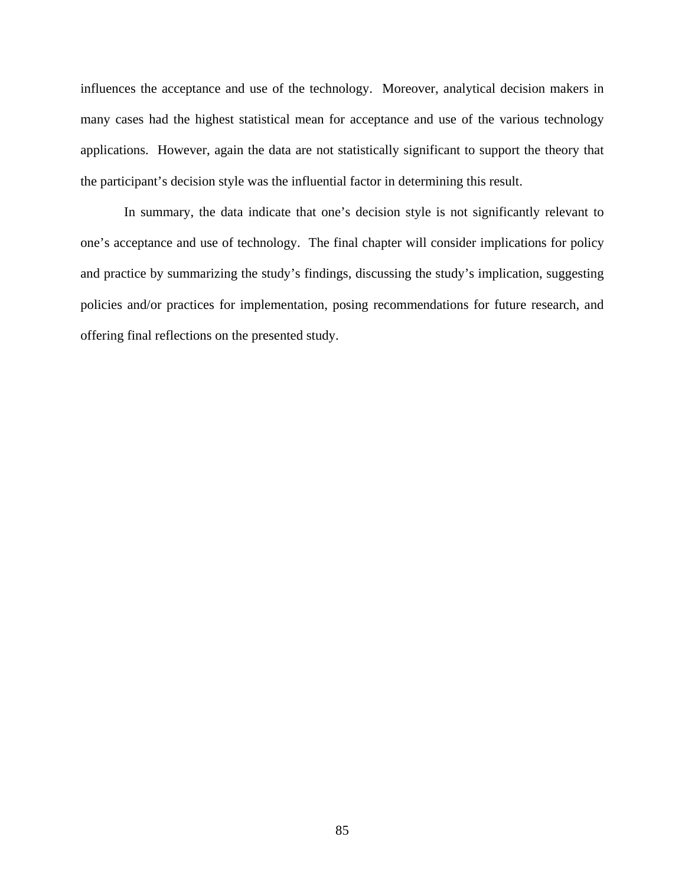influences the acceptance and use of the technology. Moreover, analytical decision makers in many cases had the highest statistical mean for acceptance and use of the various technology applications. However, again the data are not statistically significant to support the theory that the participant's decision style was the influential factor in determining this result.

 In summary, the data indicate that one's decision style is not significantly relevant to one's acceptance and use of technology. The final chapter will consider implications for policy and practice by summarizing the study's findings, discussing the study's implication, suggesting policies and/or practices for implementation, posing recommendations for future research, and offering final reflections on the presented study.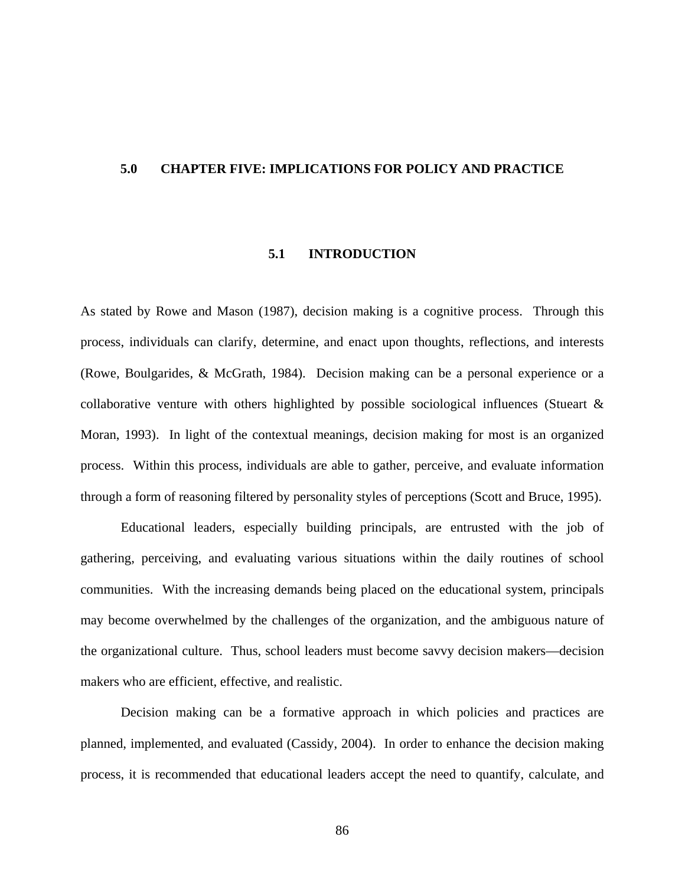## **5.0 CHAPTER FIVE: IMPLICATIONS FOR POLICY AND PRACTICE**

## **5.1 INTRODUCTION**

As stated by Rowe and Mason (1987), decision making is a cognitive process. Through this process, individuals can clarify, determine, and enact upon thoughts, reflections, and interests (Rowe, Boulgarides, & McGrath, 1984). Decision making can be a personal experience or a collaborative venture with others highlighted by possible sociological influences (Stueart  $\&$ Moran, 1993). In light of the contextual meanings, decision making for most is an organized process. Within this process, individuals are able to gather, perceive, and evaluate information through a form of reasoning filtered by personality styles of perceptions (Scott and Bruce, 1995).

Educational leaders, especially building principals, are entrusted with the job of gathering, perceiving, and evaluating various situations within the daily routines of school communities. With the increasing demands being placed on the educational system, principals may become overwhelmed by the challenges of the organization, and the ambiguous nature of the organizational culture. Thus, school leaders must become savvy decision makers—decision makers who are efficient, effective, and realistic.

Decision making can be a formative approach in which policies and practices are planned, implemented, and evaluated (Cassidy, 2004). In order to enhance the decision making process, it is recommended that educational leaders accept the need to quantify, calculate, and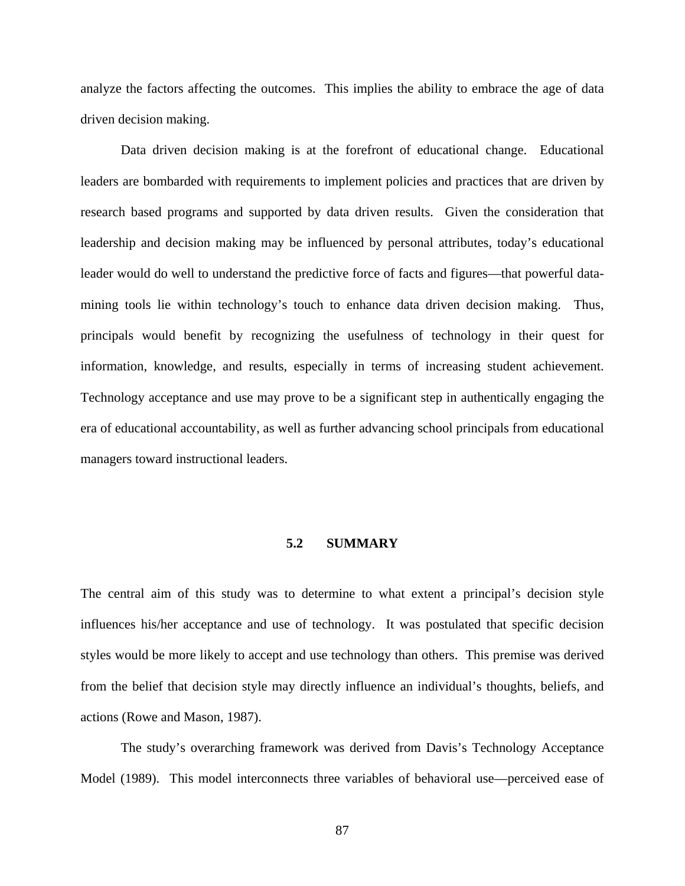analyze the factors affecting the outcomes. This implies the ability to embrace the age of data driven decision making.

Data driven decision making is at the forefront of educational change. Educational leaders are bombarded with requirements to implement policies and practices that are driven by research based programs and supported by data driven results. Given the consideration that leadership and decision making may be influenced by personal attributes, today's educational leader would do well to understand the predictive force of facts and figures—that powerful datamining tools lie within technology's touch to enhance data driven decision making. Thus, principals would benefit by recognizing the usefulness of technology in their quest for information, knowledge, and results, especially in terms of increasing student achievement. Technology acceptance and use may prove to be a significant step in authentically engaging the era of educational accountability, as well as further advancing school principals from educational managers toward instructional leaders.

## **5.2 SUMMARY**

The central aim of this study was to determine to what extent a principal's decision style influences his/her acceptance and use of technology. It was postulated that specific decision styles would be more likely to accept and use technology than others. This premise was derived from the belief that decision style may directly influence an individual's thoughts, beliefs, and actions (Rowe and Mason, 1987).

The study's overarching framework was derived from Davis's Technology Acceptance Model (1989). This model interconnects three variables of behavioral use—perceived ease of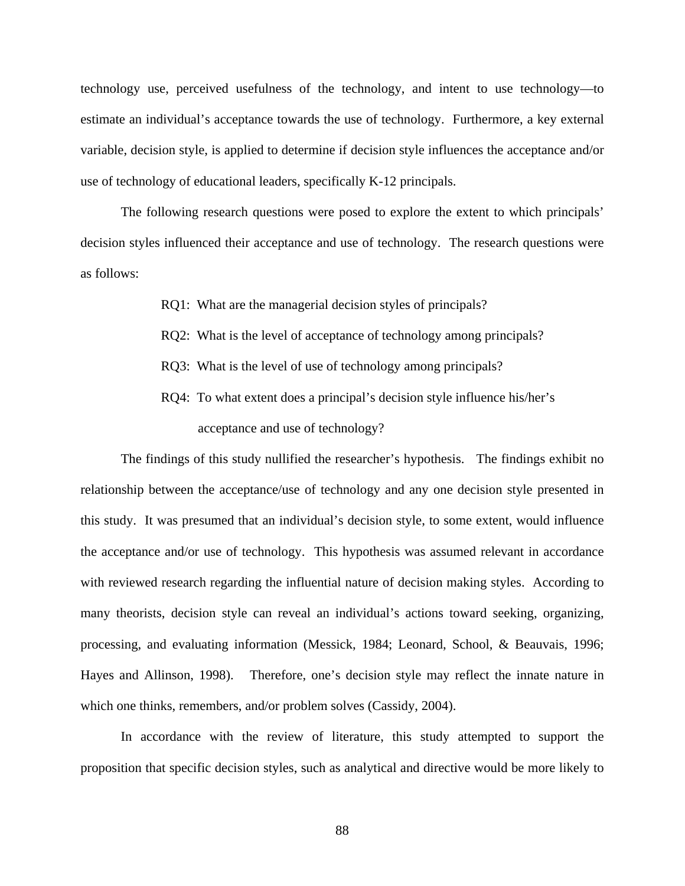technology use, perceived usefulness of the technology, and intent to use technology—to estimate an individual's acceptance towards the use of technology. Furthermore, a key external variable, decision style, is applied to determine if decision style influences the acceptance and/or use of technology of educational leaders, specifically K-12 principals.

The following research questions were posed to explore the extent to which principals' decision styles influenced their acceptance and use of technology. The research questions were as follows:

- RQ1: What are the managerial decision styles of principals?
- RQ2: What is the level of acceptance of technology among principals?
- RQ3: What is the level of use of technology among principals?
- RQ4: To what extent does a principal's decision style influence his/her's acceptance and use of technology?

The findings of this study nullified the researcher's hypothesis. The findings exhibit no relationship between the acceptance/use of technology and any one decision style presented in this study. It was presumed that an individual's decision style, to some extent, would influence the acceptance and/or use of technology. This hypothesis was assumed relevant in accordance with reviewed research regarding the influential nature of decision making styles. According to many theorists, decision style can reveal an individual's actions toward seeking, organizing, processing, and evaluating information (Messick, 1984; Leonard, School, & Beauvais, 1996; Hayes and Allinson, 1998). Therefore, one's decision style may reflect the innate nature in which one thinks, remembers, and/or problem solves (Cassidy, 2004).

In accordance with the review of literature, this study attempted to support the proposition that specific decision styles, such as analytical and directive would be more likely to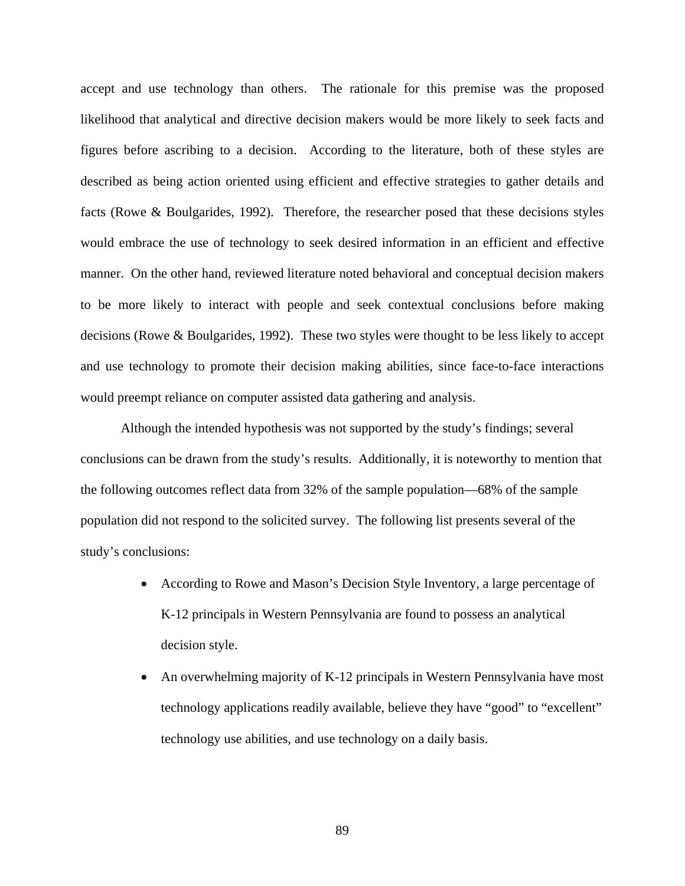accept and use technology than others. The rationale for this premise was the proposed likelihood that analytical and directive decision makers would be more likely to seek facts and figures before ascribing to a decision. According to the literature, both of these styles are described as being action oriented using efficient and effective strategies to gather details and facts (Rowe & Boulgarides, 1992). Therefore, the researcher posed that these decisions styles would embrace the use of technology to seek desired information in an efficient and effective manner. On the other hand, reviewed literature noted behavioral and conceptual decision makers to be more likely to interact with people and seek contextual conclusions before making decisions (Rowe & Boulgarides, 1992). These two styles were thought to be less likely to accept and use technology to promote their decision making abilities, since face-to-face interactions would preempt reliance on computer assisted data gathering and analysis.

Although the intended hypothesis was not supported by the study's findings; several conclusions can be drawn from the study's results. Additionally, it is noteworthy to mention that the following outcomes reflect data from 32% of the sample population—68% of the sample population did not respond to the solicited survey. The following list presents several of the study's conclusions:

- According to Rowe and Mason's Decision Style Inventory, a large percentage of K-12 principals in Western Pennsylvania are found to possess an analytical decision style.
- An overwhelming majority of K-12 principals in Western Pennsylvania have most technology applications readily available, believe they have "good" to "excellent" technology use abilities, and use technology on a daily basis.

89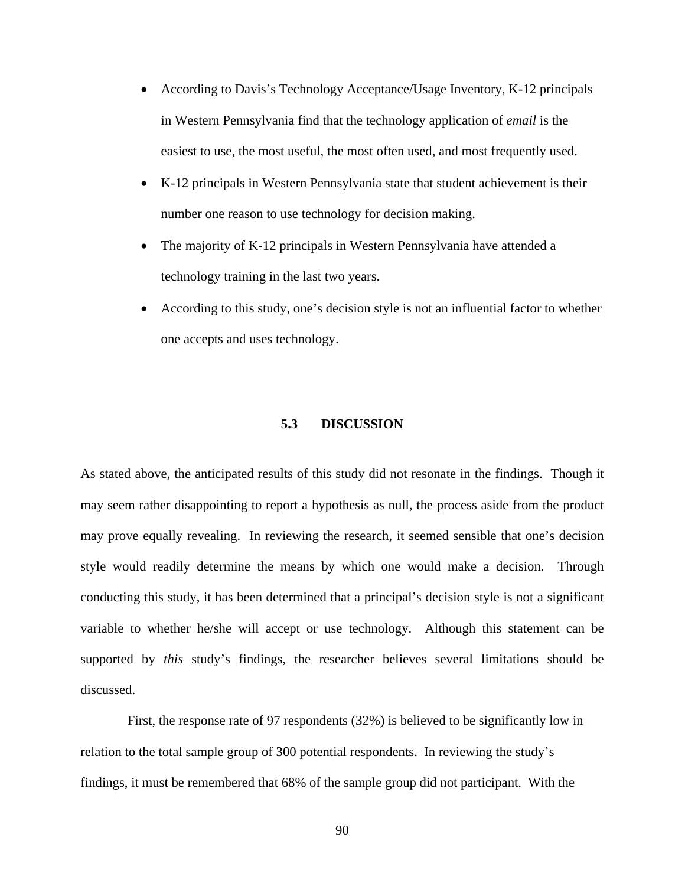- According to Davis's Technology Acceptance/Usage Inventory, K-12 principals in Western Pennsylvania find that the technology application of *email* is the easiest to use, the most useful, the most often used, and most frequently used.
- K-12 principals in Western Pennsylvania state that student achievement is their number one reason to use technology for decision making.
- The majority of K-12 principals in Western Pennsylvania have attended a technology training in the last two years.
- According to this study, one's decision style is not an influential factor to whether one accepts and uses technology.

# **5.3 DISCUSSION**

As stated above, the anticipated results of this study did not resonate in the findings. Though it may seem rather disappointing to report a hypothesis as null, the process aside from the product may prove equally revealing. In reviewing the research, it seemed sensible that one's decision style would readily determine the means by which one would make a decision. Through conducting this study, it has been determined that a principal's decision style is not a significant variable to whether he/she will accept or use technology. Although this statement can be supported by *this* study's findings, the researcher believes several limitations should be discussed.

 First, the response rate of 97 respondents (32%) is believed to be significantly low in relation to the total sample group of 300 potential respondents. In reviewing the study's findings, it must be remembered that 68% of the sample group did not participant. With the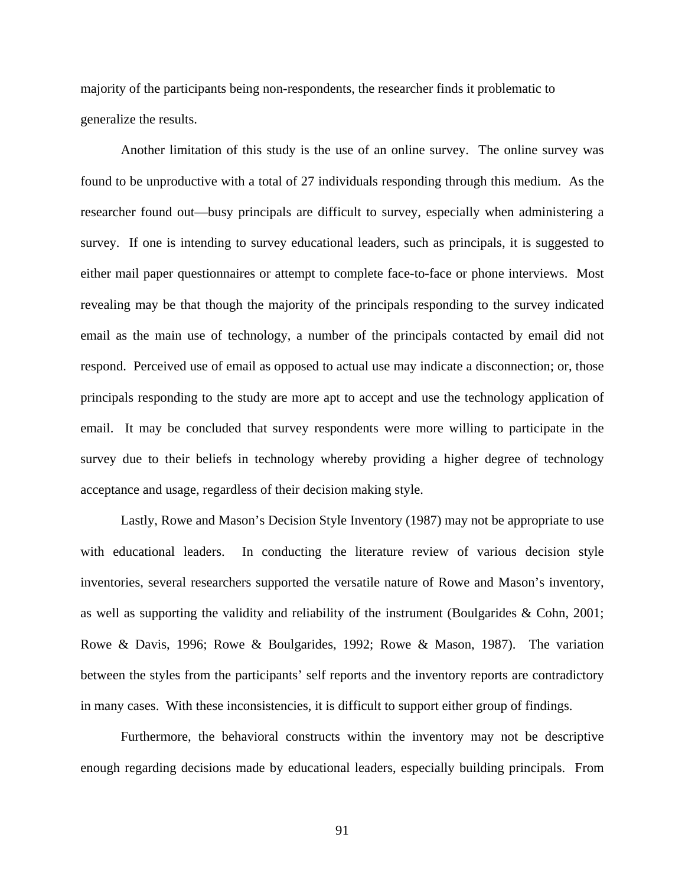majority of the participants being non-respondents, the researcher finds it problematic to generalize the results.

Another limitation of this study is the use of an online survey. The online survey was found to be unproductive with a total of 27 individuals responding through this medium. As the researcher found out—busy principals are difficult to survey, especially when administering a survey. If one is intending to survey educational leaders, such as principals, it is suggested to either mail paper questionnaires or attempt to complete face-to-face or phone interviews. Most revealing may be that though the majority of the principals responding to the survey indicated email as the main use of technology, a number of the principals contacted by email did not respond. Perceived use of email as opposed to actual use may indicate a disconnection; or, those principals responding to the study are more apt to accept and use the technology application of email. It may be concluded that survey respondents were more willing to participate in the survey due to their beliefs in technology whereby providing a higher degree of technology acceptance and usage, regardless of their decision making style.

Lastly, Rowe and Mason's Decision Style Inventory (1987) may not be appropriate to use with educational leaders. In conducting the literature review of various decision style inventories, several researchers supported the versatile nature of Rowe and Mason's inventory, as well as supporting the validity and reliability of the instrument (Boulgarides & Cohn, 2001; Rowe & Davis, 1996; Rowe & Boulgarides, 1992; Rowe & Mason, 1987). The variation between the styles from the participants' self reports and the inventory reports are contradictory in many cases. With these inconsistencies, it is difficult to support either group of findings.

Furthermore, the behavioral constructs within the inventory may not be descriptive enough regarding decisions made by educational leaders, especially building principals. From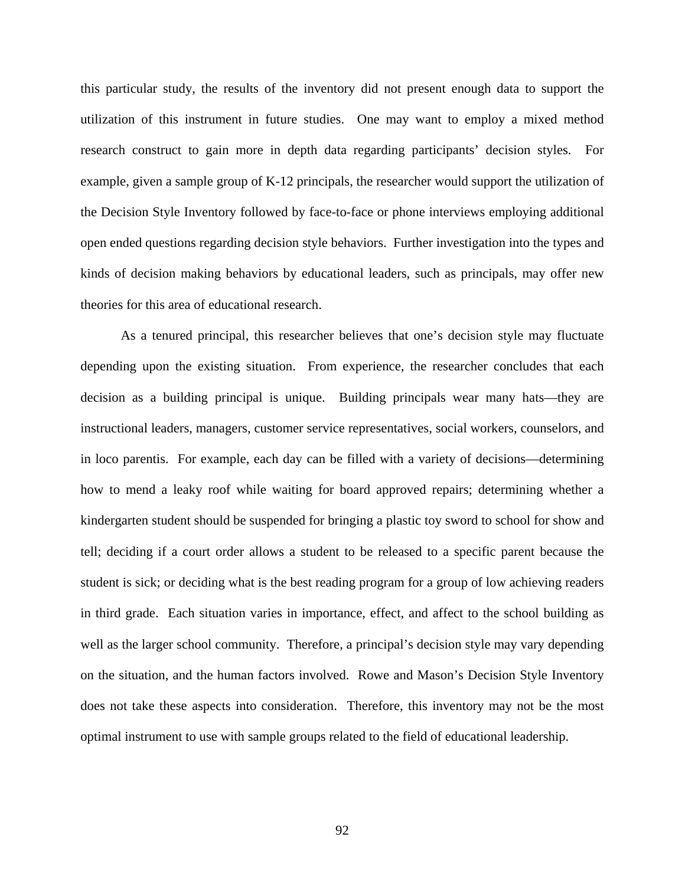this particular study, the results of the inventory did not present enough data to support the utilization of this instrument in future studies. One may want to employ a mixed method research construct to gain more in depth data regarding participants' decision styles. For example, given a sample group of K-12 principals, the researcher would support the utilization of the Decision Style Inventory followed by face-to-face or phone interviews employing additional open ended questions regarding decision style behaviors. Further investigation into the types and kinds of decision making behaviors by educational leaders, such as principals, may offer new theories for this area of educational research.

As a tenured principal, this researcher believes that one's decision style may fluctuate depending upon the existing situation. From experience, the researcher concludes that each decision as a building principal is unique. Building principals wear many hats—they are instructional leaders, managers, customer service representatives, social workers, counselors, and in loco parentis. For example, each day can be filled with a variety of decisions—determining how to mend a leaky roof while waiting for board approved repairs; determining whether a kindergarten student should be suspended for bringing a plastic toy sword to school for show and tell; deciding if a court order allows a student to be released to a specific parent because the student is sick; or deciding what is the best reading program for a group of low achieving readers in third grade. Each situation varies in importance, effect, and affect to the school building as well as the larger school community. Therefore, a principal's decision style may vary depending on the situation, and the human factors involved. Rowe and Mason's Decision Style Inventory does not take these aspects into consideration. Therefore, this inventory may not be the most optimal instrument to use with sample groups related to the field of educational leadership.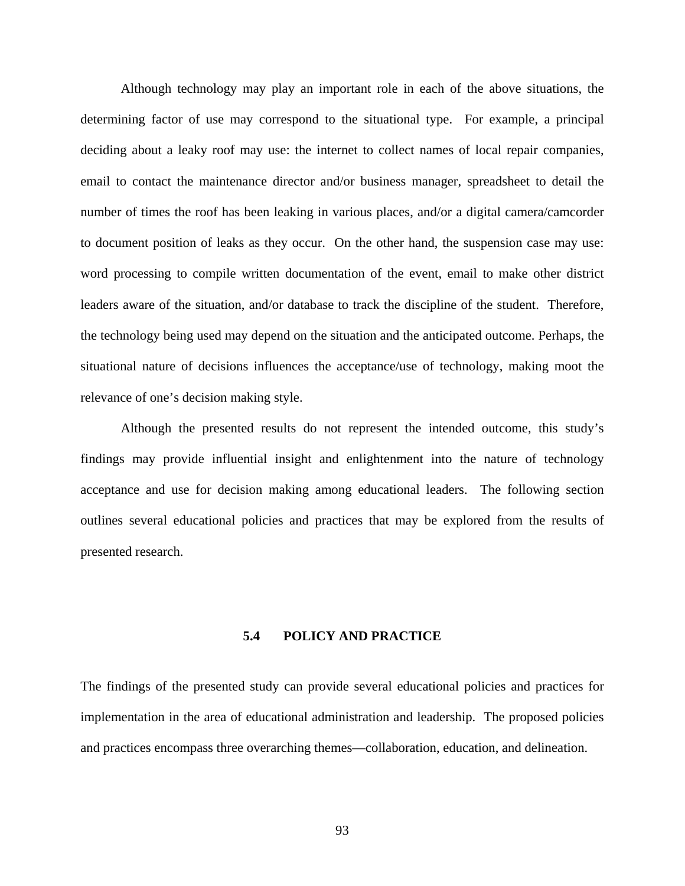Although technology may play an important role in each of the above situations, the determining factor of use may correspond to the situational type. For example, a principal deciding about a leaky roof may use: the internet to collect names of local repair companies, email to contact the maintenance director and/or business manager, spreadsheet to detail the number of times the roof has been leaking in various places, and/or a digital camera/camcorder to document position of leaks as they occur. On the other hand, the suspension case may use: word processing to compile written documentation of the event, email to make other district leaders aware of the situation, and/or database to track the discipline of the student. Therefore, the technology being used may depend on the situation and the anticipated outcome. Perhaps, the situational nature of decisions influences the acceptance/use of technology, making moot the relevance of one's decision making style.

 Although the presented results do not represent the intended outcome, this study's findings may provide influential insight and enlightenment into the nature of technology acceptance and use for decision making among educational leaders. The following section outlines several educational policies and practices that may be explored from the results of presented research.

# **5.4 POLICY AND PRACTICE**

The findings of the presented study can provide several educational policies and practices for implementation in the area of educational administration and leadership. The proposed policies and practices encompass three overarching themes—collaboration, education, and delineation.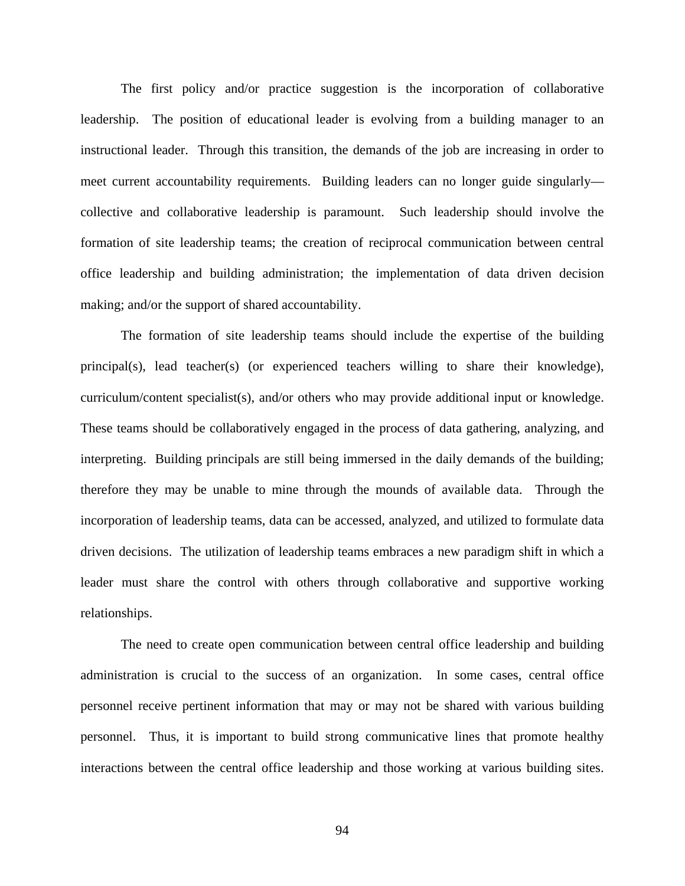The first policy and/or practice suggestion is the incorporation of collaborative leadership. The position of educational leader is evolving from a building manager to an instructional leader. Through this transition, the demands of the job are increasing in order to meet current accountability requirements. Building leaders can no longer guide singularly collective and collaborative leadership is paramount. Such leadership should involve the formation of site leadership teams; the creation of reciprocal communication between central office leadership and building administration; the implementation of data driven decision making; and/or the support of shared accountability.

The formation of site leadership teams should include the expertise of the building principal(s), lead teacher(s) (or experienced teachers willing to share their knowledge), curriculum/content specialist(s), and/or others who may provide additional input or knowledge. These teams should be collaboratively engaged in the process of data gathering, analyzing, and interpreting. Building principals are still being immersed in the daily demands of the building; therefore they may be unable to mine through the mounds of available data. Through the incorporation of leadership teams, data can be accessed, analyzed, and utilized to formulate data driven decisions. The utilization of leadership teams embraces a new paradigm shift in which a leader must share the control with others through collaborative and supportive working relationships.

The need to create open communication between central office leadership and building administration is crucial to the success of an organization. In some cases, central office personnel receive pertinent information that may or may not be shared with various building personnel. Thus, it is important to build strong communicative lines that promote healthy interactions between the central office leadership and those working at various building sites.

94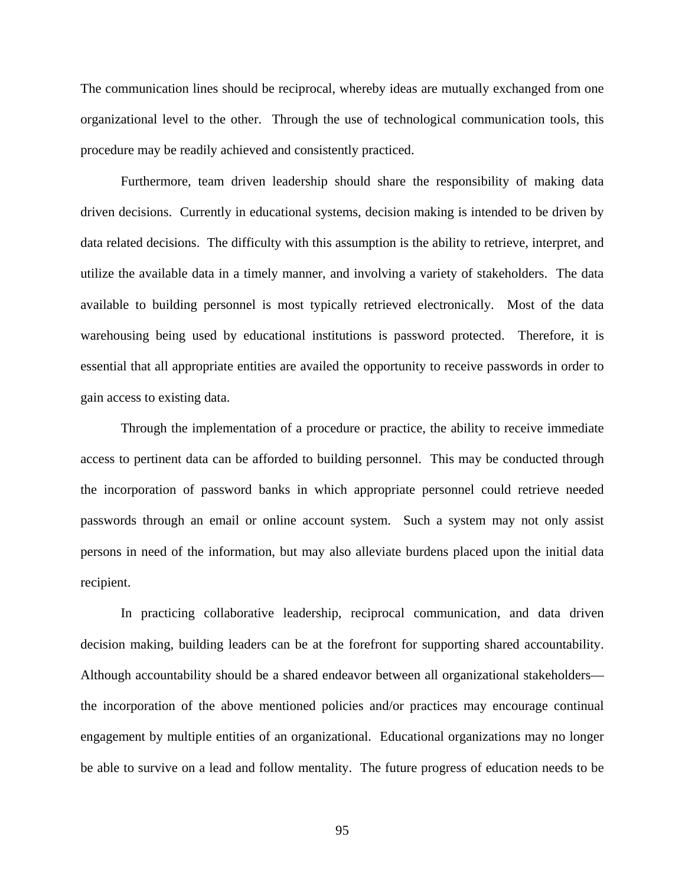The communication lines should be reciprocal, whereby ideas are mutually exchanged from one organizational level to the other. Through the use of technological communication tools, this procedure may be readily achieved and consistently practiced.

Furthermore, team driven leadership should share the responsibility of making data driven decisions. Currently in educational systems, decision making is intended to be driven by data related decisions. The difficulty with this assumption is the ability to retrieve, interpret, and utilize the available data in a timely manner, and involving a variety of stakeholders. The data available to building personnel is most typically retrieved electronically. Most of the data warehousing being used by educational institutions is password protected. Therefore, it is essential that all appropriate entities are availed the opportunity to receive passwords in order to gain access to existing data.

Through the implementation of a procedure or practice, the ability to receive immediate access to pertinent data can be afforded to building personnel. This may be conducted through the incorporation of password banks in which appropriate personnel could retrieve needed passwords through an email or online account system. Such a system may not only assist persons in need of the information, but may also alleviate burdens placed upon the initial data recipient.

In practicing collaborative leadership, reciprocal communication, and data driven decision making, building leaders can be at the forefront for supporting shared accountability. Although accountability should be a shared endeavor between all organizational stakeholders the incorporation of the above mentioned policies and/or practices may encourage continual engagement by multiple entities of an organizational. Educational organizations may no longer be able to survive on a lead and follow mentality. The future progress of education needs to be

95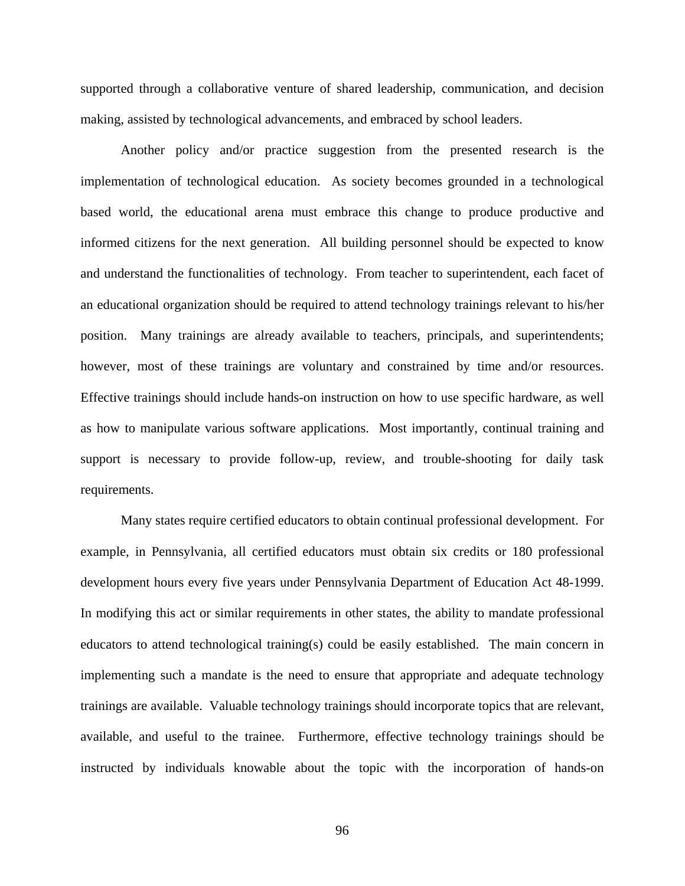supported through a collaborative venture of shared leadership, communication, and decision making, assisted by technological advancements, and embraced by school leaders.

Another policy and/or practice suggestion from the presented research is the implementation of technological education. As society becomes grounded in a technological based world, the educational arena must embrace this change to produce productive and informed citizens for the next generation. All building personnel should be expected to know and understand the functionalities of technology. From teacher to superintendent, each facet of an educational organization should be required to attend technology trainings relevant to his/her position. Many trainings are already available to teachers, principals, and superintendents; however, most of these trainings are voluntary and constrained by time and/or resources. Effective trainings should include hands-on instruction on how to use specific hardware, as well as how to manipulate various software applications. Most importantly, continual training and support is necessary to provide follow-up, review, and trouble-shooting for daily task requirements.

Many states require certified educators to obtain continual professional development. For example, in Pennsylvania, all certified educators must obtain six credits or 180 professional development hours every five years under Pennsylvania Department of Education Act 48-1999. In modifying this act or similar requirements in other states, the ability to mandate professional educators to attend technological training(s) could be easily established. The main concern in implementing such a mandate is the need to ensure that appropriate and adequate technology trainings are available. Valuable technology trainings should incorporate topics that are relevant, available, and useful to the trainee. Furthermore, effective technology trainings should be instructed by individuals knowable about the topic with the incorporation of hands-on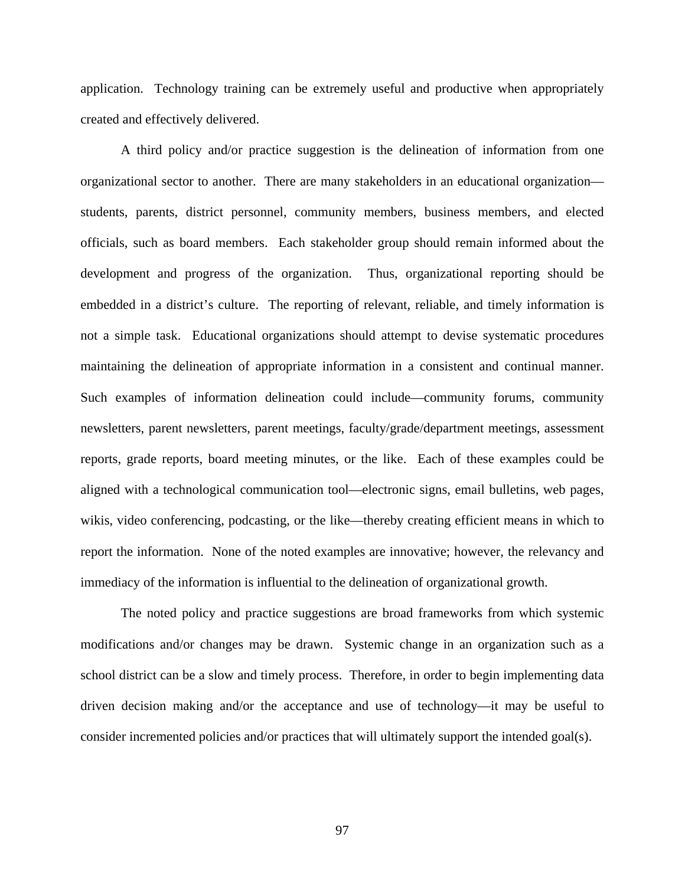application. Technology training can be extremely useful and productive when appropriately created and effectively delivered.

A third policy and/or practice suggestion is the delineation of information from one organizational sector to another. There are many stakeholders in an educational organization students, parents, district personnel, community members, business members, and elected officials, such as board members. Each stakeholder group should remain informed about the development and progress of the organization. Thus, organizational reporting should be embedded in a district's culture. The reporting of relevant, reliable, and timely information is not a simple task. Educational organizations should attempt to devise systematic procedures maintaining the delineation of appropriate information in a consistent and continual manner. Such examples of information delineation could include—community forums, community newsletters, parent newsletters, parent meetings, faculty/grade/department meetings, assessment reports, grade reports, board meeting minutes, or the like. Each of these examples could be aligned with a technological communication tool—electronic signs, email bulletins, web pages, wikis, video conferencing, podcasting, or the like—thereby creating efficient means in which to report the information. None of the noted examples are innovative; however, the relevancy and immediacy of the information is influential to the delineation of organizational growth.

The noted policy and practice suggestions are broad frameworks from which systemic modifications and/or changes may be drawn. Systemic change in an organization such as a school district can be a slow and timely process. Therefore, in order to begin implementing data driven decision making and/or the acceptance and use of technology—it may be useful to consider incremented policies and/or practices that will ultimately support the intended goal(s).

97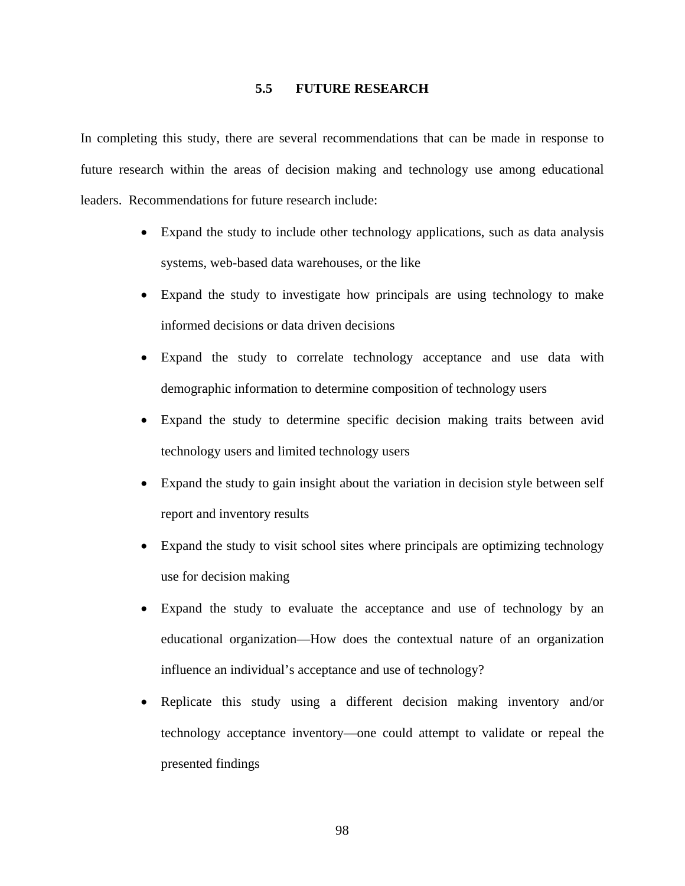### **5.5 FUTURE RESEARCH**

In completing this study, there are several recommendations that can be made in response to future research within the areas of decision making and technology use among educational leaders. Recommendations for future research include:

- Expand the study to include other technology applications, such as data analysis systems, web-based data warehouses, or the like
- Expand the study to investigate how principals are using technology to make informed decisions or data driven decisions
- Expand the study to correlate technology acceptance and use data with demographic information to determine composition of technology users
- Expand the study to determine specific decision making traits between avid technology users and limited technology users
- Expand the study to gain insight about the variation in decision style between self report and inventory results
- Expand the study to visit school sites where principals are optimizing technology use for decision making
- Expand the study to evaluate the acceptance and use of technology by an educational organization—How does the contextual nature of an organization influence an individual's acceptance and use of technology?
- Replicate this study using a different decision making inventory and/or technology acceptance inventory—one could attempt to validate or repeal the presented findings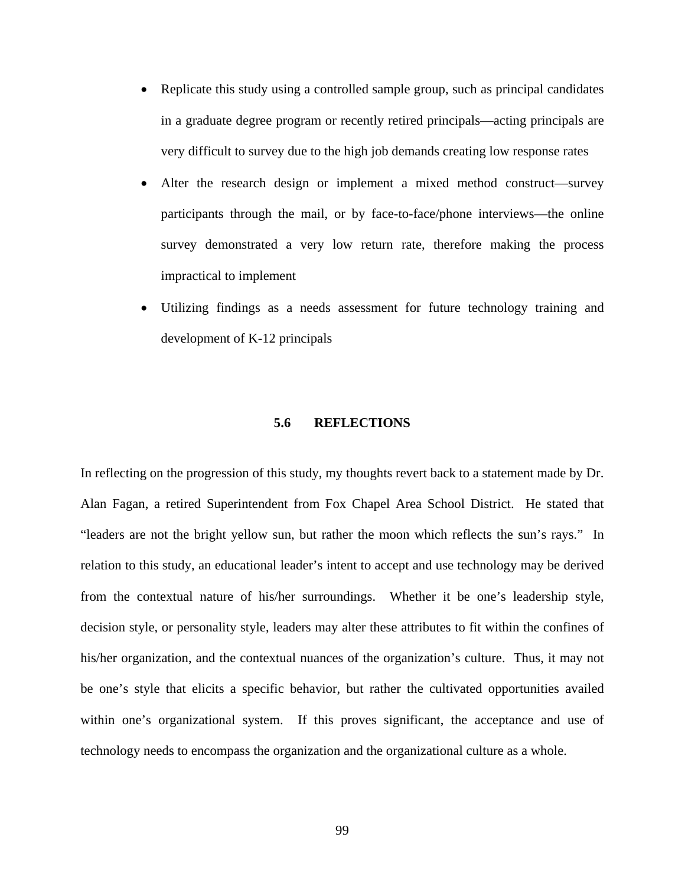- Replicate this study using a controlled sample group, such as principal candidates in a graduate degree program or recently retired principals—acting principals are very difficult to survey due to the high job demands creating low response rates
- Alter the research design or implement a mixed method construct—survey participants through the mail, or by face-to-face/phone interviews—the online survey demonstrated a very low return rate, therefore making the process impractical to implement
- Utilizing findings as a needs assessment for future technology training and development of K-12 principals

#### **5.6 REFLECTIONS**

In reflecting on the progression of this study, my thoughts revert back to a statement made by Dr. Alan Fagan, a retired Superintendent from Fox Chapel Area School District. He stated that "leaders are not the bright yellow sun, but rather the moon which reflects the sun's rays." In relation to this study, an educational leader's intent to accept and use technology may be derived from the contextual nature of his/her surroundings. Whether it be one's leadership style, decision style, or personality style, leaders may alter these attributes to fit within the confines of his/her organization, and the contextual nuances of the organization's culture. Thus, it may not be one's style that elicits a specific behavior, but rather the cultivated opportunities availed within one's organizational system. If this proves significant, the acceptance and use of technology needs to encompass the organization and the organizational culture as a whole.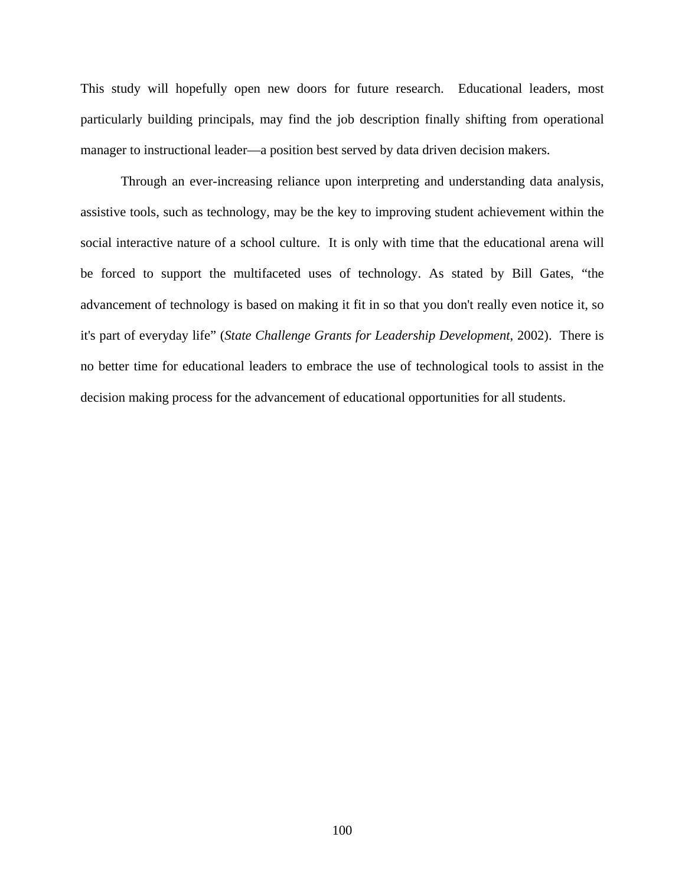This study will hopefully open new doors for future research. Educational leaders, most particularly building principals, may find the job description finally shifting from operational manager to instructional leader—a position best served by data driven decision makers.

Through an ever-increasing reliance upon interpreting and understanding data analysis, assistive tools, such as technology, may be the key to improving student achievement within the social interactive nature of a school culture. It is only with time that the educational arena will be forced to support the multifaceted uses of technology. As stated by Bill Gates, "the advancement of technology is based on making it fit in so that you don't really even notice it, so it's part of everyday life" (*State Challenge Grants for Leadership Development*, 2002). There is no better time for educational leaders to embrace the use of technological tools to assist in the decision making process for the advancement of educational opportunities for all students.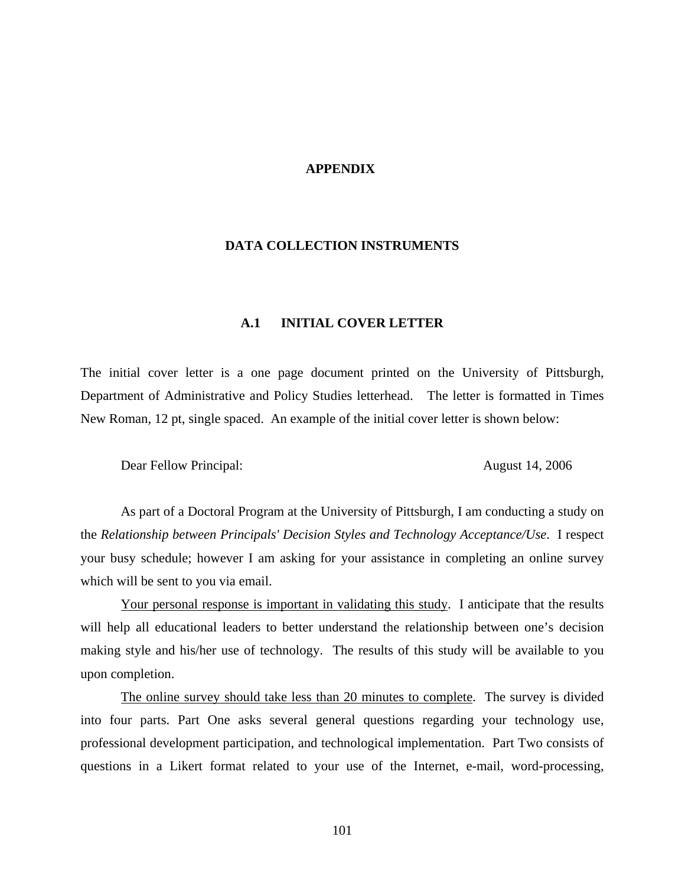#### **APPENDIX**

#### **DATA COLLECTION INSTRUMENTS**

### **A.1 INITIAL COVER LETTER**

The initial cover letter is a one page document printed on the University of Pittsburgh, Department of Administrative and Policy Studies letterhead. The letter is formatted in Times New Roman, 12 pt, single spaced. An example of the initial cover letter is shown below:

Dear Fellow Principal: August 14, 2006

As part of a Doctoral Program at the University of Pittsburgh, I am conducting a study on the *Relationship between Principals' Decision Styles and Technology Acceptance/Use*. I respect your busy schedule; however I am asking for your assistance in completing an online survey which will be sent to you via email.

Your personal response is important in validating this study. I anticipate that the results will help all educational leaders to better understand the relationship between one's decision making style and his/her use of technology. The results of this study will be available to you upon completion.

The online survey should take less than 20 minutes to complete. The survey is divided into four parts. Part One asks several general questions regarding your technology use, professional development participation, and technological implementation. Part Two consists of questions in a Likert format related to your use of the Internet, e-mail, word-processing,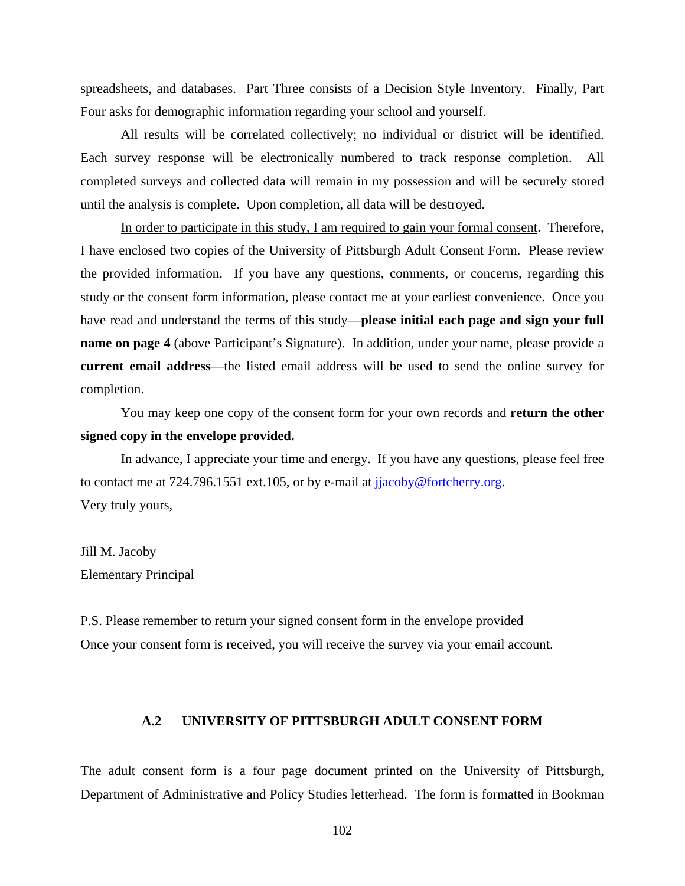spreadsheets, and databases. Part Three consists of a Decision Style Inventory. Finally, Part Four asks for demographic information regarding your school and yourself.

All results will be correlated collectively; no individual or district will be identified. Each survey response will be electronically numbered to track response completion. All completed surveys and collected data will remain in my possession and will be securely stored until the analysis is complete. Upon completion, all data will be destroyed.

In order to participate in this study, I am required to gain your formal consent. Therefore, I have enclosed two copies of the University of Pittsburgh Adult Consent Form. Please review the provided information. If you have any questions, comments, or concerns, regarding this study or the consent form information, please contact me at your earliest convenience. Once you have read and understand the terms of this study—**please initial each page and sign your full name on page 4** (above Participant's Signature). In addition, under your name, please provide a **current email address**—the listed email address will be used to send the online survey for completion.

You may keep one copy of the consent form for your own records and **return the other signed copy in the envelope provided.** 

In advance, I appreciate your time and energy. If you have any questions, please feel free to contact me at 724.796.1551 ext.105, or by e-mail at [jjacoby@fortcherry.org.](mailto:jjacoby@fortcherry.org) Very truly yours,

Jill M. Jacoby Elementary Principal

P.S. Please remember to return your signed consent form in the envelope provided Once your consent form is received, you will receive the survey via your email account.

#### **A.2 UNIVERSITY OF PITTSBURGH ADULT CONSENT FORM**

The adult consent form is a four page document printed on the University of Pittsburgh, Department of Administrative and Policy Studies letterhead. The form is formatted in Bookman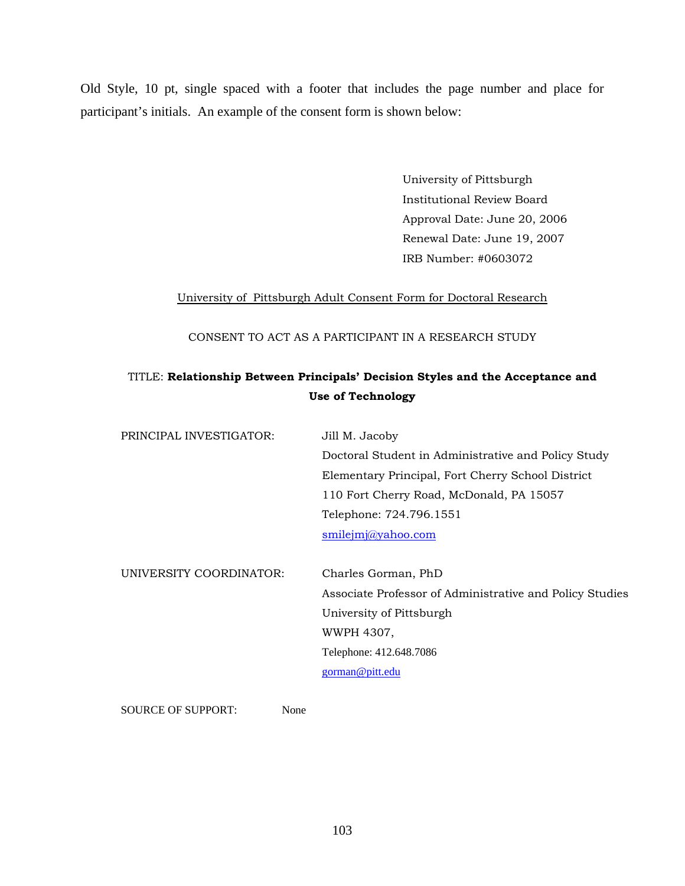Old Style, 10 pt, single spaced with a footer that includes the page number and place for participant's initials. An example of the consent form is shown below:

> University of Pittsburgh Institutional Review Board Approval Date: June 20, 2006 Renewal Date: June 19, 2007 IRB Number: #0603072

# University of Pittsburgh Adult Consent Form for Doctoral Research

CONSENT TO ACT AS A PARTICIPANT IN A RESEARCH STUDY

# TITLE: **Relationship Between Principals' Decision Styles and the Acceptance and Use of Technology**

| PRINCIPAL INVESTIGATOR: | Jill M. Jacoby                                           |
|-------------------------|----------------------------------------------------------|
|                         | Doctoral Student in Administrative and Policy Study      |
|                         | Elementary Principal, Fort Cherry School District        |
|                         | 110 Fort Cherry Road, McDonald, PA 15057                 |
|                         | Telephone: 724.796.1551                                  |
|                         | smilejm@yahoo.com                                        |
|                         |                                                          |
| UNIVERSITY COORDINATOR: | Charles Gorman, PhD                                      |
|                         | Associate Professor of Administrative and Policy Studies |
|                         | University of Pittsburgh                                 |
|                         | WWPH 4307,                                               |
|                         | Telephone: 412.648.7086                                  |
|                         | gorman@pitt.edu                                          |
|                         |                                                          |

SOURCE OF SUPPORT: None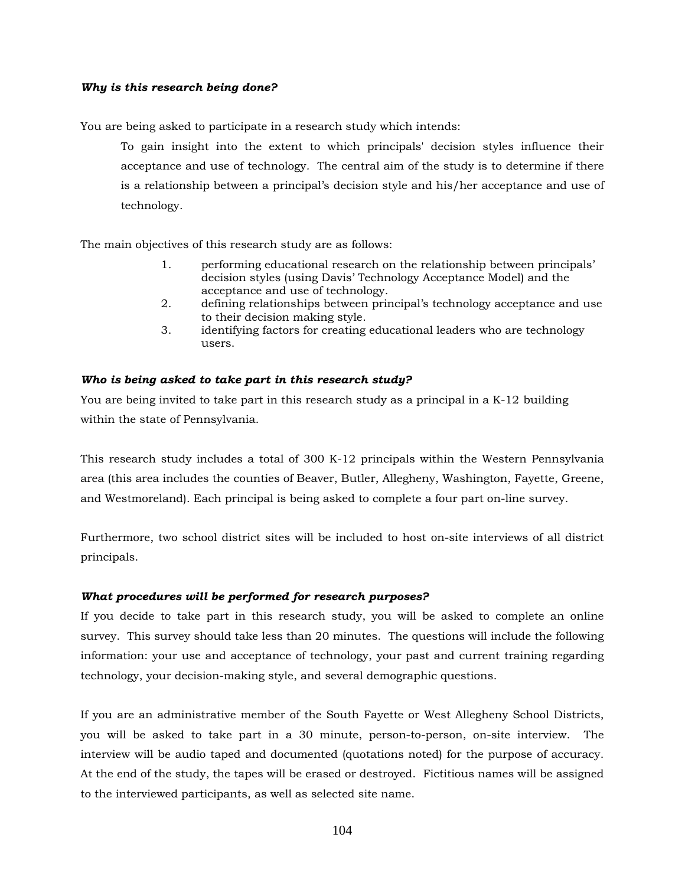#### *Why is this research being done?*

You are being asked to participate in a research study which intends:

To gain insight into the extent to which principals' decision styles influence their acceptance and use of technology*.* The central aim of the study is to determine if there is a relationship between a principal's decision style and his/her acceptance and use of technology.

The main objectives of this research study are as follows:

- 1. performing educational research on the relationship between principals' decision styles (using Davis' Technology Acceptance Model) and the acceptance and use of technology.
- 2. defining relationships between principal's technology acceptance and use to their decision making style.
- 3. identifying factors for creating educational leaders who are technology users.

#### *Who is being asked to take part in this research study?*

You are being invited to take part in this research study as a principal in a K-12 building within the state of Pennsylvania.

This research study includes a total of 300 K-12 principals within the Western Pennsylvania area (this area includes the counties of Beaver, Butler, Allegheny, Washington, Fayette, Greene, and Westmoreland). Each principal is being asked to complete a four part on-line survey.

Furthermore, two school district sites will be included to host on-site interviews of all district principals.

#### *What procedures will be performed for research purposes?*

If you decide to take part in this research study, you will be asked to complete an online survey. This survey should take less than 20 minutes. The questions will include the following information: your use and acceptance of technology, your past and current training regarding technology, your decision-making style, and several demographic questions.

If you are an administrative member of the South Fayette or West Allegheny School Districts, you will be asked to take part in a 30 minute, person-to-person, on-site interview. The interview will be audio taped and documented (quotations noted) for the purpose of accuracy. At the end of the study, the tapes will be erased or destroyed. Fictitious names will be assigned to the interviewed participants, as well as selected site name.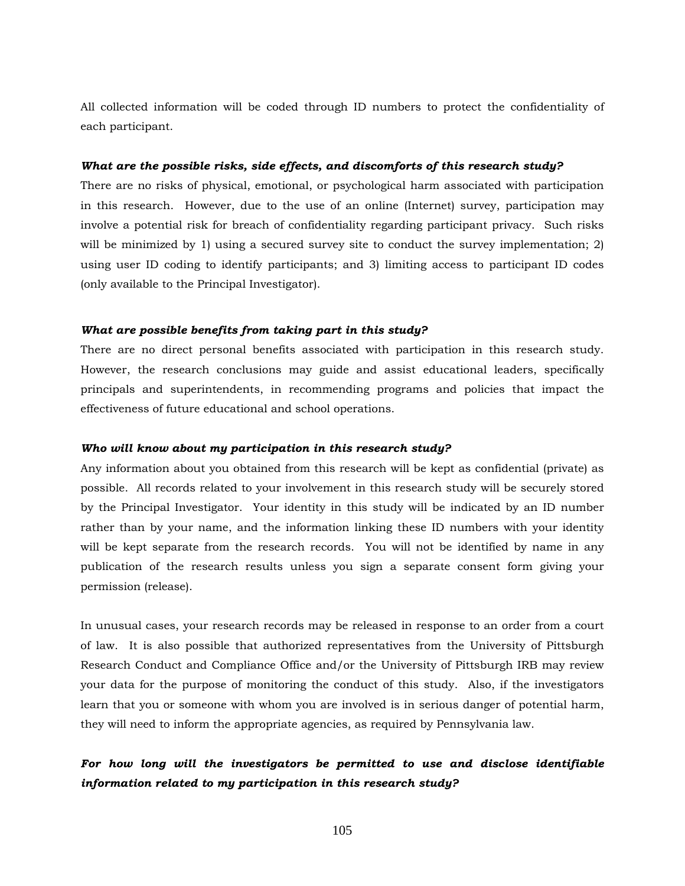All collected information will be coded through ID numbers to protect the confidentiality of each participant.

#### *What are the possible risks, side effects, and discomforts of this research study?*

There are no risks of physical, emotional, or psychological harm associated with participation in this research. However, due to the use of an online (Internet) survey, participation may involve a potential risk for breach of confidentiality regarding participant privacy. Such risks will be minimized by 1) using a secured survey site to conduct the survey implementation; 2) using user ID coding to identify participants; and 3) limiting access to participant ID codes (only available to the Principal Investigator).

#### *What are possible benefits from taking part in this study?*

There are no direct personal benefits associated with participation in this research study. However, the research conclusions may guide and assist educational leaders, specifically principals and superintendents, in recommending programs and policies that impact the effectiveness of future educational and school operations.

#### *Who will know about my participation in this research study?*

Any information about you obtained from this research will be kept as confidential (private) as possible. All records related to your involvement in this research study will be securely stored by the Principal Investigator. Your identity in this study will be indicated by an ID number rather than by your name, and the information linking these ID numbers with your identity will be kept separate from the research records. You will not be identified by name in any publication of the research results unless you sign a separate consent form giving your permission (release).

In unusual cases, your research records may be released in response to an order from a court of law. It is also possible that authorized representatives from the University of Pittsburgh Research Conduct and Compliance Office and/or the University of Pittsburgh IRB may review your data for the purpose of monitoring the conduct of this study. Also, if the investigators learn that you or someone with whom you are involved is in serious danger of potential harm, they will need to inform the appropriate agencies, as required by Pennsylvania law.

# *For how long will the investigators be permitted to use and disclose identifiable information related to my participation in this research study?*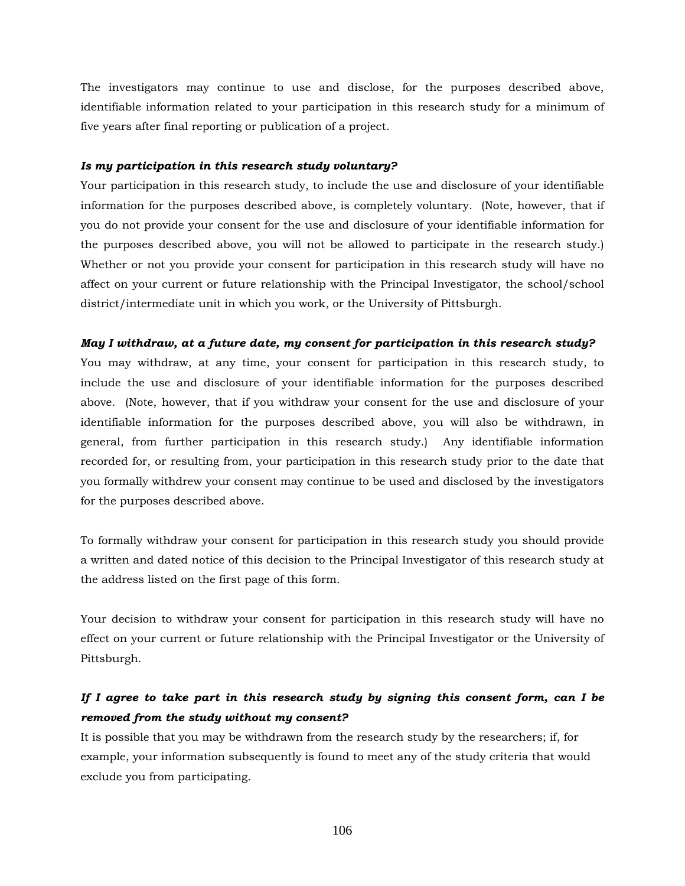The investigators may continue to use and disclose, for the purposes described above, identifiable information related to your participation in this research study for a minimum of five years after final reporting or publication of a project.

#### *Is my participation in this research study voluntary?*

Your participation in this research study, to include the use and disclosure of your identifiable information for the purposes described above, is completely voluntary. (Note, however, that if you do not provide your consent for the use and disclosure of your identifiable information for the purposes described above, you will not be allowed to participate in the research study.) Whether or not you provide your consent for participation in this research study will have no affect on your current or future relationship with the Principal Investigator, the school/school district/intermediate unit in which you work, or the University of Pittsburgh.

#### *May I withdraw, at a future date, my consent for participation in this research study?*

You may withdraw, at any time, your consent for participation in this research study, to include the use and disclosure of your identifiable information for the purposes described above. (Note, however, that if you withdraw your consent for the use and disclosure of your identifiable information for the purposes described above, you will also be withdrawn, in general, from further participation in this research study.) Any identifiable information recorded for, or resulting from, your participation in this research study prior to the date that you formally withdrew your consent may continue to be used and disclosed by the investigators for the purposes described above.

To formally withdraw your consent for participation in this research study you should provide a written and dated notice of this decision to the Principal Investigator of this research study at the address listed on the first page of this form.

Your decision to withdraw your consent for participation in this research study will have no effect on your current or future relationship with the Principal Investigator or the University of Pittsburgh.

# *If I agree to take part in this research study by signing this consent form, can I be removed from the study without my consent?*

It is possible that you may be withdrawn from the research study by the researchers; if, for example, your information subsequently is found to meet any of the study criteria that would exclude you from participating.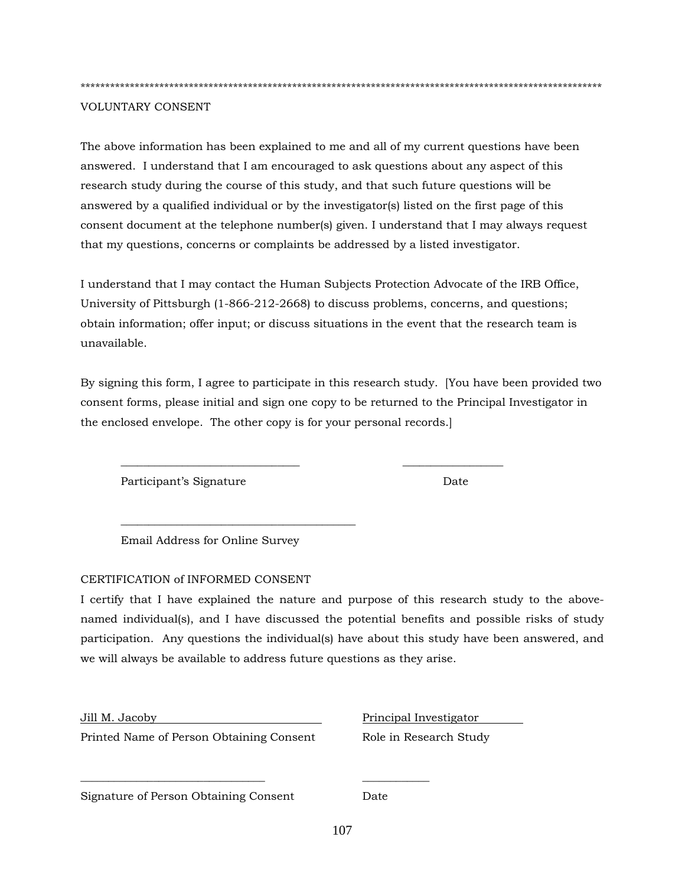\*\*\*\*\*\*\*\*\*\*\*\*\*\*\*\*\*\*\*\*\*\*\*\*\*\*\*\*\*\*\*\*\*\*\*\*\*\*\*\*\*\*\*\*\*\*\*\*\*\*\*\*\*\*\*\*\*\*\*\*\*\*\*\*\*\*\*\*\*\*\*\*\*\*\*\*\*\*\*\*\*\*\*\*\*\*\*\*\*\*\*\*\*\*\*\*\*\*\*\*\*\*\*\*\*\*

#### VOLUNTARY CONSENT

The above information has been explained to me and all of my current questions have been answered. I understand that I am encouraged to ask questions about any aspect of this research study during the course of this study, and that such future questions will be answered by a qualified individual or by the investigator(s) listed on the first page of this consent document at the telephone number(s) given. I understand that I may always request that my questions, concerns or complaints be addressed by a listed investigator.

I understand that I may contact the Human Subjects Protection Advocate of the IRB Office, University of Pittsburgh (1-866-212-2668) to discuss problems, concerns, and questions; obtain information; offer input; or discuss situations in the event that the research team is unavailable.

By signing this form, I agree to participate in this research study. [You have been provided two consent forms, please initial and sign one copy to be returned to the Principal Investigator in the enclosed envelope. The other copy is for your personal records.]

\_\_\_\_\_\_\_\_\_\_\_\_\_\_\_\_\_\_\_\_\_\_\_\_\_\_\_\_\_\_\_\_ \_\_\_\_\_\_\_\_\_\_\_\_\_\_\_\_\_\_

Participant's Signature Date

Email Address for Online Survey

\_\_\_\_\_\_\_\_\_\_\_\_\_\_\_\_\_\_\_\_\_\_\_\_\_\_\_\_\_\_\_\_\_\_\_\_\_\_\_\_\_\_

#### CERTIFICATION of INFORMED CONSENT

I certify that I have explained the nature and purpose of this research study to the abovenamed individual(s), and I have discussed the potential benefits and possible risks of study participation. Any questions the individual(s) have about this study have been answered, and we will always be available to address future questions as they arise.

Printed Name of Person Obtaining Consent Role in Research Study

 $\frac{1}{2}$  ,  $\frac{1}{2}$  ,  $\frac{1}{2}$  ,  $\frac{1}{2}$  ,  $\frac{1}{2}$  ,  $\frac{1}{2}$  ,  $\frac{1}{2}$  ,  $\frac{1}{2}$  ,  $\frac{1}{2}$  ,  $\frac{1}{2}$  ,  $\frac{1}{2}$  ,  $\frac{1}{2}$  ,  $\frac{1}{2}$  ,  $\frac{1}{2}$  ,  $\frac{1}{2}$  ,  $\frac{1}{2}$  ,  $\frac{1}{2}$  ,  $\frac{1}{2}$  ,  $\frac{1$ 

Jill M. Jacoby Principal Investigator

Signature of Person Obtaining Consent Date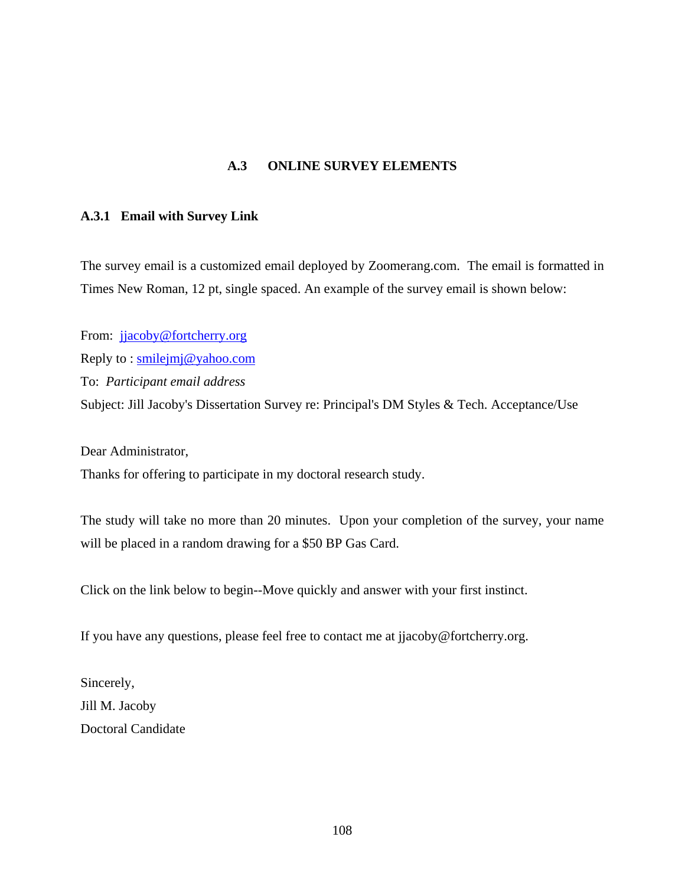# **A.3 ONLINE SURVEY ELEMENTS**

### **A.3.1 Email with Survey Link**

The survey email is a customized email deployed by Zoomerang.com. The email is formatted in Times New Roman, 12 pt, single spaced. An example of the survey email is shown below:

From: [jjacoby@fortcherry.org](mailto:jjacoby@fortcherry.org) Reply to : [smilejmj@yahoo.com](mailto:smilejmj@yahoo.com) To: *Participant email address*  Subject: Jill Jacoby's Dissertation Survey re: Principal's DM Styles & Tech. Acceptance/Use

Dear Administrator,

Thanks for offering to participate in my doctoral research study.

The study will take no more than 20 minutes. Upon your completion of the survey, your name will be placed in a random drawing for a \$50 BP Gas Card.

Click on the link below to begin--Move quickly and answer with your first instinct.

If you have any questions, please feel free to contact me at jjacoby@fortcherry.org.

Sincerely, Jill M. Jacoby Doctoral Candidate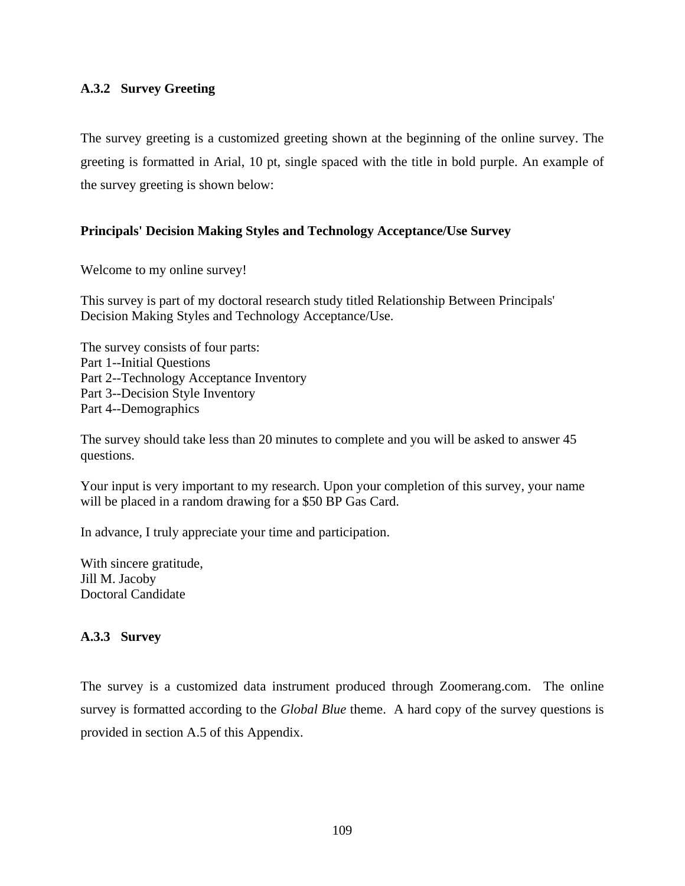# **A.3.2 Survey Greeting**

The survey greeting is a customized greeting shown at the beginning of the online survey. The greeting is formatted in Arial, 10 pt, single spaced with the title in bold purple. An example of the survey greeting is shown below:

# **Principals' Decision Making Styles and Technology Acceptance/Use Survey**

Welcome to my online survey!

This survey is part of my doctoral research study titled Relationship Between Principals' Decision Making Styles and Technology Acceptance/Use.

The survey consists of four parts: Part 1--Initial Questions Part 2--Technology Acceptance Inventory Part 3--Decision Style Inventory Part 4--Demographics

The survey should take less than 20 minutes to complete and you will be asked to answer 45 questions.

Your input is very important to my research. Upon your completion of this survey, your name will be placed in a random drawing for a \$50 BP Gas Card.

In advance, I truly appreciate your time and participation.

With sincere gratitude, Jill M. Jacoby Doctoral Candidate

# **A.3.3 Survey**

The survey is a customized data instrument produced through Zoomerang.com. The online survey is formatted according to the *Global Blue* theme. A hard copy of the survey questions is provided in section A.5 of this Appendix.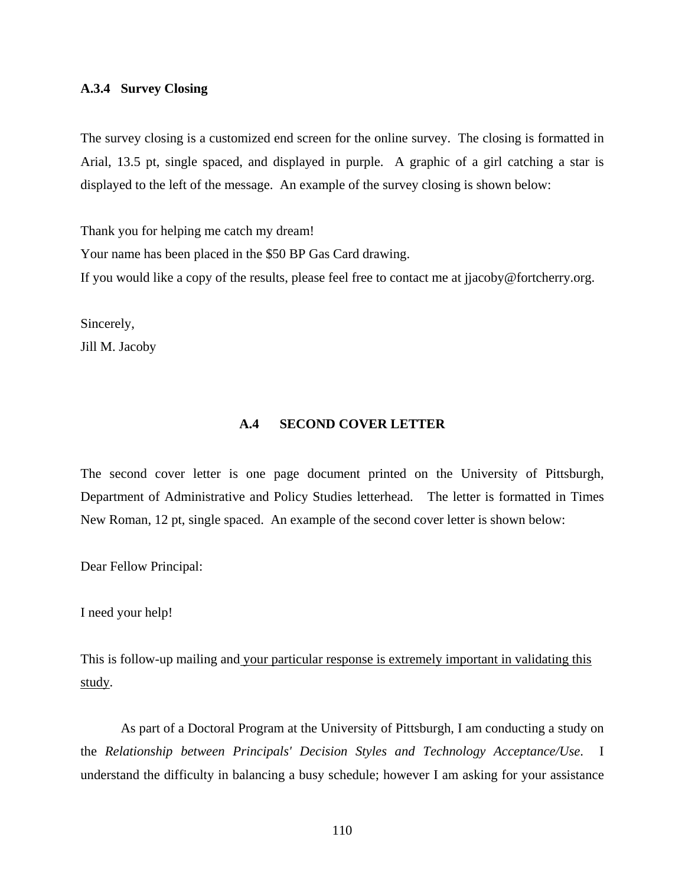### **A.3.4 Survey Closing**

The survey closing is a customized end screen for the online survey. The closing is formatted in Arial, 13.5 pt, single spaced, and displayed in purple. A graphic of a girl catching a star is displayed to the left of the message. An example of the survey closing is shown below:

Thank you for helping me catch my dream! Your name has been placed in the \$50 BP Gas Card drawing. If you would like a copy of the results, please feel free to contact me at jjacoby@fortcherry.org.

Sincerely, Jill M. Jacoby

#### **A.4 SECOND COVER LETTER**

The second cover letter is one page document printed on the University of Pittsburgh, Department of Administrative and Policy Studies letterhead. The letter is formatted in Times New Roman, 12 pt, single spaced. An example of the second cover letter is shown below:

Dear Fellow Principal:

I need your help!

This is follow-up mailing and your particular response is extremely important in validating this study.

As part of a Doctoral Program at the University of Pittsburgh, I am conducting a study on the *Relationship between Principals' Decision Styles and Technology Acceptance/Use*. I understand the difficulty in balancing a busy schedule; however I am asking for your assistance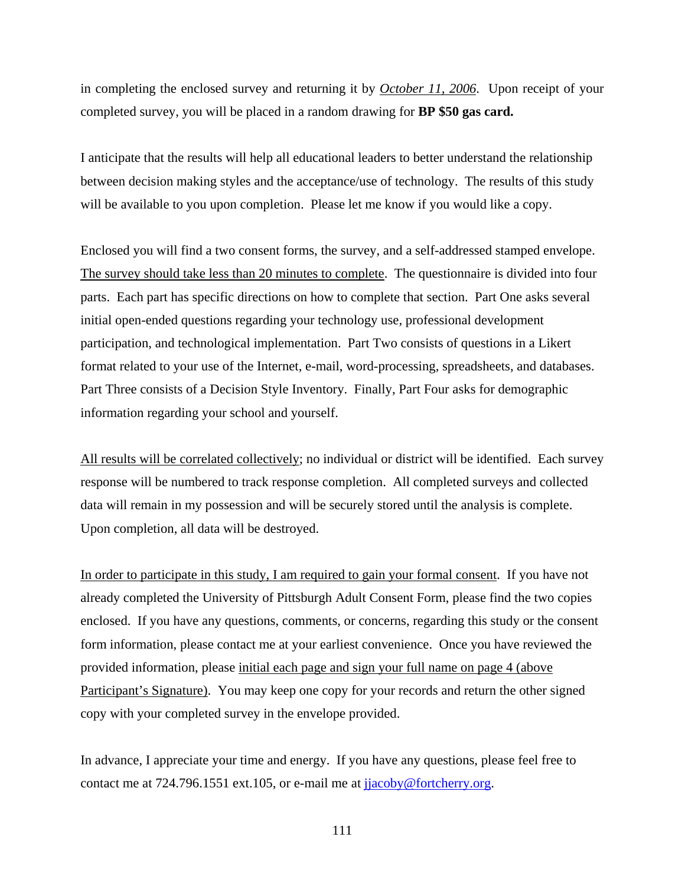in completing the enclosed survey and returning it by *October 11, 2006*. Upon receipt of your completed survey, you will be placed in a random drawing for **BP \$50 gas card.** 

I anticipate that the results will help all educational leaders to better understand the relationship between decision making styles and the acceptance/use of technology. The results of this study will be available to you upon completion. Please let me know if you would like a copy.

Enclosed you will find a two consent forms, the survey, and a self-addressed stamped envelope. The survey should take less than 20 minutes to complete. The questionnaire is divided into four parts. Each part has specific directions on how to complete that section. Part One asks several initial open-ended questions regarding your technology use, professional development participation, and technological implementation. Part Two consists of questions in a Likert format related to your use of the Internet, e-mail, word-processing, spreadsheets, and databases. Part Three consists of a Decision Style Inventory. Finally, Part Four asks for demographic information regarding your school and yourself.

All results will be correlated collectively; no individual or district will be identified. Each survey response will be numbered to track response completion. All completed surveys and collected data will remain in my possession and will be securely stored until the analysis is complete. Upon completion, all data will be destroyed.

In order to participate in this study, I am required to gain your formal consent. If you have not already completed the University of Pittsburgh Adult Consent Form, please find the two copies enclosed. If you have any questions, comments, or concerns, regarding this study or the consent form information, please contact me at your earliest convenience. Once you have reviewed the provided information, please initial each page and sign your full name on page 4 (above Participant's Signature). You may keep one copy for your records and return the other signed copy with your completed survey in the envelope provided.

In advance, I appreciate your time and energy. If you have any questions, please feel free to contact me at 724.796.1551 ext.105, or e-mail me at [jjacoby@fortcherry.org.](mailto:jjacoby@fortcherry.org)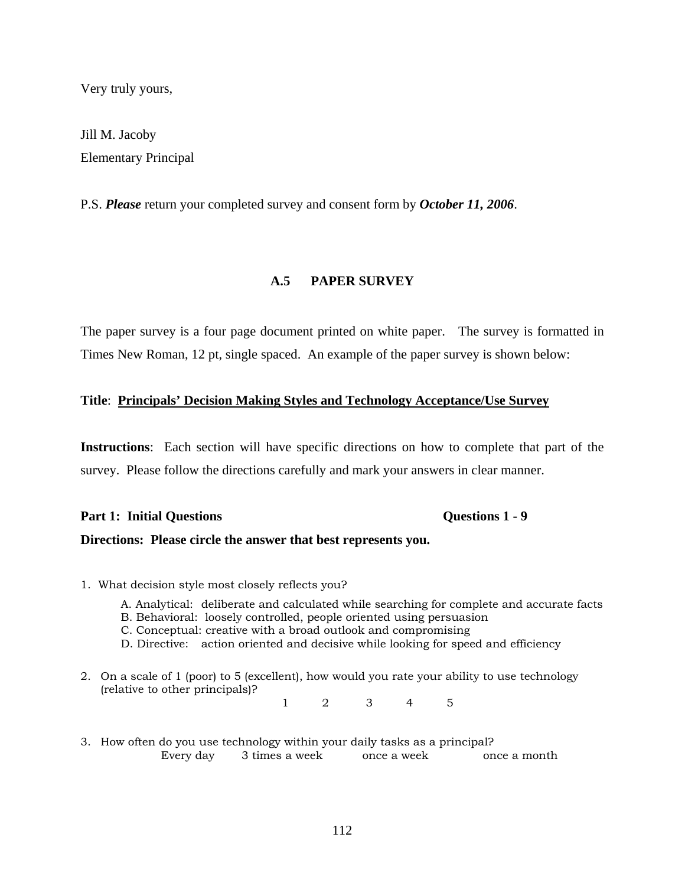Very truly yours,

Jill M. Jacoby Elementary Principal

P.S. *Please* return your completed survey and consent form by *October 11, 2006*.

# **A.5 PAPER SURVEY**

The paper survey is a four page document printed on white paper. The survey is formatted in Times New Roman, 12 pt, single spaced. An example of the paper survey is shown below:

### **Title**: **Principals' Decision Making Styles and Technology Acceptance/Use Survey**

**Instructions**: Each section will have specific directions on how to complete that part of the survey. Please follow the directions carefully and mark your answers in clear manner.

# Part 1: Initial Questions **Questions 1 - 9**

## **Directions: Please circle the answer that best represents you.**

- 1. What decision style most closely reflects you?
	- A. Analytical: deliberate and calculated while searching for complete and accurate facts
	- B. Behavioral: loosely controlled, people oriented using persuasion
	- C. Conceptual: creative with a broad outlook and compromising
	- D. Directive: action oriented and decisive while looking for speed and efficiency
- 2. On a scale of 1 (poor) to 5 (excellent), how would you rate your ability to use technology (relative to other principals)?

1 2 3 4 5

3. How often do you use technology within your daily tasks as a principal? Every day 3 times a week once a week once a month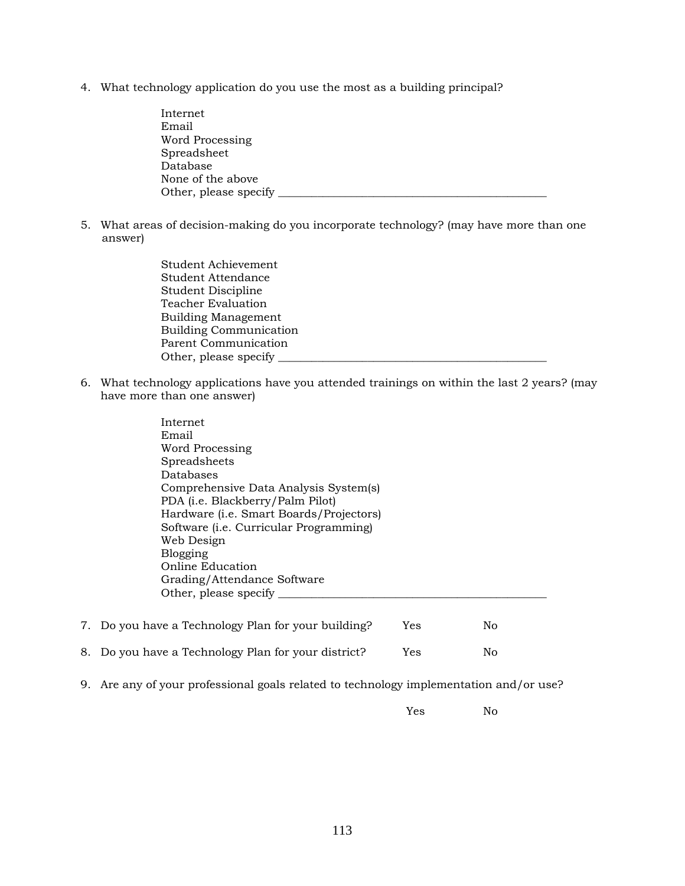4. What technology application do you use the most as a building principal?

| Internet              |  |
|-----------------------|--|
| Email                 |  |
| Word Processing       |  |
| Spreadsheet           |  |
| Database              |  |
| None of the above     |  |
| Other, please specify |  |

5. What areas of decision-making do you incorporate technology? (may have more than one answer)

> Student Achievement Student Attendance Student Discipline Teacher Evaluation Building Management Building Communication Parent Communication Other, please specify \_\_

6. What technology applications have you attended trainings on within the last 2 years? (may have more than one answer)

|    | Internet                                                      |
|----|---------------------------------------------------------------|
|    | Email                                                         |
|    | Word Processing                                               |
|    | Spreadsheets                                                  |
|    | Databases                                                     |
|    | Comprehensive Data Analysis System(s)                         |
|    | PDA (i.e. Blackberry/Palm Pilot)                              |
|    | Hardware (i.e. Smart Boards/Projectors)                       |
|    | Software ( <i>i.e.</i> Curricular Programming)                |
|    | Web Design                                                    |
|    | Blogging                                                      |
|    | Online Education                                              |
|    | Grading/Attendance Software                                   |
|    | Other, please specify                                         |
|    |                                                               |
| 7. | Do you have a Technology Plan for your building?<br>Yes<br>No |

| 8. Do you have a Technology Plan for your district?<br>Yes | No |
|------------------------------------------------------------|----|
|------------------------------------------------------------|----|

9. Are any of your professional goals related to technology implementation and/or use?

Yes No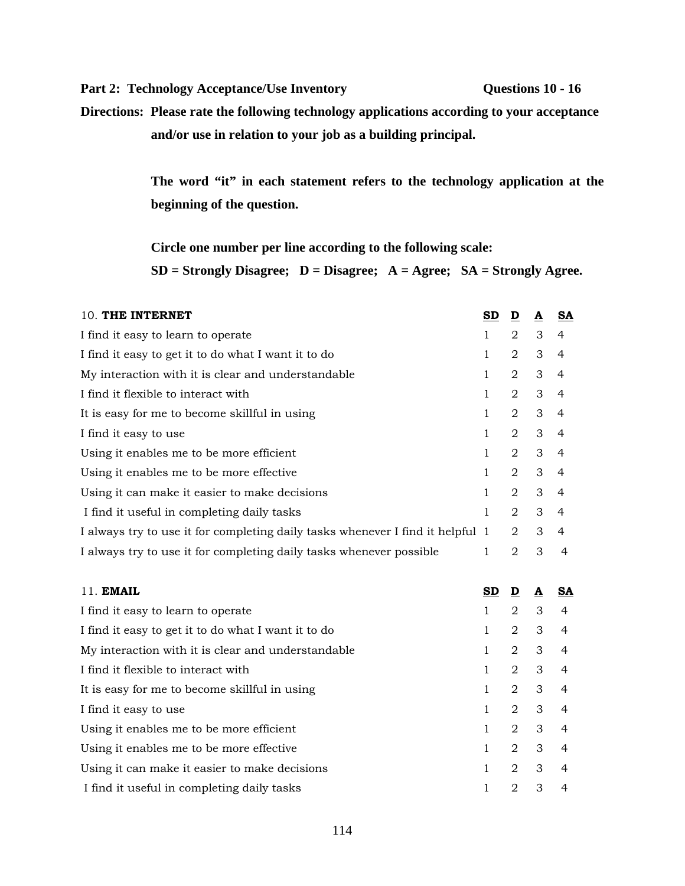Part 2: Technology Acceptance/Use Inventory **Questions 10 - 16** 

**Directions: Please rate the following technology applications according to your acceptance and/or use in relation to your job as a building principal.** 

> **The word "it" in each statement refers to the technology application at the beginning of the question.**

**Circle one number per line according to the following scale:** 

**SD = Strongly Disagree; D = Disagree; A = Agree; SA = Strongly Agree.** 

| 10. THE INTERNET                                                               | $\underline{\mathbf{SD}}$ | $\overline{\mathbf{D}}$ | $\overline{\mathbf{A}}$  | $\underline{\mathbf{SA}}$ |
|--------------------------------------------------------------------------------|---------------------------|-------------------------|--------------------------|---------------------------|
| I find it easy to learn to operate                                             | 1                         | $\overline{2}$          | 3                        | $\overline{4}$            |
| I find it easy to get it to do what I want it to do                            | $\mathbf{1}$              | 2                       | 3                        | 4                         |
| My interaction with it is clear and understandable                             | $\mathbf{1}$              | 2                       | 3                        | 4                         |
| I find it flexible to interact with                                            | $\mathbf{1}$              | 2                       | 3                        | $\overline{4}$            |
| It is easy for me to become skillful in using                                  | $\mathbf{1}$              | $\overline{2}$          | 3                        | 4                         |
| I find it easy to use                                                          | $\mathbf{1}$              | $\overline{2}$          | 3                        | $\overline{4}$            |
| Using it enables me to be more efficient                                       | $\mathbf{1}$              | $\overline{2}$          | 3                        | $\overline{4}$            |
| Using it enables me to be more effective                                       | $\mathbf{1}$              | $\overline{2}$          | 3                        | 4                         |
| Using it can make it easier to make decisions                                  | $\mathbf{1}$              | $\overline{2}$          | 3                        | 4                         |
| I find it useful in completing daily tasks                                     | 1                         | 2                       | 3                        | 4                         |
| I always try to use it for completing daily tasks whenever I find it helpful 1 |                           | $\overline{2}$          | 3                        | 4                         |
| I always try to use it for completing daily tasks whenever possible            | $\mathbf{1}$              | $\overline{2}$          | 3                        | $\overline{4}$            |
| 11. EMAIL                                                                      | SD                        | D                       | $\underline{\mathbf{A}}$ | SA                        |
| I find it easy to learn to operate                                             | $\mathbf{1}$              | 2                       | 3                        | 4                         |
| I find it easy to get it to do what I want it to do                            | $\mathbf{1}$              | 2                       | 3                        | 4                         |
| My interaction with it is clear and understandable                             | $\mathbf{1}$              | $\overline{2}$          | 3                        | 4                         |
| I find it flexible to interact with                                            | 1                         | 2                       | 3                        | 4                         |
| It is easy for me to become skillful in using                                  | $\mathbf{1}$              | 2                       | 3                        | 4                         |
| I find it easy to use                                                          | $\mathbf{1}$              | $\overline{2}$          | 3                        | 4                         |
| Using it enables me to be more efficient                                       | $\mathbf{1}$              | 2                       | 3                        | 4                         |
| Using it enables me to be more effective                                       | $\mathbf{1}$              | 2                       | 3                        | 4                         |
| Using it can make it easier to make decisions                                  | 1                         | $\overline{2}$          | 3                        | 4                         |
| I find it useful in completing daily tasks                                     | 1                         | 2                       | 3                        | 4                         |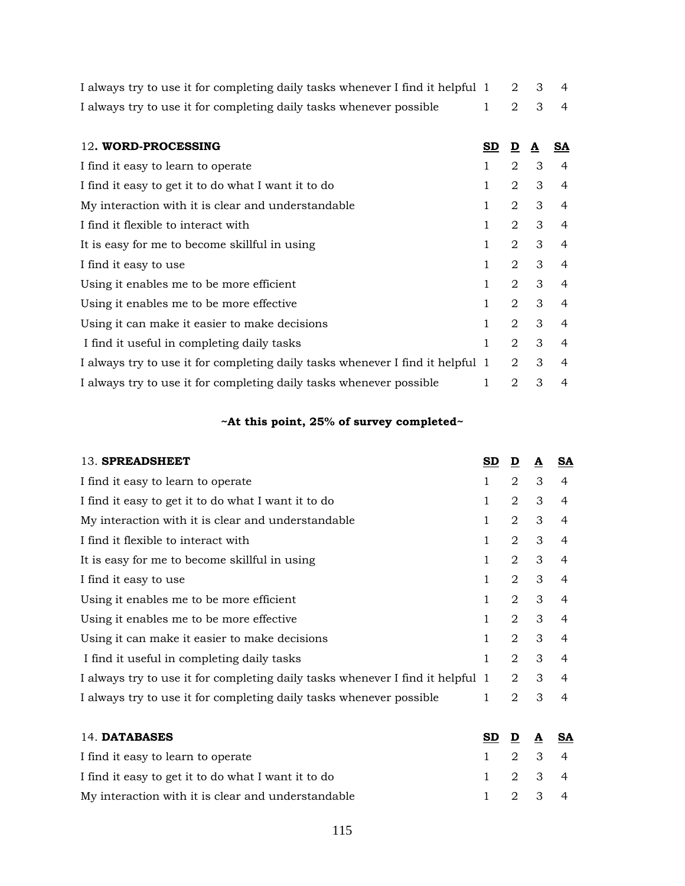| I always try to use it for completing daily tasks whenever I find it helpful 1 2 3 4 |         |  |  |
|--------------------------------------------------------------------------------------|---------|--|--|
| I always try to use it for completing daily tasks whenever possible                  | 1 2 3 4 |  |  |

| 12. WORD-PROCESSING                                                            | SD. | D              | A | SA             |
|--------------------------------------------------------------------------------|-----|----------------|---|----------------|
| I find it easy to learn to operate                                             | 1   | 2              | 3 | 4              |
| I find it easy to get it to do what I want it to do                            | 1   | 2              | 3 | 4              |
| My interaction with it is clear and understandable                             | 1   | 2              | 3 | $\overline{4}$ |
| I find it flexible to interact with                                            | 1   | 2              | 3 | $\overline{4}$ |
| It is easy for me to become skillful in using                                  | 1   | 2              | 3 | 4              |
| I find it easy to use                                                          | 1   | 2              | 3 | $\overline{4}$ |
| Using it enables me to be more efficient                                       | 1   | 2              | 3 | $\overline{4}$ |
| Using it enables me to be more effective.                                      | 1   | $\overline{2}$ | 3 | $\overline{4}$ |
| Using it can make it easier to make decisions                                  | 1   | 2              | 3 | 4              |
| I find it useful in completing daily tasks                                     | 1   | 2              | 3 | $\overline{4}$ |
| I always try to use it for completing daily tasks whenever I find it helpful 1 |     | 2              | 3 | 4              |
| I always try to use it for completing daily tasks whenever possible            | 1   | 2              | 3 | 4              |

# **~At this point, 25% of survey completed~**

| 13. SPREADSHEET                                                                | SD. | D                           | A | SA             |
|--------------------------------------------------------------------------------|-----|-----------------------------|---|----------------|
| I find it easy to learn to operate                                             | 1   | 2                           | 3 | 4              |
| I find it easy to get it to do what I want it to do                            | 1   | 2                           | 3 | 4              |
| My interaction with it is clear and understandable                             | 1   | $\overline{2}$              | 3 | 4              |
| I find it flexible to interact with                                            | 1   | 2                           | 3 | 4              |
| It is easy for me to become skillful in using                                  | 1   | 2                           | 3 | 4              |
| I find it easy to use                                                          | 1   | $\overline{2}$              | 3 | 4              |
| Using it enables me to be more efficient                                       | 1   | $\mathcal{D}_{\mathcal{L}}$ | 3 | 4              |
| Using it enables me to be more effective                                       | 1   | $\overline{2}$              | 3 | 4              |
| Using it can make it easier to make decisions                                  | 1   | $\mathfrak{D}$              | 3 | $\overline{4}$ |
| I find it useful in completing daily tasks                                     | 1   | $\mathfrak{D}$              | 3 | 4              |
| I always try to use it for completing daily tasks whenever I find it helpful 1 |     | 2                           | 3 | 4              |
| I always try to use it for completing daily tasks whenever possible            | 1   | 2                           | 3 | 4              |
|                                                                                |     |                             |   |                |

| 14. DATABASES                                       | SD D A SA       |  |  |
|-----------------------------------------------------|-----------------|--|--|
| I find it easy to learn to operate                  | $1 \t2 \t3 \t4$ |  |  |
| I find it easy to get it to do what I want it to do | $1 \t2 \t3 \t4$ |  |  |
| My interaction with it is clear and understandable  | $1 \t2 \t3 \t4$ |  |  |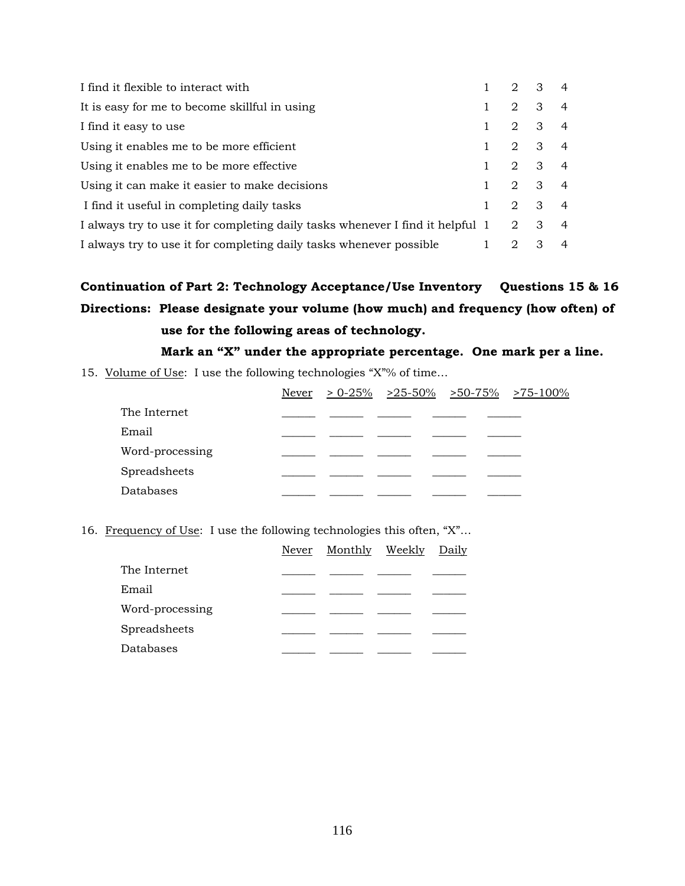| I find it flexible to interact with                                            | 2 3 |                         | $\overline{4}$ |
|--------------------------------------------------------------------------------|-----|-------------------------|----------------|
| It is easy for me to become skillful in using                                  | 2   | -3                      | $\overline{4}$ |
| I find it easy to use                                                          | 2   | $\overline{\mathbf{3}}$ | $\overline{4}$ |
| Using it enables me to be more efficient                                       |     | $2 \quad 3 \quad 4$     |                |
| Using it enables me to be more effective.                                      |     | $2 \quad 3 \quad 4$     |                |
| Using it can make it easier to make decisions                                  | 2   | $3 \quad 4$             |                |
| I find it useful in completing daily tasks                                     | 2   | $3 \quad 4$             |                |
| I always try to use it for completing daily tasks whenever I find it helpful 1 | 2   | $\mathbf{3}$            | 4              |
| I always try to use it for completing daily tasks whenever possible            | 2   | 3                       | $\overline{4}$ |

# **Continuation of Part 2: Technology Acceptance/Use Inventory Questions 15 & 16 Directions: Please designate your volume (how much) and frequency (how often) of use for the following areas of technology.**

# **Mark an "X" under the appropriate percentage. One mark per a line.**

15. Volume of Use: I use the following technologies "X"% of time...

|                 |  | Never > 0-25% > 25-50% > 50-75% > 75-100% |  |
|-----------------|--|-------------------------------------------|--|
| The Internet    |  |                                           |  |
| Email           |  |                                           |  |
| Word-processing |  |                                           |  |
| Spreadsheets    |  |                                           |  |
| Databases       |  |                                           |  |

16. Frequency of Use: I use the following technologies this often, "X"…

|                 | Never | Monthly Weekly | Daily |
|-----------------|-------|----------------|-------|
| The Internet    |       |                |       |
| Email           |       |                |       |
| Word-processing |       |                |       |
| Spreadsheets    |       |                |       |
| Databases       |       |                |       |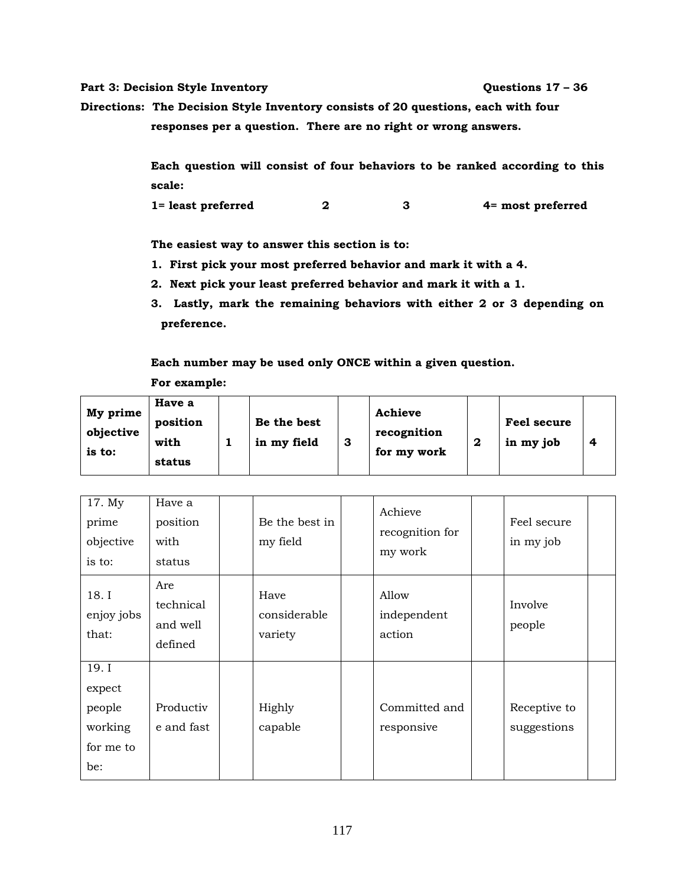#### Part 3: Decision Style Inventory **Questions 17 – 36**

**Directions: The Decision Style Inventory consists of 20 questions, each with four responses per a question. There are no right or wrong answers.** 

> **Each question will consist of four behaviors to be ranked according to this scale:**

**1= least preferred 2 3 4= most preferred** 

**The easiest way to answer this section is to:** 

- **1. First pick your most preferred behavior and mark it with a 4.**
- **2. Next pick your least preferred behavior and mark it with a 1.**
- **3. Lastly, mark the remaining behaviors with either 2 or 3 depending on preference.**

**Each number may be used only ONCE within a given question.** 

**For example:** 

| My prime<br>objective<br>is to: | Have a<br>position<br>with<br>status |  | Be the best<br>in my field | З | Achieve<br>recognition<br>for my work |  | Feel secure<br>in my job |  |
|---------------------------------|--------------------------------------|--|----------------------------|---|---------------------------------------|--|--------------------------|--|
|---------------------------------|--------------------------------------|--|----------------------------|---|---------------------------------------|--|--------------------------|--|

| 17. My<br>prime<br>objective<br>is to:                   | Have a<br>position<br>with<br>status    | Be the best in<br>my field      | Achieve<br>recognition for<br>my work | Feel secure<br>in my job    |
|----------------------------------------------------------|-----------------------------------------|---------------------------------|---------------------------------------|-----------------------------|
| 18. I<br>enjoy jobs<br>that:                             | Are<br>technical<br>and well<br>defined | Have<br>considerable<br>variety | Allow<br>independent<br>action        | Involve<br>people           |
| 19. I<br>expect<br>people<br>working<br>for me to<br>be: | Productiv<br>e and fast                 | Highly<br>capable               | Committed and<br>responsive           | Receptive to<br>suggestions |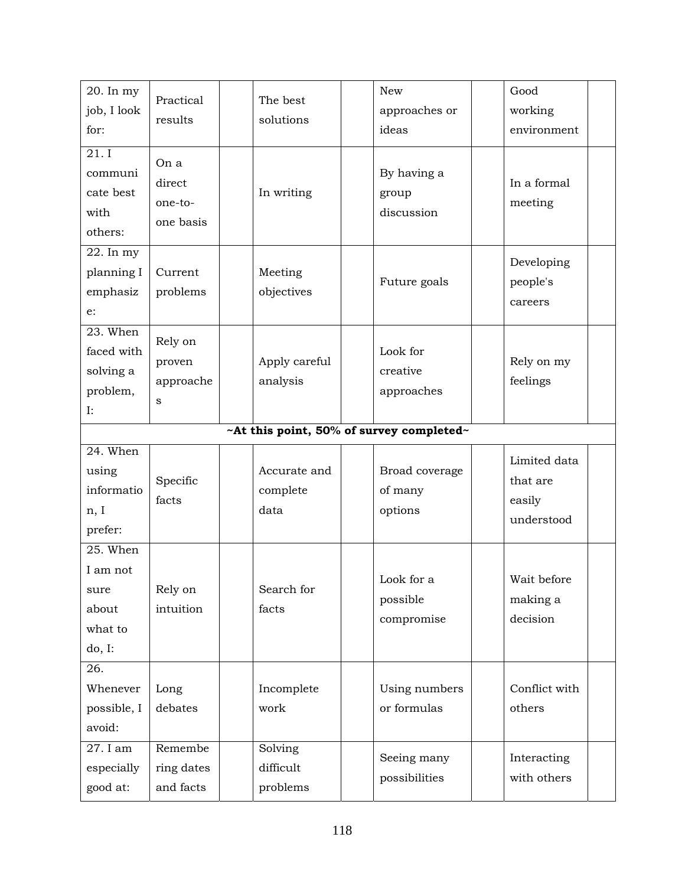| 20. In my<br>job, I look<br>for:                        | Practical<br>results                   | The best<br>solutions            | <b>New</b><br>approaches or<br>ideas | Good<br>working<br>environment                   |  |  |  |
|---------------------------------------------------------|----------------------------------------|----------------------------------|--------------------------------------|--------------------------------------------------|--|--|--|
| 21.I<br>communi<br>cate best<br>with<br>others:         | On a<br>direct<br>one-to-<br>one basis | In writing                       | By having a<br>group<br>discussion   | In a formal<br>meeting                           |  |  |  |
| $\overline{22}$ . In my<br>planning I<br>emphasiz<br>e: | Current<br>problems                    | Meeting<br>objectives            | Future goals                         | Developing<br>people's<br>careers                |  |  |  |
| 23. When<br>faced with<br>solving a<br>problem,<br>I:   | Rely on<br>proven<br>approache<br>S    | Apply careful<br>analysis        | Look for<br>creative<br>approaches   | Rely on my<br>feelings                           |  |  |  |
| ~At this point, 50% of survey completed~                |                                        |                                  |                                      |                                                  |  |  |  |
| $24.$ When<br>using<br>informatio<br>n, I<br>prefer:    | Specific<br>facts                      | Accurate and<br>complete<br>data | Broad coverage<br>of many<br>options | Limited data<br>that are<br>easily<br>understood |  |  |  |
| 25. When<br>I am not                                    |                                        |                                  |                                      |                                                  |  |  |  |
| sure<br>about<br>what to<br>do, I:                      | Rely on<br>intuition                   | Search for<br>facts              | Look for a<br>possible<br>compromise | Wait before<br>making a<br>decision              |  |  |  |
| 26.<br>Whenever<br>possible, I<br>avoid:<br>27. I am    | Long<br>debates<br>Remembe             | Incomplete<br>work<br>Solving    | Using numbers<br>or formulas         | Conflict with<br>others                          |  |  |  |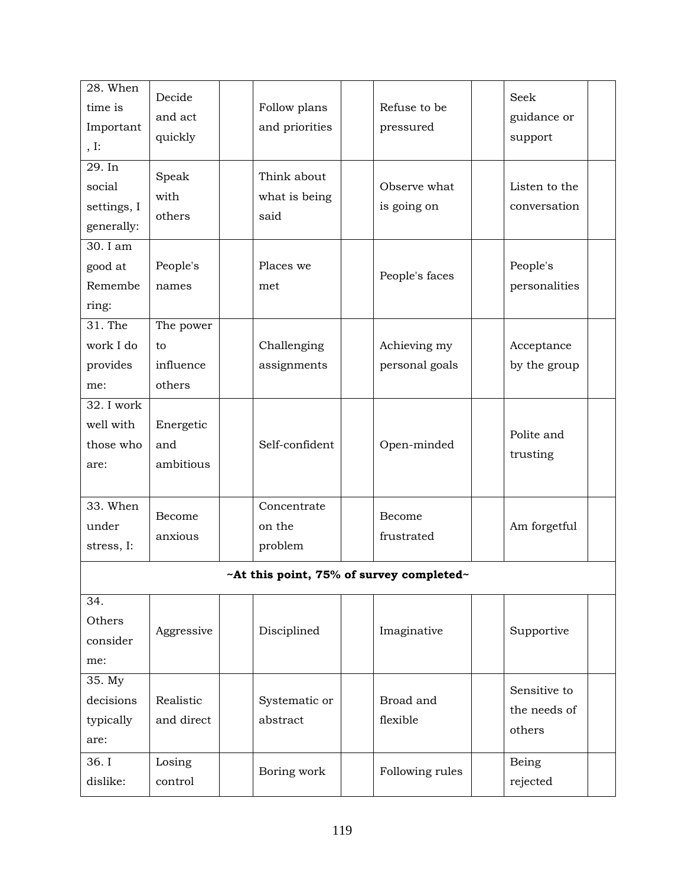| 28. When<br>time is<br>Important<br>, I:      | Decide<br>and act<br>quickly           | Follow plans<br>and priorities       | Refuse to be<br>pressured      | Seek<br>guidance or<br>support         |  |  |  |
|-----------------------------------------------|----------------------------------------|--------------------------------------|--------------------------------|----------------------------------------|--|--|--|
| 29. In<br>social<br>settings, I<br>generally: | Speak<br>with<br>others                | Think about<br>what is being<br>said | Observe what<br>is going on    | Listen to the<br>conversation          |  |  |  |
| 30. I am<br>good at<br>Remembe<br>ring:       | People's<br>names                      | Places we<br>met                     | People's faces                 | People's<br>personalities              |  |  |  |
| 31. The<br>work I do<br>provides<br>me:       | The power<br>to<br>influence<br>others | Challenging<br>assignments           | Achieving my<br>personal goals | Acceptance<br>by the group             |  |  |  |
| 32. I work<br>well with<br>those who<br>are:  | Energetic<br>and<br>ambitious          | Self-confident                       | Open-minded                    | Polite and<br>trusting                 |  |  |  |
| 33. When<br>under<br>stress, I:               | Become<br>anxious                      | Concentrate<br>on the<br>problem     | Become<br>frustrated           | Am forgetful                           |  |  |  |
| ~At this point, 75% of survey completed~      |                                        |                                      |                                |                                        |  |  |  |
| 34.<br>Others<br>consider<br>me:              | Aggressive                             | Disciplined                          | Imaginative                    | Supportive                             |  |  |  |
| 35. My<br>decisions<br>typically<br>are:      | Realistic<br>and direct                | Systematic or<br>abstract            | Broad and<br>flexible          | Sensitive to<br>the needs of<br>others |  |  |  |
| 36. I<br>dislike:                             | Losing<br>control                      | Boring work                          | Following rules                | Being<br>rejected                      |  |  |  |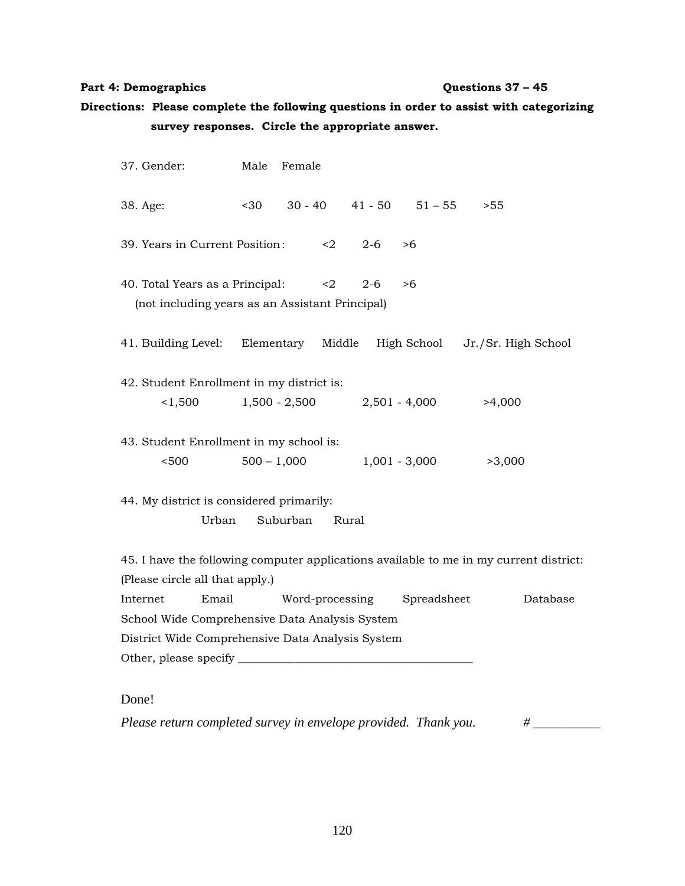### Part 4: Demographics **Questions 37 – 45**

# **Directions: Please complete the following questions in order to assist with categorizing survey responses. Circle the appropriate answer.**

| 37. Gender:                                                                                                                | Male            | Female          |         |                               |                                 |          |  |
|----------------------------------------------------------------------------------------------------------------------------|-----------------|-----------------|---------|-------------------------------|---------------------------------|----------|--|
| 38. Age:                                                                                                                   | $30$            |                 |         | $30 - 40$ $41 - 50$ $51 - 55$ | >55                             |          |  |
| 39. Years in Current Position:                                                                                             |                 | $\leq$ 2        | $2 - 6$ | >6                            |                                 |          |  |
| 40. Total Years as a Principal:<br>$\langle 2 \rangle$<br>$2 - 6$<br>>6<br>(not including years as an Assistant Principal) |                 |                 |         |                               |                                 |          |  |
| 41. Building Level:                                                                                                        | Elementary      | Middle          |         |                               | High School Jr./Sr. High School |          |  |
| 42. Student Enrollment in my district is:                                                                                  |                 |                 |         |                               |                                 |          |  |
| 1,500                                                                                                                      | $1,500 - 2,500$ |                 |         | $2,501 - 4,000$               | >4,000                          |          |  |
| 43. Student Enrollment in my school is:                                                                                    |                 |                 |         |                               |                                 |          |  |
| < 500                                                                                                                      | $500 - 1,000$   |                 |         | $1,001 - 3,000$               | >3,000                          |          |  |
| 44. My district is considered primarily:                                                                                   |                 |                 |         |                               |                                 |          |  |
| Urban                                                                                                                      | Suburban        | Rural           |         |                               |                                 |          |  |
| 45. I have the following computer applications available to me in my current district:                                     |                 |                 |         |                               |                                 |          |  |
| (Please circle all that apply.)                                                                                            |                 |                 |         |                               |                                 |          |  |
| Email<br>Internet                                                                                                          |                 | Word-processing |         | Spreadsheet                   |                                 | Database |  |
| School Wide Comprehensive Data Analysis System                                                                             |                 |                 |         |                               |                                 |          |  |
| District Wide Comprehensive Data Analysis System                                                                           |                 |                 |         |                               |                                 |          |  |
|                                                                                                                            |                 |                 |         |                               |                                 |          |  |
| $\Gamma_{\text{max}}$                                                                                                      |                 |                 |         |                               |                                 |          |  |

Done!

*Please return completed survey in envelope provided. Thank you.* # \_\_\_\_\_\_\_\_\_\_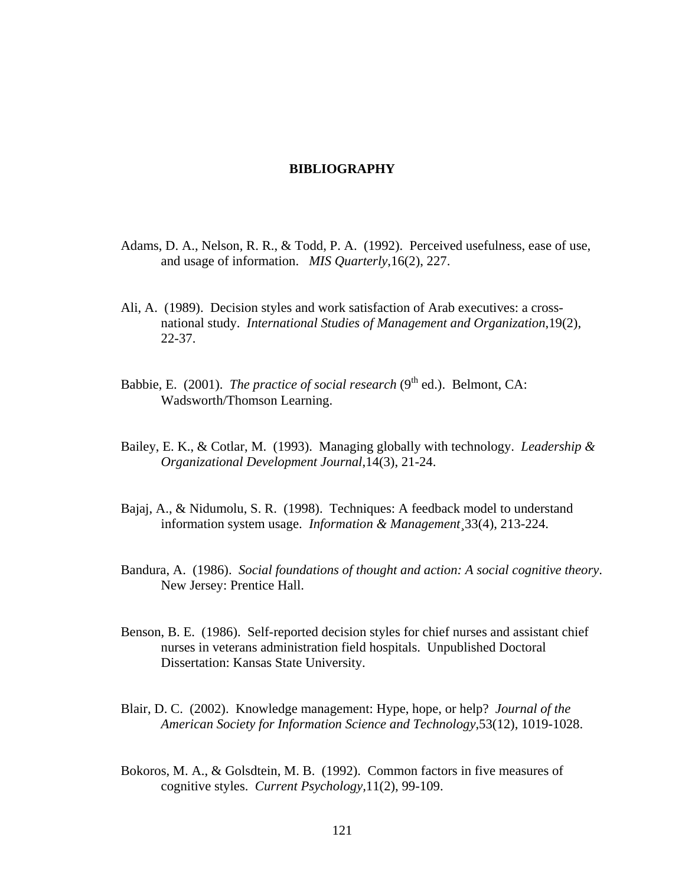#### **BIBLIOGRAPHY**

- Adams, D. A., Nelson, R. R., & Todd, P. A. (1992). Perceived usefulness, ease of use, and usage of information. *MIS Quarterly*,16(2), 227.
- Ali, A. (1989). Decision styles and work satisfaction of Arab executives: a crossnational study. *International Studies of Management and Organization*,19(2), 22-37.
- Babbie, E. (2001). *The practice of social research* ( $9<sup>th</sup>$  ed.). Belmont, CA: Wadsworth/Thomson Learning.
- Bailey, E. K., & Cotlar, M. (1993). Managing globally with technology. *Leadership & Organizational Development Journal*,14(3), 21-24.
- Bajaj, A., & Nidumolu, S. R. (1998). Techniques: A feedback model to understand information system usage. *Information & Management*¸33(4), 213-224.
- Bandura, A. (1986). *Social foundations of thought and action: A social cognitive theory*. New Jersey: Prentice Hall.
- Benson, B. E. (1986). Self-reported decision styles for chief nurses and assistant chief nurses in veterans administration field hospitals. Unpublished Doctoral Dissertation: Kansas State University.
- Blair, D. C. (2002). Knowledge management: Hype, hope, or help? *Journal of the American Society for Information Science and Technology*,53(12), 1019-1028.
- Bokoros, M. A., & Golsdtein, M. B. (1992). Common factors in five measures of cognitive styles. *Current Psychology,*11(2), 99-109.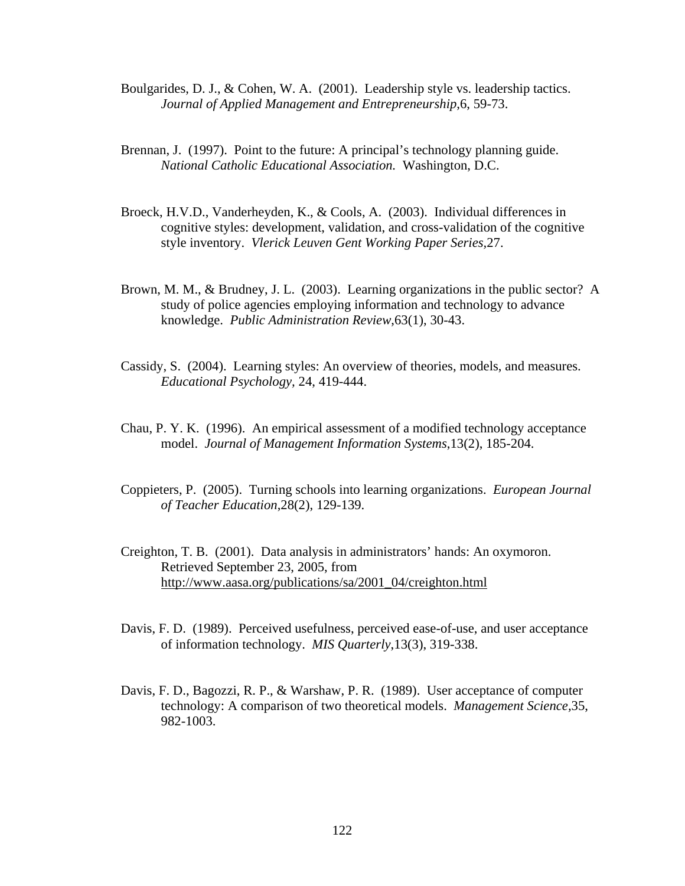- Boulgarides, D. J., & Cohen, W. A. (2001). Leadership style vs. leadership tactics. *Journal of Applied Management and Entrepreneurship*,6, 59-73.
- Brennan, J. (1997). Point to the future: A principal's technology planning guide. *National Catholic Educational Association.* Washington, D.C.
- Broeck, H.V.D., Vanderheyden, K., & Cools, A. (2003). Individual differences in cognitive styles: development, validation, and cross-validation of the cognitive style inventory. *Vlerick Leuven Gent Working Paper Series,*27.
- Brown, M. M., & Brudney, J. L. (2003). Learning organizations in the public sector? A study of police agencies employing information and technology to advance knowledge. *Public Administration Review*,63(1), 30-43.
- Cassidy, S. (2004). Learning styles: An overview of theories, models, and measures. *Educational Psychology,* 24, 419-444.
- Chau, P. Y. K. (1996). An empirical assessment of a modified technology acceptance model. *Journal of Management Information Systems*,13(2), 185-204.
- Coppieters, P. (2005). Turning schools into learning organizations. *European Journal of Teacher Education*,28(2), 129-139.
- Creighton, T. B. (2001). Data analysis in administrators' hands: An oxymoron. Retrieved September 23, 2005, from [http://www.aasa.org/publications/sa/2001\\_04/creighton.html](http://www.aasa.org/publications/sa/2001_04/creighton.html)
- Davis, F. D. (1989). Perceived usefulness, perceived ease-of-use, and user acceptance of information technology. *MIS Quarterly*,13(3), 319-338.
- Davis, F. D., Bagozzi, R. P., & Warshaw, P. R. (1989). User acceptance of computer technology: A comparison of two theoretical models. *Management Science,*35, 982-1003.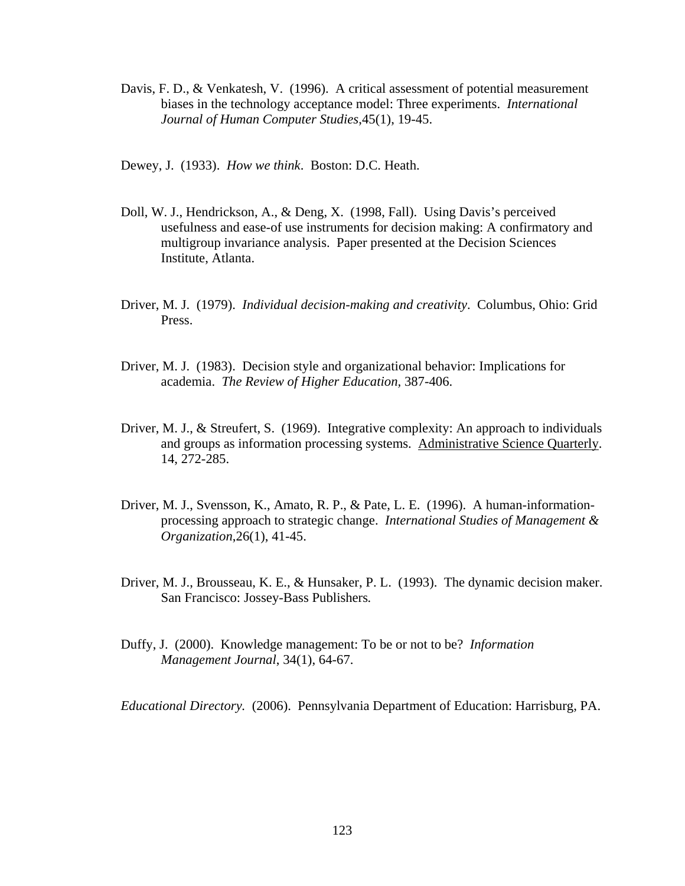- Davis, F. D., & Venkatesh, V. (1996). A critical assessment of potential measurement biases in the technology acceptance model: Three experiments. *International Journal of Human Computer Studies*,45(1), 19-45.
- Dewey, J. (1933). *How we think*. Boston: D.C. Heath.
- Doll, W. J., Hendrickson, A., & Deng, X. (1998, Fall). Using Davis's perceived usefulness and ease-of use instruments for decision making: A confirmatory and multigroup invariance analysis. Paper presented at the Decision Sciences Institute, Atlanta.
- Driver, M. J. (1979). *Individual decision-making and creativity*. Columbus, Ohio: Grid Press.
- Driver, M. J. (1983). Decision style and organizational behavior: Implications for academia. *The Review of Higher Education,* 387-406.
- Driver, M. J., & Streufert, S. (1969). Integrative complexity: An approach to individuals and groups as information processing systems. Administrative Science Quarterly. 14, 272-285.
- Driver, M. J., Svensson, K., Amato, R. P., & Pate, L. E. (1996). A human-informationprocessing approach to strategic change. *International Studies of Management & Organization*,26(1), 41-45.
- Driver, M. J., Brousseau, K. E., & Hunsaker, P. L. (1993). The dynamic decision maker. San Francisco: Jossey-Bass Publishers*.*
- Duffy, J. (2000). Knowledge management: To be or not to be? *Information Management Journal*, 34(1), 64-67.

*Educational Directory.* (2006). Pennsylvania Department of Education: Harrisburg, PA.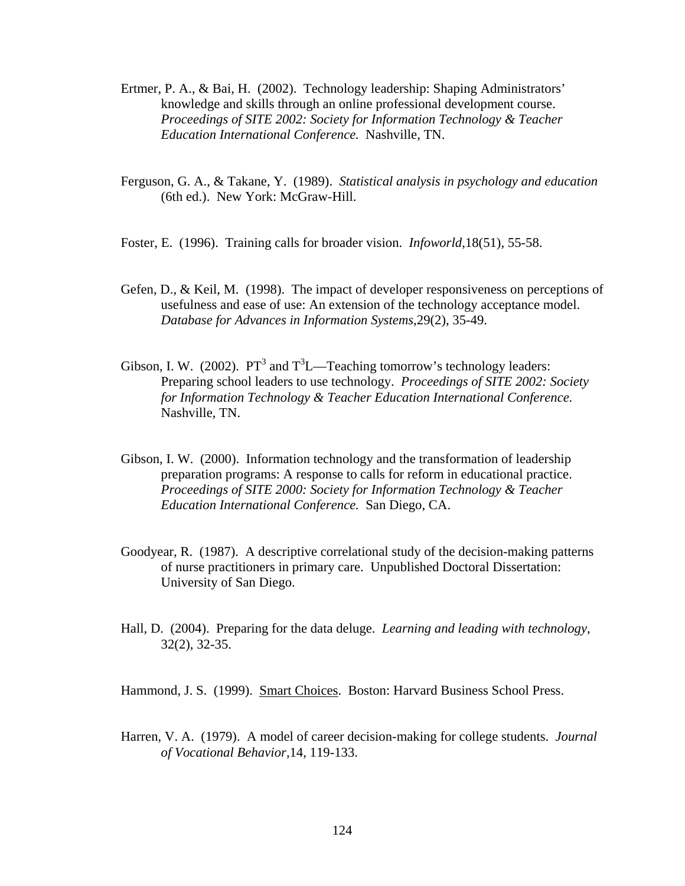- Ertmer, P. A., & Bai, H. (2002). Technology leadership: Shaping Administrators' knowledge and skills through an online professional development course. *Proceedings of SITE 2002: Society for Information Technology & Teacher Education International Conference.* Nashville, TN.
- Ferguson, G. A., & Takane, Y. (1989). *Statistical analysis in psychology and education*  (6th ed.). New York: McGraw-Hill.
- Foster, E. (1996). Training calls for broader vision. *Infoworld*,18(51), 55-58.
- Gefen, D., & Keil, M. (1998). The impact of developer responsiveness on perceptions of usefulness and ease of use: An extension of the technology acceptance model. *Database for Advances in Information Systems*,29(2), 35-49.
- Gibson, I. W. (2002).  $PT^3$  and  $T^3L$ —Teaching tomorrow's technology leaders: Preparing school leaders to use technology. *Proceedings of SITE 2002: Society for Information Technology & Teacher Education International Conference.* Nashville, TN.
- Gibson, I. W. (2000). Information technology and the transformation of leadership preparation programs: A response to calls for reform in educational practice. *Proceedings of SITE 2000: Society for Information Technology & Teacher Education International Conference.* San Diego, CA.
- Goodyear, R. (1987). A descriptive correlational study of the decision-making patterns of nurse practitioners in primary care. Unpublished Doctoral Dissertation: University of San Diego.
- Hall, D. (2004). Preparing for the data deluge. *Learning and leading with technology*, 32(2), 32-35.

Hammond, J. S. (1999). Smart Choices. Boston: Harvard Business School Press.

Harren, V. A. (1979). A model of career decision-making for college students. *Journal of Vocational Behavior,*14, 119-133.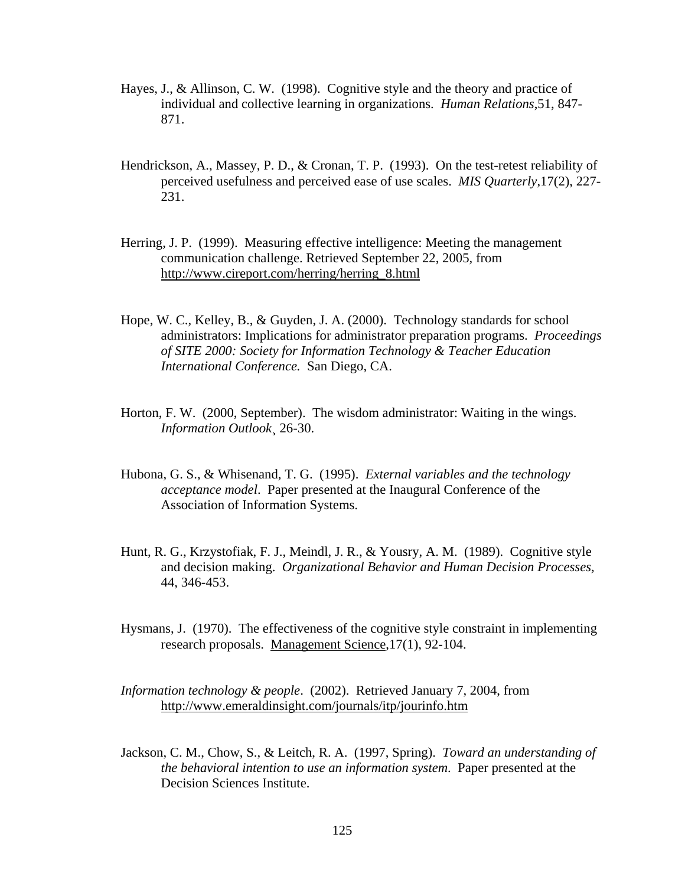- Hayes, J., & Allinson, C. W. (1998). Cognitive style and the theory and practice of individual and collective learning in organizations. *Human Relations*,51, 847- 871.
- Hendrickson, A., Massey, P. D., & Cronan, T. P. (1993). On the test-retest reliability of perceived usefulness and perceived ease of use scales. *MIS Quarterly*,17(2), 227- 231.
- Herring, J. P. (1999). Measuring effective intelligence: Meeting the management communication challenge. Retrieved September 22, 2005, from [http://www.cireport.com/herring/herring\\_8.html](http://www.cireport.com/herring/herring_8.html)
- Hope, W. C., Kelley, B., & Guyden, J. A. (2000). Technology standards for school administrators: Implications for administrator preparation programs. *Proceedings of SITE 2000: Society for Information Technology & Teacher Education International Conference.* San Diego, CA.
- Horton, F. W. (2000, September). The wisdom administrator: Waiting in the wings. *Information Outlook*¸ 26-30.
- Hubona, G. S., & Whisenand, T. G. (1995). *External variables and the technology acceptance model*. Paper presented at the Inaugural Conference of the Association of Information Systems.
- Hunt, R. G., Krzystofiak, F. J., Meindl, J. R., & Yousry, A. M. (1989). Cognitive style and decision making. *Organizational Behavior and Human Decision Processes,*  44, 346-453.
- Hysmans, J. (1970). The effectiveness of the cognitive style constraint in implementing research proposals. Management Science,17(1), 92-104.
- *Information technology & people*. (2002). Retrieved January 7, 2004, from <http://www.emeraldinsight.com/journals/itp/jourinfo.htm>
- Jackson, C. M., Chow, S., & Leitch, R. A. (1997, Spring). *Toward an understanding of the behavioral intention to use an information system*. Paper presented at the Decision Sciences Institute.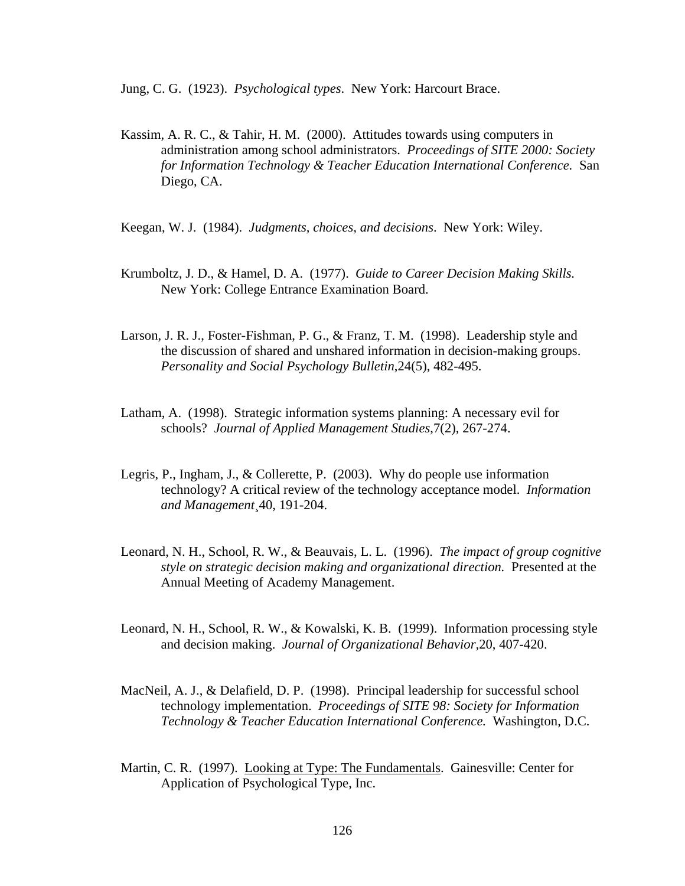Jung, C. G. (1923). *Psychological types*. New York: Harcourt Brace.

- Kassim, A. R. C., & Tahir, H. M. (2000). Attitudes towards using computers in administration among school administrators. *Proceedings of SITE 2000: Society for Information Technology & Teacher Education International Conference.* San Diego, CA.
- Keegan, W. J. (1984). *Judgments, choices, and decisions*. New York: Wiley.
- Krumboltz, J. D., & Hamel, D. A. (1977). *Guide to Career Decision Making Skills.* New York: College Entrance Examination Board.
- Larson, J. R. J., Foster-Fishman, P. G., & Franz, T. M. (1998). Leadership style and the discussion of shared and unshared information in decision-making groups. *Personality and Social Psychology Bulletin*,24(5), 482-495.
- Latham, A. (1998). Strategic information systems planning: A necessary evil for schools? *Journal of Applied Management Studies*,7(2), 267-274.
- Legris, P., Ingham, J., & Collerette, P. (2003). Why do people use information technology? A critical review of the technology acceptance model. *Information and Management*¸40, 191-204.
- Leonard, N. H., School, R. W., & Beauvais, L. L. (1996). *The impact of group cognitive style on strategic decision making and organizational direction.* Presented at the Annual Meeting of Academy Management.
- Leonard, N. H., School, R. W., & Kowalski, K. B. (1999). Information processing style and decision making. *Journal of Organizational Behavior,*20, 407-420.
- MacNeil, A. J., & Delafield, D. P. (1998). Principal leadership for successful school technology implementation. *Proceedings of SITE 98: Society for Information Technology & Teacher Education International Conference.* Washington, D.C.
- Martin, C. R. (1997). Looking at Type: The Fundamentals. Gainesville: Center for Application of Psychological Type, Inc.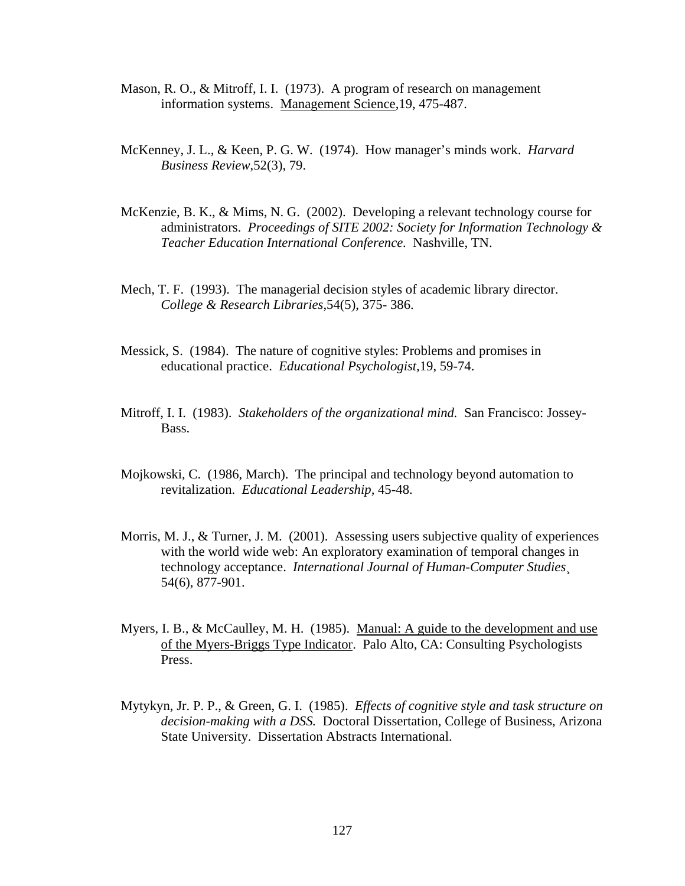- Mason, R. O., & Mitroff, I. I. (1973). A program of research on management information systems. Management Science,19, 475-487.
- McKenney, J. L., & Keen, P. G. W. (1974). How manager's minds work. *Harvard Business Review*,52(3), 79.
- McKenzie, B. K., & Mims, N. G. (2002). Developing a relevant technology course for administrators. *Proceedings of SITE 2002: Society for Information Technology & Teacher Education International Conference.* Nashville, TN.
- Mech, T. F. (1993). The managerial decision styles of academic library director. *College & Research Libraries*,54(5), 375- 386.
- Messick, S. (1984). The nature of cognitive styles: Problems and promises in educational practice. *Educational Psychologist,*19, 59-74.
- Mitroff, I. I. (1983). *Stakeholders of the organizational mind.* San Francisco: Jossey- Bass.
- Mojkowski, C. (1986, March). The principal and technology beyond automation to revitalization. *Educational Leadership,* 45-48.
- Morris, M. J., & Turner, J. M. (2001). Assessing users subjective quality of experiences with the world wide web: An exploratory examination of temporal changes in technology acceptance. *International Journal of Human-Computer Studies*¸ 54(6), 877-901.
- Myers, I. B., & McCaulley, M. H. (1985). Manual: A guide to the development and use of the Myers-Briggs Type Indicator. Palo Alto, CA: Consulting Psychologists Press.
- Mytykyn, Jr. P. P., & Green, G. I. (1985). *Effects of cognitive style and task structure on decision-making with a DSS.* Doctoral Dissertation, College of Business, Arizona State University. Dissertation Abstracts International.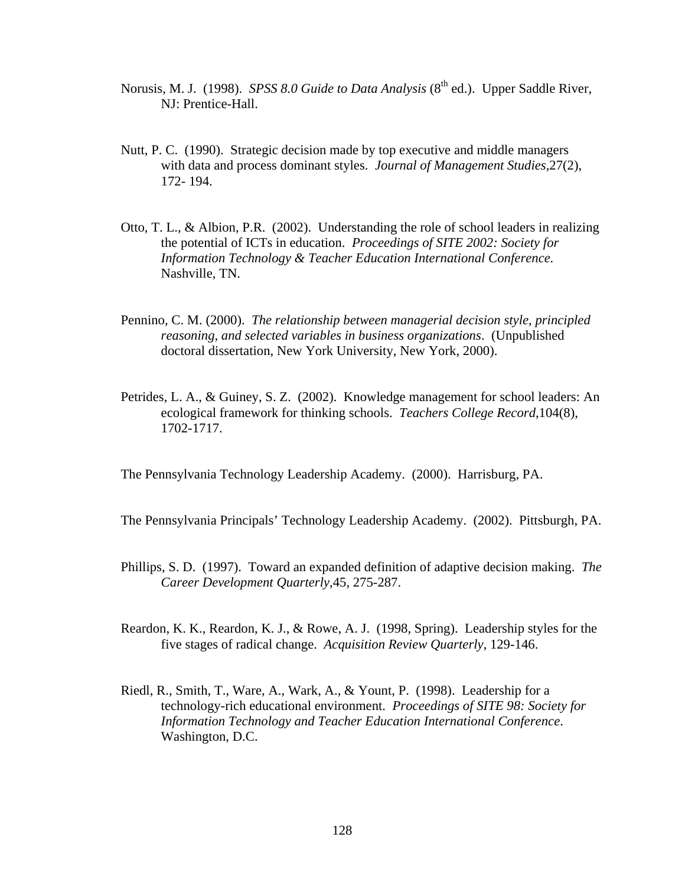- Norusis, M. J. (1998). *SPSS 8.0 Guide to Data Analysis* (8<sup>th</sup> ed.). Upper Saddle River, NJ: Prentice-Hall.
- Nutt, P. C. (1990). Strategic decision made by top executive and middle managers with data and process dominant styles. *Journal of Management Studies*,27(2), 172- 194.
- Otto, T. L., & Albion, P.R. (2002). Understanding the role of school leaders in realizing the potential of ICTs in education. *Proceedings of SITE 2002: Society for Information Technology & Teacher Education International Conference.* Nashville, TN.
- Pennino, C. M. (2000). *The relationship between managerial decision style, principled reasoning, and selected variables in business organizations*. (Unpublished doctoral dissertation, New York University, New York, 2000).
- Petrides, L. A., & Guiney, S. Z. (2002). Knowledge management for school leaders: An ecological framework for thinking schools. *Teachers College Record*,104(8), 1702-1717.

The Pennsylvania Technology Leadership Academy. (2000). Harrisburg, PA.

The Pennsylvania Principals' Technology Leadership Academy. (2002). Pittsburgh, PA.

- Phillips, S. D. (1997). Toward an expanded definition of adaptive decision making. *The Career Development Quarterly*,45, 275-287.
- Reardon, K. K., Reardon, K. J., & Rowe, A. J. (1998, Spring). Leadership styles for the five stages of radical change. *Acquisition Review Quarterly*, 129-146.
- Riedl, R., Smith, T., Ware, A., Wark, A., & Yount, P. (1998). Leadership for a technology-rich educational environment. *Proceedings of SITE 98: Society for Information Technology and Teacher Education International Conference*. Washington, D.C.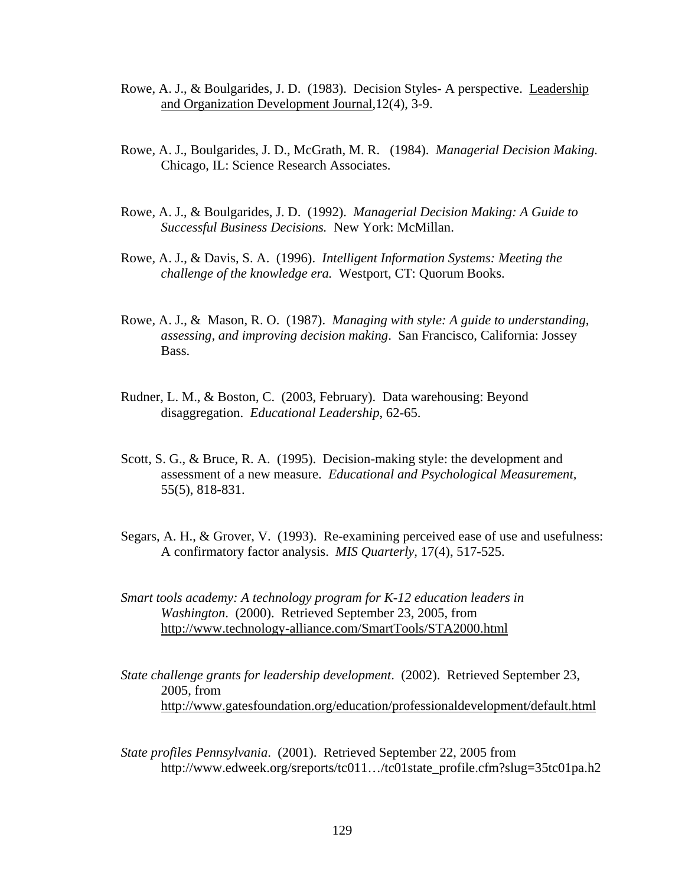- Rowe, A. J., & Boulgarides, J. D. (1983). Decision Styles- A perspective. Leadership and Organization Development Journal,12(4), 3-9.
- Rowe, A. J., Boulgarides, J. D., McGrath, M. R. (1984). *Managerial Decision Making.* Chicago, IL: Science Research Associates.
- Rowe, A. J., & Boulgarides, J. D. (1992). *Managerial Decision Making: A Guide to Successful Business Decisions.* New York: McMillan.
- Rowe, A. J., & Davis, S. A. (1996). *Intelligent Information Systems: Meeting the challenge of the knowledge era.* Westport, CT: Quorum Books.
- Rowe, A. J., & Mason, R. O. (1987). *Managing with style: A guide to understanding, assessing, and improving decision making*. San Francisco, California: Jossey Bass.
- Rudner, L. M., & Boston, C. (2003, February). Data warehousing: Beyond disaggregation. *Educational Leadership*, 62-65.
- Scott, S. G., & Bruce, R. A. (1995). Decision-making style: the development and assessment of a new measure. *Educational and Psychological Measurement,* 55(5), 818-831.
- Segars, A. H., & Grover, V. (1993). Re-examining perceived ease of use and usefulness: A confirmatory factor analysis. *MIS Quarterly,* 17(4), 517-525.
- *Smart tools academy: A technology program for K-12 education leaders in Washington*. (2000). Retrieved September 23, 2005, from <http://www.technology-alliance.com/SmartTools/STA2000.html>
- *State challenge grants for leadership development*. (2002). Retrieved September 23, 2005, from <http://www.gatesfoundation.org/education/professionaldevelopment/default.html>
- *State profiles Pennsylvania*. (2001). Retrieved September 22, 2005 from http://www.edweek.org/sreports/tc011…/tc01state\_profile.cfm?slug=35tc01pa.h2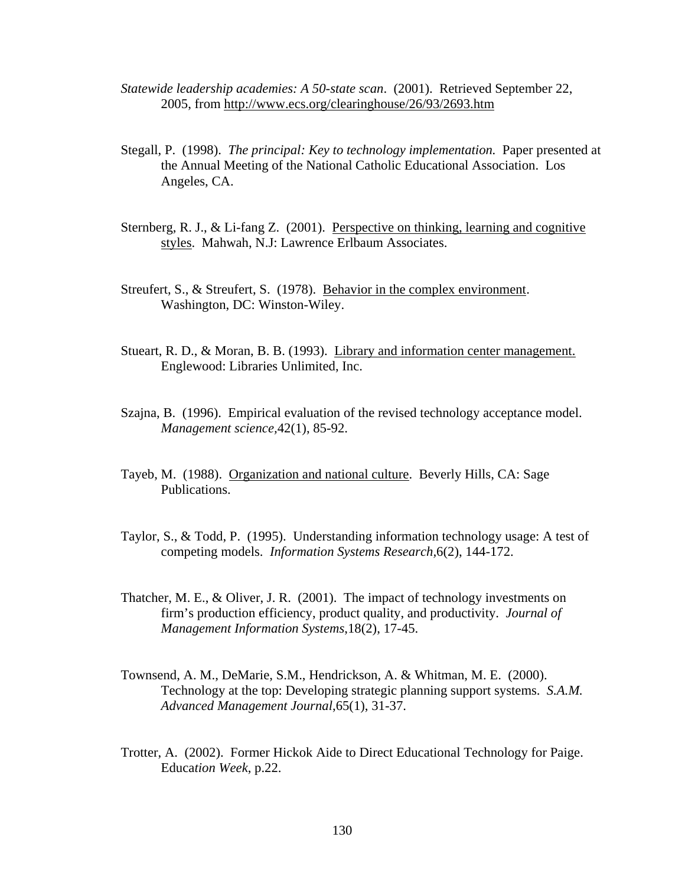- *Statewide leadership academies: A 50-state scan*. (2001). Retrieved September 22, 2005, from<http://www.ecs.org/clearinghouse/26/93/2693.htm>
- Stegall, P. (1998). *The principal: Key to technology implementation.* Paper presented at the Annual Meeting of the National Catholic Educational Association. Los Angeles, CA.
- Sternberg, R. J., & Li-fang Z. (2001). Perspective on thinking, learning and cognitive styles. Mahwah, N.J: Lawrence Erlbaum Associates.
- Streufert, S., & Streufert, S. (1978). Behavior in the complex environment. Washington, DC: Winston-Wiley.
- Stueart, R. D., & Moran, B. B. (1993). Library and information center management. Englewood: Libraries Unlimited, Inc.
- Szajna, B. (1996). Empirical evaluation of the revised technology acceptance model. *Management science,*42(1), 85-92.
- Tayeb, M. (1988). Organization and national culture. Beverly Hills, CA: Sage Publications.
- Taylor, S., & Todd, P. (1995). Understanding information technology usage: A test of competing models. *Information Systems Research,*6(2), 144-172.
- Thatcher, M. E., & Oliver, J. R. (2001). The impact of technology investments on firm's production efficiency, product quality, and productivity. *Journal of Management Information Systems*,18(2), 17-45.
- Townsend, A. M., DeMarie, S.M., Hendrickson, A. & Whitman, M. E. (2000). Technology at the top: Developing strategic planning support systems. *S.A.M. Advanced Management Journal*,65(1), 31-37.
- Trotter, A. (2002). Former Hickok Aide to Direct Educational Technology for Paige. Educa*tion Week*, p.22.